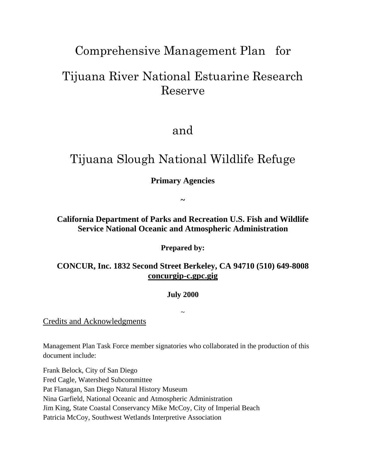# Comprehensive Management Plan for

# Tijuana River National Estuarine Research Reserve

## and

# Tijuana Slough National Wildlife Refuge

### **Primary Agencies**

**~** 

**California Department of Parks and Recreation U.S. Fish and Wildlife Service National Oceanic and Atmospheric Administration** 

**Prepared by:** 

**CONCUR, Inc. 1832 Second Street Berkeley, CA 94710 (510) 649-8008 concurgip-c.gpc.gig** 

#### **July 2000**

 $\sim$ 

Credits and Acknowledgments

Management Plan Task Force member signatories who collaborated in the production of this document include:

Frank Belock, City of San Diego Fred Cagle, Watershed Subcommittee Pat Flanagan, San Diego Natural History Museum Nina Garfield, National Oceanic and Atmospheric Administration Jim King, State Coastal Conservancy Mike McCoy, City of Imperial Beach Patricia McCoy, Southwest Wetlands Interpretive Association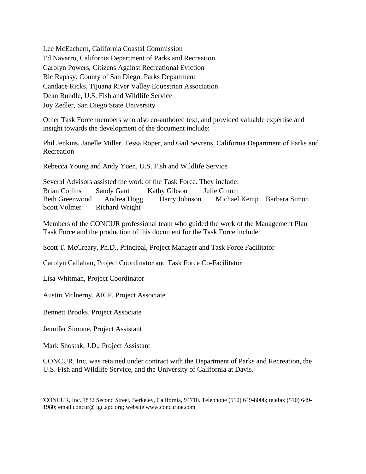Lee McEachern, California Coastal Commission Ed Navarro, California Department of Parks and Recreation Carolyn Powers, Citizens Against Recreational Eviction Ric Rapasy, County of San Diego, Parks Department Candace Ricks, Tijuana River Valley Equestrian Association Dean Rundle, U.S. Fish and Wildlife Service Joy Zedler, San Diego State University

Other Task Force members who also co-authored text, and provided valuable expertise and insight towards the development of the document include:

Phil Jenkins, Janelle Miller, Tessa Roper, and Gail Sevrens, California Department of Parks and Recreation

Rebecca Young and Andy Yuen, U.S. Fish and Wildlife Service

Several Advisors assisted the work of the Task Force. They include: Brian Collins Sandy Gant Kathy Gibson Julie Ginum Beth Greenwood Andrea Hogg Harry Johnson Michael Kemp Barbara Simon Scott Volmer Richard Wright

Members of the CONCUR professional team who guided the work of the Management Plan Task Force and the production of this document for the Task Force include:

Scott T. McCreary, Ph.D., Principal, Project Manager and Task Force Facilitator

Carolyn Callahan, Project Coordinator and Task Force Co-Facilitator

Lisa Whitman, Project Coordinator

Austin Mclnerny, AICP, Project Associate

Bennett Brooks, Project Associate

Jennifer Simone, Project Assistant

Mark Shostak, J.D., Project Assistant

CONCUR, Inc. was retained under contract with the Department of Parks and Recreation, the U.S. Fish and Wildlife Service, and the University of California at Davis.

'CONCUR, Inc. 1832 Second Street, Berkeley, California, 94710. Telephone (510) 649-8008; telefax (510) 649- 1980; email concur@ igc.apc.org; website www.concurine.com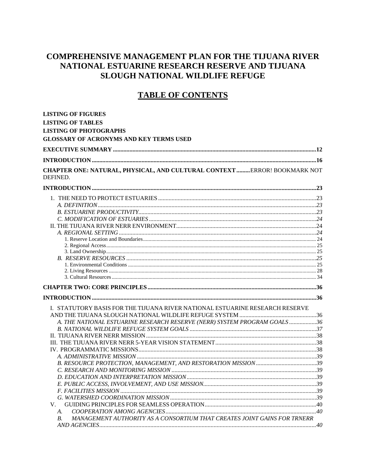### **COMPREHENSIVE MANAGEMENT PLAN FOR THE TIJUANA RIVER** NATIONAL ESTUARINE RESEARCH RESERVE AND TIJUANA **SLOUGH NATIONAL WILDLIFE REFUGE**

## **TABLE OF CONTENTS**

| <b>LISTING OF FIGURES</b>                                                             |  |
|---------------------------------------------------------------------------------------|--|
| <b>LISTING OF TABLES</b>                                                              |  |
| <b>LISTING OF PHOTOGRAPHS</b>                                                         |  |
| <b>GLOSSARY OF ACRONYMS AND KEY TERMS USED</b>                                        |  |
|                                                                                       |  |
| INTRODUCTION   16                                                                     |  |
| CHAPTER ONE: NATURAL, PHYSICAL, AND CULTURAL CONTEXT  ERROR! BOOKMARK NOT<br>DEFINED. |  |
|                                                                                       |  |
|                                                                                       |  |
|                                                                                       |  |
|                                                                                       |  |
|                                                                                       |  |
|                                                                                       |  |
|                                                                                       |  |
|                                                                                       |  |
|                                                                                       |  |
|                                                                                       |  |
|                                                                                       |  |
|                                                                                       |  |
|                                                                                       |  |
|                                                                                       |  |
|                                                                                       |  |
| I. STATUTORY BASIS FOR THE TIJUANA RIVER NATIONAL ESTUARINE RESEARCH RESERVE          |  |
|                                                                                       |  |
| A. THE NATIONAL ESTUARINE RESEARCH RESERVE (NERR) SYSTEM PROGRAM GOALS36              |  |
|                                                                                       |  |
|                                                                                       |  |
|                                                                                       |  |
|                                                                                       |  |
|                                                                                       |  |
|                                                                                       |  |
|                                                                                       |  |
|                                                                                       |  |
|                                                                                       |  |
|                                                                                       |  |
|                                                                                       |  |
| V.                                                                                    |  |
| А.                                                                                    |  |
| MANAGEMENT AUTHORITY AS A CONSORTIUM THAT CREATES JOINT GAINS FOR TRNERR<br>B.        |  |
|                                                                                       |  |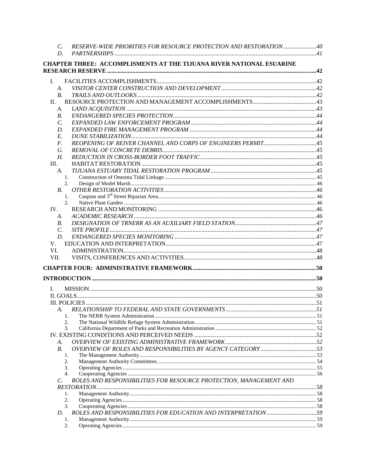| C.              | RESERVE-WIDE PRIORITIES FOR RESOURCE PROTECTION AND RESTORATION40           |  |
|-----------------|-----------------------------------------------------------------------------|--|
| D.              |                                                                             |  |
|                 | <b>CHAPTER THREE: ACCOMPLISMENTS AT THE TIJUANA RIVER NATIONAL ESUARINE</b> |  |
| Ι.              |                                                                             |  |
| A.              |                                                                             |  |
| B <sub>1</sub>  |                                                                             |  |
| II.             |                                                                             |  |
| А.              |                                                                             |  |
| B.              |                                                                             |  |
| C.              |                                                                             |  |
| D.              |                                                                             |  |
| E.              |                                                                             |  |
| F.              |                                                                             |  |
| G.              |                                                                             |  |
| Н.              |                                                                             |  |
| III.            |                                                                             |  |
| A.              |                                                                             |  |
|                 | 1.                                                                          |  |
|                 | 2.                                                                          |  |
| <i>B</i> .      |                                                                             |  |
|                 | 1.                                                                          |  |
| IV.             | 2.                                                                          |  |
| А.              |                                                                             |  |
| <i>B</i> .      |                                                                             |  |
| $\mathcal{C}$ . |                                                                             |  |
| D.              |                                                                             |  |
| V.              |                                                                             |  |
| VI.             |                                                                             |  |
| VII.            |                                                                             |  |
|                 |                                                                             |  |
|                 |                                                                             |  |
|                 |                                                                             |  |
| L.              |                                                                             |  |
|                 |                                                                             |  |
|                 |                                                                             |  |
|                 |                                                                             |  |
| 1.              |                                                                             |  |
| 2.              |                                                                             |  |
| 3.              |                                                                             |  |
|                 |                                                                             |  |
| А.              |                                                                             |  |
| <b>B.</b>       |                                                                             |  |
| 1.              |                                                                             |  |
| 2.              | 3.                                                                          |  |
| 4.              |                                                                             |  |
| C.              | ROLES AND RESPONSIBILITIES FOR RESOURCE PROTECTION, MANAGEMENT AND          |  |
|                 |                                                                             |  |
| 1.              |                                                                             |  |
| 2.              |                                                                             |  |
|                 | 3.                                                                          |  |
| D.              |                                                                             |  |
| 1.              |                                                                             |  |
| 2.              |                                                                             |  |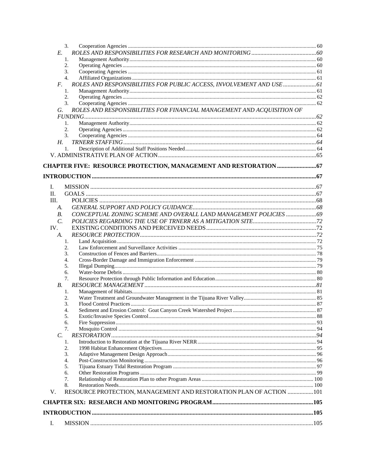| 3.                                                                                   |  |
|--------------------------------------------------------------------------------------|--|
| E.                                                                                   |  |
| 1.                                                                                   |  |
| 2.                                                                                   |  |
| 3.                                                                                   |  |
| 4.                                                                                   |  |
| ROLES AND RESPONSIBILITIES FOR PUBLIC ACCESS, INVOLVEMENT AND USE  61<br>$F_{\cdot}$ |  |
| 1.                                                                                   |  |
| 2.                                                                                   |  |
| 3.                                                                                   |  |
| ROLES AND RESPONSIBILITIES FOR FINANCIAL MANAGEMENT AND ACQUISITION OF<br>G.         |  |
|                                                                                      |  |
| 1.                                                                                   |  |
| 2.                                                                                   |  |
| 3.                                                                                   |  |
| Н.                                                                                   |  |
| 1.                                                                                   |  |
|                                                                                      |  |
|                                                                                      |  |
|                                                                                      |  |
|                                                                                      |  |
| I.                                                                                   |  |
| П.                                                                                   |  |
|                                                                                      |  |
| III.                                                                                 |  |
| А.                                                                                   |  |
| CONCEPTUAL ZONING SCHEME AND OVERALL LAND MANAGEMENT POLICIES  69<br>В.              |  |
| $\mathcal{C}$ .                                                                      |  |
| IV.                                                                                  |  |
| А.                                                                                   |  |
| 1.                                                                                   |  |
| 2.                                                                                   |  |
| 3.                                                                                   |  |
| 4.                                                                                   |  |
| 5.                                                                                   |  |
| 6.                                                                                   |  |
| 7.                                                                                   |  |
| В.                                                                                   |  |
| 1.                                                                                   |  |
| 2.                                                                                   |  |
| 3.                                                                                   |  |
| 4.<br>5.                                                                             |  |
| 6.                                                                                   |  |
| 7.                                                                                   |  |
| C.                                                                                   |  |
| 1.                                                                                   |  |
| 2.                                                                                   |  |
| 3.                                                                                   |  |
| 4.                                                                                   |  |
| 5.                                                                                   |  |
| 6.                                                                                   |  |
| 7.                                                                                   |  |
| 8.                                                                                   |  |
| RESOURCE PROTECTION, MANAGEMENT AND RESTORATION PLAN OF ACTION 101<br>V.             |  |
|                                                                                      |  |
|                                                                                      |  |
| I.                                                                                   |  |
|                                                                                      |  |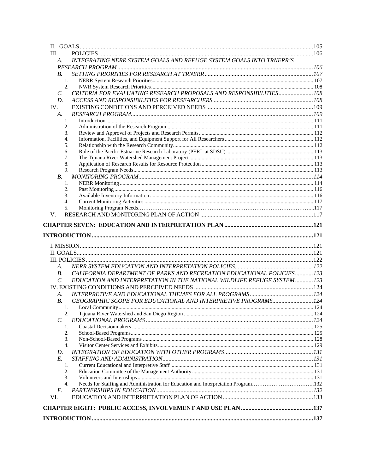| III.            |                                                                                   |  |
|-----------------|-----------------------------------------------------------------------------------|--|
| A.              | INTEGRATING NERR SYSTEM GOALS AND REFUGE SYSTEM GOALS INTO TRNERR'S               |  |
|                 |                                                                                   |  |
| B.              |                                                                                   |  |
| 1.              |                                                                                   |  |
| 2.              |                                                                                   |  |
| $\mathcal{C}$ . | CRITERIA FOR EVALUATING RESEARCH PROPOSALS AND RESPONSIBILITIES 108               |  |
| D.              |                                                                                   |  |
| IV.             |                                                                                   |  |
| A.              |                                                                                   |  |
| 1.              |                                                                                   |  |
| 2.              |                                                                                   |  |
| 3.              |                                                                                   |  |
| 4.              |                                                                                   |  |
| 5.              |                                                                                   |  |
| 6.              |                                                                                   |  |
| 7.              |                                                                                   |  |
| 8.              |                                                                                   |  |
| 9.              |                                                                                   |  |
| В.              |                                                                                   |  |
| 1.              |                                                                                   |  |
| 2.              |                                                                                   |  |
| 3.              |                                                                                   |  |
| 4.              |                                                                                   |  |
| 5.              |                                                                                   |  |
| V.              |                                                                                   |  |
|                 |                                                                                   |  |
|                 |                                                                                   |  |
|                 |                                                                                   |  |
|                 |                                                                                   |  |
|                 |                                                                                   |  |
| А.              |                                                                                   |  |
| <b>B.</b>       | CALIFORNIA DEPARTMENT OF PARKS AND RECREATION EDUCATIONAL POLICIES123             |  |
| $\mathcal{C}$ . | EDUCATION AND INTERPRETATION IN THE NATIONAL WILDLIFE REFUGE SYSTEM  123          |  |
|                 |                                                                                   |  |
| A.              |                                                                                   |  |
| <i>B</i> .      | GEOGRAPHIC SCOPE FOR EDUCATIONAL AND INTERPRETIVE PROGRAMS 124                    |  |
| 1.              |                                                                                   |  |
| 2.              |                                                                                   |  |
| C.              |                                                                                   |  |
| 1.              |                                                                                   |  |
| 2.              |                                                                                   |  |
| 3.              |                                                                                   |  |
| 4.              |                                                                                   |  |
| D.              |                                                                                   |  |
| E.              |                                                                                   |  |
| 1.              |                                                                                   |  |
| 2.              |                                                                                   |  |
| 3.              |                                                                                   |  |
| 4.              | Needs for Staffing and Administration for Education and Interpretation Program132 |  |
| F.              |                                                                                   |  |
| VI.             |                                                                                   |  |
|                 |                                                                                   |  |
|                 |                                                                                   |  |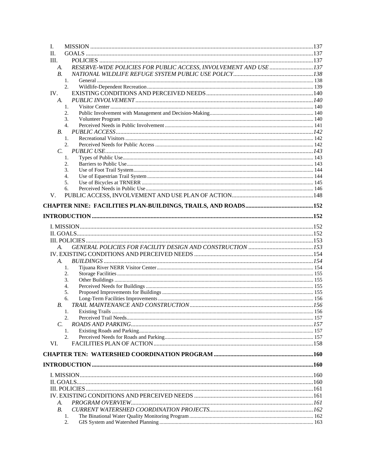| I.         |                                                                  |  |
|------------|------------------------------------------------------------------|--|
| Π.         |                                                                  |  |
| III.       |                                                                  |  |
| A.         | RESERVE-WIDE POLICIES FOR PUBLIC ACCESS, INVOLVEMENT AND USE 137 |  |
| <b>B.</b>  |                                                                  |  |
|            | 1.                                                               |  |
|            | 2.                                                               |  |
| IV.        |                                                                  |  |
| A.         |                                                                  |  |
|            | 1.                                                               |  |
|            | 2.                                                               |  |
|            | 3.<br>4.                                                         |  |
| <i>B</i> . |                                                                  |  |
|            | 1.                                                               |  |
|            | 2.                                                               |  |
| C.         |                                                                  |  |
|            | 1.                                                               |  |
|            | 2.                                                               |  |
|            | 3.                                                               |  |
|            | 4.                                                               |  |
|            | 5.                                                               |  |
|            | 6.                                                               |  |
| V.         |                                                                  |  |
|            |                                                                  |  |
|            |                                                                  |  |
|            |                                                                  |  |
|            |                                                                  |  |
|            |                                                                  |  |
|            |                                                                  |  |
|            |                                                                  |  |
|            |                                                                  |  |
| А.         |                                                                  |  |
|            | 1.                                                               |  |
|            | 2.                                                               |  |
|            | 3.                                                               |  |
|            | 4.                                                               |  |
|            | 5.                                                               |  |
|            | 6.                                                               |  |
| В.         |                                                                  |  |
|            | 1.                                                               |  |
|            | 2.                                                               |  |
| C.         |                                                                  |  |
|            | 1.                                                               |  |
|            | 2.                                                               |  |
| VI.        |                                                                  |  |
|            |                                                                  |  |
|            |                                                                  |  |
|            |                                                                  |  |
|            |                                                                  |  |
|            |                                                                  |  |
|            |                                                                  |  |
|            |                                                                  |  |
|            |                                                                  |  |
| А.         |                                                                  |  |
| <i>B</i> . |                                                                  |  |
|            | 1.                                                               |  |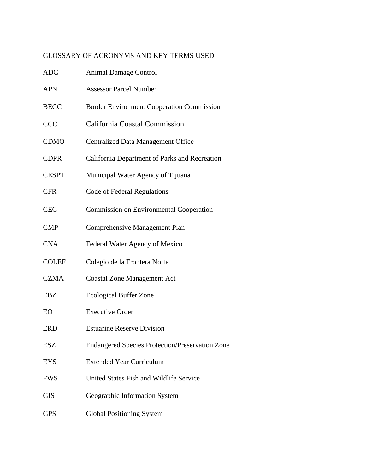### GLOSSARY OF ACRONYMS AND KEY TERMS USED

| <b>ADC</b>   | <b>Animal Damage Control</b>                           |
|--------------|--------------------------------------------------------|
| <b>APN</b>   | <b>Assessor Parcel Number</b>                          |
| <b>BECC</b>  | <b>Border Environment Cooperation Commission</b>       |
| <b>CCC</b>   | California Coastal Commission                          |
| <b>CDMO</b>  | <b>Centralized Data Management Office</b>              |
| <b>CDPR</b>  | California Department of Parks and Recreation          |
| <b>CESPT</b> | Municipal Water Agency of Tijuana                      |
| <b>CFR</b>   | Code of Federal Regulations                            |
| <b>CEC</b>   | <b>Commission on Environmental Cooperation</b>         |
| <b>CMP</b>   | Comprehensive Management Plan                          |
| <b>CNA</b>   | Federal Water Agency of Mexico                         |
| <b>COLEF</b> | Colegio de la Frontera Norte                           |
| <b>CZMA</b>  | <b>Coastal Zone Management Act</b>                     |
| <b>EBZ</b>   | <b>Ecological Buffer Zone</b>                          |
| EO           | <b>Executive Order</b>                                 |
| <b>ERD</b>   | <b>Estuarine Reserve Division</b>                      |
| <b>ESZ</b>   | <b>Endangered Species Protection/Preservation Zone</b> |
| <b>EYS</b>   | <b>Extended Year Curriculum</b>                        |
| <b>FWS</b>   | United States Fish and Wildlife Service                |
| <b>GIS</b>   | Geographic Information System                          |
| <b>GPS</b>   | <b>Global Positioning System</b>                       |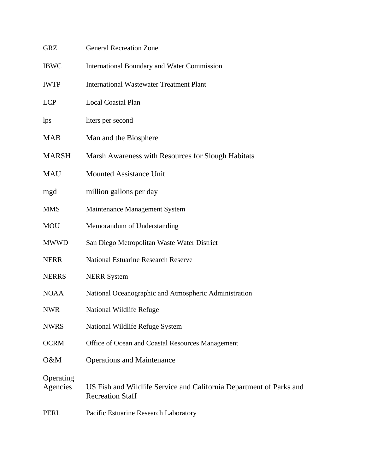| <b>GRZ</b>            | <b>General Recreation Zone</b>                                                                 |
|-----------------------|------------------------------------------------------------------------------------------------|
| <b>IBWC</b>           | <b>International Boundary and Water Commission</b>                                             |
| <b>IWTP</b>           | <b>International Wastewater Treatment Plant</b>                                                |
| <b>LCP</b>            | <b>Local Coastal Plan</b>                                                                      |
| lps                   | liters per second                                                                              |
| <b>MAB</b>            | Man and the Biosphere                                                                          |
| <b>MARSH</b>          | Marsh Awareness with Resources for Slough Habitats                                             |
| MAU                   | <b>Mounted Assistance Unit</b>                                                                 |
| mgd                   | million gallons per day                                                                        |
| <b>MMS</b>            | Maintenance Management System                                                                  |
| <b>MOU</b>            | Memorandum of Understanding                                                                    |
| <b>MWWD</b>           | San Diego Metropolitan Waste Water District                                                    |
| <b>NERR</b>           | <b>National Estuarine Research Reserve</b>                                                     |
| <b>NERRS</b>          | <b>NERR</b> System                                                                             |
| <b>NOAA</b>           | National Oceanographic and Atmospheric Administration                                          |
| <b>NWR</b>            | National Wildlife Refuge                                                                       |
| <b>NWRS</b>           | National Wildlife Refuge System                                                                |
| <b>OCRM</b>           | Office of Ocean and Coastal Resources Management                                               |
| O&M                   | <b>Operations and Maintenance</b>                                                              |
| Operating<br>Agencies | US Fish and Wildlife Service and California Department of Parks and<br><b>Recreation Staff</b> |
| <b>PERL</b>           | Pacific Estuarine Research Laboratory                                                          |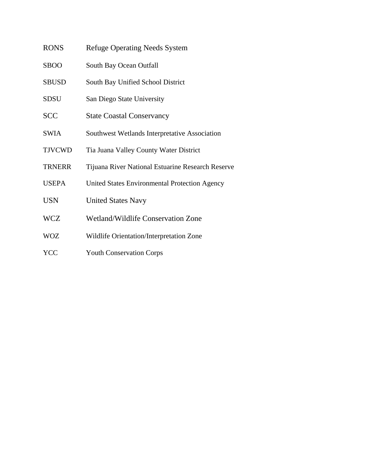| <b>RONS</b>  | <b>Refuge Operating Needs System</b>          |
|--------------|-----------------------------------------------|
| <b>SBOO</b>  | South Bay Ocean Outfall                       |
| <b>SBUSD</b> | South Bay Unified School District             |
| <b>SDSU</b>  | San Diego State University                    |
| <b>SCC</b>   | <b>State Coastal Conservancy</b>              |
| <b>SWIA</b>  | Southwest Wetlands Interpretative Association |

- TJVCWD Tia Juana Valley County Water District
- TRNERR Tijuana River National Estuarine Research Reserve
- USEPA United States Environmental Protection Agency
- USN United States Navy
- WCZ Wetland/Wildlife Conservation Zone
- WOZ Wildlife Orientation/Interpretation Zone
- YCC Youth Conservation Corps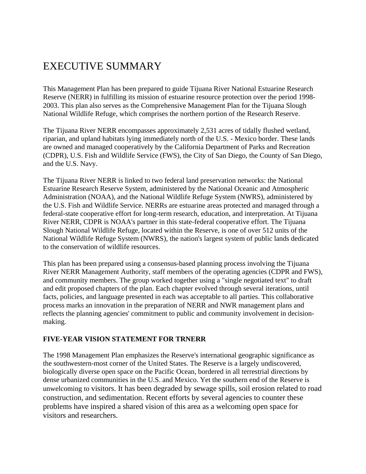# EXECUTIVE SUMMARY

This Management Plan has been prepared to guide Tijuana River National Estuarine Research Reserve (NERR) in fulfilling its mission of estuarine resource protection over the period 1998- 2003. This plan also serves as the Comprehensive Management Plan for the Tijuana Slough National Wildlife Refuge, which comprises the northern portion of the Research Reserve.

The Tijuana River NERR encompasses approximately 2,531 acres of tidally flushed wetland, riparian, and upland habitats lying immediately north of the U.S. - Mexico border. These lands are owned and managed cooperatively by the California Department of Parks and Recreation (CDPR), U.S. Fish and Wildlife Service (FWS), the City of San Diego, the County of San Diego, and the U.S. Navy.

The Tijuana River NERR is linked to two federal land preservation networks: the National Estuarine Research Reserve System, administered by the National Oceanic and Atmospheric Administration (NOAA), and the National Wildlife Refuge System (NWRS), administered by the U.S. Fish and Wildlife Service. NERRs are estuarine areas protected and managed through a federal-state cooperative effort for long-term research, education, and interpretation. At Tijuana River NERR, CDPR is NOAA's partner in this state-federal cooperative effort. The Tijuana Slough National Wildlife Refuge, located within the Reserve, is one of over 512 units of the National Wildlife Refuge System (NWRS), the nation's largest system of public lands dedicated to the conservation of wildlife resources.

This plan has been prepared using a consensus-based planning process involving the Tijuana River NERR Management Authority, staff members of the operating agencies (CDPR and FWS), and community members. The group worked together using a "single negotiated text" to draft and edit proposed chapters of the plan. Each chapter evolved through several iterations, until facts, policies, and language presented in each was acceptable to all parties. This collaborative process marks an innovation in the preparation of NERR and NWR management plans and reflects the planning agencies' commitment to public and community involvement in decisionmaking.

#### **FIVE-YEAR VISION STATEMENT FOR TRNERR**

The 1998 Management Plan emphasizes the Reserve's international geographic significance as the southwestern-most corner of the United States. The Reserve is a largely undiscovered, biologically diverse open space on the Pacific Ocean, bordered in all terrestrial directions by dense urbanized communities in the U.S. and Mexico. Yet the southern end of the Reserve is unwelcoming to visitors. It has been degraded by sewage spills, soil erosion related to road construction, and sedimentation. Recent efforts by several agencies to counter these problems have inspired a shared vision of this area as a welcoming open space for visitors and researchers.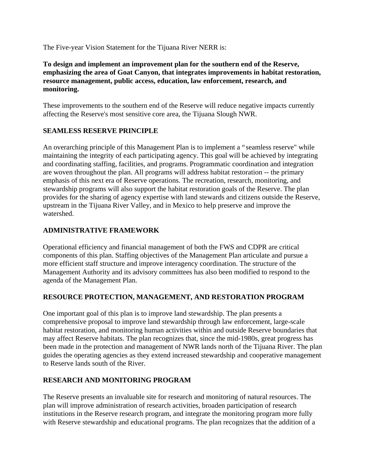The Five-year Vision Statement for the Tijuana River NERR is:

**To design and implement an improvement plan for the southern end of the Reserve, emphasizing the area of Goat Canyon, that integrates improvements in habitat restoration, resource management, public access, education, law enforcement, research, and monitoring.** 

These improvements to the southern end of the Reserve will reduce negative impacts currently affecting the Reserve's most sensitive core area, the Tijuana Slough NWR.

#### **SEAMLESS RESERVE PRINCIPLE**

An overarching principle of this Management Plan is to implement a "seamless reserve" while maintaining the integrity of each participating agency. This goal will be achieved by integrating and coordinating staffing, facilities, and programs. Programmatic coordination and integration are woven throughout the plan. All programs will address habitat restoration -- the primary emphasis of this next era of Reserve operations. The recreation, research, monitoring, and stewardship programs will also support the habitat restoration goals of the Reserve. The plan provides for the sharing of agency expertise with land stewards and citizens outside the Reserve, upstream in the Tijuana River Valley, and in Mexico to help preserve and improve the watershed.

#### **ADMINISTRATIVE FRAMEWORK**

Operational efficiency and financial management of both the FWS and CDPR are critical components of this plan. Staffing objectives of the Management Plan articulate and pursue a more efficient staff structure and improve interagency coordination. The structure of the Management Authority and its advisory committees has also been modified to respond to the agenda of the Management Plan.

#### **RESOURCE PROTECTION, MANAGEMENT, AND RESTORATION PROGRAM**

One important goal of this plan is to improve land stewardship. The plan presents a comprehensive proposal to improve land stewardship through law enforcement, large-scale habitat restoration, and monitoring human activities within and outside Reserve boundaries that may affect Reserve habitats. The plan recognizes that, since the mid-1980s, great progress has been made in the protection and management of NWR lands north of the Tijuana River. The plan guides the operating agencies as they extend increased stewardship and cooperative management to Reserve lands south of the River.

#### **RESEARCH AND MONITORING PROGRAM**

The Reserve presents an invaluable site for research and monitoring of natural resources. The plan will improve administration of research activities, broaden participation of research institutions in the Reserve research program, and integrate the monitoring program more fully with Reserve stewardship and educational programs. The plan recognizes that the addition of a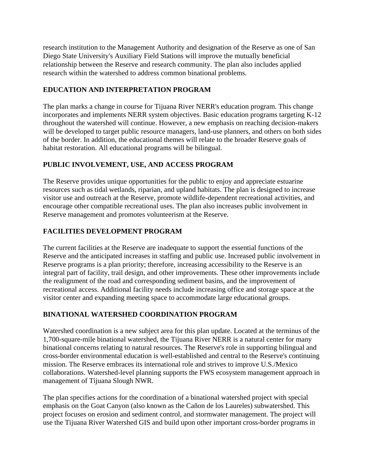research institution to the Management Authority and designation of the Reserve as one of San Diego State University's Auxiliary Field Stations will improve the mutually beneficial relationship between the Reserve and research community. The plan also includes applied research within the watershed to address common binational problems.

#### **EDUCATION AND INTERPRETATION PROGRAM**

The plan marks a change in course for Tijuana River NERR's education program. This change incorporates and implements NERR system objectives. Basic education programs targeting K-12 throughout the watershed will continue. However, a new emphasis on reaching decision-makers will be developed to target public resource managers, land-use planners, and others on both sides of the border. In addition, the educational themes will relate to the broader Reserve goals of habitat restoration. All educational programs will be bilingual.

### **PUBLIC INVOLVEMENT, USE, AND ACCESS PROGRAM**

The Reserve provides unique opportunities for the public to enjoy and appreciate estuarine resources such as tidal wetlands, riparian, and upland habitats. The plan is designed to increase visitor use and outreach at the Reserve, promote wildlife-dependent recreational activities, and encourage other compatible recreational uses. The plan also increases public involvement in Reserve management and promotes volunteerism at the Reserve.

### **FACILITIES DEVELOPMENT PROGRAM**

The current facilities at the Reserve are inadequate to support the essential functions of the Reserve and the anticipated increases in staffing and public use. Increased public involvement in Reserve programs is a plan priority; therefore, increasing accessibility to the Reserve is an integral part of facility, trail design, and other improvements. These other improvements include the realignment of the road and corresponding sediment basins, and the improvement of recreational access. Additional facility needs include increasing office and storage space at the visitor center and expanding meeting space to accommodate large educational groups.

### **BINATIONAL WATERSHED COORDINATION PROGRAM**

Watershed coordination is a new subject area for this plan update. Located at the terminus of the 1,700-square-mile binational watershed, the Tijuana River NERR is a natural center for many binational concerns relating to natural resources. The Reserve's role in supporting bilingual and cross-border environmental education is well-established and central to the Reserve's continuing mission. The Reserve embraces its international role and strives to improve U.S./Mexico collaborations. Watershed-level planning supports the FWS ecosystem management approach in management of Tijuana Slough NWR.

The plan specifies actions for the coordination of a binational watershed project with special emphasis on the Goat Canyon (also known as the Cañon de los Laureles) subwatershed. This project focuses on erosion and sediment control, and stormwater management. The project will use the Tijuana River Watershed GIS and build upon other important cross-border programs in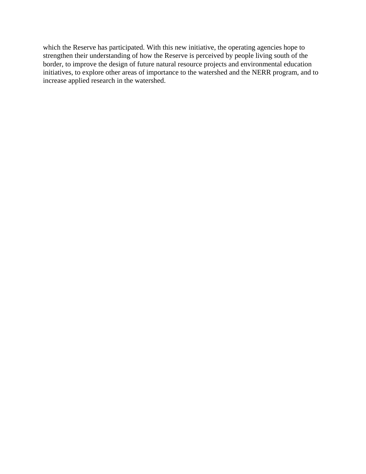which the Reserve has participated. With this new initiative, the operating agencies hope to strengthen their understanding of how the Reserve is perceived by people living south of the border, to improve the design of future natural resource projects and environmental education initiatives, to explore other areas of importance to the watershed and the NERR program, and to increase applied research in the watershed.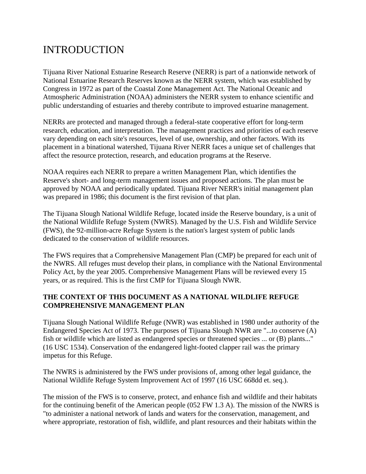# INTRODUCTION

Tijuana River National Estuarine Research Reserve (NERR) is part of a nationwide network of National Estuarine Research Reserves known as the NERR system, which was established by Congress in 1972 as part of the Coastal Zone Management Act. The National Oceanic and Atmospheric Administration (NOAA) administers the NERR system to enhance scientific and public understanding of estuaries and thereby contribute to improved estuarine management.

NERRs are protected and managed through a federal-state cooperative effort for long-term research, education, and interpretation. The management practices and priorities of each reserve vary depending on each site's resources, level of use, ownership, and other factors. With its placement in a binational watershed, Tijuana River NERR faces a unique set of challenges that affect the resource protection, research, and education programs at the Reserve.

NOAA requires each NERR to prepare a written Management Plan, which identifies the Reserve's short- and long-term management issues and proposed actions. The plan must be approved by NOAA and periodically updated. Tijuana River NERR's initial management plan was prepared in 1986; this document is the first revision of that plan.

The Tijuana Slough National Wildlife Refuge, located inside the Reserve boundary, is a unit of the National Wildlife Refuge System (NWRS). Managed by the U.S. Fish and Wildlife Service (FWS), the 92-million-acre Refuge System is the nation's largest system of public lands dedicated to the conservation of wildlife resources.

The FWS requires that a Comprehensive Management Plan (CMP) be prepared for each unit of the NWRS. All refuges must develop their plans, in compliance with the National Environmental Policy Act, by the year 2005. Comprehensive Management Plans will be reviewed every 15 years, or as required. This is the first CMP for Tijuana Slough NWR.

#### **THE CONTEXT OF THIS DOCUMENT AS A NATIONAL WILDLIFE REFUGE COMPREHENSIVE MANAGEMENT PLAN**

Tijuana Slough National Wildlife Refuge (NWR) was established in 1980 under authority of the Endangered Species Act of 1973. The purposes of Tijuana Slough NWR are "...to conserve (A) fish or wildlife which are listed as endangered species or threatened species ... or (B) plants..." (16 USC 1534). Conservation of the endangered light-footed clapper rail was the primary impetus for this Refuge.

The NWRS is administered by the FWS under provisions of, among other legal guidance, the National Wildlife Refuge System Improvement Act of 1997 (16 USC 668dd et. seq.).

The mission of the FWS is to conserve, protect, and enhance fish and wildlife and their habitats for the continuing benefit of the American people (052 FW 1.3 A). The mission of the NWRS is "to administer a national network of lands and waters for the conservation, management, and where appropriate, restoration of fish, wildlife, and plant resources and their habitats within the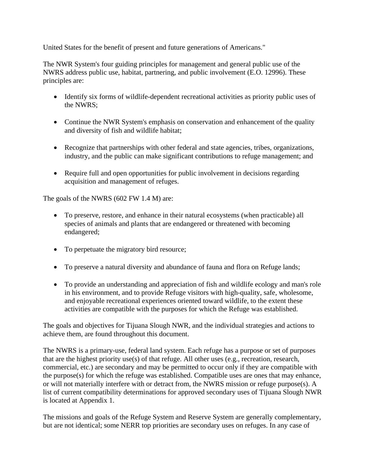United States for the benefit of present and future generations of Americans."

The NWR System's four guiding principles for management and general public use of the NWRS address public use, habitat, partnering, and public involvement (E.O. 12996). These principles are:

- Identify six forms of wildlife-dependent recreational activities as priority public uses of the NWRS;
- Continue the NWR System's emphasis on conservation and enhancement of the quality and diversity of fish and wildlife habitat;
- Recognize that partnerships with other federal and state agencies, tribes, organizations, industry, and the public can make significant contributions to refuge management; and
- Require full and open opportunities for public involvement in decisions regarding acquisition and management of refuges.

The goals of the NWRS (602 FW 1.4 M) are:

- To preserve, restore, and enhance in their natural ecosystems (when practicable) all species of animals and plants that are endangered or threatened with becoming endangered;
- To perpetuate the migratory bird resource;
- To preserve a natural diversity and abundance of fauna and flora on Refuge lands;
- To provide an understanding and appreciation of fish and wildlife ecology and man's role in his environment, and to provide Refuge visitors with high-quality, safe, wholesome, and enjoyable recreational experiences oriented toward wildlife, to the extent these activities are compatible with the purposes for which the Refuge was established.

The goals and objectives for Tijuana Slough NWR, and the individual strategies and actions to achieve them, are found throughout this document.

The NWRS is a primary-use, federal land system. Each refuge has a purpose or set of purposes that are the highest priority use(s) of that refuge. All other uses (e.g., recreation, research, commercial, etc.) are secondary and may be permitted to occur only if they are compatible with the purpose(s) for which the refuge was established. Compatible uses are ones that may enhance, or will not materially interfere with or detract from, the NWRS mission or refuge purpose(s). A list of current compatibility determinations for approved secondary uses of Tijuana Slough NWR is located at Appendix 1.

The missions and goals of the Refuge System and Reserve System are generally complementary, but are not identical; some NERR top priorities are secondary uses on refuges. In any case of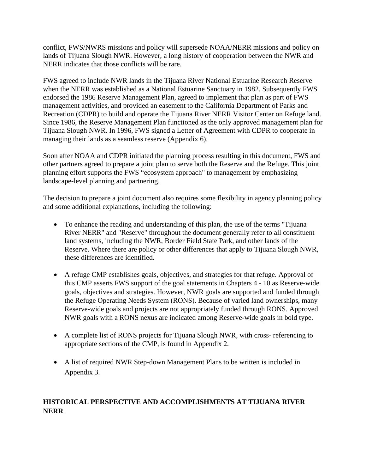conflict, FWS/NWRS missions and policy will supersede NOAA/NERR missions and policy on lands of Tijuana Slough NWR. However, a long history of cooperation between the NWR and NERR indicates that those conflicts will be rare.

FWS agreed to include NWR lands in the Tijuana River National Estuarine Research Reserve when the NERR was established as a National Estuarine Sanctuary in 1982. Subsequently FWS endorsed the 1986 Reserve Management Plan, agreed to implement that plan as part of FWS management activities, and provided an easement to the California Department of Parks and Recreation (CDPR) to build and operate the Tijuana River NERR Visitor Center on Refuge land. Since 1986, the Reserve Management Plan functioned as the only approved management plan for Tijuana Slough NWR. In 1996, FWS signed a Letter of Agreement with CDPR to cooperate in managing their lands as a seamless reserve (Appendix 6).

Soon after NOAA and CDPR initiated the planning process resulting in this document, FWS and other partners agreed to prepare a joint plan to serve both the Reserve and the Refuge. This joint planning effort supports the FWS "ecosystem approach" to management by emphasizing landscape-level planning and partnering.

The decision to prepare a joint document also requires some flexibility in agency planning policy and some additional explanations, including the following:

- To enhance the reading and understanding of this plan, the use of the terms "Tijuana" River NERR" and "Reserve" throughout the document generally refer to all constituent land systems, including the NWR, Border Field State Park, and other lands of the Reserve. Where there are policy or other differences that apply to Tijuana Slough NWR, these differences are identified.
- A refuge CMP establishes goals, objectives, and strategies for that refuge. Approval of this CMP asserts FWS support of the goal statements in Chapters 4 - 10 as Reserve-wide goals, objectives and strategies. However, NWR goals are supported and funded through the Refuge Operating Needs System (RONS). Because of varied land ownerships, many Reserve-wide goals and projects are not appropriately funded through RONS. Approved NWR goals with a RONS nexus are indicated among Reserve-wide goals in bold type.
- A complete list of RONS projects for Tijuana Slough NWR, with cross- referencing to appropriate sections of the CMP, is found in Appendix 2.
- A list of required NWR Step-down Management Plans to be written is included in Appendix 3.

### **HISTORICAL PERSPECTIVE AND ACCOMPLISHMENTS AT TIJUANA RIVER NERR**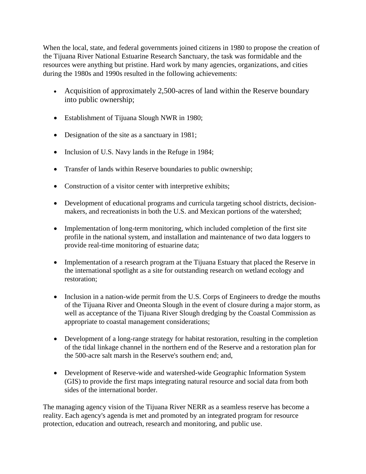When the local, state, and federal governments joined citizens in 1980 to propose the creation of the Tijuana River National Estuarine Research Sanctuary, the task was formidable and the resources were anything but pristine. Hard work by many agencies, organizations, and cities during the 1980s and 1990s resulted in the following achievements:

- Acquisition of approximately 2,500-acres of land within the Reserve boundary into public ownership;
- Establishment of Tijuana Slough NWR in 1980;
- Designation of the site as a sanctuary in 1981;
- Inclusion of U.S. Navy lands in the Refuge in 1984;
- Transfer of lands within Reserve boundaries to public ownership;
- Construction of a visitor center with interpretive exhibits;
- Development of educational programs and curricula targeting school districts, decisionmakers, and recreationists in both the U.S. and Mexican portions of the watershed;
- Implementation of long-term monitoring, which included completion of the first site profile in the national system, and installation and maintenance of two data loggers to provide real-time monitoring of estuarine data;
- Implementation of a research program at the Tijuana Estuary that placed the Reserve in the international spotlight as a site for outstanding research on wetland ecology and restoration;
- Inclusion in a nation-wide permit from the U.S. Corps of Engineers to dredge the mouths of the Tijuana River and Oneonta Slough in the event of closure during a major storm, as well as acceptance of the Tijuana River Slough dredging by the Coastal Commission as appropriate to coastal management considerations;
- Development of a long-range strategy for habitat restoration, resulting in the completion of the tidal linkage channel in the northern end of the Reserve and a restoration plan for the 500-acre salt marsh in the Reserve's southern end; and,
- Development of Reserve-wide and watershed-wide Geographic Information System (GIS) to provide the first maps integrating natural resource and social data from both sides of the international border.

The managing agency vision of the Tijuana River NERR as a seamless reserve has become a reality. Each agency's agenda is met and promoted by an integrated program for resource protection, education and outreach, research and monitoring, and public use.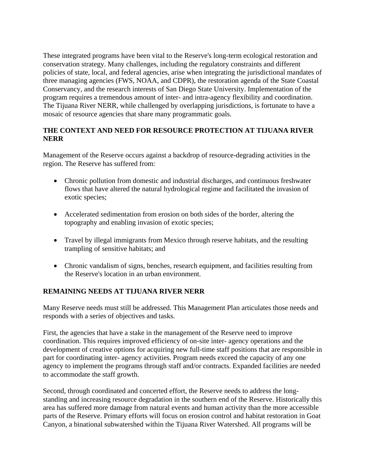These integrated programs have been vital to the Reserve's long-term ecological restoration and conservation strategy. Many challenges, including the regulatory constraints and different policies of state, local, and federal agencies, arise when integrating the jurisdictional mandates of three managing agencies (FWS, NOAA, and CDPR), the restoration agenda of the State Coastal Conservancy, and the research interests of San Diego State University. Implementation of the program requires a tremendous amount of inter- and intra-agency flexibility and coordination. The Tijuana River NERR, while challenged by overlapping jurisdictions, is fortunate to have a mosaic of resource agencies that share many programmatic goals.

#### **THE CONTEXT AND NEED FOR RESOURCE PROTECTION AT TIJUANA RIVER NERR**

Management of the Reserve occurs against a backdrop of resource-degrading activities in the region. The Reserve has suffered from:

- Chronic pollution from domestic and industrial discharges, and continuous freshwater flows that have altered the natural hydrological regime and facilitated the invasion of exotic species;
- Accelerated sedimentation from erosion on both sides of the border, altering the topography and enabling invasion of exotic species;
- Travel by illegal immigrants from Mexico through reserve habitats, and the resulting trampling of sensitive habitats; and
- Chronic vandalism of signs, benches, research equipment, and facilities resulting from the Reserve's location in an urban environment.

### **REMAINING NEEDS AT TIJUANA RIVER NERR**

Many Reserve needs must still be addressed. This Management Plan articulates those needs and responds with a series of objectives and tasks.

First, the agencies that have a stake in the management of the Reserve need to improve coordination. This requires improved efficiency of on-site inter- agency operations and the development of creative options for acquiring new full-time staff positions that are responsible in part for coordinating inter- agency activities. Program needs exceed the capacity of any one agency to implement the programs through staff and/or contracts. Expanded facilities are needed to accommodate the staff growth.

Second, through coordinated and concerted effort, the Reserve needs to address the longstanding and increasing resource degradation in the southern end of the Reserve. Historically this area has suffered more damage from natural events and human activity than the more accessible parts of the Reserve. Primary efforts will focus on erosion control and habitat restoration in Goat Canyon, a binational subwatershed within the Tijuana River Watershed. All programs will be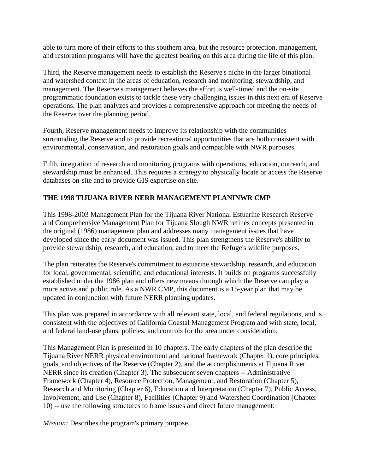able to turn more of their efforts to this southern area, but the resource protection, management, and restoration programs will have the greatest bearing on this area during the life of this plan.

Third, the Reserve management needs to establish the Reserve's niche in the larger binational and watershed context in the areas of education, research and monitoring, stewardship, and management. The Reserve's management believes the effort is well-timed and the on-site programmatic foundation exists to tackle these very challenging issues in this next era of Reserve operations. The plan analyzes and provides a comprehensive approach for meeting the needs of the Reserve over the planning period.

Fourth, Reserve management needs to improve its relationship with the communities surrounding the Reserve and to provide recreational opportunities that are both consistent with environmental, conservation, and restoration goals and compatible with NWR purposes.

Fifth, integration of research and monitoring programs with operations, education, outreach, and stewardship must be enhanced. This requires a strategy to physically locate or access the Reserve databases on-site and to provide GIS expertise on site.

### **THE 1998 TIJUANA RIVER NERR MANAGEMENT PLANINWR CMP**

This 1998-2003 Management Plan for the Tijuana River National Estuarine Research Reserve and Comprehensive Management Plan for Tijuana Slough NWR refines concepts presented in the original (1986) management plan and addresses many management issues that have developed since the early document was issued. This plan strengthens the Reserve's ability to provide stewardship, research, and education, and to meet the Refuge's wildlife purposes.

The plan reiterates the Reserve's commitment to estuarine stewardship, research, and education for local, governmental, scientific, and educational interests. It builds on programs successfully established under the 1986 plan and offers new means through which the Reserve can play a more active and public role. As a NWR CMP, this document is a 15-year plan that may be updated in conjunction with future NERR planning updates.

This plan was prepared in accordance with all relevant state, local, and federal regulations, and is consistent with the objectives of California Coastal Management Program and with state, local, and federal land-use plans, policies, and controls for the area under consideration.

This Management Plan is presented in 10 chapters. The early chapters of the plan describe the Tijuana River NERR physical environment and national framework (Chapter 1), core principles, goals, and objectives of the Reserve (Chapter 2), and the accomplishments at Tijuana River NERR since its creation (Chapter 3). The subsequent seven chapters -- Administrative Framework (Chapter 4), Resource Protection, Management, and Restoration (Chapter 5), Research and Monitoring (Chapter 6), Education and Interpretation (Chapter 7), Public Access, Involvement, and Use (Chapter 8), Facilities (Chapter 9) and Watershed Coordination (Chapter 10) -- use the following structures to frame issues and direct future management:

*Mission:* Describes the program's primary purpose.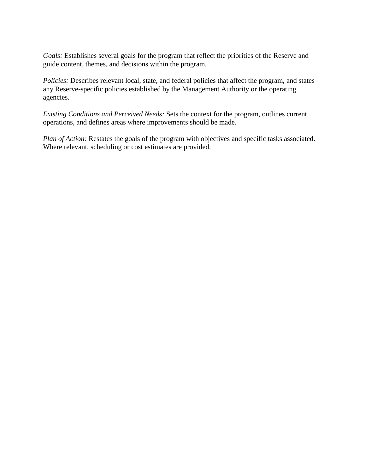*Goals:* Establishes several goals for the program that reflect the priorities of the Reserve and guide content, themes, and decisions within the program.

*Policies:* Describes relevant local, state, and federal policies that affect the program, and states any Reserve-specific policies established by the Management Authority or the operating agencies.

*Existing Conditions and Perceived Needs:* Sets the context for the program, outlines current operations, and defines areas where improvements should be made.

*Plan of Action:* Restates the goals of the program with objectives and specific tasks associated. Where relevant, scheduling or cost estimates are provided.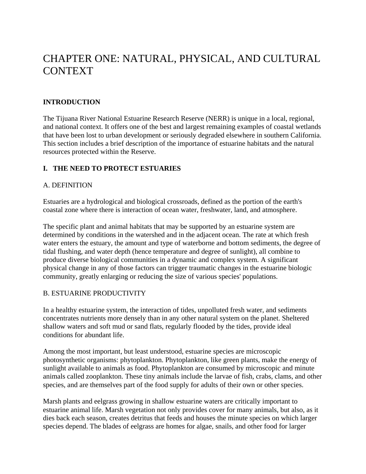# CHAPTER ONE: NATURAL, PHYSICAL, AND CULTURAL CONTEXT

#### **INTRODUCTION**

The Tijuana River National Estuarine Research Reserve (NERR) is unique in a local, regional, and national context. It offers one of the best and largest remaining examples of coastal wetlands that have been lost to urban development or seriously degraded elsewhere in southern California. This section includes a brief description of the importance of estuarine habitats and the natural resources protected within the Reserve.

#### **I. THE NEED TO PROTECT ESTUARIES**

#### A. DEFINITION

Estuaries are a hydrological and biological crossroads, defined as the portion of the earth's coastal zone where there is interaction of ocean water, freshwater, land, and atmosphere.

The specific plant and animal habitats that may be supported by an estuarine system are determined by conditions in the watershed and in the adjacent ocean. The rate at which fresh water enters the estuary, the amount and type of waterborne and bottom sediments, the degree of tidal flushing, and water depth (hence temperature and degree of sunlight), all combine to produce diverse biological communities in a dynamic and complex system. A significant physical change in any of those factors can trigger traumatic changes in the estuarine biologic community, greatly enlarging or reducing the size of various species' populations.

#### B. ESTUARINE PRODUCTIVITY

In a healthy estuarine system, the interaction of tides, unpolluted fresh water, and sediments concentrates nutrients more densely than in any other natural system on the planet. Sheltered shallow waters and soft mud or sand flats, regularly flooded by the tides, provide ideal conditions for abundant life.

Among the most important, but least understood, estuarine species are microscopic photosynthetic organisms: phytoplankton. Phytoplankton, like green plants, make the energy of sunlight available to animals as food. Phytoplankton are consumed by microscopic and minute animals called zooplankton. These tiny animals include the larvae of fish, crabs, clams, and other species, and are themselves part of the food supply for adults of their own or other species.

Marsh plants and eelgrass growing in shallow estuarine waters are critically important to estuarine animal life. Marsh vegetation not only provides cover for many animals, but also, as it dies back each season, creates detritus that feeds and houses the minute species on which larger species depend. The blades of eelgrass are homes for algae, snails, and other food for larger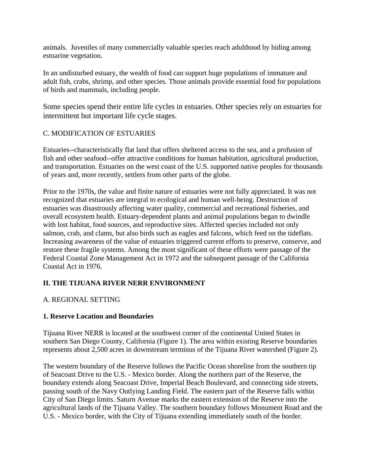animals. Juveniles of many commercially valuable species reach adulthood by hiding among estuarine vegetation.

In an undisturbed estuary, the wealth of food can support huge populations of immature and adult fish, crabs, shrimp, and other species. Those animals provide essential food for populations of birds and mammals, including people.

Some species spend their entire life cycles in estuaries. Other species rely on estuaries for intermittent but important life cycle stages.

#### C. MODIFICATION OF ESTUARIES

Estuaries--characteristically flat land that offers sheltered access to the sea, and a profusion of fish and other seafood--offer attractive conditions for human habitation, agricultural production, and transportation. Estuaries on the west coast of the U.S. supported native peoples for thousands of years and, more recently, settlers from other parts of the globe.

Prior to the 1970s, the value and finite nature of estuaries were not fully appreciated. It was not recognized that estuaries are integral to ecological and human well-being. Destruction of estuaries was disastrously affecting water quality, commercial and recreational fisheries, and overall ecosystem health. Estuary-dependent plants and animal populations began to dwindle with lost habitat, food sources, and reproductive sites. Affected species included not only salmon, crab, and clams, but also birds such as eagles and falcons, which feed on the tideflats. Increasing awareness of the value of estuaries triggered current efforts to preserve, conserve, and restore these fragile systems. Among the most significant of these efforts were passage of the Federal Coastal Zone Management Act in 1972 and the subsequent passage of the California Coastal Act in 1976.

### **II. THE TIJUANA RIVER NERR ENVIRONMENT**

#### A. REGIONAL SETTING

#### **1. Reserve Location and Boundaries**

Tijuana River NERR is located at the southwest corner of the continental United States in southern San Diego County, California (Figure 1). The area within existing Reserve boundaries represents about 2,500 acres in downstream terminus of the Tijuana River watershed (Figure 2).

The western boundary of the Reserve follows the Pacific Ocean shoreline from the southern tip of Seacoast Drive to the U.S. - Mexico border. Along the northern part of the Reserve, the boundary extends along Seacoast Drive, Imperial Beach Boulevard, and connecting side streets, passing south of the Navy Outlying Landing Field. The eastern part of the Reserve falls within City of San Diego limits. Saturn Avenue marks the eastern extension of the Reserve into the agricultural lands of the Tijuana Valley. The southern boundary follows Monument Road and the U.S. - Mexico border, with the City of Tijuana extending immediately south of the border.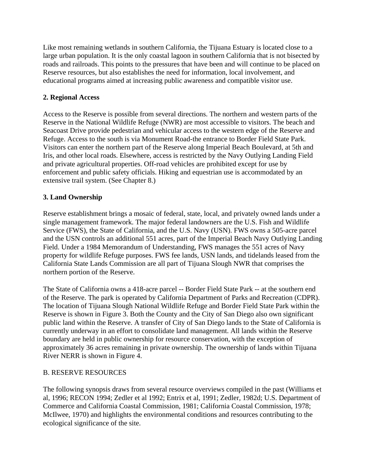Like most remaining wetlands in southern California, the Tijuana Estuary is located close to a large urban population. It is the only coastal lagoon in southern California that is not bisected by roads and railroads. This points to the pressures that have been and will continue to be placed on Reserve resources, but also establishes the need for information, local involvement, and educational programs aimed at increasing public awareness and compatible visitor use.

#### **2. Regional Access**

Access to the Reserve is possible from several directions. The northern and western parts of the Reserve in the National Wildlife Refuge (NWR) are most accessible to visitors. The beach and Seacoast Drive provide pedestrian and vehicular access to the western edge of the Reserve and Refuge. Access to the south is via Monument Road-the entrance to Border Field State Park. Visitors can enter the northern part of the Reserve along Imperial Beach Boulevard, at 5th and Iris, and other local roads. Elsewhere, access is restricted by the Navy Outlying Landing Field and private agricultural properties. Off-road vehicles are prohibited except for use by enforcement and public safety officials. Hiking and equestrian use is accommodated by an extensive trail system. (See Chapter 8.)

### **3. Land Ownership**

Reserve establishment brings a mosaic of federal, state, local, and privately owned lands under a single management framework. The major federal landowners are the U.S. Fish and Wildlife Service (FWS), the State of California, and the U.S. Navy (USN). FWS owns a 505-acre parcel and the USN controls an additional 551 acres, part of the Imperial Beach Navy Outlying Landing Field. Under a 1984 Memorandum of Understanding, FWS manages the 551 acres of Navy property for wildlife Refuge purposes. FWS fee lands, USN lands, and tidelands leased from the California State Lands Commission are all part of Tijuana Slough NWR that comprises the northern portion of the Reserve.

The State of California owns a 418-acre parcel -- Border Field State Park -- at the southern end of the Reserve. The park is operated by California Department of Parks and Recreation (CDPR). The location of Tijuana Slough National Wildlife Refuge and Border Field State Park within the Reserve is shown in Figure 3. Both the County and the City of San Diego also own significant public land within the Reserve. A transfer of City of San Diego lands to the State of California is currently underway in an effort to consolidate land management. All lands within the Reserve boundary are held in public ownership for resource conservation, with the exception of approximately 36 acres remaining in private ownership. The ownership of lands within Tijuana River NERR is shown in Figure 4.

#### B. RESERVE RESOURCES

The following synopsis draws from several resource overviews compiled in the past (Williams et al, 1996; RECON 1994; Zedler et al 1992; Entrix et al, 1991; Zedler, 1982d; U.S. Department of Commerce and California Coastal Commission, 1981; California Coastal Commission, 1978; McIlwee, 1970) and highlights the environmental conditions and resources contributing to the ecological significance of the site.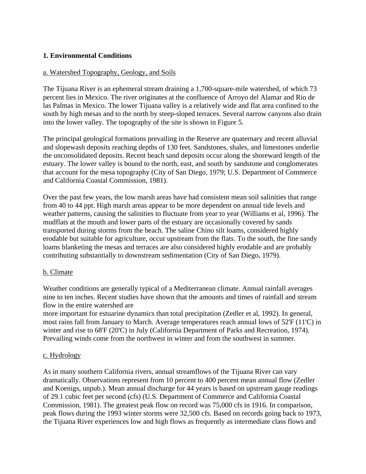#### **1. Environmental Conditions**

#### a. Watershed Topography, Geology, and Soils

The Tijuana River is an ephemeral stream draining a 1,700-square-mile watershed, of which 73 percent lies in Mexico. The river originates at the confluence of Arroyo del Alamar and Rio de las Palmas in Mexico. The lower Tijuana valley is a relatively wide and flat area confined to the south by high mesas and to the north by steep-sloped terraces. Several narrow canyons also drain into the lower valley. The topography of the site is shown in Figure 5.

The principal geological formations prevailing in the Reserve are quaternary and recent alluvial and slopewash deposits reaching depths of 130 feet. Sandstones, shales, and limestones underlie the unconsolidated deposits. Recent beach sand deposits occur along the shoreward length of the estuary. The lower valley is bound to the north, east, and south by sandstone and conglomerates that account for the mesa topography (City of San Diego, 1979; U.S. Department of Commerce and California Coastal Commission, 1981).

Over the past few years, the low marsh areas have had consistent mean soil salinities that range from 40 to 44 ppt. High marsh areas appear to be more dependent on annual tide levels and weather patterns, causing the salinities to fluctuate from year to year (Williams et al, 1996). The mudflats at the mouth and lower parts of the estuary are occasionally covered by sands transported during storms from the beach. The saline Chino silt loams, considered highly erodable but suitable for agriculture, occur upstream from the flats. To the south, the fine sandy loams blanketing the mesas and terraces are also considered highly erodable and are probably contributing substantially to downstream sedimentation (City of San Diego, 1979).

#### b. Climate

Weather conditions are generally typical of a Mediterranean climate. Annual rainfall averages nine to ten inches. Recent studies have shown that the amounts and times of rainfall and stream flow in the entire watershed are

more important for estuarine dynamics than total precipitation (Zedler et al, 1992). In general, most rains fall from January to March. Average temperatures reach annual lows of 52'F (11'C) in winter and rise to 68<sup>T</sup> (20<sup>T</sup>C) in July (California Department of Parks and Recreation, 1974). Prevailing winds come from the northwest in winter and from the southwest in summer.

#### c. Hydrology

As in many southern California rivers, annual streamflows of the Tijuana River can vary dramatically. Observations represent from 10 percent to 400 percent mean annual flow (Zedler and Koenigs, unpub.). Mean annual discharge for 44 years is based on upstream gauge readings of 29.1 cubic feet per second (cfs) (U.S. Department of Commerce and California Coastal Commission, 1981). The greatest peak flow on record was 75,000 cfs in 1916. In comparison, peak flows during the 1993 winter storms were 32,500 cfs. Based on records going back to 1973, the Tijuana River experiences low and high flows as frequently as intermediate class flows and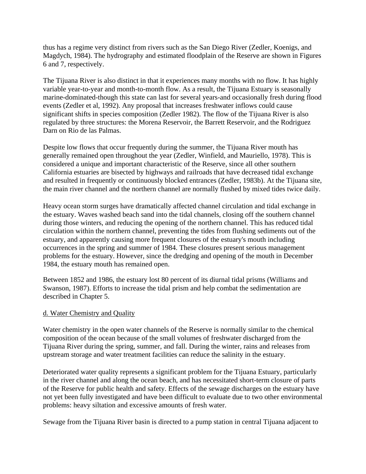thus has a regime very distinct from rivers such as the San Diego River (Zedler, Koenigs, and Magdych, 1984). The hydrography and estimated floodplain of the Reserve are shown in Figures 6 and 7, respectively.

The Tijuana River is also distinct in that it experiences many months with no flow. It has highly variable year-to-year and month-to-month flow. As a result, the Tijuana Estuary is seasonally marine-dominated-though this state can last for several years-and occasionally fresh during flood events (Zedler et al, 1992). Any proposal that increases freshwater inflows could cause significant shifts in species composition (Zedler 1982). The flow of the Tijuana River is also regulated by three structures: the Morena Reservoir, the Barrett Reservoir, and the Rodriguez Darn on Rio de las Palmas.

Despite low flows that occur frequently during the summer, the Tijuana River mouth has generally remained open throughout the year (Zedler, Winfield, and Mauriello, 1978). This is considered a unique and important characteristic of the Reserve, since all other southern California estuaries are bisected by highways and railroads that have decreased tidal exchange and resulted in frequently or continuously blocked entrances (Zedler, 1983b). At the Tijuana site, the main river channel and the northern channel are normally flushed by mixed tides twice daily.

Heavy ocean storm surges have dramatically affected channel circulation and tidal exchange in the estuary. Waves washed beach sand into the tidal channels, closing off the southern channel during those winters, and reducing the opening of the northern channel. This has reduced tidal circulation within the northern channel, preventing the tides from flushing sediments out of the estuary, and apparently causing more frequent closures of the estuary's mouth including occurrences in the spring and summer of 1984. These closures present serious management problems for the estuary. However, since the dredging and opening of the mouth in December 1984, the estuary mouth has remained open.

Between 1852 and 1986, the estuary lost 80 percent of its diurnal tidal prisms (Williams and Swanson, 1987). Efforts to increase the tidal prism and help combat the sedimentation are described in Chapter 5.

#### d. Water Chemistry and Quality

Water chemistry in the open water channels of the Reserve is normally similar to the chemical composition of the ocean because of the small volumes of freshwater discharged from the Tijuana River during the spring, summer, and fall. During the winter, rains and releases from upstream storage and water treatment facilities can reduce the salinity in the estuary.

Deteriorated water quality represents a significant problem for the Tijuana Estuary, particularly in the river channel and along the ocean beach, and has necessitated short-term closure of parts of the Reserve for public health and safety. Effects of the sewage discharges on the estuary have not yet been fully investigated and have been difficult to evaluate due to two other environmental problems: heavy siltation and excessive amounts of fresh water.

Sewage from the Tijuana River basin is directed to a pump station in central Tijuana adjacent to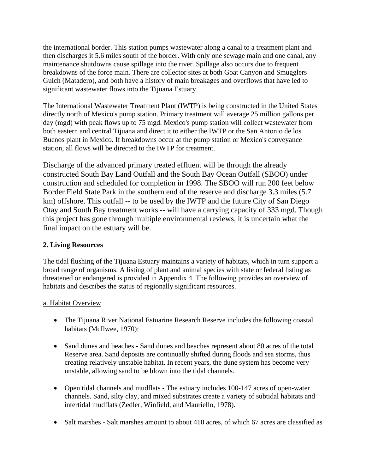the international border. This station pumps wastewater along a canal to a treatment plant and then discharges it 5.6 miles south of the border. With only one sewage main and one canal, any maintenance shutdowns cause spillage into the river. Spillage also occurs due to frequent breakdowns of the force main. There are collector sites at both Goat Canyon and Smugglers Gulch (Matadero), and both have a history of main breakages and overflows that have led to significant wastewater flows into the Tijuana Estuary.

The International Wastewater Treatment Plant (IWTP) is being constructed in the United States directly north of Mexico's pump station. Primary treatment will average 25 million gallons per day (mgd) with peak flows up to 75 mgd. Mexico's pump station will collect wastewater from both eastern and central Tijuana and direct it to either the IWTP or the San Antonio de los Buenos plant in Mexico. If breakdowns occur at the pump station or Mexico's conveyance station, all flows will be directed to the IWTP for treatment.

Discharge of the advanced primary treated effluent will be through the already constructed South Bay Land Outfall and the South Bay Ocean Outfall (SBOO) under construction and scheduled for completion in 1998. The SBOO will run 200 feet below Border Field State Park in the southern end of the reserve and discharge 3.3 miles (5.7 km) offshore. This outfall -- to be used by the IWTP and the future City of San Diego Otay and South Bay treatment works -- will have a carrying capacity of 333 mgd. Though this project has gone through multiple environmental reviews, it is uncertain what the final impact on the estuary will be.

### **2. Living Resources**

The tidal flushing of the Tijuana Estuary maintains a variety of habitats, which in turn support a broad range of organisms. A listing of plant and animal species with state or federal listing as threatened or endangered is provided in Appendix 4. The following provides an overview of habitats and describes the status of regionally significant resources.

#### a. Habitat Overview

- The Tijuana River National Estuarine Research Reserve includes the following coastal habitats (McIlwee, 1970):
- Sand dunes and beaches Sand dunes and beaches represent about 80 acres of the total Reserve area. Sand deposits are continually shifted during floods and sea storms, thus creating relatively unstable habitat. In recent years, the dune system has become very unstable, allowing sand to be blown into the tidal channels.
- Open tidal channels and mudflats The estuary includes 100-147 acres of open-water channels. Sand, silty clay, and mixed substrates create a variety of subtidal habitats and intertidal mudflats (Zedler, Winfield, and Mauriello, 1978).
- Salt marshes Salt marshes amount to about 410 acres, of which 67 acres are classified as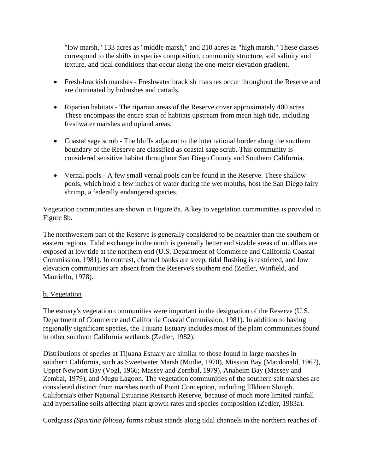"low marsh," 133 acres as "middle marsh," and 210 acres as "high marsh." These classes correspond to the shifts in species composition, community structure, soil salinity and texture, and tidal conditions that occur along the one-meter elevation gradient.

- Fresh-brackish marshes Freshwater brackish marshes occur throughout the Reserve and are dominated by bulrushes and cattails.
- Riparian habitats The riparian areas of the Reserve cover approximately 400 acres. These encompass the entire span of habitats upstream from mean high tide, including freshwater marshes and upland areas.
- Coastal sage scrub The bluffs adjacent to the international border along the southern boundary of the Reserve are classified as coastal sage scrub. This community is considered sensitive habitat throughout San Diego County and Southern California.
- Vernal pools A few small vernal pools can be found in the Reserve. These shallow pools, which hold a few inches of water during the wet months, host the San Diego fairy shrimp, a federally endangered species.

Vegetation communities are shown in Figure 8a. A key to vegetation communities is provided in Figure 8b.

The northwestern part of the Reserve is generally considered to be healthier than the southern or eastern regions. Tidal exchange in the north is generally better and sizable areas of mudflats are exposed at low tide at the northern end (U.S. Department of Commerce and California Coastal Commission, 1981). In contrast, channel banks are steep, tidal flushing is restricted, and low elevation communities are absent from the Reserve's southern end (Zedler, Winfield, and Mauriello, 1978).

#### b. Vegetation

The estuary's vegetation communities were important in the designation of the Reserve (U.S. Department of Commerce and California Coastal Commission, 1981). In addition to having regionally significant species, the Tijuana Estuary includes most of the plant communities found in other southern California wetlands (Zedler, 1982).

Distributions of species at Tijuana Estuary are similar to those found in large marshes in southern California, such as Sweetwater Marsh (Mudie, 1970), Mission Bay (Macdonald, 1967), Upper Newport Bay (Vogl, 1966; Massey and Zernbal, 1979), Anaheim Bay (Massey and Zembal, 1979), and Mugu Lagoon. The vegetation communities of the southern salt marshes are considered distinct from marshes north of Point Conception, including Elkhorn Slough, California's other National Estuarine Research Reserve, because of much more limited rainfall and hypersaline soils affecting plant growth rates and species composition (Zedler, 1983a).

Cordgrass *(Spartina foliosa)* forms robust stands along tidal channels in the northern reaches of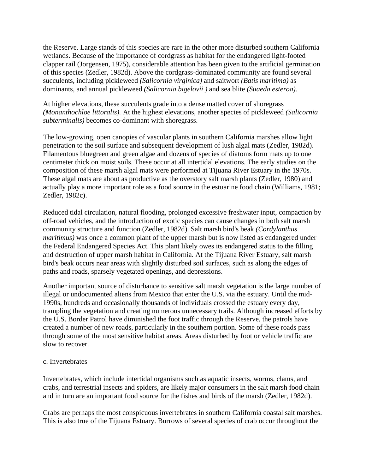the Reserve. Large stands of this species are rare in the other more disturbed southern California wetlands. Because of the importance of cordgrass as habitat for the endangered light-footed clapper rail (Jorgensen, 1975), considerable attention has been given to the artificial germination of this species (Zedler, 1982d). Above the cordgrass-dominated community are found several succulents, including pickleweed *(Salicornia virginica)* and saitwort *(Batis maritima)* as dominants, and annual pickleweed *(Salicornia bigelovii )* and sea blite *(Suaeda esteroa).* 

At higher elevations, these succulents grade into a dense matted cover of shoregrass *(Monanthochloe littoralis).* At the highest elevations, another species of pickleweed *(Salicornia subterminalis)* becomes co-dominant with shoregrass.

The low-growing, open canopies of vascular plants in southern California marshes allow light penetration to the soil surface and subsequent development of lush algal mats (Zedler, 1982d). Filamentous bluegreen and green algae and dozens of species of diatoms form mats up to one centimeter thick on moist soils. These occur at all intertidal elevations. The early studies on the composition of these marsh algal mats were performed at Tijuana River Estuary in the 1970s. These algal mats are about as productive as the overstory salt marsh plants (Zedler, 1980) and actually play a more important role as a food source in the estuarine food chain (Williams, 1981; Zedler, 1982c).

Reduced tidal circulation, natural flooding, prolonged excessive freshwater input, compaction by off-road vehicles, and the introduction of exotic species can cause changes in both salt marsh community structure and function (Zedler, 1982d). Salt marsh bird's beak *(Cordylanthus maritimus)* was once a common plant of the upper marsh but is now listed as endangered under the Federal Endangered Species Act. This plant likely owes its endangered status to the filling and destruction of upper marsh habitat in California. At the Tijuana River Estuary, salt marsh bird's beak occurs near areas with slightly disturbed soil surfaces, such as along the edges of paths and roads, sparsely vegetated openings, and depressions.

Another important source of disturbance to sensitive salt marsh vegetation is the large number of illegal or undocumented aliens from Mexico that enter the U.S. via the estuary. Until the mid-1990s, hundreds and occasionally thousands of individuals crossed the estuary every day, trampling the vegetation and creating numerous unnecessary trails. Although increased efforts by the U.S. Border Patrol have diminished the foot traffic through the Reserve, the patrols have created a number of new roads, particularly in the southern portion. Some of these roads pass through some of the most sensitive habitat areas. Areas disturbed by foot or vehicle traffic are slow to recover.

#### c. Invertebrates

Invertebrates, which include intertidal organisms such as aquatic insects, worms, clams, and crabs, and terrestrial insects and spiders, are likely major consumers in the salt marsh food chain and in turn are an important food source for the fishes and birds of the marsh (Zedler, 1982d).

Crabs are perhaps the most conspicuous invertebrates in southern California coastal salt marshes. This is also true of the Tijuana Estuary. Burrows of several species of crab occur throughout the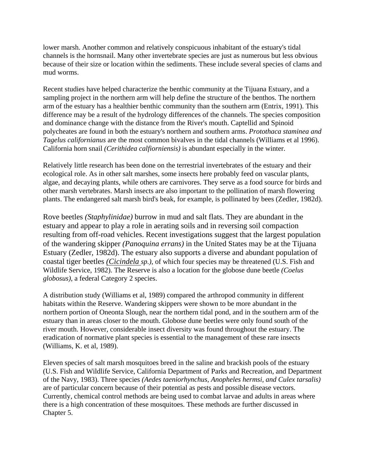lower marsh. Another common and relatively conspicuous inhabitant of the estuary's tidal channels is the hornsnail. Many other invertebrate species are just as numerous but less obvious because of their size or location within the sediments. These include several species of clams and mud worms.

Recent studies have helped characterize the benthic community at the Tijuana Estuary, and a sampling project in the northern arm will help define the structure of the benthos. The northern arm of the estuary has a healthier benthic community than the southern arm (Entrix, 1991). This difference may be a result of the hydrology differences of the channels. The species composition and dominance change with the distance from the River's mouth. Captellid and Spinoid polycheates are found in both the estuary's northern and southern arms. *Protothaca staminea and Tagelus californianus* are the most common bivalves in the tidal channels (Williams et al 1996). California horn snail *(Cerithidea calfiorniensis)* is abundant especially in the winter.

Relatively little research has been done on the terrestrial invertebrates of the estuary and their ecological role. As in other salt marshes, some insects here probably feed on vascular plants, algae, and decaying plants, while others are carnivores. They serve as a food source for birds and other marsh vertebrates. Marsh insects are also important to the pollination of marsh flowering plants. The endangered salt marsh bird's beak, for example, is pollinated by bees (Zedler, 1982d).

Rove beetles *(Staphylinidae)* burrow in mud and salt flats. They are abundant in the estuary and appear to play a role in aerating soils and in reversing soil compaction resulting from off-road vehicles. Recent investigations suggest that the largest population of the wandering skipper *(Panoquina errans)* in the United States may be at the Tijuana Estuary (Zedler, 1982d). The estuary also supports a diverse and abundant population of coastal tiger beetles *(Cicindela sp.),* of which four species may be threatened (U.S. Fish and Wildlife Service, 1982). The Reserve is also a location for the globose dune beetle *(Coelus globosus),* a federal Category 2 species.

A distribution study (Williams et al, 1989) compared the arthropod community in different habitats within the Reserve. Wandering skippers were shown to be more abundant in the northern portion of Oneonta Slough, near the northern tidal pond, and in the southern arm of the estuary than in areas closer to the mouth. Globose dune beetles were only found south of the river mouth. However, considerable insect diversity was found throughout the estuary. The eradication of normative plant species is essential to the management of these rare insects (Williams, K. et al, 1989).

Eleven species of salt marsh mosquitoes breed in the saline and brackish pools of the estuary (U.S. Fish and Wildlife Service, California Department of Parks and Recreation, and Department of the Navy, 1983). Three species *(Aedes taeniorhynchus, Anopheles hermsi, and Culex tarsalis)* are of particular concern because of their potential as pests and possible disease vectors. Currently, chemical control methods are being used to combat larvae and adults in areas where there is a high concentration of these mosquitoes. These methods are further discussed in Chapter 5.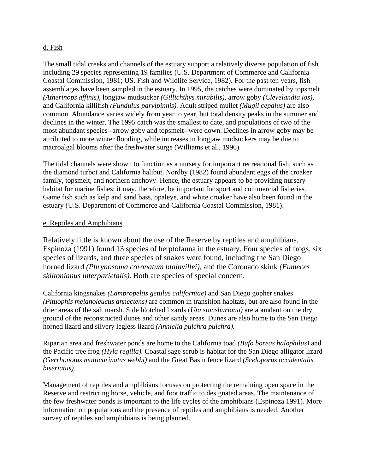#### d. Fish

The small tidal creeks and channels of the estuary support a relatively diverse population of fish including 29 species representing 19 families (U.S. Department of Commerce and California Coastal Commission, 1981; US. Fish and Wildlife Service, 1982). For the past ten years, fish assemblages have been sampled in the estuary. In 1995, the catches were dominated by topsmelt *(Atherinops affinis),* longjaw mudsucker *(Gillichthys mirabilis),* arrow goby *(Clevelandia ios),*  and California killifish *(Fundulus parvipinnis).* Adult striped mullet *(Mugil cepalus)* are also common. Abundance varies widely from year to year, but total density peaks in the summer and declines in the winter. The 1995 catch was the smallest to date, and populations of two of the most abundant species--arrow goby and topsmelt--were down. Declines in arrow goby may be attributed to more winter flooding, while increases in longjaw mudsuckers may be due to macroalgal blooms after the freshwater surge (Williams et al., 1996).

The tidal channels were shown to function as a nursery for important recreational fish, such as the diamond turbot and California halibut. Nordby (1982) found abundant eggs of the croaker family, topsmelt, and northern anchovy. Hence, the estuary appears to be providing nursery habitat for marine fishes; it may, therefore, be important for sport and commercial fisheries. Game fish such as kelp and sand bass, opaleye, and white croaker have also been found in the estuary (U.S. Department of Commerce and California Coastal Commission, 1981).

#### e. Reptiles and Amphibians

Relatively little is known about the use of the Reserve by reptiles and amphibians. Espinoza (1991) found 13 species of herptofauna in the estuary. Four species of frogs, six species of lizards, and three species of snakes were found, including the San Diego horned lizard *(Phrynosoma coronatum blainvillei),* and the Coronado skink *(Eumeces skiltonianus interparietalis).* Both are species of special concern.

California kingsnakes *(Lampropeltis getulus californiae)* and San Diego gopher snakes *(Pituophis melanoleucus annectens)* are common in transition habitats, but are also found in the drier areas of the salt marsh. Side blotched lizards (*Uta stansburiana)* are abundant on the dry ground of the reconstructed dunes and other sandy areas. Dunes are also home to the San Diego horned lizard and silvery legless lizard *(Annielia pulchra pulchra).* 

Riparian area and freshwater ponds are home to the California toad *(Bufo boreas halophilus)* and the Pacific tree frog *(Hyla regilla).* Coastal sage scrub is habitat for the San Diego alligator lizard *(Gerrhonotus multicarinatus webbi)* and the Great Basin fence lizard *(Sceloporus occidentalis biseriatus).* 

Management of reptiles and amphibians focuses on protecting the remaining open space in the Reserve and restricting horse, vehicle, and foot traffic to designated areas. The maintenance of the few freshwater ponds is important to the life cycles of the amphibians (Espinoza 1991). More information on populations and the presence of reptiles and amphibians is needed. Another survey of reptiles and amphibians is being planned.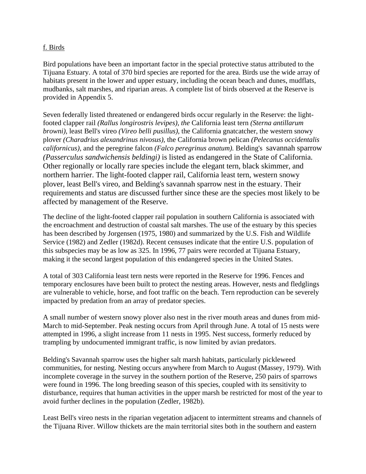#### f. Birds

Bird populations have been an important factor in the special protective status attributed to the Tijuana Estuary. A total of 370 bird species are reported for the area. Birds use the wide array of habitats present in the lower and upper estuary, including the ocean beach and dunes, mudflats, mudbanks, salt marshes, and riparian areas. A complete list of birds observed at the Reserve is provided in Appendix 5.

Seven federally listed threatened or endangered birds occur regularly in the Reserve: the lightfooted clapper rail *(Rallus longirostris levipes), the* California least tern *(Sterna antillarum browni),* least Bell's vireo *(Vireo belli pusillus),* the California gnatcatcher, the western snowy plover *(Charadrius alexandrinus nivosus),* the California brown pelican *(Pelecanus occidentalis californicus),* and the peregrine falcon *(Falco peregrinus anatum).* Belding's savannah sparrow *(Passerculus sandwichensis beldingi)* is listed as endangered in the State of California. Other regionally or locally rare species include the elegant tern, black skimmer, and northern harrier. The light-footed clapper rail, California least tern, western snowy plover, least Bell's vireo, and Belding's savannah sparrow nest in the estuary. Their requirements and status are discussed further since these are the species most likely to be affected by management of the Reserve.

The decline of the light-footed clapper rail population in southern California is associated with the encroachment and destruction of coastal salt marshes. The use of the estuary by this species has been described by Jorgensen (1975, 1980) and summarized by the U.S. Fish and Wildlife Service (1982) and Zedler (1982d). Recent censuses indicate that the entire U.S. population of this subspecies may be as low as 325. In 1996, 77 pairs were recorded at Tijuana Estuary, making it the second largest population of this endangered species in the United States.

A total of 303 California least tern nests were reported in the Reserve for 1996. Fences and temporary enclosures have been built to protect the nesting areas. However, nests and fledglings are vulnerable to vehicle, horse, and foot traffic on the beach. Tern reproduction can be severely impacted by predation from an array of predator species.

A small number of western snowy plover also nest in the river mouth areas and dunes from mid-March to mid-September. Peak nesting occurs from April through June. A total of 15 nests were attempted in 1996, a slight increase from 11 nests in 1995. Nest success, formerly reduced by trampling by undocumented immigrant traffic, is now limited by avian predators.

Belding's Savannah sparrow uses the higher salt marsh habitats, particularly pickleweed communities, for nesting. Nesting occurs anywhere from March to August (Massey, 1979). With incomplete coverage in the survey in the southern portion of the Reserve, 250 pairs of sparrows were found in 1996. The long breeding season of this species, coupled with its sensitivity to disturbance, requires that human activities in the upper marsh be restricted for most of the year to avoid further declines in the population (Zedler, 1982b).

Least Bell's vireo nests in the riparian vegetation adjacent to intermittent streams and channels of the Tijuana River. Willow thickets are the main territorial sites both in the southern and eastern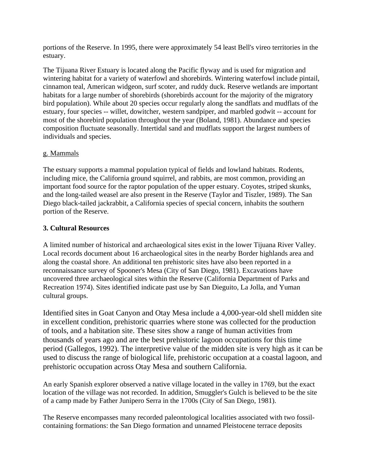portions of the Reserve. In 1995, there were approximately 54 least Bell's vireo territories in the estuary.

The Tijuana River Estuary is located along the Pacific flyway and is used for migration and wintering habitat for a variety of waterfowl and shorebirds. Wintering waterfowl include pintail, cinnamon teal, American widgeon, surf scoter, and ruddy duck. Reserve wetlands are important habitats for a large number of shorebirds (shorebirds account for the majority of the migratory bird population). While about 20 species occur regularly along the sandflats and mudflats of the estuary, four species -- willet, dowitcher, western sandpiper, and marbled godwit -- account for most of the shorebird population throughout the year (Boland, 1981). Abundance and species composition fluctuate seasonally. Intertidal sand and mudflats support the largest numbers of individuals and species.

#### g. Mammals

The estuary supports a mammal population typical of fields and lowland habitats. Rodents, including mice, the California ground squirrel, and rabbits, are most common, providing an important food source for the raptor population of the upper estuary. Coyotes, striped skunks, and the long-tailed weasel are also present in the Reserve (Taylor and Tiszler, 1989). The San Diego black-tailed jackrabbit, a California species of special concern, inhabits the southern portion of the Reserve.

#### **3. Cultural Resources**

A limited number of historical and archaeological sites exist in the lower Tijuana River Valley. Local records document about 16 archaeological sites in the nearby Border highlands area and along the coastal shore. An additional ten prehistoric sites have also been reported in a reconnaissance survey of Spooner's Mesa (City of San Diego, 1981). Excavations have uncovered three archaeological sites within the Reserve (California Department of Parks and Recreation 1974). Sites identified indicate past use by San Dieguito, La Jolla, and Yuman cultural groups.

Identified sites in Goat Canyon and Otay Mesa include a 4,000-year-old shell midden site in excellent condition, prehistoric quarries where stone was collected for the production of tools, and a habitation site. These sites show a range of human activities from thousands of years ago and are the best prehistoric lagoon occupations for this time period (Gallegos, 1992). The interpretive value of the midden site is very high as it can be used to discuss the range of biological life, prehistoric occupation at a coastal lagoon, and prehistoric occupation across Otay Mesa and southern California.

An early Spanish explorer observed a native village located in the valley in 1769, but the exact location of the village was not recorded. In addition, Smuggler's Gulch is believed to be the site of a camp made by Father Junipero Serra in the 1700s (City of San Diego, 1981).

The Reserve encompasses many recorded paleontological localities associated with two fossilcontaining formations: the San Diego formation and unnamed Pleistocene terrace deposits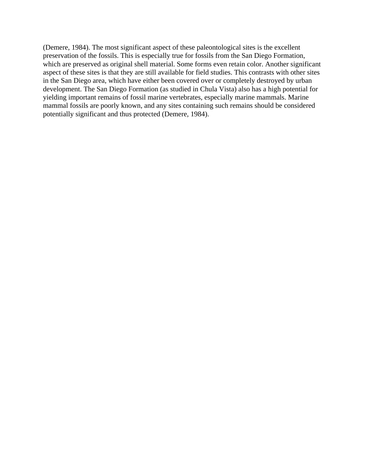(Demere, 1984). The most significant aspect of these paleontological sites is the excellent preservation of the fossils. This is especially true for fossils from the San Diego Formation, which are preserved as original shell material. Some forms even retain color. Another significant aspect of these sites is that they are still available for field studies. This contrasts with other sites in the San Diego area, which have either been covered over or completely destroyed by urban development. The San Diego Formation (as studied in Chula Vista) also has a high potential for yielding important remains of fossil marine vertebrates, especially marine mammals. Marine mammal fossils are poorly known, and any sites containing such remains should be considered potentially significant and thus protected (Demere, 1984).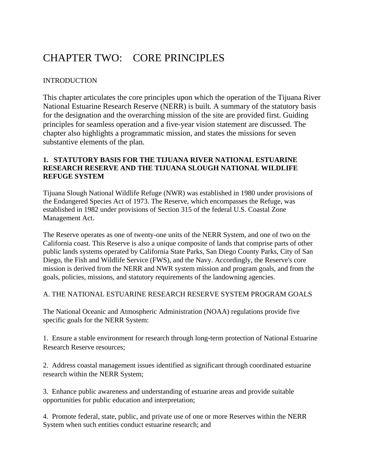# CHAPTER TWO: CORE PRINCIPLES

#### **INTRODUCTION**

This chapter articulates the core principles upon which the operation of the Tijuana River National Estuarine Research Reserve (NERR) is built. A summary of the statutory basis for the designation and the overarching mission of the site are provided first. Guiding principles for seamless operation and a five-year vision statement are discussed. The chapter also highlights a programmatic mission, and states the missions for seven substantive elements of the plan.

#### **1. STATUTORY BASIS FOR THE TIJUANA RIVER NATIONAL ESTUARINE RESEARCH RESERVE AND THE TIJUANA SLOUGH NATIONAL WILDLIFE REFUGE SYSTEM**

Tijuana Slough National Wildlife Refuge (NWR) was established in 1980 under provisions of the Endangered Species Act of 1973. The Reserve, which encompasses the Refuge, was established in 1982 under provisions of Section 315 of the federal U.S. Coastal Zone Management Act.

The Reserve operates as one of twenty-one units of the NERR System, and one of two on the California coast. This Reserve is also a unique composite of lands that comprise parts of other public lands systems operated by California State Parks, San Diego County Parks, City of San Diego, the Fish and Wildlife Service (FWS), and the Navy. Accordingly, the Reserve's core mission is derived from the NERR and NWR system mission and program goals, and from the goals, policies, missions, and statutory requirements of the landowning agencies.

#### A. THE NATIONAL ESTUARINE RESEARCH RESERVE SYSTEM PROGRAM GOALS

The National Oceanic and Atmospheric Administration (NOAA) regulations provide five specific goals for the NERR System:

1. Ensure a stable environment for research through long-term protection of National Estuarine Research Reserve resources;

2. Address coastal management issues identified as significant through coordinated estuarine research within the NERR System;

3. Enhance public awareness and understanding of estuarine areas and provide suitable opportunities for public education and interpretation;

4. Promote federal, state, public, and private use of one or more Reserves within the NERR System when such entities conduct estuarine research; and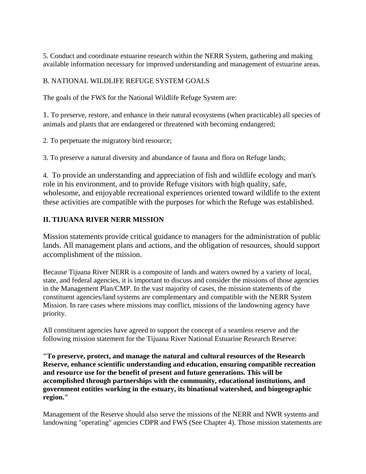5. Conduct and coordinate estuarine research within the NERR System, gathering and making available information necessary for improved understanding and management of estuarine areas.

## B. NATIONAL WILDLIFE REFUGE SYSTEM GOALS

The goals of the FWS for the National Wildlife Refuge System are:

1. To preserve, restore, and enhance in their natural ecosystems (when practicable) all species of animals and plants that are endangered or threatened with becoming endangered;

2. To perpetuate the migratory bird resource;

3. To preserve a natural diversity and abundance of fauna and flora on Refuge lands;

4. To provide an understanding and appreciation of fish and wildlife ecology and man's role in his environment, and to provide Refuge visitors with high quality, safe, wholesome, and enjoyable recreational experiences oriented toward wildlife to the extent these activities are compatible with the purposes for which the Refuge was established.

## **II. TIJUANA RIVER NERR MISSION**

Mission statements provide critical guidance to managers for the administration of public lands. All management plans and actions, and the obligation of resources, should support accomplishment of the mission.

Because Tijuana River NERR is a composite of lands and waters owned by a variety of local, state, and federal agencies, it is important to discuss and consider the missions of those agencies in the Management Plan/CMP. In the vast majority of cases, the mission statements of the constituent agencies/land systems are complementary and compatible with the NERR System Mission. In rare cases where missions may conflict, missions of the landowning agency have priority.

All constituent agencies have agreed to support the concept of a seamless reserve and the following mission statement for the Tijuana River National Estuarine Research Reserve:

**"To preserve, protect, and manage the natural and cultural resources of the Research Reserve, enhance scientific understanding and education, ensuring compatible recreation and resource use for the benefit of present and future generations. This will be accomplished through partnerships with the community, educational institutions, and government entities working in the estuary, its binational watershed, and biogeographic region."** 

Management of the Reserve should also serve the missions of the NERR and NWR systems and landowning "operating" agencies CDPR and FWS (See Chapter 4). Those mission statements are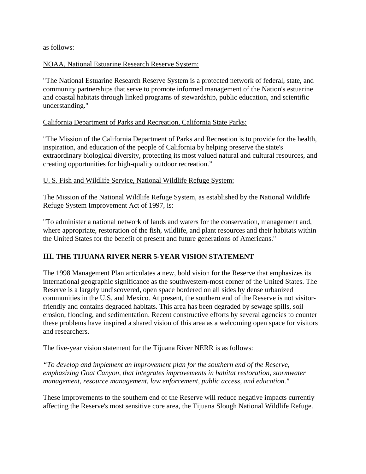as follows:

#### NOAA, National Estuarine Research Reserve System:

"The National Estuarine Research Reserve System is a protected network of federal, state, and community partnerships that serve to promote informed management of the Nation's estuarine and coastal habitats through linked programs of stewardship, public education, and scientific understanding."

#### California Department of Parks and Recreation, California State Parks:

"The Mission of the California Department of Parks and Recreation is to provide for the health, inspiration, and education of the people of California by helping preserve the state's extraordinary biological diversity, protecting its most valued natural and cultural resources, and creating opportunities for high-quality outdoor recreation."

#### U. S. Fish and Wildlife Service, National Wildlife Refuge System:

The Mission of the National Wildlife Refuge System, as established by the National Wildlife Refuge System Improvement Act of 1997, is:

"To administer a national network of lands and waters for the conservation, management and, where appropriate, restoration of the fish, wildlife, and plant resources and their habitats within the United States for the benefit of present and future generations of Americans."

## **III. THE TIJUANA RIVER NERR 5-YEAR VISION STATEMENT**

The 1998 Management Plan articulates a new, bold vision for the Reserve that emphasizes its international geographic significance as the southwestern-most corner of the United States. The Reserve is a largely undiscovered, open space bordered on all sides by dense urbanized communities in the U.S. and Mexico. At present, the southern end of the Reserve is not visitorfriendly and contains degraded habitats. This area has been degraded by sewage spills, soil erosion, flooding, and sedimentation. Recent constructive efforts by several agencies to counter these problems have inspired a shared vision of this area as a welcoming open space for visitors and researchers.

The five-year vision statement for the Tijuana River NERR is as follows:

*"To develop and implement an improvement plan for the southern end of the Reserve, emphasizing Goat Canyon, that integrates improvements in habitat restoration, stormwater management, resource management, law enforcement, public access, and education."* 

These improvements to the southern end of the Reserve will reduce negative impacts currently affecting the Reserve's most sensitive core area, the Tijuana Slough National Wildlife Refuge.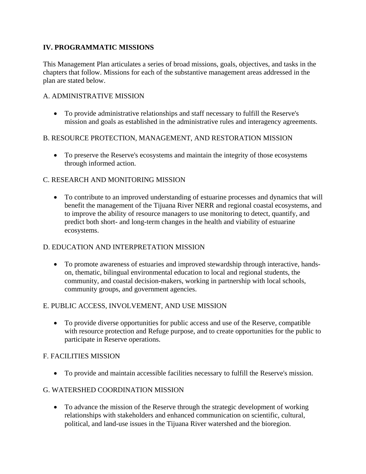## **IV. PROGRAMMATIC MISSIONS**

This Management Plan articulates a series of broad missions, goals, objectives, and tasks in the chapters that follow. Missions for each of the substantive management areas addressed in the plan are stated below.

#### A. ADMINISTRATIVE MISSION

• To provide administrative relationships and staff necessary to fulfill the Reserve's mission and goals as established in the administrative rules and interagency agreements.

## B. RESOURCE PROTECTION, MANAGEMENT, AND RESTORATION MISSION

• To preserve the Reserve's ecosystems and maintain the integrity of those ecosystems through informed action.

## C. RESEARCH AND MONITORING MISSION

• To contribute to an improved understanding of estuarine processes and dynamics that will benefit the management of the Tijuana River NERR and regional coastal ecosystems, and to improve the ability of resource managers to use monitoring to detect, quantify, and predict both short- and long-term changes in the health and viability of estuarine ecosystems.

## D. EDUCATION AND INTERPRETATION MISSION

• To promote awareness of estuaries and improved stewardship through interactive, handson, thematic, bilingual environmental education to local and regional students, the community, and coastal decision-makers, working in partnership with local schools, community groups, and government agencies.

## E. PUBLIC ACCESS, INVOLVEMENT, AND USE MISSION

• To provide diverse opportunities for public access and use of the Reserve, compatible with resource protection and Refuge purpose, and to create opportunities for the public to participate in Reserve operations.

## F. FACILITIES MISSION

• To provide and maintain accessible facilities necessary to fulfill the Reserve's mission.

## G. WATERSHED COORDINATION MISSION

• To advance the mission of the Reserve through the strategic development of working relationships with stakeholders and enhanced communication on scientific, cultural, political, and land-use issues in the Tijuana River watershed and the bioregion.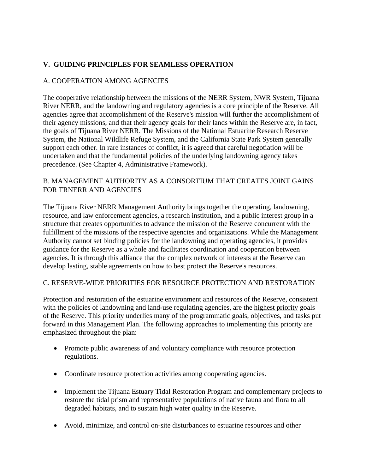# **V. GUIDING PRINCIPLES FOR SEAMLESS OPERATION**

## A. COOPERATION AMONG AGENCIES

The cooperative relationship between the missions of the NERR System, NWR System, Tijuana River NERR, and the landowning and regulatory agencies is a core principle of the Reserve. All agencies agree that accomplishment of the Reserve's mission will further the accomplishment of their agency missions, and that their agency goals for their lands within the Reserve are, in fact, the goals of Tijuana River NERR. The Missions of the National Estuarine Research Reserve System, the National Wildlife Refuge System, and the California State Park System generally support each other. In rare instances of conflict, it is agreed that careful negotiation will be undertaken and that the fundamental policies of the underlying landowning agency takes precedence. (See Chapter 4, Administrative Framework).

## B. MANAGEMENT AUTHORITY AS A CONSORTIUM THAT CREATES JOINT GAINS FOR TRNERR AND AGENCIES

The Tijuana River NERR Management Authority brings together the operating, landowning, resource, and law enforcement agencies, a research institution, and a public interest group in a structure that creates opportunities to advance the mission of the Reserve concurrent with the fulfillment of the missions of the respective agencies and organizations. While the Management Authority cannot set binding policies for the landowning and operating agencies, it provides guidance for the Reserve as a whole and facilitates coordination and cooperation between agencies. It is through this alliance that the complex network of interests at the Reserve can develop lasting, stable agreements on how to best protect the Reserve's resources.

## C. RESERVE-WIDE PRIORITIES FOR RESOURCE PROTECTION AND RESTORATION

Protection and restoration of the estuarine environment and resources of the Reserve, consistent with the policies of landowning and land-use regulating agencies, are the highest priority goals of the Reserve. This priority underlies many of the programmatic goals, objectives, and tasks put forward in this Management Plan. The following approaches to implementing this priority are emphasized throughout the plan:

- Promote public awareness of and voluntary compliance with resource protection regulations.
- Coordinate resource protection activities among cooperating agencies.
- Implement the Tijuana Estuary Tidal Restoration Program and complementary projects to restore the tidal prism and representative populations of native fauna and flora to all degraded habitats, and to sustain high water quality in the Reserve.
- Avoid, minimize, and control on-site disturbances to estuarine resources and other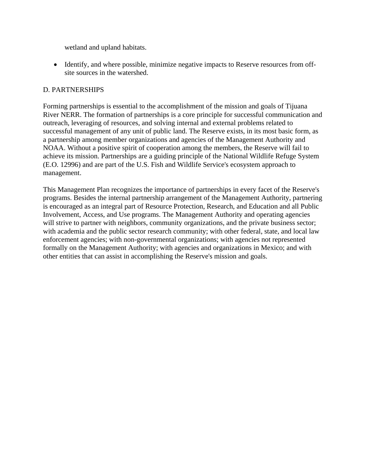wetland and upland habitats.

• Identify, and where possible, minimize negative impacts to Reserve resources from offsite sources in the watershed.

## D. PARTNERSHIPS

Forming partnerships is essential to the accomplishment of the mission and goals of Tijuana River NERR. The formation of partnerships is a core principle for successful communication and outreach, leveraging of resources, and solving internal and external problems related to successful management of any unit of public land. The Reserve exists, in its most basic form, as a partnership among member organizations and agencies of the Management Authority and NOAA. Without a positive spirit of cooperation among the members, the Reserve will fail to achieve its mission. Partnerships are a guiding principle of the National Wildlife Refuge System (E.O. 12996) and are part of the U.S. Fish and Wildlife Service's ecosystem approach to management.

This Management Plan recognizes the importance of partnerships in every facet of the Reserve's programs. Besides the internal partnership arrangement of the Management Authority, partnering is encouraged as an integral part of Resource Protection, Research, and Education and all Public Involvement, Access, and Use programs. The Management Authority and operating agencies will strive to partner with neighbors, community organizations, and the private business sector; with academia and the public sector research community; with other federal, state, and local law enforcement agencies; with non-governmental organizations; with agencies not represented formally on the Management Authority; with agencies and organizations in Mexico; and with other entities that can assist in accomplishing the Reserve's mission and goals.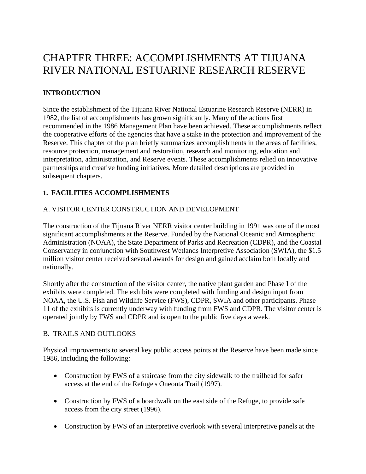# CHAPTER THREE: ACCOMPLISHMENTS AT TIJUANA RIVER NATIONAL ESTUARINE RESEARCH RESERVE

# **INTRODUCTION**

Since the establishment of the Tijuana River National Estuarine Research Reserve (NERR) in 1982, the list of accomplishments has grown significantly. Many of the actions first recommended in the 1986 Management Plan have been achieved. These accomplishments reflect the cooperative efforts of the agencies that have a stake in the protection and improvement of the Reserve. This chapter of the plan briefly summarizes accomplishments in the areas of facilities, resource protection, management and restoration, research and monitoring, education and interpretation, administration, and Reserve events. These accomplishments relied on innovative partnerships and creative funding initiatives. More detailed descriptions are provided in subsequent chapters.

# **1. FACILITIES ACCOMPLISHMENTS**

# A. VISITOR CENTER CONSTRUCTION AND DEVELOPMENT

The construction of the Tijuana River NERR visitor center building in 1991 was one of the most significant accomplishments at the Reserve. Funded by the National Oceanic and Atmospheric Administration (NOAA), the State Department of Parks and Recreation (CDPR), and the Coastal Conservancy in conjunction with Southwest Wetlands Interpretive Association (SWIA), the \$1.5 million visitor center received several awards for design and gained acclaim both locally and nationally.

Shortly after the construction of the visitor center, the native plant garden and Phase I of the exhibits were completed. The exhibits were completed with funding and design input from NOAA, the U.S. Fish and Wildlife Service (FWS), CDPR, SWIA and other participants. Phase 11 of the exhibits is currently underway with funding from FWS and CDPR. The visitor center is operated jointly by FWS and CDPR and is open to the public five days a week.

## B. TRAILS AND OUTLOOKS

Physical improvements to several key public access points at the Reserve have been made since 1986, including the following:

- Construction by FWS of a staircase from the city sidewalk to the trailhead for safer access at the end of the Refuge's Oneonta Trail (1997).
- Construction by FWS of a boardwalk on the east side of the Refuge, to provide safe access from the city street (1996).
- Construction by FWS of an interpretive overlook with several interpretive panels at the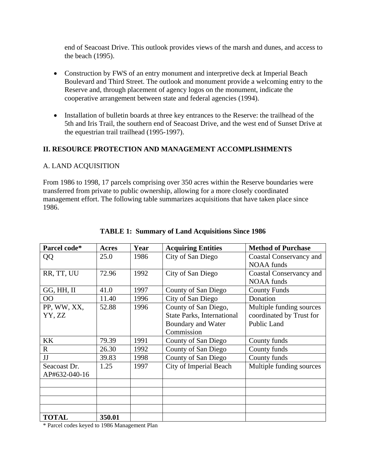end of Seacoast Drive. This outlook provides views of the marsh and dunes, and access to the beach (1995).

- Construction by FWS of an entry monument and interpretive deck at Imperial Beach Boulevard and Third Street. The outlook and monument provide a welcoming entry to the Reserve and, through placement of agency logos on the monument, indicate the cooperative arrangement between state and federal agencies (1994).
- Installation of bulletin boards at three key entrances to the Reserve: the trailhead of the 5th and Iris Trail, the southern end of Seacoast Drive, and the west end of Sunset Drive at the equestrian trail trailhead (1995-1997).

## **II. RESOURCE PROTECTION AND MANAGEMENT ACCOMPLISHMENTS**

#### A. LAND ACQUISITION

From 1986 to 1998, 17 parcels comprising over 350 acres within the Reserve boundaries were transferred from private to public ownership, allowing for a more closely coordinated management effort. The following table summarizes acquisitions that have taken place since 1986.

| Parcel code*  | Acres  | Year | <b>Acquiring Entities</b>         | <b>Method of Purchase</b>      |
|---------------|--------|------|-----------------------------------|--------------------------------|
| QQ            | 25.0   | 1986 | City of San Diego                 | Coastal Conservancy and        |
|               |        |      |                                   | <b>NOAA</b> funds              |
| RR, TT, UU    | 72.96  | 1992 | City of San Diego                 | <b>Coastal Conservancy and</b> |
|               |        |      |                                   | <b>NOAA</b> funds              |
| GG, HH, II    | 41.0   | 1997 | County of San Diego               | <b>County Funds</b>            |
| 00            | 11.40  | 1996 | City of San Diego                 | Donation                       |
| PP, WW, XX,   | 52.88  | 1996 | County of San Diego,              | Multiple funding sources       |
| YY, ZZ        |        |      | <b>State Parks, International</b> | coordinated by Trust for       |
|               |        |      | <b>Boundary and Water</b>         | <b>Public Land</b>             |
|               |        |      | Commission                        |                                |
| KK            | 79.39  | 1991 | County of San Diego               | County funds                   |
| $\mathbf R$   | 26.30  | 1992 | County of San Diego               | County funds                   |
| JJ            | 39.83  | 1998 | County of San Diego               | County funds                   |
| Seacoast Dr.  | 1.25   | 1997 | City of Imperial Beach            | Multiple funding sources       |
| AP#632-040-16 |        |      |                                   |                                |
|               |        |      |                                   |                                |
|               |        |      |                                   |                                |
|               |        |      |                                   |                                |
|               |        |      |                                   |                                |
| <b>TOTAL</b>  | 350.01 |      |                                   |                                |

#### **TABLE 1: Summary of Land Acquisitions Since 1986**

\* Parcel codes keyed to 1986 Management Plan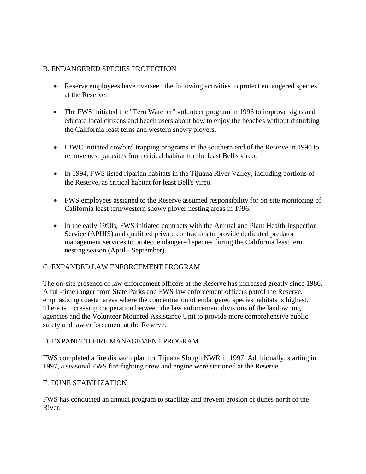## B. ENDANGERED SPECIES PROTECTION

- Reserve employees have overseen the following activities to protect endangered species at the Reserve.
- The FWS initiated the "Tern Watcher" volunteer program in 1996 to improve signs and educate local citizens and beach users about how to enjoy the beaches without disturbing the California least terns and western snowy plovers.
- IBWC initiated cowbird trapping programs in the southern end of the Reserve in 1990 to remove nest parasites from critical habitat for the least Bell's vireo.
- In 1994, FWS listed riparian habitats in the Tijuana River Valley, including portions of the Reserve, as critical habitat for least Bell's vireo.
- FWS employees assigned to the Reserve assumed responsibility for on-site monitoring of California least tern/western snowy plover nesting areas in 1996.
- In the early 1990s, FWS initiated contracts with the Animal and Plant Health Inspection Service (APHIS) and qualified private contractors to provide dedicated predator management services to protect endangered species during the California least tern nesting season (April - September).

## C. EXPANDED LAW ENFORCEMENT PROGRAM

The on-site presence of law enforcement officers at the Reserve has increased greatly since 1986. A full-time ranger from State Parks and FWS law enforcement officers patrol the Reserve, emphasizing coastal areas where the concentration of endangered species habitats is highest. There is increasing cooperation between the law enforcement divisions of the landowning agencies and the Volunteer Mounted Assistance Unit to provide more comprehensive public safety and law enforcement at the Reserve.

## D. EXPANDED FIRE MANAGEMENT PROGRAM

FWS completed a fire dispatch plan for Tijuana Slough NWR in 1997. Additionally, starting in 1997, a seasonal FWS fire-fighting crew and engine were stationed at the Reserve.

## E. DUNE STABILIZATION

FWS has conducted an annual program to stabilize and prevent erosion of dunes north of the River.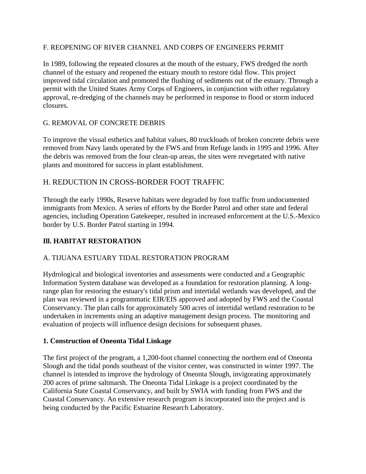#### F. REOPENING OF RIVER CHANNEL AND CORPS OF ENGINEERS PERMIT

In 1989, following the repeated closures at the mouth of the estuary, FWS dredged the north channel of the estuary and reopened the estuary mouth to restore tidal flow. This project improved tidal circulation and promoted the flushing of sediments out of the estuary. Through a permit with the United States Army Corps of Engineers, in conjunction with other regulatory approval, re-dredging of the channels may be performed in response to flood or storm induced closures.

## G. REMOVAL OF CONCRETE DEBRIS

To improve the visual esthetics and habitat values, 80 truckloads of broken concrete debris were removed from Navy lands operated by the FWS and from Refuge lands in 1995 and 1996. After the debris was removed from the four clean-up areas, the sites were revegetated with native plants and monitored for success in plant establishment.

## H. REDUCTION IN CROSS-BORDER FOOT TRAFFIC

Through the early 1990s, Reserve habitats were degraded by foot traffic from undocumented immigrants from Mexico. A series of efforts by the Border Patrol and other state and federal agencies, including Operation Gatekeeper, resulted in increased enforcement at the U.S.-Mexico border by U.S. Border Patrol starting in 1994.

## **Ill. HABITAT RESTORATION**

## A. TIJUANA ESTUARY TIDAL RESTORATION PROGRAM

Hydrological and biological inventories and assessments were conducted and a Geographic Information System database was developed as a foundation for restoration planning. A longrange plan for restoring the estuary's tidal prism and intertidal wetlands was developed, and the plan was reviewed in a programmatic EIR/EIS approved and adopted by FWS and the Coastal Conservancy. The plan calls for approximately 500 acres of intertidal wetland restoration to be undertaken in increments using an adaptive management design process. The monitoring and evaluation of projects will influence design decisions for subsequent phases.

## **1. Construction of Oneonta Tidal Linkage**

The first project of the program, a 1,200-foot channel connecting the northern end of Oneonta Slough and the tidal ponds southeast of the visitor center, was constructed in winter 1997. The channel is intended to improve the hydrology of Oneonta Slough, invigorating approximately 200 acres of prime saltmarsh. The Oneonta Tidal Linkage is a project coordinated by the California State Coastal Conservancy, and built by SWIA with funding from FWS and the Coastal Conservancy. An extensive research program is incorporated into the project and is being conducted by the Pacific Estuarine Research Laboratory.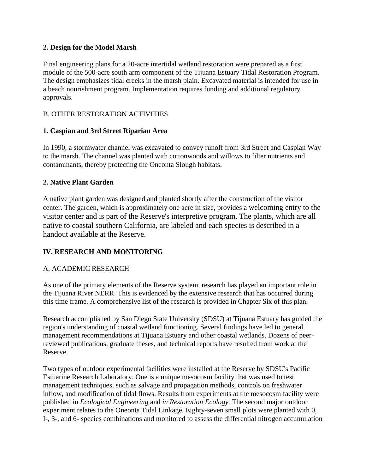## **2. Design for the Model Marsh**

Final engineering plans for a 20-acre intertidal wetland restoration were prepared as a first module of the 500-acre south arm component of the Tijuana Estuary Tidal Restoration Program. The design emphasizes tidal creeks in the marsh plain. Excavated material is intended for use in a beach nourishment program. Implementation requires funding and additional regulatory approvals.

# B. OTHER RESTORATION ACTIVITIES

# **1. Caspian and 3rd Street Riparian Area**

In 1990, a stormwater channel was excavated to convey runoff from 3rd Street and Caspian Way to the marsh. The channel was planted with cottonwoods and willows to filter nutrients and contaminants, thereby protecting the Oneonta Slough habitats.

## **2. Native Plant Garden**

A native plant garden was designed and planted shortly after the construction of the visitor center. The garden, which is approximately one acre in size, provides a welcoming entry to the visitor center and is part of the Reserve's interpretive program. The plants, which are all native to coastal southern California, are labeled and each species is described in a handout available at the Reserve.

# **IV. RESEARCH AND MONITORING**

# A. ACADEMIC RESEARCH

As one of the primary elements of the Reserve system, research has played an important role in the Tijuana River NERR. This is evidenced by the extensive research that has occurred during this time frame. A comprehensive list of the research is provided in Chapter Six of this plan.

Research accomplished by San Diego State University (SDSU) at Tijuana Estuary has guided the region's understanding of coastal wetland functioning. Several findings have led to general management recommendations at Tijuana Estuary and other coastal wetlands. Dozens of peerreviewed publications, graduate theses, and technical reports have resulted from work at the Reserve.

Two types of outdoor experimental facilities were installed at the Reserve by SDSU's Pacific Estuarine Research Laboratory. One is a unique mesocosm facility that was used to test management techniques, such as salvage and propagation methods, controls on freshwater inflow, and modification of tidal flows. Results from experiments at the mesocosm facility were published in *Ecological Engineering* and *in Restoration Ecology.* The second major outdoor experiment relates to the Oneonta Tidal Linkage. Eighty-seven small plots were planted with 0, I-, 3-, and 6- species combinations and monitored to assess the differential nitrogen accumulation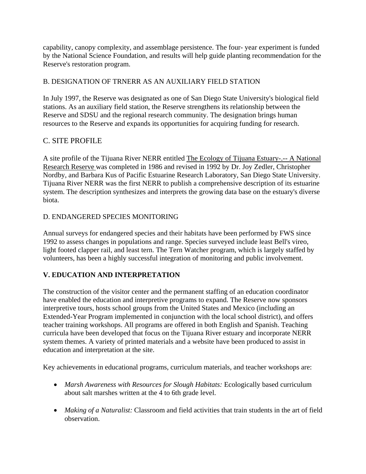capability, canopy complexity, and assemblage persistence. The four- year experiment is funded by the National Science Foundation, and results will help guide planting recommendation for the Reserve's restoration program.

# B. DESIGNATION OF TRNERR AS AN AUXILIARY FIELD STATION

In July 1997, the Reserve was designated as one of San Diego State University's biological field stations. As an auxiliary field station, the Reserve strengthens its relationship between the Reserve and SDSU and the regional research community. The designation brings human resources to the Reserve and expands its opportunities for acquiring funding for research.

# C. SITE PROFILE

A site profile of the Tijuana River NERR entitled The Ecology of Tijuana Estuary-.-- A National Research Reserve was completed in 1986 and revised in 1992 by Dr. Joy Zedler, Christopher Nordby, and Barbara Kus of Pacific Estuarine Research Laboratory, San Diego State University. Tijuana River NERR was the first NERR to publish a comprehensive description of its estuarine system. The description synthesizes and interprets the growing data base on the estuary's diverse biota.

#### D. ENDANGERED SPECIES MONITORING

Annual surveys for endangered species and their habitats have been performed by FWS since 1992 to assess changes in populations and range. Species surveyed include least Bell's vireo, light footed clapper rail, and least tern. The Tern Watcher program, which is largely staffed by volunteers, has been a highly successful integration of monitoring and public involvement.

## **V. EDUCATION AND INTERPRETATION**

The construction of the visitor center and the permanent staffing of an education coordinator have enabled the education and interpretive programs to expand. The Reserve now sponsors interpretive tours, hosts school groups from the United States and Mexico (including an Extended-Year Program implemented in conjunction with the local school district), and offers teacher training workshops. All programs are offered in both English and Spanish. Teaching curricula have been developed that focus on the Tijuana River estuary and incorporate NERR system themes. A variety of printed materials and a website have been produced to assist in education and interpretation at the site.

Key achievements in educational programs, curriculum materials, and teacher workshops are:

- *Marsh Awareness with Resources for Slough Habitats: Ecologically based curriculum* about salt marshes written at the 4 to 6th grade level.
- *Making of a Naturalist:* Classroom and field activities that train students in the art of field observation.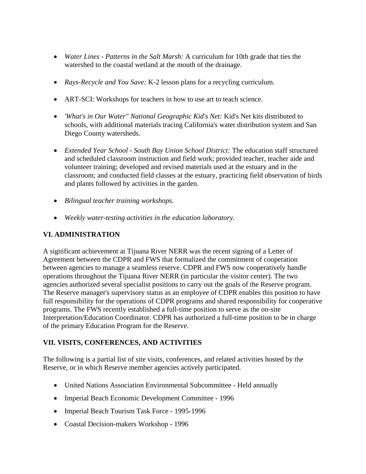- *Water Lines Patterns in the Salt Marsh:* A curriculum for 10th grade that ties the watershed to the coastal wetland at the mouth of the drainage.
- *Rays-Recycle and You Save:* K-2 lesson plans for a recycling curriculum.
- ART-SCI: Workshops for teachers in how to use art to teach science.
- *'What's in Our Water" National Geographic Kid's Net:* Kid's Net kits distributed to schools, with additional materials tracing California's water distribution system and San Diego County watersheds.
- *Extended Year School South Bay Union School District:* The education staff structured and scheduled classroom instruction and field work; provided teacher, teacher aide and volunteer training; developed and revised materials used at the estuary and in the classroom; and conducted field classes at the estuary, practicing field observation of birds and plants followed by activities in the garden.
- *Bilingual teacher training workshops.*
- *Weekly water-testing activities in the education laboratory.*

## **VI. ADMINISTRATION**

A significant achievement at Tijuana River NERR was the recent signing of a Letter of Agreement between the CDPR and FWS that formalized the commitment of cooperation between agencies to manage a seamless reserve. CDPR and FWS now cooperatively handle operations throughout the Tijuana River NERR (in particular the visitor center). The two agencies authorized several specialist positions to carry out the goals of the Reserve program. The Reserve manager's supervisory status as an employee of CDPR enables this position to have full responsibility for the operations of CDPR programs and shared responsibility for cooperative programs. The FWS recently established a full-time position to serve as the on-site Interpretation/Education Coordinator. CDPR has authorized a full-time position to be in charge of the primary Education Program for the Reserve.

# **VII. VISITS, CONFERENCES, AND ACTIVITIES**

The following is a partial list of site visits, conferences, and related activities hosted by the Reserve, or in which Reserve member agencies actively participated.

- United Nations Association Environmental Subcommittee Held annually
- Imperial Beach Economic Development Committee 1996
- Imperial Beach Tourism Task Force 1995-1996
- Coastal Decision-makers Workshop 1996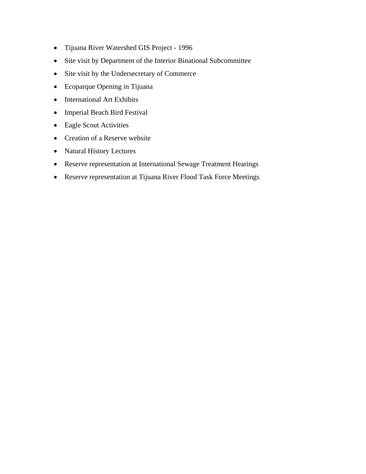- Tijuana River Watershed GIS Project 1996
- Site visit by Department of the Interior Binational Subcommittee
- Site visit by the Undersecretary of Commerce
- Ecoparque Opening in Tijuana
- International Art Exhibits
- Imperial Beach Bird Festival
- Eagle Scout Activities
- Creation of a Reserve website
- Natural History Lectures
- Reserve representation at International Sewage Treatment Hearings
- Reserve representation at Tijuana River Flood Task Force Meetings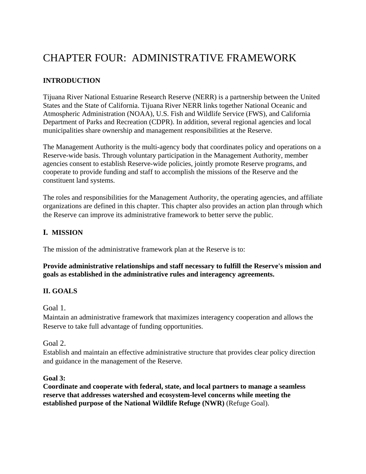# CHAPTER FOUR: ADMINISTRATIVE FRAMEWORK

# **INTRODUCTION**

Tijuana River National Estuarine Research Reserve (NERR) is a partnership between the United States and the State of California. Tijuana River NERR links together National Oceanic and Atmospheric Administration (NOAA), U.S. Fish and Wildlife Service (FWS), and California Department of Parks and Recreation (CDPR). In addition, several regional agencies and local municipalities share ownership and management responsibilities at the Reserve.

The Management Authority is the multi-agency body that coordinates policy and operations on a Reserve-wide basis. Through voluntary participation in the Management Authority, member agencies consent to establish Reserve-wide policies, jointly promote Reserve programs, and cooperate to provide funding and staff to accomplish the missions of the Reserve and the constituent land systems.

The roles and responsibilities for the Management Authority, the operating agencies, and affiliate organizations are defined in this chapter. This chapter also provides an action plan through which the Reserve can improve its administrative framework to better serve the public.

# **I. MISSION**

The mission of the administrative framework plan at the Reserve is to:

#### **Provide administrative relationships and staff necessary to fulfill the Reserve's mission and goals as established in the administrative rules and interagency agreements.**

## **II. GOALS**

Goal 1.

Maintain an administrative framework that maximizes interagency cooperation and allows the Reserve to take full advantage of funding opportunities.

Goal 2.

Establish and maintain an effective administrative structure that provides clear policy direction and guidance in the management of the Reserve.

#### **Goal 3:**

**Coordinate and cooperate with federal, state, and local partners to manage a seamless reserve that addresses watershed and ecosystem-level concerns while meeting the established purpose of the National Wildlife Refuge (NWR)** (Refuge Goal).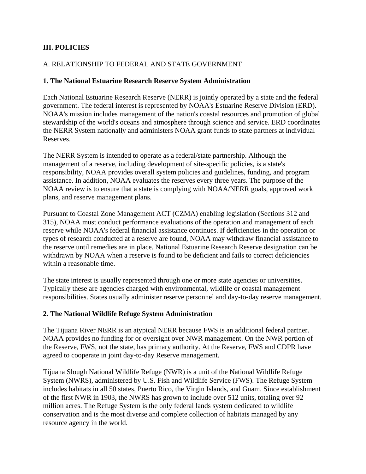## **III. POLICIES**

## A. RELATIONSHIP TO FEDERAL AND STATE GOVERNMENT

#### **1. The National Estuarine Research Reserve System Administration**

Each National Estuarine Research Reserve (NERR) is jointly operated by a state and the federal government. The federal interest is represented by NOAA's Estuarine Reserve Division (ERD). NOAA's mission includes management of the nation's coastal resources and promotion of global stewardship of the world's oceans and atmosphere through science and service. ERD coordinates the NERR System nationally and administers NOAA grant funds to state partners at individual Reserves.

The NERR System is intended to operate as a federal/state partnership. Although the management of a reserve, including development of site-specific policies, is a state's responsibility, NOAA provides overall system policies and guidelines, funding, and program assistance. In addition, NOAA evaluates the reserves every three years. The purpose of the NOAA review is to ensure that a state is complying with NOAA/NERR goals, approved work plans, and reserve management plans.

Pursuant to Coastal Zone Management ACT (CZMA) enabling legislation (Sections 312 and 315), NOAA must conduct performance evaluations of the operation and management of each reserve while NOAA's federal financial assistance continues. If deficiencies in the operation or types of research conducted at a reserve are found, NOAA may withdraw financial assistance to the reserve until remedies are in place. National Estuarine Research Reserve designation can be withdrawn by NOAA when a reserve is found to be deficient and fails to correct deficiencies within a reasonable time.

The state interest is usually represented through one or more state agencies or universities. Typically these are agencies charged with environmental, wildlife or coastal management responsibilities. States usually administer reserve personnel and day-to-day reserve management.

#### **2. The National Wildlife Refuge System Administration**

The Tijuana River NERR is an atypical NERR because FWS is an additional federal partner. NOAA provides no funding for or oversight over NWR management. On the NWR portion of the Reserve, FWS, not the state, has primary authority. At the Reserve, FWS and CDPR have agreed to cooperate in joint day-to-day Reserve management.

Tijuana Slough National Wildlife Refuge (NWR) is a unit of the National Wildlife Refuge System (NWRS), administered by U.S. Fish and Wildlife Service (FWS). The Refuge System includes habitats in all 50 states, Puerto Rico, the Virgin Islands, and Guam. Since establishment of the first NWR in 1903, the NWRS has grown to include over 512 units, totaling over 92 million acres. The Refuge System is the only federal lands system dedicated to wildlife conservation and is the most diverse and complete collection of habitats managed by any resource agency in the world.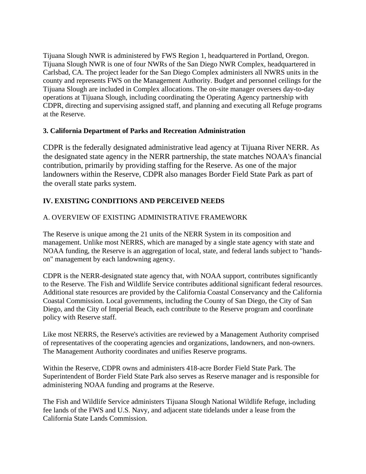Tijuana Slough NWR is administered by FWS Region 1, headquartered in Portland, Oregon. Tijuana Slough NWR is one of four NWRs of the San Diego NWR Complex, headquartered in Carlsbad, CA. The project leader for the San Diego Complex administers all NWRS units in the county and represents FWS on the Management Authority. Budget and personnel ceilings for the Tijuana Slough are included in Complex allocations. The on-site manager oversees day-to-day operations at Tijuana Slough, including coordinating the Operating Agency partnership with CDPR, directing and supervising assigned staff, and planning and executing all Refuge programs at the Reserve.

## **3. California Department of Parks and Recreation Administration**

CDPR is the federally designated administrative lead agency at Tijuana River NERR. As the designated state agency in the NERR partnership, the state matches NOAA's financial contribution, primarily by providing staffing for the Reserve. As one of the major landowners within the Reserve, CDPR also manages Border Field State Park as part of the overall state parks system.

# **IV. EXISTING CONDITIONS AND PERCEIVED NEEDS**

# A. OVERVIEW OF EXISTING ADMINISTRATIVE FRAMEWORK

The Reserve is unique among the 21 units of the NERR System in its composition and management. Unlike most NERRS, which are managed by a single state agency with state and NOAA funding, the Reserve is an aggregation of local, state, and federal lands subject to "handson" management by each landowning agency.

CDPR is the NERR-designated state agency that, with NOAA support, contributes significantly to the Reserve. The Fish and Wildlife Service contributes additional significant federal resources. Additional state resources are provided by the California Coastal Conservancy and the California Coastal Commission. Local governments, including the County of San Diego, the City of San Diego, and the City of Imperial Beach, each contribute to the Reserve program and coordinate policy with Reserve staff.

Like most NERRS, the Reserve's activities are reviewed by a Management Authority comprised of representatives of the cooperating agencies and organizations, landowners, and non-owners. The Management Authority coordinates and unifies Reserve programs.

Within the Reserve, CDPR owns and administers 418-acre Border Field State Park. The Superintendent of Border Field State Park also serves as Reserve manager and is responsible for administering NOAA funding and programs at the Reserve.

The Fish and Wildlife Service administers Tijuana Slough National Wildlife Refuge, including fee lands of the FWS and U.S. Navy, and adjacent state tidelands under a lease from the California State Lands Commission.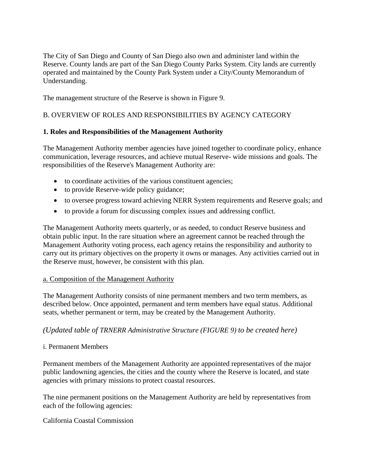The City of San Diego and County of San Diego also own and administer land within the Reserve. County lands are part of the San Diego County Parks System. City lands are currently operated and maintained by the County Park System under a City/County Memorandum of Understanding.

The management structure of the Reserve is shown in Figure 9.

## B. OVERVIEW OF ROLES AND RESPONSIBILITIES BY AGENCY CATEGORY

## **1. Roles and Responsibilities of the Management Authority**

The Management Authority member agencies have joined together to coordinate policy, enhance communication, leverage resources, and achieve mutual Reserve- wide missions and goals. The responsibilities of the Reserve's Management Authority are:

- to coordinate activities of the various constituent agencies;
- to provide Reserve-wide policy guidance;
- to oversee progress toward achieving NERR System requirements and Reserve goals; and
- to provide a forum for discussing complex issues and addressing conflict.

The Management Authority meets quarterly, or as needed, to conduct Reserve business and obtain public input. In the rare situation where an agreement cannot be reached through the Management Authority voting process, each agency retains the responsibility and authority to carry out its primary objectives on the property it owns or manages. Any activities carried out in the Reserve must, however, be consistent with this plan.

#### a. Composition of the Management Authority

The Management Authority consists of nine permanent members and two term members, as described below. Once appointed, permanent and term members have equal status. Additional seats, whether permanent or term, may be created by the Management Authority.

#### *(Updated table of TRNERR Administrative Structure (FIGURE 9) to be created here)*

#### i. Permanent Members

Permanent members of the Management Authority are appointed representatives of the major public landowning agencies, the cities and the county where the Reserve is located, and state agencies with primary missions to protect coastal resources.

The nine permanent positions on the Management Authority are held by representatives from each of the following agencies:

#### California Coastal Commission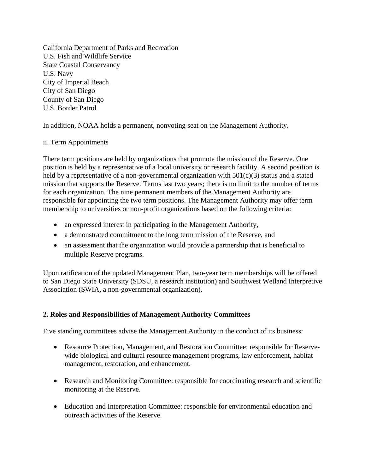California Department of Parks and Recreation U.S. Fish and Wildlife Service State Coastal Conservancy U.S. Navy City of Imperial Beach City of San Diego County of San Diego U.S. Border Patrol

In addition, NOAA holds a permanent, nonvoting seat on the Management Authority.

#### ii. Term Appointments

There term positions are held by organizations that promote the mission of the Reserve. One position is held by a representative of a local university or research facility. A second position is held by a representative of a non-governmental organization with  $501(c)(3)$  status and a stated mission that supports the Reserve. Terms last two years; there is no limit to the number of terms for each organization. The nine permanent members of the Management Authority are responsible for appointing the two term positions. The Management Authority may offer term membership to universities or non-profit organizations based on the following criteria:

- an expressed interest in participating in the Management Authority,
- a demonstrated commitment to the long term mission of the Reserve, and
- an assessment that the organization would provide a partnership that is beneficial to multiple Reserve programs.

Upon ratification of the updated Management Plan, two-year term memberships will be offered to San Diego State University (SDSU, a research institution) and Southwest Wetland Interpretive Association (SWIA, a non-governmental organization).

## **2. Roles and Responsibilities of Management Authority Committees**

Five standing committees advise the Management Authority in the conduct of its business:

- Resource Protection, Management, and Restoration Committee: responsible for Reservewide biological and cultural resource management programs, law enforcement, habitat management, restoration, and enhancement.
- Research and Monitoring Committee: responsible for coordinating research and scientific monitoring at the Reserve.
- Education and Interpretation Committee: responsible for environmental education and outreach activities of the Reserve.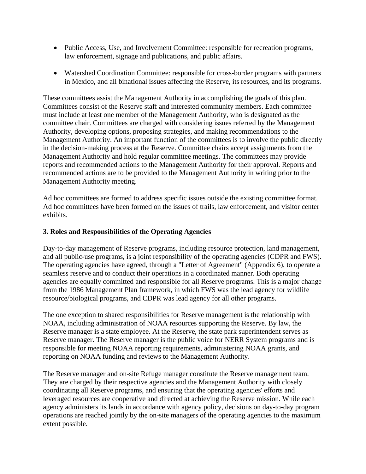- Public Access, Use, and Involvement Committee: responsible for recreation programs, law enforcement, signage and publications, and public affairs.
- Watershed Coordination Committee: responsible for cross-border programs with partners in Mexico, and all binational issues affecting the Reserve, its resources, and its programs.

These committees assist the Management Authority in accomplishing the goals of this plan. Committees consist of the Reserve staff and interested community members. Each committee must include at least one member of the Management Authority, who is designated as the committee chair. Committees are charged with considering issues referred by the Management Authority, developing options, proposing strategies, and making recommendations to the Management Authority. An important function of the committees is to involve the public directly in the decision-making process at the Reserve. Committee chairs accept assignments from the Management Authority and hold regular committee meetings. The committees may provide reports and recommended actions to the Management Authority for their approval. Reports and recommended actions are to be provided to the Management Authority in writing prior to the Management Authority meeting.

Ad hoc committees are formed to address specific issues outside the existing committee format. Ad hoc committees have been formed on the issues of trails, law enforcement, and visitor center exhibits.

## **3. Roles and Responsibilities of the Operating Agencies**

Day-to-day management of Reserve programs, including resource protection, land management, and all public-use programs, is a joint responsibility of the operating agencies (CDPR and FWS). The operating agencies have agreed, through a "Letter of Agreement" (Appendix 6), to operate a seamless reserve and to conduct their operations in a coordinated manner. Both operating agencies are equally committed and responsible for all Reserve programs. This is a major change from the 1986 Management Plan framework, in which FWS was the lead agency for wildlife resource/biological programs, and CDPR was lead agency for all other programs.

The one exception to shared responsibilities for Reserve management is the relationship with NOAA, including administration of NOAA resources supporting the Reserve. By law, the Reserve manager is a state employee. At the Reserve, the state park superintendent serves as Reserve manager. The Reserve manager is the public voice for NERR System programs and is responsible for meeting NOAA reporting requirements, administering NOAA grants, and reporting on NOAA funding and reviews to the Management Authority.

The Reserve manager and on-site Refuge manager constitute the Reserve management team. They are charged by their respective agencies and the Management Authority with closely coordinating all Reserve programs, and ensuring that the operating agencies' efforts and leveraged resources are cooperative and directed at achieving the Reserve mission. While each agency administers its lands in accordance with agency policy, decisions on day-to-day program operations are reached jointly by the on-site managers of the operating agencies to the maximum extent possible.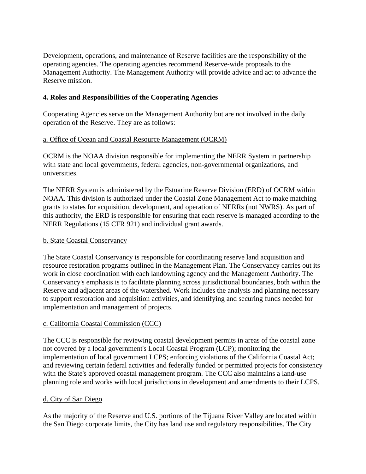Development, operations, and maintenance of Reserve facilities are the responsibility of the operating agencies. The operating agencies recommend Reserve-wide proposals to the Management Authority. The Management Authority will provide advice and act to advance the Reserve mission.

## **4. Roles and Responsibilities of the Cooperating Agencies**

Cooperating Agencies serve on the Management Authority but are not involved in the daily operation of the Reserve. They are as follows:

## a. Office of Ocean and Coastal Resource Management (OCRM)

OCRM is the NOAA division responsible for implementing the NERR System in partnership with state and local governments, federal agencies, non-governmental organizations, and universities.

The NERR System is administered by the Estuarine Reserve Division (ERD) of OCRM within NOAA. This division is authorized under the Coastal Zone Management Act to make matching grants to states for acquisition, development, and operation of NERRs (not NWRS). As part of this authority, the ERD is responsible for ensuring that each reserve is managed according to the NERR Regulations (15 CFR 921) and individual grant awards.

## b. State Coastal Conservancy

The State Coastal Conservancy is responsible for coordinating reserve land acquisition and resource restoration programs outlined in the Management Plan. The Conservancy carries out its work in close coordination with each landowning agency and the Management Authority. The Conservancy's emphasis is to facilitate planning across jurisdictional boundaries, both within the Reserve and adjacent areas of the watershed. Work includes the analysis and planning necessary to support restoration and acquisition activities, and identifying and securing funds needed for implementation and management of projects.

## c. California Coastal Commission (CCC)

The CCC is responsible for reviewing coastal development permits in areas of the coastal zone not covered by a local government's Local Coastal Program (LCP); monitoring the implementation of local government LCPS; enforcing violations of the California Coastal Act; and reviewing certain federal activities and federally funded or permitted projects for consistency with the State's approved coastal management program. The CCC also maintains a land-use planning role and works with local jurisdictions in development and amendments to their LCPS.

## d. City of San Diego

As the majority of the Reserve and U.S. portions of the Tijuana River Valley are located within the San Diego corporate limits, the City has land use and regulatory responsibilities. The City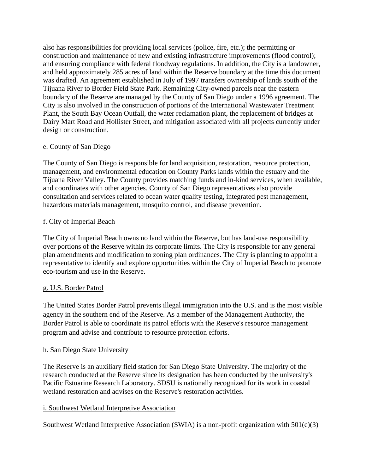also has responsibilities for providing local services (police, fire, etc.); the permitting or construction and maintenance of new and existing infrastructure improvements (flood control); and ensuring compliance with federal floodway regulations. In addition, the City is a landowner, and held approximately 285 acres of land within the Reserve boundary at the time this document was drafted. An agreement established in July of 1997 transfers ownership of lands south of the Tijuana River to Border Field State Park. Remaining City-owned parcels near the eastern boundary of the Reserve are managed by the County of San Diego under a 1996 agreement. The City is also involved in the construction of portions of the International Wastewater Treatment Plant, the South Bay Ocean Outfall, the water reclamation plant, the replacement of bridges at Dairy Mart Road and Hollister Street, and mitigation associated with all projects currently under design or construction.

#### e. County of San Diego

The County of San Diego is responsible for land acquisition, restoration, resource protection, management, and environmental education on County Parks lands within the estuary and the Tijuana River Valley. The County provides matching funds and in-kind services, when available, and coordinates with other agencies. County of San Diego representatives also provide consultation and services related to ocean water quality testing, integrated pest management, hazardous materials management, mosquito control, and disease prevention.

#### f. City of Imperial Beach

The City of Imperial Beach owns no land within the Reserve, but has land-use responsibility over portions of the Reserve within its corporate limits. The City is responsible for any general plan amendments and modification to zoning plan ordinances. The City is planning to appoint a representative to identify and explore opportunities within the City of Imperial Beach to promote eco-tourism and use in the Reserve.

## g. U.S. Border Patrol

The United States Border Patrol prevents illegal immigration into the U.S. and is the most visible agency in the southern end of the Reserve. As a member of the Management Authority, the Border Patrol is able to coordinate its patrol efforts with the Reserve's resource management program and advise and contribute to resource protection efforts.

#### h. San Diego State University

The Reserve is an auxiliary field station for San Diego State University. The majority of the research conducted at the Reserve since its designation has been conducted by the university's Pacific Estuarine Research Laboratory. SDSU is nationally recognized for its work in coastal wetland restoration and advises on the Reserve's restoration activities.

## i. Southwest Wetland Interpretive Association

Southwest Wetland Interpretive Association (SWIA) is a non-profit organization with  $501(c)(3)$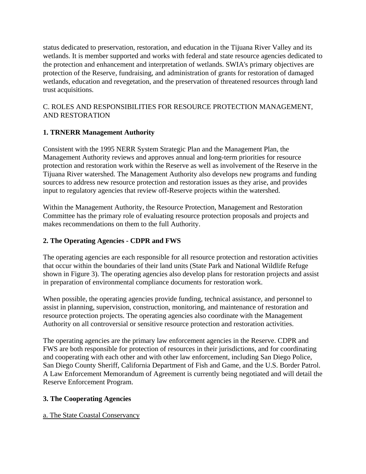status dedicated to preservation, restoration, and education in the Tijuana River Valley and its wetlands. It is member supported and works with federal and state resource agencies dedicated to the protection and enhancement and interpretation of wetlands. SWIA's primary objectives are protection of the Reserve, fundraising, and administration of grants for restoration of damaged wetlands, education and revegetation, and the preservation of threatened resources through land trust acquisitions.

## C. ROLES AND RESPONSIBILITIES FOR RESOURCE PROTECTION MANAGEMENT, AND RESTORATION

# **1. TRNERR Management Authority**

Consistent with the 1995 NERR System Strategic Plan and the Management Plan, the Management Authority reviews and approves annual and long-term priorities for resource protection and restoration work within the Reserve as well as involvement of the Reserve in the Tijuana River watershed. The Management Authority also develops new programs and funding sources to address new resource protection and restoration issues as they arise, and provides input to regulatory agencies that review off-Reserve projects within the watershed.

Within the Management Authority, the Resource Protection, Management and Restoration Committee has the primary role of evaluating resource protection proposals and projects and makes recommendations on them to the full Authority.

# **2. The Operating Agencies - CDPR and FWS**

The operating agencies are each responsible for all resource protection and restoration activities that occur within the boundaries of their land units (State Park and National Wildlife Refuge shown in Figure 3). The operating agencies also develop plans for restoration projects and assist in preparation of environmental compliance documents for restoration work.

When possible, the operating agencies provide funding, technical assistance, and personnel to assist in planning, supervision, construction, monitoring, and maintenance of restoration and resource protection projects. The operating agencies also coordinate with the Management Authority on all controversial or sensitive resource protection and restoration activities.

The operating agencies are the primary law enforcement agencies in the Reserve. CDPR and FWS are both responsible for protection of resources in their jurisdictions, and for coordinating and cooperating with each other and with other law enforcement, including San Diego Police, San Diego County Sheriff, California Department of Fish and Game, and the U.S. Border Patrol. A Law Enforcement Memorandum of Agreement is currently being negotiated and will detail the Reserve Enforcement Program.

# **3. The Cooperating Agencies**

a. The State Coastal Conservancy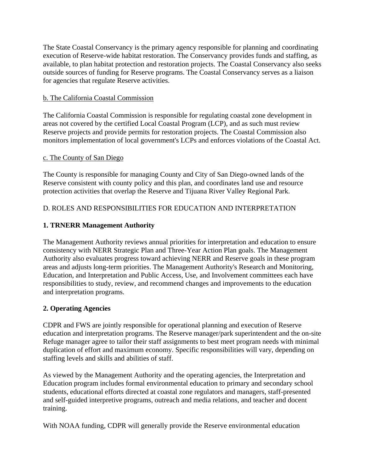The State Coastal Conservancy is the primary agency responsible for planning and coordinating execution of Reserve-wide habitat restoration. The Conservancy provides funds and staffing, as available, to plan habitat protection and restoration projects. The Coastal Conservancy also seeks outside sources of funding for Reserve programs. The Coastal Conservancy serves as a liaison for agencies that regulate Reserve activities.

## b. The California Coastal Commission

The California Coastal Commission is responsible for regulating coastal zone development in areas not covered by the certified Local Coastal Program (LCP), and as such must review Reserve projects and provide permits for restoration projects. The Coastal Commission also monitors implementation of local government's LCPs and enforces violations of the Coastal Act.

#### c. The County of San Diego

The County is responsible for managing County and City of San Diego-owned lands of the Reserve consistent with county policy and this plan, and coordinates land use and resource protection activities that overlap the Reserve and Tijuana River Valley Regional Park.

## D. ROLES AND RESPONSIBILITIES FOR EDUCATION AND INTERPRETATION

## **1. TRNERR Management Authority**

The Management Authority reviews annual priorities for interpretation and education to ensure consistency with NERR Strategic Plan and Three-Year Action Plan goals. The Management Authority also evaluates progress toward achieving NERR and Reserve goals in these program areas and adjusts long-term priorities. The Management Authority's Research and Monitoring, Education, and Interpretation and Public Access, Use, and Involvement committees each have responsibilities to study, review, and recommend changes and improvements to the education and interpretation programs.

## **2. Operating Agencies**

CDPR and FWS are jointly responsible for operational planning and execution of Reserve education and interpretation programs. The Reserve manager/park superintendent and the on-site Refuge manager agree to tailor their staff assignments to best meet program needs with minimal duplication of effort and maximum economy. Specific responsibilities will vary, depending on staffing levels and skills and abilities of staff.

As viewed by the Management Authority and the operating agencies, the Interpretation and Education program includes formal environmental education to primary and secondary school students, educational efforts directed at coastal zone regulators and managers, staff-presented and self-guided interpretive programs, outreach and media relations, and teacher and docent training.

With NOAA funding, CDPR will generally provide the Reserve environmental education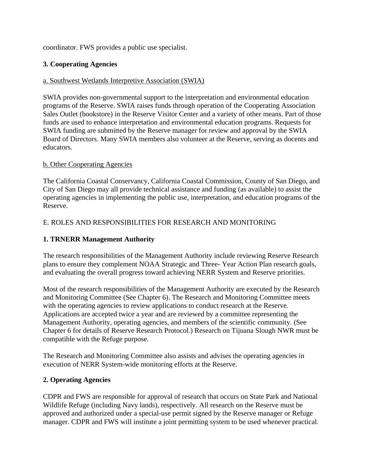coordinator. FWS provides a public use specialist.

## **3. Cooperating Agencies**

## a. Southwest Wetlands Interpretive Association (SWIA)

SWIA provides non-governmental support to the interpretation and environmental education programs of the Reserve. SWIA raises funds through operation of the Cooperating Association Sales Outlet (bookstore) in the Reserve Visitor Center and a variety of other means. Part of those funds are used to enhance interpretation and environmental education programs. Requests for SWIA funding are submitted by the Reserve manager for review and approval by the SWIA Board of Directors. Many SWIA members also volunteer at the Reserve, serving as docents and educators.

## b. Other Cooperating Agencies

The California Coastal Conservancy, California Coastal Commission, County of San Diego, and City of San Diego may all provide technical assistance and funding (as available) to assist the operating agencies in implementing the public use, interpretation, and education programs of the Reserve.

# E. ROLES AND RESPONSIBILITIES FOR RESEARCH AND MONITORING

# **1. TRNERR Management Authority**

The research responsibilities of the Management Authority include reviewing Reserve Research plans to ensure they complement NOAA Strategic and Three- Year Action Plan research goals, and evaluating the overall progress toward achieving NERR System and Reserve priorities.

Most of the research responsibilities of the Management Authority are executed by the Research and Monitoring Committee (See Chapter 6). The Research and Monitoring Committee meets with the operating agencies to review applications to conduct research at the Reserve. Applications are accepted twice a year and are reviewed by a committee representing the Management Authority, operating agencies, and members of the scientific community. (See Chapter 6 for details of Reserve Research Protocol.) Research on Tijuana Slough NWR must be compatible with the Refuge purpose.

The Research and Monitoring Committee also assists and advises the operating agencies in execution of NERR System-wide monitoring efforts at the Reserve.

## **2. Operating Agencies**

CDPR and FWS are responsible for approval of research that occurs on State Park and National Wildlife Refuge (including Navy lands), respectively. All research on the Reserve must be approved and authorized under a special-use permit signed by the Reserve manager or Refuge manager. CDPR and FWS will institute a joint permitting system to be used whenever practical.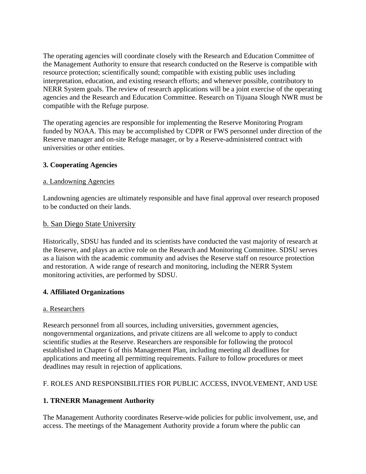The operating agencies will coordinate closely with the Research and Education Committee of the Management Authority to ensure that research conducted on the Reserve is compatible with resource protection; scientifically sound; compatible with existing public uses including interpretation, education, and existing research efforts; and whenever possible, contributory to NERR System goals. The review of research applications will be a joint exercise of the operating agencies and the Research and Education Committee. Research on Tijuana Slough NWR must be compatible with the Refuge purpose.

The operating agencies are responsible for implementing the Reserve Monitoring Program funded by NOAA. This may be accomplished by CDPR or FWS personnel under direction of the Reserve manager and on-site Refuge manager, or by a Reserve-administered contract with universities or other entities.

## **3. Cooperating Agencies**

## a. Landowning Agencies

Landowning agencies are ultimately responsible and have final approval over research proposed to be conducted on their lands.

## b. San Diego State University

Historically, SDSU has funded and its scientists have conducted the vast majority of research at the Reserve, and plays an active role on the Research and Monitoring Committee. SDSU serves as a liaison with the academic community and advises the Reserve staff on resource protection and restoration. A wide range of research and monitoring, including the NERR System monitoring activities, are performed by SDSU.

## **4. Affiliated Organizations**

## a. Researchers

Research personnel from all sources, including universities, government agencies, nongovernmental organizations, and private citizens are all welcome to apply to conduct scientific studies at the Reserve. Researchers are responsible for following the protocol established in Chapter 6 of this Management Plan, including meeting all deadlines for applications and meeting all permitting requirements. Failure to follow procedures or meet deadlines may result in rejection of applications.

# F. ROLES AND RESPONSIBILITIES FOR PUBLIC ACCESS, INVOLVEMENT, AND USE

# **1. TRNERR Management Authority**

The Management Authority coordinates Reserve-wide policies for public involvement, use, and access. The meetings of the Management Authority provide a forum where the public can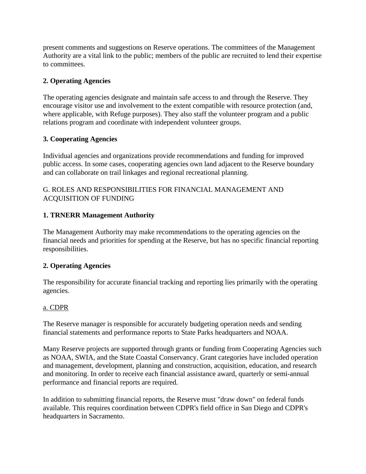present comments and suggestions on Reserve operations. The committees of the Management Authority are a vital link to the public; members of the public are recruited to lend their expertise to committees.

## **2. Operating Agencies**

The operating agencies designate and maintain safe access to and through the Reserve. They encourage visitor use and involvement to the extent compatible with resource protection (and, where applicable, with Refuge purposes). They also staff the volunteer program and a public relations program and coordinate with independent volunteer groups.

## **3. Cooperating Agencies**

Individual agencies and organizations provide recommendations and funding for improved public access. In some cases, cooperating agencies own land adjacent to the Reserve boundary and can collaborate on trail linkages and regional recreational planning.

## G. ROLES AND RESPONSIBILITIES FOR FINANCIAL MANAGEMENT AND ACQUISITION OF FUNDING

# **1. TRNERR Management Authority**

The Management Authority may make recommendations to the operating agencies on the financial needs and priorities for spending at the Reserve, but has no specific financial reporting responsibilities.

# **2. Operating Agencies**

The responsibility for accurate financial tracking and reporting lies primarily with the operating agencies.

## a. CDPR

The Reserve manager is responsible for accurately budgeting operation needs and sending financial statements and performance reports to State Parks headquarters and NOAA.

Many Reserve projects are supported through grants or funding from Cooperating Agencies such as NOAA, SWIA, and the State Coastal Conservancy. Grant categories have included operation and management, development, planning and construction, acquisition, education, and research and monitoring. In order to receive each financial assistance award, quarterly or semi-annual performance and financial reports are required.

In addition to submitting financial reports, the Reserve must "draw down" on federal funds available. This requires coordination between CDPR's field office in San Diego and CDPR's headquarters in Sacramento.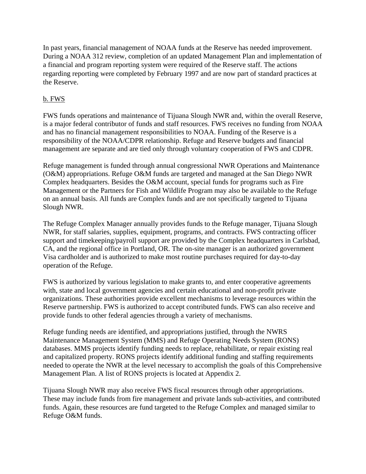In past years, financial management of NOAA funds at the Reserve has needed improvement. During a NOAA 312 review, completion of an updated Management Plan and implementation of a financial and program reporting system were required of the Reserve staff. The actions regarding reporting were completed by February 1997 and are now part of standard practices at the Reserve.

## b. FWS

FWS funds operations and maintenance of Tijuana Slough NWR and, within the overall Reserve, is a major federal contributor of funds and staff resources. FWS receives no funding from NOAA and has no financial management responsibilities to NOAA. Funding of the Reserve is a responsibility of the NOAA/CDPR relationship. Refuge and Reserve budgets and financial management are separate and are tied only through voluntary cooperation of FWS and CDPR.

Refuge management is funded through annual congressional NWR Operations and Maintenance (O&M) appropriations. Refuge O&M funds are targeted and managed at the San Diego NWR Complex headquarters. Besides the O&M account, special funds for programs such as Fire Management or the Partners for Fish and Wildlife Program may also be available to the Refuge on an annual basis. All funds are Complex funds and are not specifically targeted to Tijuana Slough NWR.

The Refuge Complex Manager annually provides funds to the Refuge manager, Tijuana Slough NWR, for staff salaries, supplies, equipment, programs, and contracts. FWS contracting officer support and timekeeping/payroll support are provided by the Complex headquarters in Carlsbad, CA, and the regional office in Portland, OR. The on-site manager is an authorized government Visa cardholder and is authorized to make most routine purchases required for day-to-day operation of the Refuge.

FWS is authorized by various legislation to make grants to, and enter cooperative agreements with, state and local government agencies and certain educational and non-profit private organizations. These authorities provide excellent mechanisms to leverage resources within the Reserve partnership. FWS is authorized to accept contributed funds. FWS can also receive and provide funds to other federal agencies through a variety of mechanisms.

Refuge funding needs are identified, and appropriations justified, through the NWRS Maintenance Management System (MMS) and Refuge Operating Needs System (RONS) databases. MMS projects identify funding needs to replace, rehabilitate, or repair existing real and capitalized property. RONS projects identify additional funding and staffing requirements needed to operate the NWR at the level necessary to accomplish the goals of this Comprehensive Management Plan. A list of RONS projects is located at Appendix 2.

Tijuana Slough NWR may also receive FWS fiscal resources through other appropriations. These may include funds from fire management and private lands sub-activities, and contributed funds. Again, these resources are fund targeted to the Refuge Complex and managed similar to Refuge O&M funds.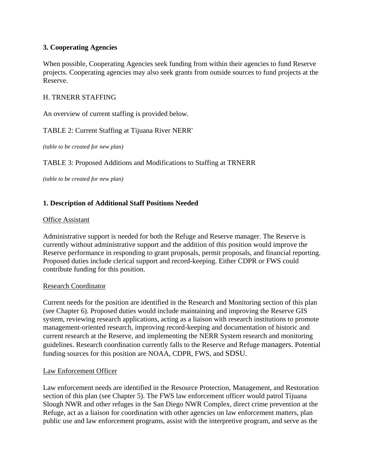## **3. Cooperating Agencies**

When possible, Cooperating Agencies seek funding from within their agencies to fund Reserve projects. Cooperating agencies may also seek grants from outside sources to fund projects at the Reserve.

#### H. TRNERR STAFFING

An overview of current staffing is provided below.

#### TABLE 2: Current Staffing at Tijuana River NERR'

*(table to be created for new plan)*

TABLE 3: Proposed Additions and Modifications to Staffing at TRNERR

*(table to be created for new plan)*

#### **1. Description of Additional Staff Positions Needed**

#### Office Assistant

Administrative support is needed for both the Refuge and Reserve manager. The Reserve is currently without administrative support and the addition of this position would improve the Reserve performance in responding to grant proposals, permit proposals, and financial reporting. Proposed duties include clerical support and record-keeping. Either CDPR or FWS could contribute funding for this position.

#### Research Coordinator

Current needs for the position are identified in the Research and Monitoring section of this plan (see Chapter 6). Proposed duties would include maintaining and improving the Reserve GIS system, reviewing research applications, acting as a liaison with research institutions to promote management-oriented research, improving record-keeping and documentation of historic and current research at the Reserve, and implementing the NERR System research and monitoring guidelines. Research coordination currently falls to the Reserve and Refuge managers. Potential funding sources for this position are NOAA, CDPR, FWS, and SDSU.

#### Law Enforcement Officer

Law enforcement needs are identified in the Resource Protection, Management, and Restoration section of this plan (see Chapter 5). The FWS law enforcement officer would patrol Tijuana Slough NWR and other refuges in the San Diego NWR Complex, direct crime prevention at the Refuge, act as a liaison for coordination with other agencies on law enforcement matters, plan public use and law enforcement programs, assist with the interpretive program, and serve as the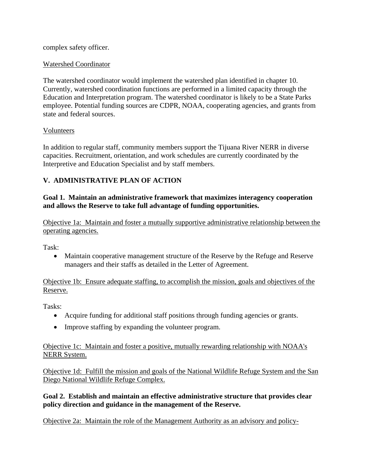complex safety officer.

## Watershed Coordinator

The watershed coordinator would implement the watershed plan identified in chapter 10. Currently, watershed coordination functions are performed in a limited capacity through the Education and Interpretation program. The watershed coordinator is likely to be a State Parks employee. Potential funding sources are CDPR, NOAA, cooperating agencies, and grants from state and federal sources.

## Volunteers

In addition to regular staff, community members support the Tijuana River NERR in diverse capacities. Recruitment, orientation, and work schedules are currently coordinated by the Interpretive and Education Specialist and by staff members.

# **V. ADMINISTRATIVE PLAN OF ACTION**

**Goal 1. Maintain an administrative framework that maximizes interagency cooperation and allows the Reserve to take full advantage of funding opportunities.** 

Objective 1a: Maintain and foster a mutually supportive administrative relationship between the operating agencies.

Task:

• Maintain cooperative management structure of the Reserve by the Refuge and Reserve managers and their staffs as detailed in the Letter of Agreement.

Objective 1b: Ensure adequate staffing, to accomplish the mission, goals and objectives of the Reserve.

Tasks:

- Acquire funding for additional staff positions through funding agencies or grants.
- Improve staffing by expanding the volunteer program.

Objective 1c: Maintain and foster a positive, mutually rewarding relationship with NOAA's NERR System.

Objective 1d: Fulfill the mission and goals of the National Wildlife Refuge System and the San Diego National Wildlife Refuge Complex.

## **Goal 2. Establish and maintain an effective administrative structure that provides clear policy direction and guidance in the management of the Reserve.**

Objective 2a: Maintain the role of the Management Authority as an advisory and policy-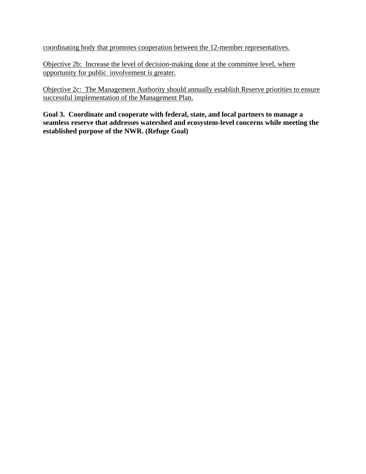coordinating body that promotes cooperation between the 12-member representatives.

Objective 2b: Increase the level of decision-making done at the committee level, where opportunity for public involvement is greater.

Objective 2c: The Management Authority should annually establish Reserve priorities to ensure successful implementation of the Management Plan.

**Goal 3. Coordinate and cooperate with federal, state, and local partners to manage a seamless reserve that addresses watershed and ecosystem-level concerns while meeting the established purpose of the NWR. (Refuge Goal)**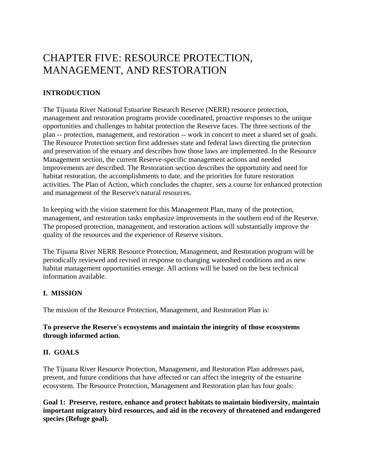# CHAPTER FIVE: RESOURCE PROTECTION, MANAGEMENT, AND RESTORATION

# **INTRODUCTION**

The Tijuana River National Estuarine Research Reserve (NERR) resource protection, management and restoration programs provide coordinated, proactive responses to the unique opportunities and challenges to habitat protection the Reserve faces. The three sections of the plan -- protection, management, and restoration -- work in concert to meet a shared set of goals. The Resource Protection section first addresses state and federal laws directing the protection and preservation of the estuary and describes how those laws are implemented. In the Resource Management section, the current Reserve-specific management actions and needed improvements are described. The Restoration section describes the opportunity and need for habitat restoration, the accomplishments to date, and the priorities for future restoration activities. The Plan of Action, which concludes the chapter, sets a course for enhanced protection and management of the Reserve's natural resources.

In keeping with the vision statement for this Management Plan, many of the protection, management, and restoration tasks emphasize improvements in the southern end of the Reserve. The proposed protection, management, and restoration actions will substantially improve the quality of the resources and the experience of Reserve visitors.

The Tijuana River NERR Resource Protection, Management, and Restoration program will be periodically reviewed and revised in response to changing watershed conditions and as new habitat management opportunities emerge. All actions will be based on the best technical information available.

# **I. MISSION**

The mission of the Resource Protection, Management, and Restoration Plan is:

## **To preserve the Reserve's ecosystems and maintain the integrity of those ecosystems through informed action.**

# **II. GOALS**

The Tijuana River Resource Protection, Management, and Restoration Plan addresses past, present, and future conditions that have affected or can affect the integrity of the estuarine ecosystem. The Resource Protection, Management and Restoration plan has four goals:

**Goal 1: Preserve, restore, enhance and protect habitats to maintain biodiversity, maintain important migratory bird resources, and aid in the recovery of threatened and endangered species (Refuge goal).**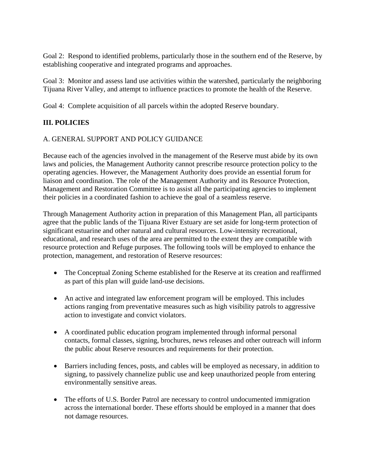Goal 2:Respond to identified problems, particularly those in the southern end of the Reserve, by establishing cooperative and integrated programs and approaches.

Goal 3: Monitor and assess land use activities within the watershed, particularly the neighboring Tijuana River Valley, and attempt to influence practices to promote the health of the Reserve.

Goal 4: Complete acquisition of all parcels within the adopted Reserve boundary.

# **III. POLICIES**

## A. GENERAL SUPPORT AND POLICY GUIDANCE

Because each of the agencies involved in the management of the Reserve must abide by its own laws and policies, the Management Authority cannot prescribe resource protection policy to the operating agencies. However, the Management Authority does provide an essential forum for liaison and coordination. The role of the Management Authority and its Resource Protection, Management and Restoration Committee is to assist all the participating agencies to implement their policies in a coordinated fashion to achieve the goal of a seamless reserve.

Through Management Authority action in preparation of this Management Plan, all participants agree that the public lands of the Tijuana River Estuary are set aside for long-term protection of significant estuarine and other natural and cultural resources. Low-intensity recreational, educational, and research uses of the area are permitted to the extent they are compatible with resource protection and Refuge purposes. The following tools will be employed to enhance the protection, management, and restoration of Reserve resources:

- The Conceptual Zoning Scheme established for the Reserve at its creation and reaffirmed as part of this plan will guide land-use decisions.
- An active and integrated law enforcement program will be employed. This includes actions ranging from preventative measures such as high visibility patrols to aggressive action to investigate and convict violators.
- A coordinated public education program implemented through informal personal contacts, formal classes, signing, brochures, news releases and other outreach will inform the public about Reserve resources and requirements for their protection.
- Barriers including fences, posts, and cables will be employed as necessary, in addition to signing, to passively channelize public use and keep unauthorized people from entering environmentally sensitive areas.
- The efforts of U.S. Border Patrol are necessary to control undocumented immigration across the international border. These efforts should be employed in a manner that does not damage resources.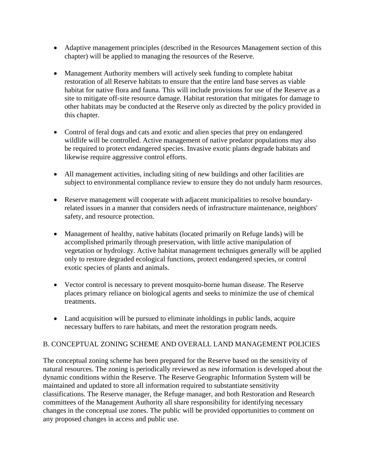- Adaptive management principles (described in the Resources Management section of this chapter) will be applied to managing the resources of the Reserve.
- Management Authority members will actively seek funding to complete habitat restoration of all Reserve habitats to ensure that the entire land base serves as viable habitat for native flora and fauna. This will include provisions for use of the Reserve as a site to mitigate off-site resource damage. Habitat restoration that mitigates for damage to other habitats may be conducted at the Reserve only as directed by the policy provided in this chapter.
- Control of feral dogs and cats and exotic and alien species that prey on endangered wildlife will be controlled. Active management of native predator populations may also be required to protect endangered species. Invasive exotic plants degrade habitats and likewise require aggressive control efforts.
- All management activities, including siting of new buildings and other facilities are subject to environmental compliance review to ensure they do not unduly harm resources.
- Reserve management will cooperate with adjacent municipalities to resolve boundaryrelated issues in a manner that considers needs of infrastructure maintenance, neighbors' safety, and resource protection.
- Management of healthy, native habitats (located primarily on Refuge lands) will be accomplished primarily through preservation, with little active manipulation of vegetation or hydrology. Active habitat management techniques generally will be applied only to restore degraded ecological functions, protect endangered species, or control exotic species of plants and animals.
- Vector control is necessary to prevent mosquito-borne human disease. The Reserve places primary reliance on biological agents and seeks to minimize the use of chemical treatments.
- Land acquisition will be pursued to eliminate inholdings in public lands, acquire necessary buffers to rare habitats, and meet the restoration program needs.

# B. CONCEPTUAL ZONING SCHEME AND OVERALL LAND MANAGEMENT POLICIES

The conceptual zoning scheme has been prepared for the Reserve based on the sensitivity of natural resources. The zoning is periodically reviewed as new information is developed about the dynamic conditions within the Reserve. The Reserve Geographic Information System will be maintained and updated to store all information required to substantiate sensitivity classifications. The Reserve manager, the Refuge manager, and both Restoration and Research committees of the Management Authority all share responsibility for identifying necessary changes in the conceptual use zones. The public will be provided opportunities to comment on any proposed changes in access and public use.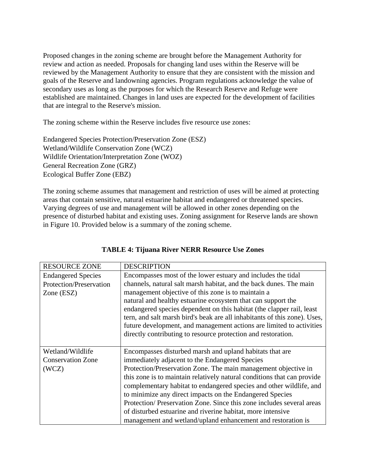Proposed changes in the zoning scheme are brought before the Management Authority for review and action as needed. Proposals for changing land uses within the Reserve will be reviewed by the Management Authority to ensure that they are consistent with the mission and goals of the Reserve and landowning agencies. Program regulations acknowledge the value of secondary uses as long as the purposes for which the Research Reserve and Refuge were established are maintained. Changes in land uses are expected for the development of facilities that are integral to the Reserve's mission.

The zoning scheme within the Reserve includes five resource use zones:

Endangered Species Protection/Preservation Zone (ESZ) Wetland/Wildlife Conservation Zone (WCZ) Wildlife Orientation/Interpretation Zone (WOZ) General Recreation Zone (GRZ) Ecological Buffer Zone (EBZ)

The zoning scheme assumes that management and restriction of uses will be aimed at protecting areas that contain sensitive, natural estuarine habitat and endangered or threatened species. Varying degrees of use and management will be allowed in other zones depending on the presence of disturbed habitat and existing uses. Zoning assignment for Reserve lands are shown in Figure 10. Provided below is a summary of the zoning scheme.

| <b>RESOURCE ZONE</b>      | <b>DESCRIPTION</b>                                                        |
|---------------------------|---------------------------------------------------------------------------|
| <b>Endangered Species</b> | Encompasses most of the lower estuary and includes the tidal              |
| Protection/Preservation   | channels, natural salt marsh habitat, and the back dunes. The main        |
| Zone (ESZ)                | management objective of this zone is to maintain a                        |
|                           | natural and healthy estuarine ecosystem that can support the              |
|                           | endangered species dependent on this habitat (the clapper rail, least     |
|                           | tern, and salt marsh bird's beak are all inhabitants of this zone). Uses, |
|                           | future development, and management actions are limited to activities      |
|                           | directly contributing to resource protection and restoration.             |
|                           |                                                                           |
| Wetland/Wildlife          | Encompasses disturbed marsh and upland habitats that are                  |
| <b>Conservation Zone</b>  | immediately adjacent to the Endangered Species                            |
| (WCZ)                     | Protection/Preservation Zone. The main management objective in            |
|                           | this zone is to maintain relatively natural conditions that can provide   |
|                           | complementary habitat to endangered species and other wildlife, and       |
|                           | to minimize any direct impacts on the Endangered Species                  |
|                           | Protection/Preservation Zone. Since this zone includes several areas      |
|                           | of disturbed estuarine and riverine habitat, more intensive               |
|                           | management and wetland/upland enhancement and restoration is              |

## **TABLE 4: Tijuana River NERR Resource Use Zones**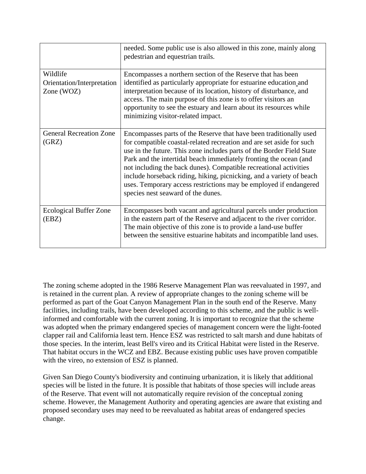|                                                      | needed. Some public use is also allowed in this zone, mainly along<br>pedestrian and equestrian trails.                                                                                                                                                                                                                                                                                                                                                                                                                                          |
|------------------------------------------------------|--------------------------------------------------------------------------------------------------------------------------------------------------------------------------------------------------------------------------------------------------------------------------------------------------------------------------------------------------------------------------------------------------------------------------------------------------------------------------------------------------------------------------------------------------|
| Wildlife<br>Orientation/Interpretation<br>Zone (WOZ) | Encompasses a northern section of the Reserve that has been<br>identified as particularly appropriate for estuarine education and<br>interpretation because of its location, history of disturbance, and<br>access. The main purpose of this zone is to offer visitors an<br>opportunity to see the estuary and learn about its resources while<br>minimizing visitor-related impact.                                                                                                                                                            |
| <b>General Recreation Zone</b><br>(GRZ)              | Encompasses parts of the Reserve that have been traditionally used<br>for compatible coastal-related recreation and are set aside for such<br>use in the future. This zone includes parts of the Border Field State<br>Park and the intertidal beach immediately fronting the ocean (and<br>not including the back dunes). Compatible recreational activities<br>include horseback riding, hiking, picnicking, and a variety of beach<br>uses. Temporary access restrictions may be employed if endangered<br>species nest seaward of the dunes. |
| <b>Ecological Buffer Zone</b><br>(EBZ)               | Encompasses both vacant and agricultural parcels under production<br>in the eastern part of the Reserve and adjacent to the river corridor.<br>The main objective of this zone is to provide a land-use buffer<br>between the sensitive estuarine habitats and incompatible land uses.                                                                                                                                                                                                                                                           |

The zoning scheme adopted in the 1986 Reserve Management Plan was reevaluated in 1997, and is retained in the current plan. A review of appropriate changes to the zoning scheme will be performed as part of the Goat Canyon Management Plan in the south end of the Reserve. Many facilities, including trails, have been developed according to this scheme, and the public is wellinformed and comfortable with the current zoning. It is important to recognize that the scheme was adopted when the primary endangered species of management concern were the light-footed clapper rail and California least tern. Hence ESZ was restricted to salt marsh and dune habitats of those species. In the interim, least Bell's vireo and its Critical Habitat were listed in the Reserve. That habitat occurs in the WCZ and EBZ. Because existing public uses have proven compatible with the vireo, no extension of ESZ is planned.

Given San Diego County's biodiversity and continuing urbanization, it is likely that additional species will be listed in the future. It is possible that habitats of those species will include areas of the Reserve. That event will not automatically require revision of the conceptual zoning scheme. However, the Management Authority and operating agencies are aware that existing and proposed secondary uses may need to be reevaluated as habitat areas of endangered species change.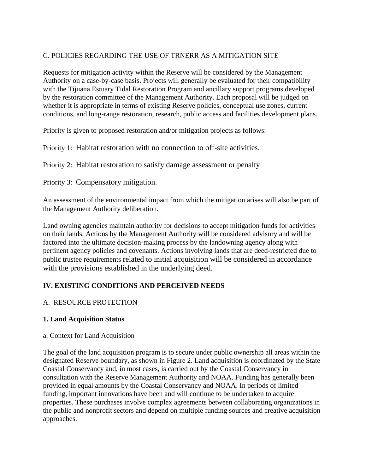# C. POLICIES REGARDING THE USE OF TRNERR AS A MITIGATION SITE

Requests for mitigation activity within the Reserve will be considered by the Management Authority on a case-by-case basis. Projects will generally be evaluated for their compatibility with the Tijuana Estuary Tidal Restoration Program and ancillary support programs developed by the restoration committee of the Management Authority. Each proposal will be judged on whether it is appropriate in terms of existing Reserve policies, conceptual use zones, current conditions, and long-range restoration, research, public access and facilities development plans.

Priority is given to proposed restoration and/or mitigation projects as follows:

Priority 1: Habitat restoration with no connection to off-site activities.

Priority 2:Habitat restoration to satisfy damage assessment or penalty

Priority 3: Compensatory mitigation.

An assessment of the environmental impact from which the mitigation arises will also be part of the Management Authority deliberation.

Land owning agencies maintain authority for decisions to accept mitigation funds for activities on their lands. Actions by the Management Authority will be considered advisory and will be factored into the ultimate decision-making process by the landowning agency along with pertinent agency policies and covenants. Actions involving lands that are deed-restricted due to public trustee requirements related to initial acquisition will be considered in accordance with the provisions established in the underlying deed.

## **IV. EXISTING CONDITIONS AND PERCEIVED NEEDS**

## A. RESOURCE PROTECTION

## **1. Land Acquisition Status**

#### a. Context for Land Acquisition

The goal of the land acquisition program is to secure under public ownership all areas within the designated Reserve boundary, as shown in Figure 2. Land acquisition is coordinated by the State Coastal Conservancy and, in most cases, is carried out by the Coastal Conservancy in consultation with the Reserve Management Authority and NOAA. Funding has generally been provided in equal amounts by the Coastal Conservancy and NOAA. In periods of limited funding, important innovations have been and will continue to be undertaken to acquire properties. These purchases involve complex agreements between collaborating organizations in the public and nonprofit sectors and depend on multiple funding sources and creative acquisition approaches.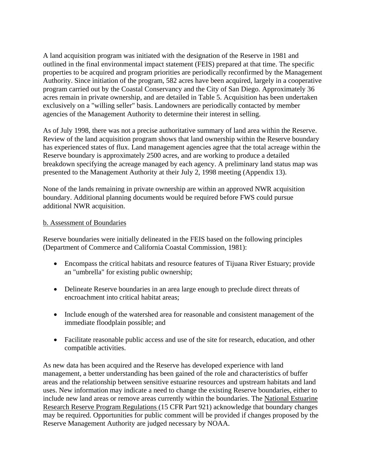A land acquisition program was initiated with the designation of the Reserve in 1981 and outlined in the final environmental impact statement (FEIS) prepared at that time. The specific properties to be acquired and program priorities are periodically reconfirmed by the Management Authority. Since initiation of the program, 582 acres have been acquired, largely in a cooperative program carried out by the Coastal Conservancy and the City of San Diego. Approximately 36 acres remain in private ownership, and are detailed in Table 5. Acquisition has been undertaken exclusively on a "willing seller" basis. Landowners are periodically contacted by member agencies of the Management Authority to determine their interest in selling.

As of July 1998, there was not a precise authoritative summary of land area within the Reserve. Review of the land acquisition program shows that land ownership within the Reserve boundary has experienced states of flux. Land management agencies agree that the total acreage within the Reserve boundary is approximately 2500 acres, and are working to produce a detailed breakdown specifying the acreage managed by each agency. A preliminary land status map was presented to the Management Authority at their July 2, 1998 meeting (Appendix 13).

None of the lands remaining in private ownership are within an approved NWR acquisition boundary. Additional planning documents would be required before FWS could pursue additional NWR acquisition.

#### b. Assessment of Boundaries

Reserve boundaries were initially delineated in the FEIS based on the following principles (Department of Commerce and California Coastal Commission, 1981):

- Encompass the critical habitats and resource features of Tijuana River Estuary; provide an "umbrella" for existing public ownership;
- Delineate Reserve boundaries in an area large enough to preclude direct threats of encroachment into critical habitat areas;
- Include enough of the watershed area for reasonable and consistent management of the immediate floodplain possible; and
- Facilitate reasonable public access and use of the site for research, education, and other compatible activities.

As new data has been acquired and the Reserve has developed experience with land management, a better understanding has been gained of the role and characteristics of buffer areas and the relationship between sensitive estuarine resources and upstream habitats and land uses. New information may indicate a need to change the existing Reserve boundaries, either to include new land areas or remove areas currently within the boundaries. The National Estuarine Research Reserve Program Regulations (15 CFR Part 921) acknowledge that boundary changes may be required. Opportunities for public comment will be provided if changes proposed by the Reserve Management Authority are judged necessary by NOAA.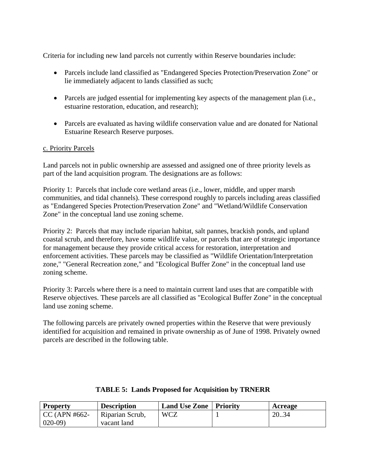Criteria for including new land parcels not currently within Reserve boundaries include:

- Parcels include land classified as "Endangered Species Protection/Preservation Zone" or lie immediately adjacent to lands classified as such;
- Parcels are judged essential for implementing key aspects of the management plan (i.e., estuarine restoration, education, and research);
- Parcels are evaluated as having wildlife conservation value and are donated for National Estuarine Research Reserve purposes.

#### c. Priority Parcels

Land parcels not in public ownership are assessed and assigned one of three priority levels as part of the land acquisition program. The designations are as follows:

Priority 1: Parcels that include core wetland areas (i.e., lower, middle, and upper marsh communities, and tidal channels). These correspond roughly to parcels including areas classified as "Endangered Species Protection/Preservation Zone" and "Wetland/Wildlife Conservation Zone" in the conceptual land use zoning scheme.

Priority 2: Parcels that may include riparian habitat, salt pannes, brackish ponds, and upland coastal scrub, and therefore, have some wildlife value, or parcels that are of strategic importance for management because they provide critical access for restoration, interpretation and enforcement activities. These parcels may be classified as "Wildlife Orientation/Interpretation zone," "General Recreation zone," and "Ecological Buffer Zone" in the conceptual land use zoning scheme.

Priority 3: Parcels where there is a need to maintain current land uses that are compatible with Reserve objectives. These parcels are all classified as "Ecological Buffer Zone" in the conceptual land use zoning scheme.

The following parcels are privately owned properties within the Reserve that were previously identified for acquisition and remained in private ownership as of June of 1998. Privately owned parcels are described in the following table.

| <b>Property</b> | <b>Description</b> | <b>Land Use Zone</b>   Priority | Acreage |
|-----------------|--------------------|---------------------------------|---------|
| $CC (APN #662-$ | Riparian Scrub,    | <b>WCZ</b>                      | 20.34   |
| $020-09$        | vacant land        |                                 |         |

#### **TABLE 5: Lands Proposed for Acquisition by TRNERR**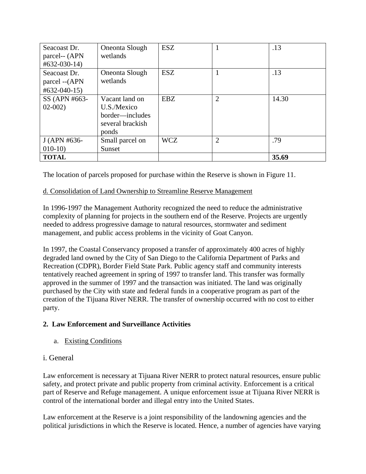| Seacoast Dr.<br>parcel-- (APN<br>$\text{\#}632 - 030 - 14$ | Oneonta Slough<br>wetlands                                                    | <b>ESZ</b> |                | .13   |
|------------------------------------------------------------|-------------------------------------------------------------------------------|------------|----------------|-------|
| Seacoast Dr.<br>parcel -- (APN<br>$#632-040-15)$           | Oneonta Slough<br>wetlands                                                    | <b>ESZ</b> |                | .13   |
| SS (APN #663-<br>$02-002$                                  | Vacant land on<br>U.S./Mexico<br>border—includes<br>several brackish<br>ponds | <b>EBZ</b> | $\overline{2}$ | 14.30 |
| J (APN #636-                                               | Small parcel on                                                               | <b>WCZ</b> | $\overline{2}$ | .79   |
| $010-10$                                                   | Sunset                                                                        |            |                |       |
| <b>TOTAL</b>                                               |                                                                               |            |                | 35.69 |

The location of parcels proposed for purchase within the Reserve is shown in Figure 11.

# d. Consolidation of Land Ownership to Streamline Reserve Management

In 1996-1997 the Management Authority recognized the need to reduce the administrative complexity of planning for projects in the southern end of the Reserve. Projects are urgently needed to address progressive damage to natural resources, stormwater and sediment management, and public access problems in the vicinity of Goat Canyon.

In 1997, the Coastal Conservancy proposed a transfer of approximately 400 acres of highly degraded land owned by the City of San Diego to the California Department of Parks and Recreation (CDPR), Border Field State Park. Public agency staff and community interests tentatively reached agreement in spring of 1997 to transfer land. This transfer was formally approved in the summer of 1997 and the transaction was initiated. The land was originally purchased by the City with state and federal funds in a cooperative program as part of the creation of the Tijuana River NERR. The transfer of ownership occurred with no cost to either party.

# **2. Law Enforcement and Surveillance Activities**

a. Existing Conditions

# i. General

Law enforcement is necessary at Tijuana River NERR to protect natural resources, ensure public safety, and protect private and public property from criminal activity. Enforcement is a critical part of Reserve and Refuge management. A unique enforcement issue at Tijuana River NERR is control of the international border and illegal entry into the United States.

Law enforcement at the Reserve is a joint responsibility of the landowning agencies and the political jurisdictions in which the Reserve is located. Hence, a number of agencies have varying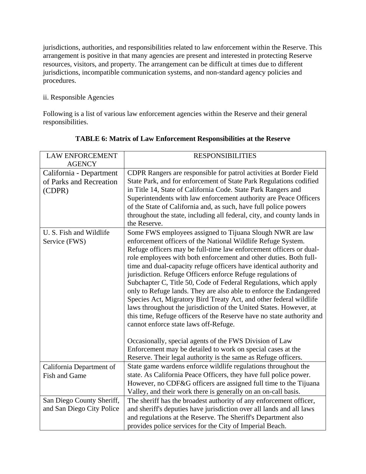jurisdictions, authorities, and responsibilities related to law enforcement within the Reserve. This arrangement is positive in that many agencies are present and interested in protecting Reserve resources, visitors, and property. The arrangement can be difficult at times due to different jurisdictions, incompatible communication systems, and non-standard agency policies and procedures.

# ii. Responsible Agencies

Following is a list of various law enforcement agencies within the Reserve and their general responsibilities.

| <b>LAW ENFORCEMENT</b>                   | <b>RESPONSIBILITIES</b>                                                                                                                  |
|------------------------------------------|------------------------------------------------------------------------------------------------------------------------------------------|
| <b>AGENCY</b>                            |                                                                                                                                          |
| California - Department                  | CDPR Rangers are responsible for patrol activities at Border Field                                                                       |
| of Parks and Recreation                  | State Park, and for enforcement of State Park Regulations codified                                                                       |
| (CDPR)                                   | in Title 14, State of California Code. State Park Rangers and                                                                            |
|                                          | Superintendents with law enforcement authority are Peace Officers                                                                        |
|                                          | of the State of California and, as such, have full police powers                                                                         |
|                                          | throughout the state, including all federal, city, and county lands in                                                                   |
|                                          | the Reserve.                                                                                                                             |
| U. S. Fish and Wildlife<br>Service (FWS) | Some FWS employees assigned to Tijuana Slough NWR are law<br>enforcement officers of the National Wildlife Refuge System.                |
|                                          | Refuge officers may be full-time law enforcement officers or dual-                                                                       |
|                                          | role employees with both enforcement and other duties. Both full-                                                                        |
|                                          | time and dual-capacity refuge officers have identical authority and                                                                      |
|                                          | jurisdiction. Refuge Officers enforce Refuge regulations of                                                                              |
|                                          | Subchapter C, Title 50, Code of Federal Regulations, which apply                                                                         |
|                                          | only to Refuge lands. They are also able to enforce the Endangered                                                                       |
|                                          | Species Act, Migratory Bird Treaty Act, and other federal wildlife<br>laws throughout the jurisdiction of the United States. However, at |
|                                          | this time, Refuge officers of the Reserve have no state authority and                                                                    |
|                                          | cannot enforce state laws off-Refuge.                                                                                                    |
|                                          |                                                                                                                                          |
|                                          | Occasionally, special agents of the FWS Division of Law                                                                                  |
|                                          | Enforcement may be detailed to work on special cases at the                                                                              |
|                                          | Reserve. Their legal authority is the same as Refuge officers.                                                                           |
| California Department of                 | State game wardens enforce wildlife regulations throughout the                                                                           |
| Fish and Game                            | state. As California Peace Officers, they have full police power.                                                                        |
|                                          | However, no CDF&G officers are assigned full time to the Tijuana                                                                         |
|                                          | Valley, and their work there is generally on an on-call basis.                                                                           |
| San Diego County Sheriff,                | The sheriff has the broadest authority of any enforcement officer,                                                                       |
| and San Diego City Police                | and sheriff's deputies have jurisdiction over all lands and all laws                                                                     |
|                                          | and regulations at the Reserve. The Sheriff's Department also                                                                            |
|                                          | provides police services for the City of Imperial Beach.                                                                                 |

# **TABLE 6: Matrix of Law Enforcement Responsibilities at the Reserve**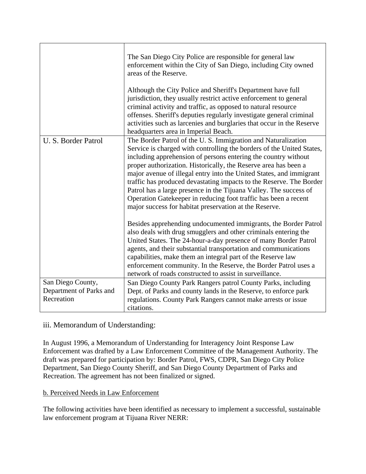|                                                            | The San Diego City Police are responsible for general law<br>enforcement within the City of San Diego, including City owned<br>areas of the Reserve.<br>Although the City Police and Sheriff's Department have full<br>jurisdiction, they usually restrict active enforcement to general<br>criminal activity and traffic, as opposed to natural resource<br>offenses. Sheriff's deputies regularly investigate general criminal<br>activities such as larcenies and burglaries that occur in the Reserve<br>headquarters area in Imperial Beach.                                                                          |
|------------------------------------------------------------|----------------------------------------------------------------------------------------------------------------------------------------------------------------------------------------------------------------------------------------------------------------------------------------------------------------------------------------------------------------------------------------------------------------------------------------------------------------------------------------------------------------------------------------------------------------------------------------------------------------------------|
| U. S. Border Patrol                                        | The Border Patrol of the U.S. Immigration and Naturalization<br>Service is charged with controlling the borders of the United States,<br>including apprehension of persons entering the country without<br>proper authorization. Historically, the Reserve area has been a<br>major avenue of illegal entry into the United States, and immigrant<br>traffic has produced devastating impacts to the Reserve. The Border<br>Patrol has a large presence in the Tijuana Valley. The success of<br>Operation Gatekeeper in reducing foot traffic has been a recent<br>major success for habitat preservation at the Reserve. |
|                                                            | Besides apprehending undocumented immigrants, the Border Patrol<br>also deals with drug smugglers and other criminals entering the<br>United States. The 24-hour-a-day presence of many Border Patrol<br>agents, and their substantial transportation and communications<br>capabilities, make them an integral part of the Reserve law<br>enforcement community. In the Reserve, the Border Patrol uses a<br>network of roads constructed to assist in surveillance.                                                                                                                                                      |
| San Diego County,<br>Department of Parks and<br>Recreation | San Diego County Park Rangers patrol County Parks, including<br>Dept. of Parks and county lands in the Reserve, to enforce park<br>regulations. County Park Rangers cannot make arrests or issue<br>citations.                                                                                                                                                                                                                                                                                                                                                                                                             |

# iii. Memorandum of Understanding:

In August 1996, a Memorandum of Understanding for Interagency Joint Response Law Enforcement was drafted by a Law Enforcement Committee of the Management Authority. The draft was prepared for participation by: Border Patrol, FWS, CDPR, San Diego City Police Department, San Diego County Sheriff, and San Diego County Department of Parks and Recreation. The agreement has not been finalized or signed.

# b. Perceived Needs in Law Enforcement

The following activities have been identified as necessary to implement a successful, sustainable law enforcement program at Tijuana River NERR: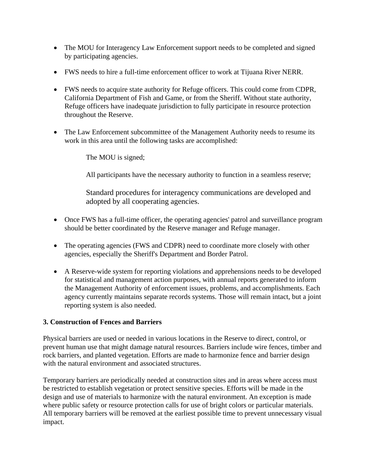- The MOU for Interagency Law Enforcement support needs to be completed and signed by participating agencies.
- FWS needs to hire a full-time enforcement officer to work at Tijuana River NERR.
- FWS needs to acquire state authority for Refuge officers. This could come from CDPR, California Department of Fish and Game, or from the Sheriff. Without state authority, Refuge officers have inadequate jurisdiction to fully participate in resource protection throughout the Reserve.
- The Law Enforcement subcommittee of the Management Authority needs to resume its work in this area until the following tasks are accomplished:

The MOU is signed;

All participants have the necessary authority to function in a seamless reserve;

Standard procedures for interagency communications are developed and adopted by all cooperating agencies.

- Once FWS has a full-time officer, the operating agencies' patrol and surveillance program should be better coordinated by the Reserve manager and Refuge manager.
- The operating agencies (FWS and CDPR) need to coordinate more closely with other agencies, especially the Sheriff's Department and Border Patrol.
- A Reserve-wide system for reporting violations and apprehensions needs to be developed for statistical and management action purposes, with annual reports generated to inform the Management Authority of enforcement issues, problems, and accomplishments. Each agency currently maintains separate records systems. Those will remain intact, but a joint reporting system is also needed.

# **3. Construction of Fences and Barriers**

Physical barriers are used or needed in various locations in the Reserve to direct, control, or prevent human use that might damage natural resources. Barriers include wire fences, timber and rock barriers, and planted vegetation. Efforts are made to harmonize fence and barrier design with the natural environment and associated structures.

Temporary barriers are periodically needed at construction sites and in areas where access must be restricted to establish vegetation or protect sensitive species. Efforts will be made in the design and use of materials to harmonize with the natural environment. An exception is made where public safety or resource protection calls for use of bright colors or particular materials. All temporary barriers will be removed at the earliest possible time to prevent unnecessary visual impact.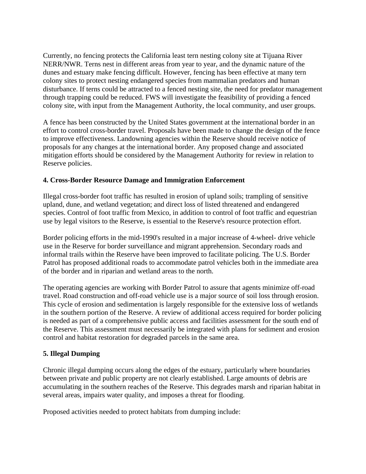Currently, no fencing protects the California least tern nesting colony site at Tijuana River NERR/NWR. Terns nest in different areas from year to year, and the dynamic nature of the dunes and estuary make fencing difficult. However, fencing has been effective at many tern colony sites to protect nesting endangered species from mammalian predators and human disturbance. If terns could be attracted to a fenced nesting site, the need for predator management through trapping could be reduced. FWS will investigate the feasibility of providing a fenced colony site, with input from the Management Authority, the local community, and user groups.

A fence has been constructed by the United States government at the international border in an effort to control cross-border travel. Proposals have been made to change the design of the fence to improve effectiveness. Landowning agencies within the Reserve should receive notice of proposals for any changes at the international border. Any proposed change and associated mitigation efforts should be considered by the Management Authority for review in relation to Reserve policies.

# **4. Cross-Border Resource Damage and Immigration Enforcement**

Illegal cross-border foot traffic has resulted in erosion of upland soils; trampling of sensitive upland, dune, and wetland vegetation; and direct loss of listed threatened and endangered species. Control of foot traffic from Mexico, in addition to control of foot traffic and equestrian use by legal visitors to the Reserve, is essential to the Reserve's resource protection effort.

Border policing efforts in the mid-1990's resulted in a major increase of 4-wheel- drive vehicle use in the Reserve for border surveillance and migrant apprehension. Secondary roads and informal trails within the Reserve have been improved to facilitate policing. The U.S. Border Patrol has proposed additional roads to accommodate patrol vehicles both in the immediate area of the border and in riparian and wetland areas to the north.

The operating agencies are working with Border Patrol to assure that agents minimize off-road travel. Road construction and off-road vehicle use is a major source of soil loss through erosion. This cycle of erosion and sedimentation is largely responsible for the extensive loss of wetlands in the southern portion of the Reserve. A review of additional access required for border policing is needed as part of a comprehensive public access and facilities assessment for the south end of the Reserve. This assessment must necessarily be integrated with plans for sediment and erosion control and habitat restoration for degraded parcels in the same area.

# **5. Illegal Dumping**

Chronic illegal dumping occurs along the edges of the estuary, particularly where boundaries between private and public property are not clearly established. Large amounts of debris are accumulating in the southern reaches of the Reserve. This degrades marsh and riparian habitat in several areas, impairs water quality, and imposes a threat for flooding.

Proposed activities needed to protect habitats from dumping include: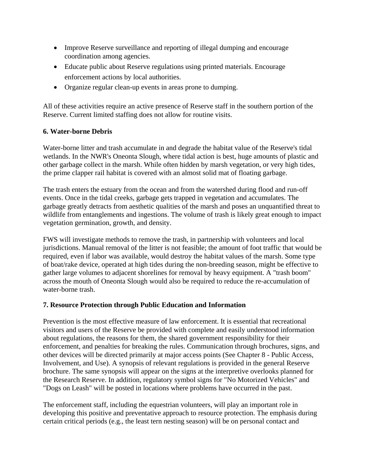- Improve Reserve surveillance and reporting of illegal dumping and encourage coordination among agencies.
- Educate public about Reserve regulations using printed materials. Encourage enforcement actions by local authorities.
- Organize regular clean-up events in areas prone to dumping.

All of these activities require an active presence of Reserve staff in the southern portion of the Reserve. Current limited staffing does not allow for routine visits.

# **6. Water-borne Debris**

Water-borne litter and trash accumulate in and degrade the habitat value of the Reserve's tidal wetlands. In the NWR's Oneonta Slough, where tidal action is best, huge amounts of plastic and other garbage collect in the marsh. While often hidden by marsh vegetation, or very high tides, the prime clapper rail habitat is covered with an almost solid mat of floating garbage.

The trash enters the estuary from the ocean and from the watershed during flood and run-off events. Once in the tidal creeks, garbage gets trapped in vegetation and accumulates. The garbage greatly detracts from aesthetic qualities of the marsh and poses an unquantified threat to wildlife from entanglements and ingestions. The volume of trash is likely great enough to impact vegetation germination, growth, and density.

FWS will investigate methods to remove the trash, in partnership with volunteers and local jurisdictions. Manual removal of the litter is not feasible; the amount of foot traffic that would be required, even if labor was available, would destroy the habitat values of the marsh. Some type of boat/rake device, operated at high tides during the non-breeding season, might be effective to gather large volumes to adjacent shorelines for removal by heavy equipment. A "trash boom" across the mouth of Oneonta Slough would also be required to reduce the re-accumulation of water-borne trash.

# **7. Resource Protection through Public Education and Information**

Prevention is the most effective measure of law enforcement. It is essential that recreational visitors and users of the Reserve be provided with complete and easily understood information about regulations, the reasons for them, the shared government responsibility for their enforcement, and penalties for breaking the rules. Communication through brochures, signs, and other devices will be directed primarily at major access points (See Chapter 8 - Public Access, Involvement, and Use). A synopsis of relevant regulations is provided in the general Reserve brochure. The same synopsis will appear on the signs at the interpretive overlooks planned for the Research Reserve. In addition, regulatory symbol signs for "No Motorized Vehicles" and "Dogs on Leash" will be posted in locations where problems have occurred in the past.

The enforcement staff, including the equestrian volunteers, will play an important role in developing this positive and preventative approach to resource protection. The emphasis during certain critical periods (e.g., the least tern nesting season) will be on personal contact and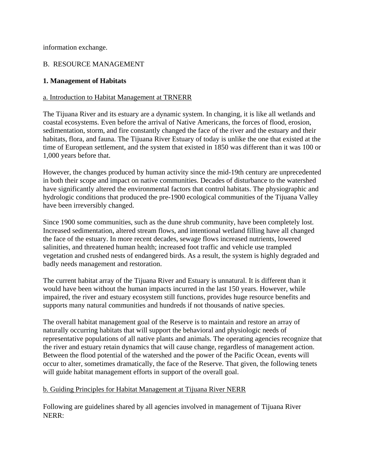information exchange.

# B. RESOURCE MANAGEMENT

#### **1. Management of Habitats**

#### a. Introduction to Habitat Management at TRNERR

The Tijuana River and its estuary are a dynamic system. In changing, it is like all wetlands and coastal ecosystems. Even before the arrival of Native Americans, the forces of flood, erosion, sedimentation, storm, and fire constantly changed the face of the river and the estuary and their habitats, flora, and fauna. The Tijuana River Estuary of today is unlike the one that existed at the time of European settlement, and the system that existed in 1850 was different than it was 100 or 1,000 years before that.

However, the changes produced by human activity since the mid-19th century are unprecedented in both their scope and impact on native communities. Decades of disturbance to the watershed have significantly altered the environmental factors that control habitats. The physiographic and hydrologic conditions that produced the pre-1900 ecological communities of the Tijuana Valley have been irreversibly changed.

Since 1900 some communities, such as the dune shrub community, have been completely lost. Increased sedimentation, altered stream flows, and intentional wetland filling have all changed the face of the estuary. In more recent decades, sewage flows increased nutrients, lowered salinities, and threatened human health; increased foot traffic and vehicle use trampled vegetation and crushed nests of endangered birds. As a result, the system is highly degraded and badly needs management and restoration.

The current habitat array of the Tijuana River and Estuary is unnatural. It is different than it would have been without the human impacts incurred in the last 150 years. However, while impaired, the river and estuary ecosystem still functions, provides huge resource benefits and supports many natural communities and hundreds if not thousands of native species.

The overall habitat management goal of the Reserve is to maintain and restore an array of naturally occurring habitats that will support the behavioral and physiologic needs of representative populations of all native plants and animals. The operating agencies recognize that the river and estuary retain dynamics that will cause change, regardless of management action. Between the flood potential of the watershed and the power of the Pacific Ocean, events will occur to alter, sometimes dramatically, the face of the Reserve. That given, the following tenets will guide habitat management efforts in support of the overall goal.

#### b. Guiding Principles for Habitat Management at Tijuana River NERR

Following are guidelines shared by all agencies involved in management of Tijuana River NERR: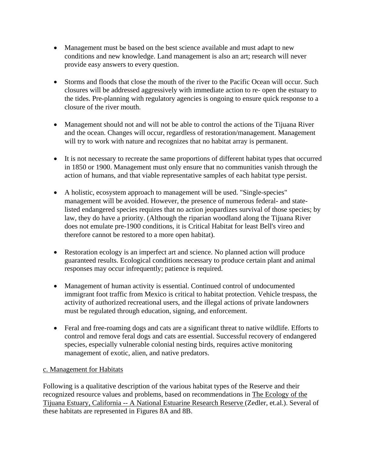- Management must be based on the best science available and must adapt to new conditions and new knowledge. Land management is also an art; research will never provide easy answers to every question.
- Storms and floods that close the mouth of the river to the Pacific Ocean will occur. Such closures will be addressed aggressively with immediate action to re- open the estuary to the tides. Pre-planning with regulatory agencies is ongoing to ensure quick response to a closure of the river mouth.
- Management should not and will not be able to control the actions of the Tijuana River and the ocean. Changes will occur, regardless of restoration/management. Management will try to work with nature and recognizes that no habitat array is permanent.
- It is not necessary to recreate the same proportions of different habitat types that occurred in 1850 or 1900. Management must only ensure that no communities vanish through the action of humans, and that viable representative samples of each habitat type persist.
- A holistic, ecosystem approach to management will be used. "Single-species" management will be avoided. However, the presence of numerous federal- and statelisted endangered species requires that no action jeopardizes survival of those species; by law, they do have a priority. (Although the riparian woodland along the Tijuana River does not emulate pre-1900 conditions, it is Critical Habitat for least Bell's vireo and therefore cannot be restored to a more open habitat).
- Restoration ecology is an imperfect art and science. No planned action will produce guaranteed results. Ecological conditions necessary to produce certain plant and animal responses may occur infrequently; patience is required.
- Management of human activity is essential. Continued control of undocumented immigrant foot traffic from Mexico is critical to habitat protection. Vehicle trespass, the activity of authorized recreational users, and the illegal actions of private landowners must be regulated through education, signing, and enforcement.
- Feral and free-roaming dogs and cats are a significant threat to native wildlife. Efforts to control and remove feral dogs and cats are essential. Successful recovery of endangered species, especially vulnerable colonial nesting birds, requires active monitoring management of exotic, alien, and native predators.

# c. Management for Habitats

Following is a qualitative description of the various habitat types of the Reserve and their recognized resource values and problems, based on recommendations in The Ecology of the Tijuana Estuary, California -- A National Estuarine Research Reserve (Zedler, et.al.). Several of these habitats are represented in Figures 8A and 8B.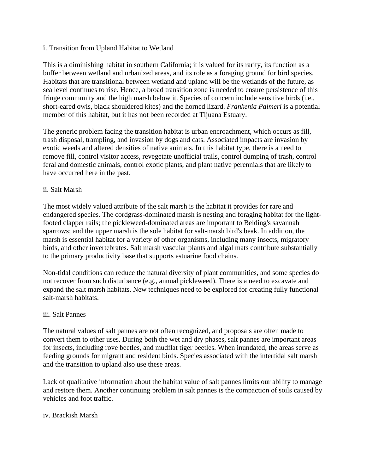#### i. Transition from Upland Habitat to Wetland

This is a diminishing habitat in southern California; it is valued for its rarity, its function as a buffer between wetland and urbanized areas, and its role as a foraging ground for bird species. Habitats that are transitional between wetland and upland will be the wetlands of the future, as sea level continues to rise. Hence, a broad transition zone is needed to ensure persistence of this fringe community and the high marsh below it. Species of concern include sensitive birds (i.e., short-eared owls, black shouldered kites) and the horned lizard. *Frankenia Palmeri* is a potential member of this habitat, but it has not been recorded at Tijuana Estuary.

The generic problem facing the transition habitat is urban encroachment, which occurs as fill, trash disposal, trampling, and invasion by dogs and cats. Associated impacts are invasion by exotic weeds and altered densities of native animals. In this habitat type, there is a need to remove fill, control visitor access, revegetate unofficial trails, control dumping of trash, control feral and domestic animals, control exotic plants, and plant native perennials that are likely to have occurred here in the past.

#### ii. Salt Marsh

The most widely valued attribute of the salt marsh is the habitat it provides for rare and endangered species. The cordgrass-dominated marsh is nesting and foraging habitat for the lightfooted clapper rails; the pickleweed-dominated areas are important to Belding's savannah sparrows; and the upper marsh is the sole habitat for salt-marsh bird's beak. In addition, the marsh is essential habitat for a variety of other organisms, including many insects, migratory birds, and other invertebrates. Salt marsh vascular plants and algal mats contribute substantially to the primary productivity base that supports estuarine food chains.

Non-tidal conditions can reduce the natural diversity of plant communities, and some species do not recover from such disturbance (e.g., annual pickleweed). There is a need to excavate and expand the salt marsh habitats. New techniques need to be explored for creating fully functional salt-marsh habitats.

#### iii. Salt Pannes

The natural values of salt pannes are not often recognized, and proposals are often made to convert them to other uses. During both the wet and dry phases, salt pannes are important areas for insects, including rove beetles, and mudflat tiger beetles. When inundated, the areas serve as feeding grounds for migrant and resident birds. Species associated with the intertidal salt marsh and the transition to upland also use these areas.

Lack of qualitative information about the habitat value of salt pannes limits our ability to manage and restore them. Another continuing problem in salt pannes is the compaction of soils caused by vehicles and foot traffic.

#### iv. Brackish Marsh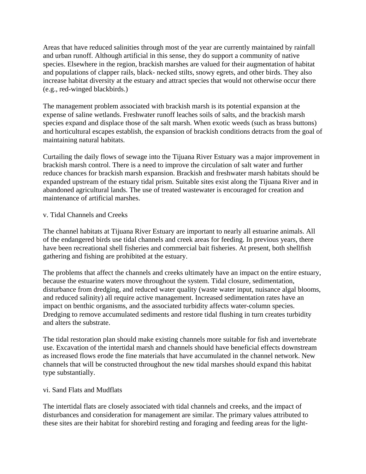Areas that have reduced salinities through most of the year are currently maintained by rainfall and urban runoff. Although artificial in this sense, they do support a community of native species. Elsewhere in the region, brackish marshes are valued for their augmentation of habitat and populations of clapper rails, black- necked stilts, snowy egrets, and other birds. They also increase habitat diversity at the estuary and attract species that would not otherwise occur there (e.g., red-winged blackbirds.)

The management problem associated with brackish marsh is its potential expansion at the expense of saline wetlands. Freshwater runoff leaches soils of salts, and the brackish marsh species expand and displace those of the salt marsh. When exotic weeds (such as brass buttons) and horticultural escapes establish, the expansion of brackish conditions detracts from the goal of maintaining natural habitats.

Curtailing the daily flows of sewage into the Tijuana River Estuary was a major improvement in brackish marsh control. There is a need to improve the circulation of salt water and further reduce chances for brackish marsh expansion. Brackish and freshwater marsh habitats should be expanded upstream of the estuary tidal prism. Suitable sites exist along the Tijuana River and in abandoned agricultural lands. The use of treated wastewater is encouraged for creation and maintenance of artificial marshes.

#### v. Tidal Channels and Creeks

The channel habitats at Tijuana River Estuary are important to nearly all estuarine animals. All of the endangered birds use tidal channels and creek areas for feeding. In previous years, there have been recreational shell fisheries and commercial bait fisheries. At present, both shellfish gathering and fishing are prohibited at the estuary.

The problems that affect the channels and creeks ultimately have an impact on the entire estuary, because the estuarine waters move throughout the system. Tidal closure, sedimentation, disturbance from dredging, and reduced water quality (waste water input, nuisance algal blooms, and reduced salinity) all require active management. Increased sedimentation rates have an impact on benthic organisms, and the associated turbidity affects water-column species. Dredging to remove accumulated sediments and restore tidal flushing in turn creates turbidity and alters the substrate.

The tidal restoration plan should make existing channels more suitable for fish and invertebrate use. Excavation of the intertidal marsh and channels should have beneficial effects downstream as increased flows erode the fine materials that have accumulated in the channel network. New channels that will be constructed throughout the new tidal marshes should expand this habitat type substantially.

#### vi. Sand Flats and Mudflats

The intertidal flats are closely associated with tidal channels and creeks, and the impact of disturbances and consideration for management are similar. The primary values attributed to these sites are their habitat for shorebird resting and foraging and feeding areas for the light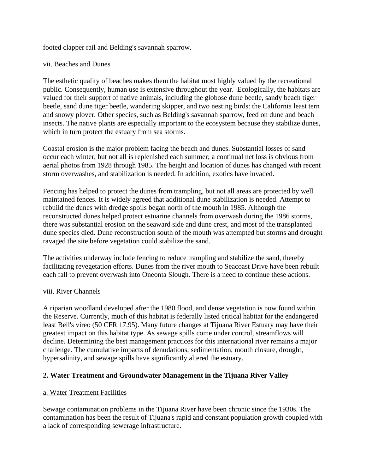footed clapper rail and Belding's savannah sparrow.

#### vii. Beaches and Dunes

The esthetic quality of beaches makes them the habitat most highly valued by the recreational public. Consequently, human use is extensive throughout the year. Ecologically, the habitats are valued for their support of native animals, including the globose dune beetle, sandy beach tiger beetle, sand dune tiger beetle, wandering skipper, and two nesting birds: the California least tern and snowy plover. Other species, such as Belding's savannah sparrow, feed on dune and beach insects. The native plants are especially important to the ecosystem because they stabilize dunes, which in turn protect the estuary from sea storms.

Coastal erosion is the major problem facing the beach and dunes. Substantial losses of sand occur each winter, but not all is replenished each summer; a continual net loss is obvious from aerial photos from 1928 through 1985. The height and location of dunes has changed with recent storm overwashes, and stabilization is needed. In addition, exotics have invaded.

Fencing has helped to protect the dunes from trampling, but not all areas are protected by well maintained fences. It is widely agreed that additional dune stabilization is needed. Attempt to rebuild the dunes with dredge spoils began north of the mouth in 1985. Although the reconstructed dunes helped protect estuarine channels from overwash during the 1986 storms, there was substantial erosion on the seaward side and dune crest, and most of the transplanted dune species died. Dune reconstruction south of the mouth was attempted but storms and drought ravaged the site before vegetation could stabilize the sand.

The activities underway include fencing to reduce trampling and stabilize the sand, thereby facilitating revegetation efforts. Dunes from the river mouth to Seacoast Drive have been rebuilt each fall to prevent overwash into Oneonta Slough. There is a need to continue these actions.

#### viii. River Channels

A riparian woodland developed after the 1980 flood, and dense vegetation is now found within the Reserve. Currently, much of this habitat is federally listed critical habitat for the endangered least Bell's vireo (50 CFR 17.95). Many future changes at Tijuana River Estuary may have their greatest impact on this habitat type. As sewage spills come under control, streamflows will decline. Determining the best management practices for this international river remains a major challenge. The cumulative impacts of denudations, sedimentation, mouth closure, drought, hypersalinity, and sewage spills have significantly altered the estuary.

# **2. Water Treatment and Groundwater Management in the Tijuana River Valley**

# a. Water Treatment Facilities

Sewage contamination problems in the Tijuana River have been chronic since the 1930s. The contamination has been the result of Tijuana's rapid and constant population growth coupled with a lack of corresponding sewerage infrastructure.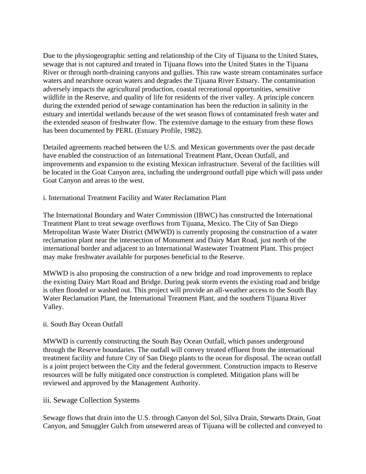Due to the physiogeographic setting and relationship of the City of Tijuana to the United States, sewage that is not captured and treated in Tijuana flows into the United States in the Tijuana River or through north-draining canyons and gullies. This raw waste stream contaminates surface waters and nearshore ocean waters and degrades the Tijuana River Estuary. The contamination adversely impacts the agricultural production, coastal recreational opportunities, sensitive wildlife in the Reserve, and quality of life for residents of the river valley. A principle concern during the extended period of sewage contamination has been the reduction in salinity in the estuary and intertidal wetlands because of the wet season flows of contaminated fresh water and the extended season of freshwater flow. The extensive damage to the estuary from these flows has been documented by PERL (Estuary Profile, 1982).

Detailed agreements reached between the U.S. and Mexican governments over the past decade have enabled the construction of an International Treatment Plant, Ocean Outfall, and improvements and expansion to the existing Mexican infrastructure. Several of the facilities will be located in the Goat Canyon area, including the underground outfall pipe which will pass under Goat Canyon and areas to the west.

i. International Treatment Facility and Water Reclamation Plant

The International Boundary and Water Commission (IBWC) has constructed the International Treatment Plant to treat sewage overflows from Tijuana, Mexico. The City of San Diego Metropolitan Waste Water District (MWWD) is currently proposing the construction of a water reclamation plant near the intersection of Monument and Dairy Mart Road, just north of the international border and adjacent to an International Wastewater Treatment Plant. This project may make freshwater available for purposes beneficial to the Reserve.

MWWD is also proposing the construction of a new bridge and road improvements to replace the existing Dairy Mart Road and Bridge. During peak storm events the existing road and bridge is often flooded or washed out. This project will provide an all-weather access to the South Bay Water Reclamation Plant, the International Treatment Plant, and the southern Tijuana River Valley.

# ii. South Bay Ocean Outfall

MWWD is currently constructing the South Bay Ocean Outfall, which passes underground through the Reserve boundaries. The outfall will convey treated effluent from the international treatment facility and future City of San Diego plants to the ocean for disposal. The ocean outfall is a joint project between the City and the federal government. Construction impacts to Reserve resources will be fully mitigated once construction is completed. Mitigation plans will be reviewed and approved by the Management Authority.

# iii. Sewage Collection Systems

Sewage flows that drain into the U.S. through Canyon del Sol, Silva Drain, Stewarts Drain, Goat Canyon, and Smuggler Gulch from unsewered areas of Tijuana will be collected and conveyed to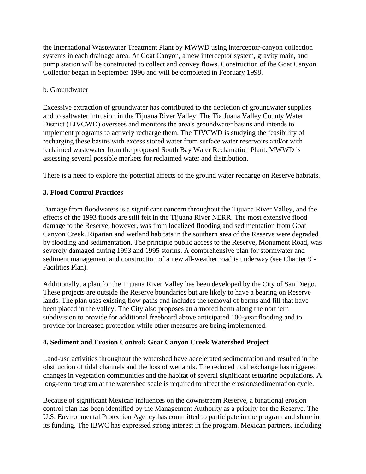the International Wastewater Treatment Plant by MWWD using interceptor-canyon collection systems in each drainage area. At Goat Canyon, a new interceptor system, gravity main, and pump station will be constructed to collect and convey flows. Construction of the Goat Canyon Collector began in September 1996 and will be completed in February 1998.

#### b. Groundwater

Excessive extraction of groundwater has contributed to the depletion of groundwater supplies and to saltwater intrusion in the Tijuana River Valley. The Tia Juana Valley County Water District (TJVCWD) oversees and monitors the area's groundwater basins and intends to implement programs to actively recharge them. The TJVCWD is studying the feasibility of recharging these basins with excess stored water from surface water reservoirs and/or with reclaimed wastewater from the proposed South Bay Water Reclamation Plant. MWWD is assessing several possible markets for reclaimed water and distribution.

There is a need to explore the potential affects of the ground water recharge on Reserve habitats.

# **3. Flood Control Practices**

Damage from floodwaters is a significant concern throughout the Tijuana River Valley, and the effects of the 1993 floods are still felt in the Tijuana River NERR. The most extensive flood damage to the Reserve, however, was from localized flooding and sedimentation from Goat Canyon Creek. Riparian and wetland habitats in the southern area of the Reserve were degraded by flooding and sedimentation. The principle public access to the Reserve, Monument Road, was severely damaged during 1993 and 1995 storms. A comprehensive plan for stormwater and sediment management and construction of a new all-weather road is underway (see Chapter 9 - Facilities Plan).

Additionally, a plan for the Tijuana River Valley has been developed by the City of San Diego. These projects are outside the Reserve boundaries but are likely to have a bearing on Reserve lands. The plan uses existing flow paths and includes the removal of berms and fill that have been placed in the valley. The City also proposes an armored berm along the northern subdivision to provide for additional freeboard above anticipated 100-year flooding and to provide for increased protection while other measures are being implemented.

# **4. Sediment and Erosion Control: Goat Canyon Creek Watershed Project**

Land-use activities throughout the watershed have accelerated sedimentation and resulted in the obstruction of tidal channels and the loss of wetlands. The reduced tidal exchange has triggered changes in vegetation communities and the habitat of several significant estuarine populations. A long-term program at the watershed scale is required to affect the erosion/sedimentation cycle.

Because of significant Mexican influences on the downstream Reserve, a binational erosion control plan has been identified by the Management Authority as a priority for the Reserve. The U.S. Environmental Protection Agency has committed to participate in the program and share in its funding. The IBWC has expressed strong interest in the program. Mexican partners, including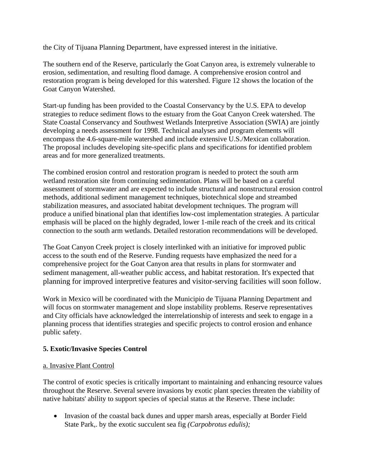the City of Tijuana Planning Department, have expressed interest in the initiative.

The southern end of the Reserve, particularly the Goat Canyon area, is extremely vulnerable to erosion, sedimentation, and resulting flood damage. A comprehensive erosion control and restoration program is being developed for this watershed. Figure 12 shows the location of the Goat Canyon Watershed.

Start-up funding has been provided to the Coastal Conservancy by the U.S. EPA to develop strategies to reduce sediment flows to the estuary from the Goat Canyon Creek watershed. The State Coastal Conservancy and Southwest Wetlands Interpretive Association (SWIA) are jointly developing a needs assessment for 1998. Technical analyses and program elements will encompass the 4.6-square-mile watershed and include extensive U.S./Mexican collaboration. The proposal includes developing site-specific plans and specifications for identified problem areas and for more generalized treatments.

The combined erosion control and restoration program is needed to protect the south arm wetland restoration site from continuing sedimentation. Plans will be based on a careful assessment of stormwater and are expected to include structural and nonstructural erosion control methods, additional sediment management techniques, biotechnical slope and streambed stabilization measures, and associated habitat development techniques. The program will produce a unified binational plan that identifies low-cost implementation strategies. A particular emphasis will be placed on the highly degraded, lower 1-mile reach of the creek and its critical connection to the south arm wetlands. Detailed restoration recommendations will be developed.

The Goat Canyon Creek project is closely interlinked with an initiative for improved public access to the south end of the Reserve. Funding requests have emphasized the need for a comprehensive project for the Goat Canyon area that results in plans for stormwater and sediment management, all-weather public access, and habitat restoration. It's expected that planning for improved interpretive features and visitor-serving facilities will soon follow.

Work in Mexico will be coordinated with the Municipio de Tijuana Planning Department and will focus on stormwater management and slope instability problems. Reserve representatives and City officials have acknowledged the interrelationship of interests and seek to engage in a planning process that identifies strategies and specific projects to control erosion and enhance public safety.

# **5. Exotic/Invasive Species Control**

# a. Invasive Plant Control

The control of exotic species is critically important to maintaining and enhancing resource values throughout the Reserve. Several severe invasions by exotic plant species threaten the viability of native habitats' ability to support species of special status at the Reserve. These include:

• Invasion of the coastal back dunes and upper marsh areas, especially at Border Field State Park,. by the exotic succulent sea fig *(Carpobrotus edulis);*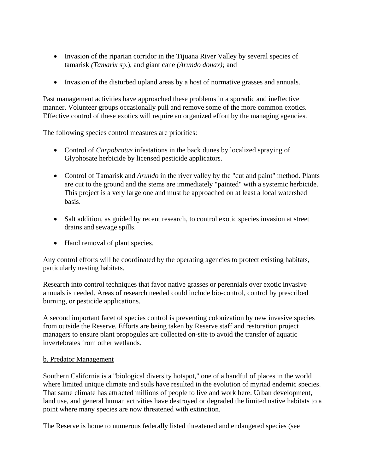- Invasion of the riparian corridor in the Tijuana River Valley by several species of tamarisk *(Tamarix* sp.), and giant cane *(Arundo donax);* and
- Invasion of the disturbed upland areas by a host of normative grasses and annuals.

Past management activities have approached these problems in a sporadic and ineffective manner. Volunteer groups occasionally pull and remove some of the more common exotics. Effective control of these exotics will require an organized effort by the managing agencies.

The following species control measures are priorities:

- Control of *Carpobrotus* infestations in the back dunes by localized spraying of Glyphosate herbicide by licensed pesticide applicators.
- Control of Tamarisk and *Arundo* in the river valley by the "cut and paint" method. Plants are cut to the ground and the stems are immediately "painted" with a systemic herbicide. This project is a very large one and must be approached on at least a local watershed basis.
- Salt addition, as guided by recent research, to control exotic species invasion at street drains and sewage spills.
- Hand removal of plant species.

Any control efforts will be coordinated by the operating agencies to protect existing habitats, particularly nesting habitats.

Research into control techniques that favor native grasses or perennials over exotic invasive annuals is needed. Areas of research needed could include bio-control, control by prescribed burning, or pesticide applications.

A second important facet of species control is preventing colonization by new invasive species from outside the Reserve. Efforts are being taken by Reserve staff and restoration project managers to ensure plant propogules are collected on-site to avoid the transfer of aquatic invertebrates from other wetlands.

#### b. Predator Management

Southern California is a "biological diversity hotspot," one of a handful of places in the world where limited unique climate and soils have resulted in the evolution of myriad endemic species. That same climate has attracted millions of people to live and work here. Urban development, land use, and general human activities have destroyed or degraded the limited native habitats to a point where many species are now threatened with extinction.

The Reserve is home to numerous federally listed threatened and endangered species (see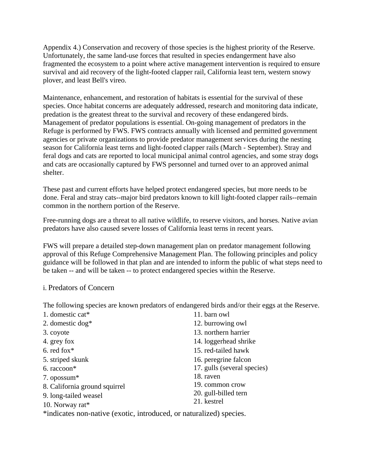Appendix 4.) Conservation and recovery of those species is the highest priority of the Reserve. Unfortunately, the same land-use forces that resulted in species endangerment have also fragmented the ecosystem to a point where active management intervention is required to ensure survival and aid recovery of the light-footed clapper rail, California least tern, western snowy plover, and least Bell's vireo.

Maintenance, enhancement, and restoration of habitats is essential for the survival of these species. Once habitat concerns are adequately addressed, research and monitoring data indicate, predation is the greatest threat to the survival and recovery of these endangered birds. Management of predator populations is essential. On-going management of predators in the Refuge is performed by FWS. FWS contracts annually with licensed and permitted government agencies or private organizations to provide predator management services during the nesting season for California least terns and light-footed clapper rails (March - September). Stray and feral dogs and cats are reported to local municipal animal control agencies, and some stray dogs and cats are occasionally captured by FWS personnel and turned over to an approved animal shelter.

These past and current efforts have helped protect endangered species, but more needs to be done. Feral and stray cats--major bird predators known to kill light-footed clapper rails--remain common in the northern portion of the Reserve.

Free-running dogs are a threat to all native wildlife, to reserve visitors, and horses. Native avian predators have also caused severe losses of California least terns in recent years.

FWS will prepare a detailed step-down management plan on predator management following approval of this Refuge Comprehensive Management Plan. The following principles and policy guidance will be followed in that plan and are intended to inform the public of what steps need to be taken -- and will be taken -- to protect endangered species within the Reserve.

# i. Predators of Concern

The following species are known predators of endangered birds and/or their eggs at the Reserve.

| 1. domestic cat*                                                    | 11. barn owl                |  |
|---------------------------------------------------------------------|-----------------------------|--|
| 2. domestic $\log^*$                                                | 12. burrowing owl           |  |
| 3. coyote                                                           | 13. northern harrier        |  |
| 4. grey fox                                                         | 14. loggerhead shrike       |  |
| 6. red fox $*$                                                      | 15. red-tailed hawk         |  |
| 5. striped skunk                                                    | 16. peregrine falcon        |  |
| $6. raccoon*$                                                       | 17. gulls (several species) |  |
| 7. opossum*                                                         | 18. raven                   |  |
| 8. California ground squirrel                                       | 19. common crow             |  |
| 9. long-tailed weasel                                               | 20. gull-billed tern        |  |
| 10. Norway rat*                                                     | 21. kestrel                 |  |
| *indicates non-native (exotic, introduced, or naturalized) species. |                             |  |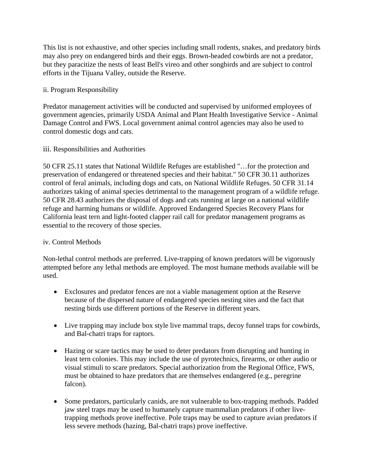This list is not exhaustive, and other species including small rodents, snakes, and predatory birds may also prey on endangered birds and their eggs. Brown-headed cowbirds are not a predator, but they paracitize the nests of least Bell's vireo and other songbirds and are subject to control efforts in the Tijuana Valley, outside the Reserve.

#### ii. Program Responsibility

Predator management activities will be conducted and supervised by uniformed employees of government agencies, primarily USDA Animal and Plant Health Investigative Service - Animal Damage Control and FWS. Local government animal control agencies may also be used to control domestic dogs and cats.

#### iii. Responsibilities and Authorities

50 CFR 25.11 states that National Wildlife Refuges are established "…for the protection and preservation of endangered or threatened species and their habitat." 50 CFR 30.11 authorizes control of feral animals, including dogs and cats, on National Wildlife Refuges. 50 CFR 31.14 authorizes taking of animal species detrimental to the management program of a wildlife refuge. 50 CFR 28.43 authorizes the disposal of dogs and cats running at large on a national wildlife refuge and harming humans or wildlife. Approved Endangered Species Recovery Plans for California least tern and light-footed clapper rail call for predator management programs as essential to the recovery of those species.

# iv. Control Methods

Non-lethal control methods are preferred. Live-trapping of known predators will be vigorously attempted before any lethal methods are employed. The most humane methods available will be used.

- Exclosures and predator fences are not a viable management option at the Reserve because of the dispersed nature of endangered species nesting sites and the fact that nesting birds use different portions of the Reserve in different years.
- Live trapping may include box style live mammal traps, decoy funnel traps for cowbirds, and Bal-chatri traps for raptors.
- Hazing or scare tactics may be used to deter predators from disrupting and hunting in least tern colonies. This may include the use of pyrotechnics, firearms, or other audio or visual stimuli to scare predators. Special authorization from the Regional Office, FWS, must be obtained to haze predators that are themselves endangered (e.g., peregrine falcon).
- Some predators, particularly canids, are not vulnerable to box-trapping methods. Padded jaw steel traps may be used to humanely capture mammalian predators if other livetrapping methods prove ineffective. Pole traps may be used to capture avian predators if less severe methods (hazing, Bal-chatri traps) prove ineffective.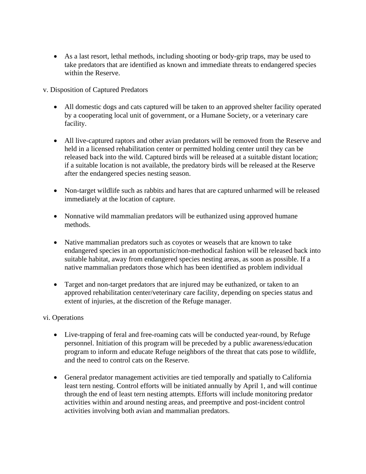• As a last resort, lethal methods, including shooting or body-grip traps, may be used to take predators that are identified as known and immediate threats to endangered species within the Reserve.

v. Disposition of Captured Predators

- All domestic dogs and cats captured will be taken to an approved shelter facility operated by a cooperating local unit of government, or a Humane Society, or a veterinary care facility.
- All live-captured raptors and other avian predators will be removed from the Reserve and held in a licensed rehabilitation center or permitted holding center until they can be released back into the wild. Captured birds will be released at a suitable distant location; if a suitable location is not available, the predatory birds will be released at the Reserve after the endangered species nesting season.
- Non-target wildlife such as rabbits and hares that are captured unharmed will be released immediately at the location of capture.
- Nonnative wild mammalian predators will be euthanized using approved humane methods.
- Native mammalian predators such as coyotes or weasels that are known to take endangered species in an opportunistic/non-methodical fashion will be released back into suitable habitat, away from endangered species nesting areas, as soon as possible. If a native mammalian predators those which has been identified as problem individual
- Target and non-target predators that are injured may be euthanized, or taken to an approved rehabilitation center/veterinary care facility, depending on species status and extent of injuries, at the discretion of the Refuge manager.

# vi. Operations

- Live-trapping of feral and free-roaming cats will be conducted year-round, by Refuge personnel. Initiation of this program will be preceded by a public awareness/education program to inform and educate Refuge neighbors of the threat that cats pose to wildlife, and the need to control cats on the Reserve.
- General predator management activities are tied temporally and spatially to California least tern nesting. Control efforts will be initiated annually by April 1, and will continue through the end of least tern nesting attempts. Efforts will include monitoring predator activities within and around nesting areas, and preemptive and post-incident control activities involving both avian and mammalian predators.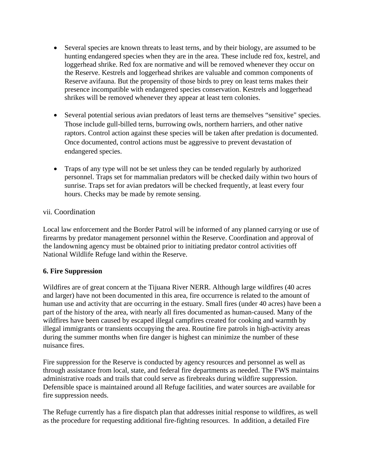- Several species are known threats to least terns, and by their biology, are assumed to be hunting endangered species when they are in the area. These include red fox, kestrel, and loggerhead shrike. Red fox are normative and will be removed whenever they occur on the Reserve. Kestrels and loggerhead shrikes are valuable and common components of Reserve avifauna. But the propensity of those birds to prey on least terns makes their presence incompatible with endangered species conservation. Kestrels and loggerhead shrikes will be removed whenever they appear at least tern colonies.
- Several potential serious avian predators of least terns are themselves "sensitive" species. Those include gull-billed terns, burrowing owls, northern harriers, and other native raptors. Control action against these species will be taken after predation is documented. Once documented, control actions must be aggressive to prevent devastation of endangered species.
- Traps of any type will not be set unless they can be tended regularly by authorized personnel. Traps set for mammalian predators will be checked daily within two hours of sunrise. Traps set for avian predators will be checked frequently, at least every four hours. Checks may be made by remote sensing.

# vii. Coordination

Local law enforcement and the Border Patrol will be informed of any planned carrying or use of firearms by predator management personnel within the Reserve. Coordination and approval of the landowning agency must be obtained prior to initiating predator control activities off National Wildlife Refuge land within the Reserve.

# **6. Fire Suppression**

Wildfires are of great concern at the Tijuana River NERR. Although large wildfires (40 acres and larger) have not been documented in this area, fire occurrence is related to the amount of human use and activity that are occurring in the estuary. Small fires (under 40 acres) have been a part of the history of the area, with nearly all fires documented as human-caused. Many of the wildfires have been caused by escaped illegal campfires created for cooking and warmth by illegal immigrants or transients occupying the area. Routine fire patrols in high-activity areas during the summer months when fire danger is highest can minimize the number of these nuisance fires.

Fire suppression for the Reserve is conducted by agency resources and personnel as well as through assistance from local, state, and federal fire departments as needed. The FWS maintains administrative roads and trails that could serve as firebreaks during wildfire suppression. Defensible space is maintained around all Refuge facilities, and water sources are available for fire suppression needs.

The Refuge currently has a fire dispatch plan that addresses initial response to wildfires, as well as the procedure for requesting additional fire-fighting resources. In addition, a detailed Fire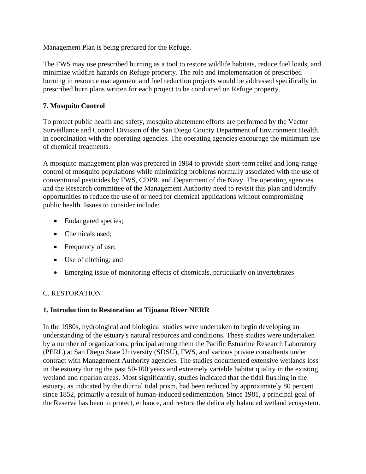Management Plan is being prepared for the Refuge.

The FWS may use prescribed burning as a tool to restore wildlife habitats, reduce fuel loads, and minimize wildfire hazards on Refuge property. The role and implementation of prescribed burning in resource management and fuel reduction projects would be addressed specifically in prescribed burn plans written for each project to be conducted on Refuge property.

# **7. Mosquito Control**

To protect public health and safety, mosquito abatement efforts are performed by the Vector Surveillance and Control Division of the San Diego County Department of Environment Health, in coordination with the operating agencies. The operating agencies encourage the minimum use of chemical treatments.

A mosquito management plan was prepared in 1984 to provide short-term relief and long-range control of mosquito populations while minimizing problems normally associated with the use of conventional pesticides by FWS, CDPR, and Department of the Navy. The operating agencies and the Research committee of the Management Authority need to revisit this plan and identify opportunities to reduce the use of or need for chemical applications without compromising public health. Issues to consider include:

- Endangered species;
- Chemicals used;
- Frequency of use;
- Use of ditching; and
- Emerging issue of monitoring effects of chemicals, particularly on invertebrates

# C. RESTORATION

# **1. Introduction to Restoration at Tijuana River NERR**

In the 1980s, hydrological and biological studies were undertaken to begin developing an understanding of the estuary's natural resources and conditions. These studies were undertaken by a number of organizations, principal among them the Pacific Estuarine Research Laboratory (PERL) at San Diego State University (SDSU), FWS, and various private consultants under contract with Management Authority agencies. The studies documented extensive wetlands loss in the estuary during the past 50-100 years and extremely variable habitat quality in the existing wetland and riparian areas. Most significantly, studies indicated that the tidal flushing in the estuary, as indicated by the diurnal tidal prism, had been reduced by approximately 80 percent since 1852, primarily a result of human-induced sedimentation. Since 1981, a principal goal of the Reserve has been to protect, enhance, and restore the delicately balanced wetland ecosystem.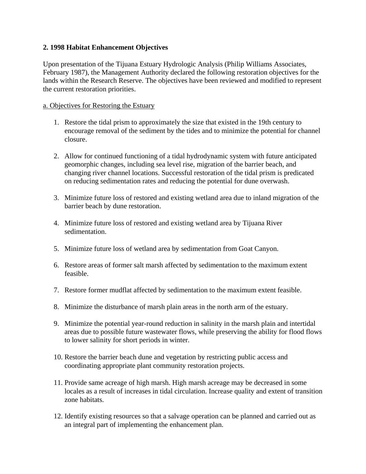#### **2. 1998 Habitat Enhancement Objectives**

Upon presentation of the Tijuana Estuary Hydrologic Analysis (Philip Williams Associates, February 1987), the Management Authority declared the following restoration objectives for the lands within the Research Reserve. The objectives have been reviewed and modified to represent the current restoration priorities.

#### a. Objectives for Restoring the Estuary

- 1. Restore the tidal prism to approximately the size that existed in the 19th century to encourage removal of the sediment by the tides and to minimize the potential for channel closure.
- 2. Allow for continued functioning of a tidal hydrodynamic system with future anticipated geomorphic changes, including sea level rise, migration of the barrier beach, and changing river channel locations. Successful restoration of the tidal prism is predicated on reducing sedimentation rates and reducing the potential for dune overwash.
- 3. Minimize future loss of restored and existing wetland area due to inland migration of the barrier beach by dune restoration.
- 4. Minimize future loss of restored and existing wetland area by Tijuana River sedimentation.
- 5. Minimize future loss of wetland area by sedimentation from Goat Canyon.
- 6. Restore areas of former salt marsh affected by sedimentation to the maximum extent feasible.
- 7. Restore former mudflat affected by sedimentation to the maximum extent feasible.
- 8. Minimize the disturbance of marsh plain areas in the north arm of the estuary.
- 9. Minimize the potential year-round reduction in salinity in the marsh plain and intertidal areas due to possible future wastewater flows, while preserving the ability for flood flows to lower salinity for short periods in winter.
- 10. Restore the barrier beach dune and vegetation by restricting public access and coordinating appropriate plant community restoration projects.
- 11. Provide same acreage of high marsh. High marsh acreage may be decreased in some locales as a result of increases in tidal circulation. Increase quality and extent of transition zone habitats.
- 12. Identify existing resources so that a salvage operation can be planned and carried out as an integral part of implementing the enhancement plan.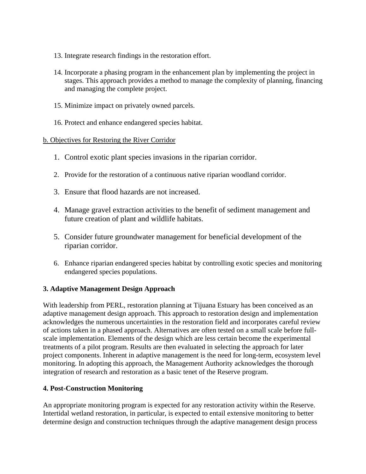- 13. Integrate research findings in the restoration effort.
- 14. Incorporate a phasing program in the enhancement plan by implementing the project in stages. This approach provides a method to manage the complexity of planning, financing and managing the complete project.
- 15. Minimize impact on privately owned parcels.
- 16. Protect and enhance endangered species habitat.

#### b. Objectives for Restoring the River Corridor

- 1. Control exotic plant species invasions in the riparian corridor.
- 2. Provide for the restoration of a continuous native riparian woodland corridor.
- 3. Ensure that flood hazards are not increased.
- 4. Manage gravel extraction activities to the benefit of sediment management and future creation of plant and wildlife habitats.
- 5. Consider future groundwater management for beneficial development of the riparian corridor.
- 6. Enhance riparian endangered species habitat by controlling exotic species and monitoring endangered species populations.

# **3. Adaptive Management Design Approach**

With leadership from PERL, restoration planning at Tijuana Estuary has been conceived as an adaptive management design approach. This approach to restoration design and implementation acknowledges the numerous uncertainties in the restoration field and incorporates careful review of actions taken in a phased approach. Alternatives are often tested on a small scale before fullscale implementation. Elements of the design which are less certain become the experimental treatments of a pilot program. Results are then evaluated in selecting the approach for later project components. Inherent in adaptive management is the need for long-term, ecosystem level monitoring. In adopting this approach, the Management Authority acknowledges the thorough integration of research and restoration as a basic tenet of the Reserve program.

# **4. Post-Construction Monitoring**

An appropriate monitoring program is expected for any restoration activity within the Reserve. Intertidal wetland restoration, in particular, is expected to entail extensive monitoring to better determine design and construction techniques through the adaptive management design process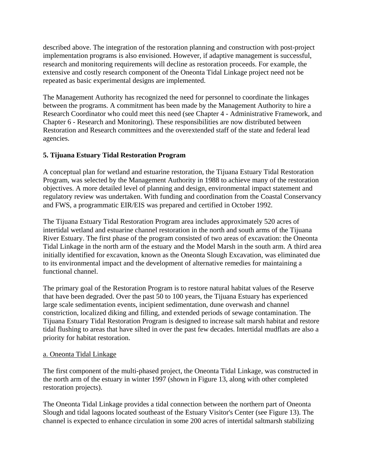described above. The integration of the restoration planning and construction with post-project implementation programs is also envisioned. However, if adaptive management is successful, research and monitoring requirements will decline as restoration proceeds. For example, the extensive and costly research component of the Oneonta Tidal Linkage project need not be repeated as basic experimental designs are implemented.

The Management Authority has recognized the need for personnel to coordinate the linkages between the programs. A commitment has been made by the Management Authority to hire a Research Coordinator who could meet this need (see Chapter 4 - Administrative Framework, and Chapter 6 - Research and Monitoring). These responsibilities are now distributed between Restoration and Research committees and the overextended staff of the state and federal lead agencies.

# **5. Tijuana Estuary Tidal Restoration Program**

A conceptual plan for wetland and estuarine restoration, the Tijuana Estuary Tidal Restoration Program, was selected by the Management Authority in 1988 to achieve many of the restoration objectives. A more detailed level of planning and design, environmental impact statement and regulatory review was undertaken. With funding and coordination from the Coastal Conservancy and FWS, a programmatic EIR/EIS was prepared and certified in October 1992.

The Tijuana Estuary Tidal Restoration Program area includes approximately 520 acres of intertidal wetland and estuarine channel restoration in the north and south arms of the Tijuana River Estuary. The first phase of the program consisted of two areas of excavation: the Oneonta Tidal Linkage in the north arm of the estuary and the Model Marsh in the south arm. A third area initially identified for excavation, known as the Oneonta Slough Excavation, was eliminated due to its environmental impact and the development of alternative remedies for maintaining a functional channel.

The primary goal of the Restoration Program is to restore natural habitat values of the Reserve that have been degraded. Over the past 50 to 100 years, the Tijuana Estuary has experienced large scale sedimentation events, incipient sedimentation, dune overwash and channel constriction, localized diking and filling, and extended periods of sewage contamination. The Tijuana Estuary Tidal Restoration Program is designed to increase salt marsh habitat and restore tidal flushing to areas that have silted in over the past few decades. Intertidal mudflats are also a priority for habitat restoration.

# a. Oneonta Tidal Linkage

The first component of the multi-phased project, the Oneonta Tidal Linkage, was constructed in the north arm of the estuary in winter 1997 (shown in Figure 13, along with other completed restoration projects).

The Oneonta Tidal Linkage provides a tidal connection between the northern part of Oneonta Slough and tidal lagoons located southeast of the Estuary Visitor's Center (see Figure 13). The channel is expected to enhance circulation in some 200 acres of intertidal saltmarsh stabilizing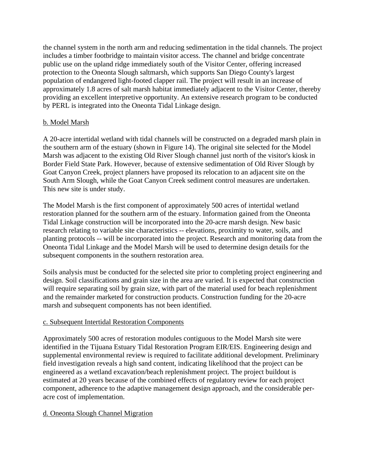the channel system in the north arm and reducing sedimentation in the tidal channels. The project includes a timber footbridge to maintain visitor access. The channel and bridge concentrate public use on the upland ridge immediately south of the Visitor Center, offering increased protection to the Oneonta Slough saltmarsh, which supports San Diego County's largest population of endangered light-footed clapper rail. The project will result in an increase of approximately 1.8 acres of salt marsh habitat immediately adjacent to the Visitor Center, thereby providing an excellent interpretive opportunity. An extensive research program to be conducted by PERL is integrated into the Oneonta Tidal Linkage design.

# b. Model Marsh

A 20-acre intertidal wetland with tidal channels will be constructed on a degraded marsh plain in the southern arm of the estuary (shown in Figure 14). The original site selected for the Model Marsh was adjacent to the existing Old River Slough channel just north of the visitor's kiosk in Border Field State Park. However, because of extensive sedimentation of Old River Slough by Goat Canyon Creek, project planners have proposed its relocation to an adjacent site on the South Arm Slough, while the Goat Canyon Creek sediment control measures are undertaken. This new site is under study.

The Model Marsh is the first component of approximately 500 acres of intertidal wetland restoration planned for the southern arm of the estuary. Information gained from the Oneonta Tidal Linkage construction will be incorporated into the 20-acre marsh design. New basic research relating to variable site characteristics -- elevations, proximity to water, soils, and planting protocols -- will be incorporated into the project. Research and monitoring data from the Oneonta Tidal Linkage and the Model Marsh will be used to determine design details for the subsequent components in the southern restoration area.

Soils analysis must be conducted for the selected site prior to completing project engineering and design. Soil classifications and grain size in the area are varied. It is expected that construction will require separating soil by grain size, with part of the material used for beach replenishment and the remainder marketed for construction products. Construction funding for the 20-acre marsh and subsequent components has not been identified.

# c. Subsequent Intertidal Restoration Components

Approximately 500 acres of restoration modules contiguous to the Model Marsh site were identified in the Tijuana Estuary Tidal Restoration Program EIR/EIS. Engineering design and supplemental environmental review is required to facilitate additional development. Preliminary field investigation reveals a high sand content, indicating likelihood that the project can be engineered as a wetland excavation/beach replenishment project. The project buildout is estimated at 20 years because of the combined effects of regulatory review for each project component, adherence to the adaptive management design approach, and the considerable peracre cost of implementation.

# d. Oneonta Slough Channel Migration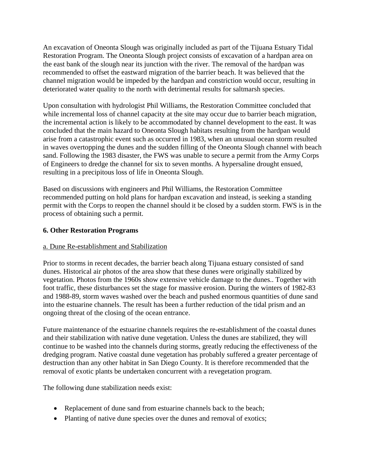An excavation of Oneonta Slough was originally included as part of the Tijuana Estuary Tidal Restoration Program. The Oneonta Slough project consists of excavation of a hardpan area on the east bank of the slough near its junction with the river. The removal of the hardpan was recommended to offset the eastward migration of the barrier beach. It was believed that the channel migration would be impeded by the hardpan and constriction would occur, resulting in deteriorated water quality to the north with detrimental results for saltmarsh species.

Upon consultation with hydrologist Phil Williams, the Restoration Committee concluded that while incremental loss of channel capacity at the site may occur due to barrier beach migration, the incremental action is likely to be accommodated by channel development to the east. It was concluded that the main hazard to Oneonta Slough habitats resulting from the hardpan would arise from a catastrophic event such as occurred in 1983, when an unusual ocean storm resulted in waves overtopping the dunes and the sudden filling of the Oneonta Slough channel with beach sand. Following the 1983 disaster, the FWS was unable to secure a permit from the Army Corps of Engineers to dredge the channel for six to seven months. A hypersaline drought ensued, resulting in a precipitous loss of life in Oneonta Slough.

Based on discussions with engineers and Phil Williams, the Restoration Committee recommended putting on hold plans for hardpan excavation and instead, is seeking a standing permit with the Corps to reopen the channel should it be closed by a sudden storm. FWS is in the process of obtaining such a permit.

#### **6. Other Restoration Programs**

#### a. Dune Re-establishment and Stabilization

Prior to storms in recent decades, the barrier beach along Tijuana estuary consisted of sand dunes. Historical air photos of the area show that these dunes were originally stabilized by vegetation. Photos from the 1960s show extensive vehicle damage to the dunes.. Together with foot traffic, these disturbances set the stage for massive erosion. During the winters of 1982-83 and 1988-89, storm waves washed over the beach and pushed enormous quantities of dune sand into the estuarine channels. The result has been a further reduction of the tidal prism and an ongoing threat of the closing of the ocean entrance.

Future maintenance of the estuarine channels requires the re-establishment of the coastal dunes and their stabilization with native dune vegetation. Unless the dunes are stabilized, they will continue to be washed into the channels during storms, greatly reducing the effectiveness of the dredging program. Native coastal dune vegetation has probably suffered a greater percentage of destruction than any other habitat in San Diego County. It is therefore recommended that the removal of exotic plants be undertaken concurrent with a revegetation program.

The following dune stabilization needs exist:

- Replacement of dune sand from estuarine channels back to the beach;
- Planting of native dune species over the dunes and removal of exotics;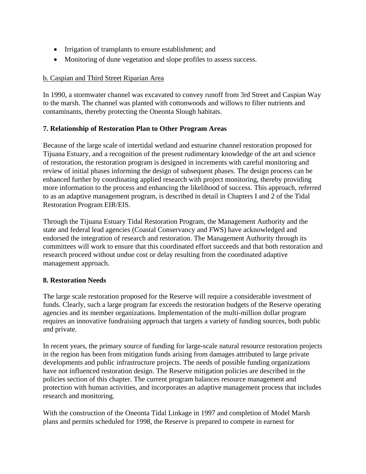- Irrigation of transplants to ensure establishment; and
- Monitoring of dune vegetation and slope profiles to assess success.

# b. Caspian and Third Street Riparian Area

In 1990, a stormwater channel was excavated to convey runoff from 3rd Street and Caspian Way to the marsh. The channel was planted with cottonwoods and willows to filter nutrients and contaminants, thereby protecting the Oneonta Slough habitats.

# **7. Relationship of Restoration Plan to Other Program Areas**

Because of the large scale of intertidal wetland and estuarine channel restoration proposed for Tijuana Estuary, and a recognition of the present rudimentary knowledge of the art and science of restoration, the restoration program is designed in increments with careful monitoring and review of initial phases informing the design of subsequent phases. The design process can be enhanced further by coordinating applied research with project monitoring, thereby providing more information to the process and enhancing the likelihood of success. This approach, referred to as an adaptive management program, is described in detail in Chapters I and 2 of the Tidal Restoration Program EIR/EIS.

Through the Tijuana Estuary Tidal Restoration Program, the Management Authority and the state and federal lead agencies (Coastal Conservancy and FWS) have acknowledged and endorsed the integration of research and restoration. The Management Authority through its committees will work to ensure that this coordinated effort succeeds and that both restoration and research proceed without undue cost or delay resulting from the coordinated adaptive management approach.

# **8. Restoration Needs**

The large scale restoration proposed for the Reserve will require a considerable investment of funds. Clearly, such a large program far exceeds the restoration budgets of the Reserve operating agencies and its member organizations. Implementation of the multi-million dollar program requires an innovative fundraising approach that targets a variety of funding sources, both public and private.

In recent years, the primary source of funding for large-scale natural resource restoration projects in the region has been from mitigation funds arising from damages attributed to large private developments and public infrastructure projects. The needs of possible funding organizations have not influenced restoration design. The Reserve mitigation policies are described in the policies section of this chapter. The current program balances resource management and protection with human activities, and incorporates an adaptive management process that includes research and monitoring.

With the construction of the Oneonta Tidal Linkage in 1997 and completion of Model Marsh plans and permits scheduled for 1998, the Reserve is prepared to compete in earnest for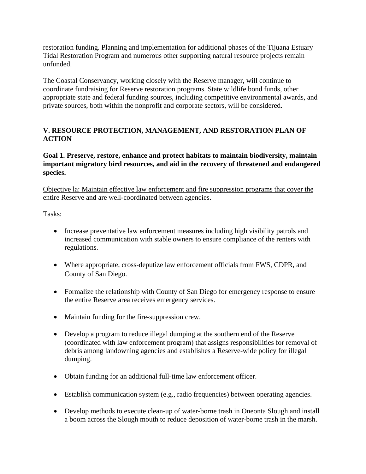restoration funding. Planning and implementation for additional phases of the Tijuana Estuary Tidal Restoration Program and numerous other supporting natural resource projects remain unfunded.

The Coastal Conservancy, working closely with the Reserve manager, will continue to coordinate fundraising for Reserve restoration programs. State wildlife bond funds, other appropriate state and federal funding sources, including competitive environmental awards, and private sources, both within the nonprofit and corporate sectors, will be considered.

# **V. RESOURCE PROTECTION, MANAGEMENT, AND RESTORATION PLAN OF ACTION**

**Goal 1. Preserve, restore, enhance and protect habitats to maintain biodiversity, maintain important migratory bird resources, and aid in the recovery of threatened and endangered species.** 

Objective la: Maintain effective law enforcement and fire suppression programs that cover the entire Reserve and are well-coordinated between agencies.

Tasks:

- Increase preventative law enforcement measures including high visibility patrols and increased communication with stable owners to ensure compliance of the renters with regulations.
- Where appropriate, cross-deputize law enforcement officials from FWS, CDPR, and County of San Diego.
- Formalize the relationship with County of San Diego for emergency response to ensure the entire Reserve area receives emergency services.
- Maintain funding for the fire-suppression crew.
- Develop a program to reduce illegal dumping at the southern end of the Reserve (coordinated with law enforcement program) that assigns responsibilities for removal of debris among landowning agencies and establishes a Reserve-wide policy for illegal dumping.
- Obtain funding for an additional full-time law enforcement officer.
- Establish communication system (e.g., radio frequencies) between operating agencies.
- Develop methods to execute clean-up of water-borne trash in Oneonta Slough and install a boom across the Slough mouth to reduce deposition of water-borne trash in the marsh.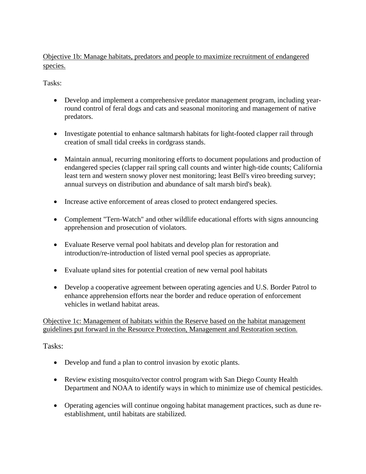Objective 1b: Manage habitats, predators and people to maximize recruitment of endangered species.

Tasks:

- Develop and implement a comprehensive predator management program, including yearround control of feral dogs and cats and seasonal monitoring and management of native predators.
- Investigate potential to enhance saltmarsh habitats for light-footed clapper rail through creation of small tidal creeks in cordgrass stands.
- Maintain annual, recurring monitoring efforts to document populations and production of endangered species (clapper rail spring call counts and winter high-tide counts; California least tern and western snowy plover nest monitoring; least Bell's vireo breeding survey; annual surveys on distribution and abundance of salt marsh bird's beak).
- Increase active enforcement of areas closed to protect endangered species.
- Complement "Tern-Watch" and other wildlife educational efforts with signs announcing apprehension and prosecution of violators.
- Evaluate Reserve vernal pool habitats and develop plan for restoration and introduction/re-introduction of listed vernal pool species as appropriate.
- Evaluate upland sites for potential creation of new vernal pool habitats
- Develop a cooperative agreement between operating agencies and U.S. Border Patrol to enhance apprehension efforts near the border and reduce operation of enforcement vehicles in wetland habitat areas.

Objective 1c: Management of habitats within the Reserve based on the habitat management guidelines put forward in the Resource Protection, Management and Restoration section.

# Tasks:

- Develop and fund a plan to control invasion by exotic plants.
- Review existing mosquito/vector control program with San Diego County Health Department and NOAA to identify ways in which to minimize use of chemical pesticides.
- Operating agencies will continue ongoing habitat management practices, such as dune reestablishment, until habitats are stabilized.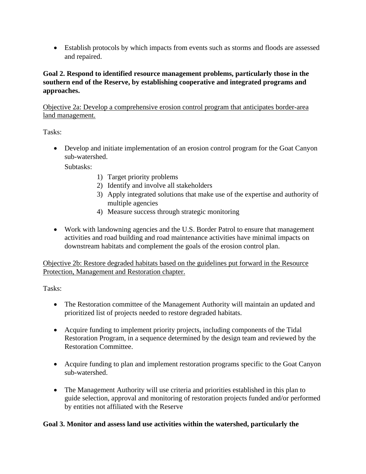• Establish protocols by which impacts from events such as storms and floods are assessed and repaired.

# **Goal 2. Respond to identified resource management problems, particularly those in the southern end of the Reserve, by establishing cooperative and integrated programs and approaches.**

Objective 2a: Develop a comprehensive erosion control program that anticipates border-area land management.

Tasks:

• Develop and initiate implementation of an erosion control program for the Goat Canyon sub-watershed.

Subtasks:

- 1) Target priority problems
- 2) Identify and involve all stakeholders
- 3) Apply integrated solutions that make use of the expertise and authority of multiple agencies
- 4) Measure success through strategic monitoring
- Work with landowning agencies and the U.S. Border Patrol to ensure that management activities and road building and road maintenance activities have minimal impacts on downstream habitats and complement the goals of the erosion control plan.

Objective 2b: Restore degraded habitats based on the guidelines put forward in the Resource Protection, Management and Restoration chapter.

Tasks:

- The Restoration committee of the Management Authority will maintain an updated and prioritized list of projects needed to restore degraded habitats.
- Acquire funding to implement priority projects, including components of the Tidal Restoration Program, in a sequence determined by the design team and reviewed by the Restoration Committee.
- Acquire funding to plan and implement restoration programs specific to the Goat Canyon sub-watershed.
- The Management Authority will use criteria and priorities established in this plan to guide selection, approval and monitoring of restoration projects funded and/or performed by entities not affiliated with the Reserve

# **Goal 3. Monitor and assess land use activities within the watershed, particularly the**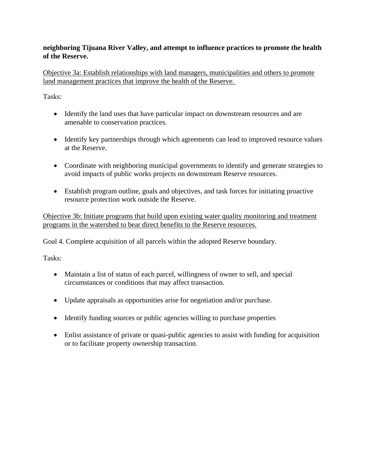# **neighboring Tijuana River Valley, and attempt to influence practices to promote the health of the Reserve.**

Objective 3a: Establish relationships with land managers, municipalities and others to promote land management practices that improve the health of the Reserve.

Tasks:

- Identify the land uses that have particular impact on downstream resources and are amenable to conservation practices.
- Identify key partnerships through which agreements can lead to improved resource values at the Reserve.
- Coordinate with neighboring municipal governments to identify and generate strategies to avoid impacts of public works projects on downstream Reserve resources.
- Establish program outline, goals and objectives, and task forces for initiating proactive resource protection work outside the Reserve.

Objective 3b: Initiate programs that build upon existing water quality monitoring and treatment programs in the watershed to bear direct benefits to the Reserve resources.

Goal 4. Complete acquisition of all parcels within the adopted Reserve boundary.

Tasks:

- Maintain a list of status of each parcel, willingness of owner to sell, and special circumstances or conditions that may affect transaction.
- Update appraisals as opportunities arise for negotiation and/or purchase.
- Identify funding sources or public agencies willing to purchase properties
- Enlist assistance of private or quasi-public agencies to assist with funding for acquisition or to facilitate property ownership transaction.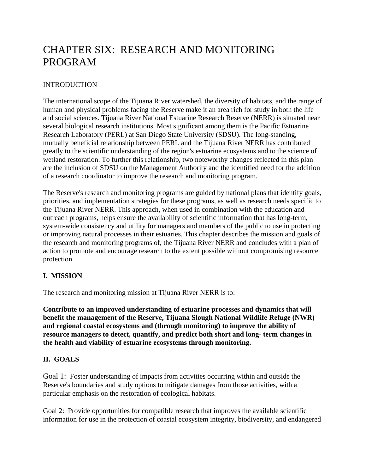# CHAPTER SIX: RESEARCH AND MONITORING PROGRAM

# INTRODUCTION

The international scope of the Tijuana River watershed, the diversity of habitats, and the range of human and physical problems facing the Reserve make it an area rich for study in both the life and social sciences. Tijuana River National Estuarine Research Reserve (NERR) is situated near several biological research institutions. Most significant among them is the Pacific Estuarine Research Laboratory (PERL) at San Diego State University (SDSU). The long-standing, mutually beneficial relationship between PERL and the Tijuana River NERR has contributed greatly to the scientific understanding of the region's estuarine ecosystems and to the science of wetland restoration. To further this relationship, two noteworthy changes reflected in this plan are the inclusion of SDSU on the Management Authority and the identified need for the addition of a research coordinator to improve the research and monitoring program.

The Reserve's research and monitoring programs are guided by national plans that identify goals, priorities, and implementation strategies for these programs, as well as research needs specific to the Tijuana River NERR. This approach, when used in combination with the education and outreach programs, helps ensure the availability of scientific information that has long-term, system-wide consistency and utility for managers and members of the public to use in protecting or improving natural processes in their estuaries. This chapter describes the mission and goals of the research and monitoring programs of, the Tijuana River NERR and concludes with a plan of action to promote and encourage research to the extent possible without compromising resource protection.

# **I. MISSION**

The research and monitoring mission at Tijuana River NERR is to:

**Contribute to an improved understanding of estuarine processes and dynamics that will benefit the management of the Reserve, Tijuana Slough National Wildlife Refuge (NWR) and regional coastal ecosystems and (through monitoring) to improve the ability of resource managers to detect, quantify, and predict both short and long- term changes in the health and viability of estuarine ecosystems through monitoring.** 

# **II. GOALS**

Goal 1: Foster understanding of impacts from activities occurring within and outside the Reserve's boundaries and study options to mitigate damages from those activities, with a particular emphasis on the restoration of ecological habitats.

Goal 2: Provide opportunities for compatible research that improves the available scientific information for use in the protection of coastal ecosystem integrity, biodiversity, and endangered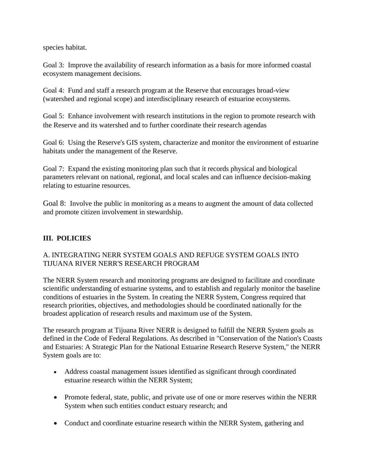species habitat.

Goal 3: Improve the availability of research information as a basis for more informed coastal ecosystem management decisions.

Goal 4: Fund and staff a research program at the Reserve that encourages broad-view (watershed and regional scope) and interdisciplinary research of estuarine ecosystems.

Goal 5: Enhance involvement with research institutions in the region to promote research with the Reserve and its watershed and to further coordinate their research agendas

Goal 6: Using the Reserve's GIS system, characterize and monitor the environment of estuarine habitats under the management of the Reserve.

Goal 7: Expand the existing monitoring plan such that it records physical and biological parameters relevant on national, regional, and local scales and can influence decision-making relating to estuarine resources.

Goal 8: Involve the public in monitoring as a means to augment the amount of data collected and promote citizen involvement in stewardship.

# **III. POLICIES**

# A. INTEGRATING NERR SYSTEM GOALS AND REFUGE SYSTEM GOALS INTO TIJUANA RIVER NERR'S RESEARCH PROGRAM

The NERR System research and monitoring programs are designed to facilitate and coordinate scientific understanding of estuarine systems, and to establish and regularly monitor the baseline conditions of estuaries in the System. In creating the NERR System, Congress required that research priorities, objectives, and methodologies should be coordinated nationally for the broadest application of research results and maximum use of the System.

The research program at Tijuana River NERR is designed to fulfill the NERR System goals as defined in the Code of Federal Regulations. As described in "Conservation of the Nation's Coasts and Estuaries: A Strategic Plan for the National Estuarine Research Reserve System," the NERR System goals are to:

- Address coastal management issues identified as significant through coordinated estuarine research within the NERR System;
- Promote federal, state, public, and private use of one or more reserves within the NERR System when such entities conduct estuary research; and
- Conduct and coordinate estuarine research within the NERR System, gathering and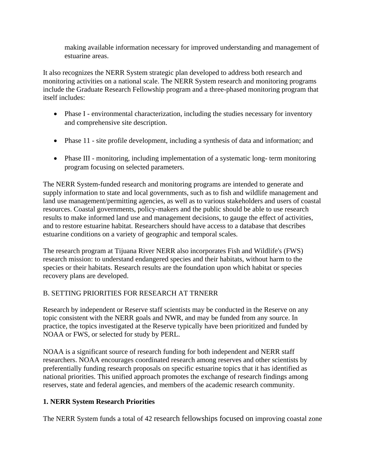making available information necessary for improved understanding and management of estuarine areas.

It also recognizes the NERR System strategic plan developed to address both research and monitoring activities on a national scale. The NERR System research and monitoring programs include the Graduate Research Fellowship program and a three-phased monitoring program that itself includes:

- Phase I environmental characterization, including the studies necessary for inventory and comprehensive site description.
- Phase 11 site profile development, including a synthesis of data and information; and
- Phase III monitoring, including implementation of a systematic long- term monitoring program focusing on selected parameters.

The NERR System-funded research and monitoring programs are intended to generate and supply information to state and local governments, such as to fish and wildlife management and land use management/permitting agencies, as well as to various stakeholders and users of coastal resources. Coastal governments, policy-makers and the public should be able to use research results to make informed land use and management decisions, to gauge the effect of activities, and to restore estuarine habitat. Researchers should have access to a database that describes estuarine conditions on a variety of geographic and temporal scales.

The research program at Tijuana River NERR also incorporates Fish and Wildlife's (FWS) research mission: to understand endangered species and their habitats, without harm to the species or their habitats. Research results are the foundation upon which habitat or species recovery plans are developed.

# B. SETTING PRIORITIES FOR RESEARCH AT TRNERR

Research by independent or Reserve staff scientists may be conducted in the Reserve on any topic consistent with the NERR goals and NWR, and may be funded from any source. In practice, the topics investigated at the Reserve typically have been prioritized and funded by NOAA or FWS, or selected for study by PERL.

NOAA is a significant source of research funding for both independent and NERR staff researchers. NOAA encourages coordinated research among reserves and other scientists by preferentially funding research proposals on specific estuarine topics that it has identified as national priorities. This unified approach promotes the exchange of research findings among reserves, state and federal agencies, and members of the academic research community.

# **1. NERR System Research Priorities**

The NERR System funds a total of 42 research fellowships focused on improving coastal zone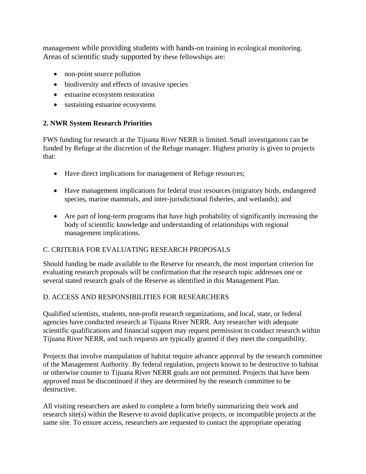management while providing students with hands-on training in ecological monitoring. Areas of scientific study supported by these fellowships are:

- non-point source pollution
- biodiversity and effects of invasive species
- estuarine ecosystem restoration
- sustaining estuarine ecosystems

# **2. NWR System Research Priorities**

FWS funding for research at the Tijuana River NERR is limited. Small investigations can be funded by Refuge at the discretion of the Refuge manager. Highest priority is given to projects that:

- Have direct implications for management of Refuge resources;
- Have management implications for federal trust resources (migratory birds, endangered species, marine mammals, and inter-jurisdictional fisheries, and wetlands); and
- Are part of long-term programs that have high probability of significantly increasing the body of scientific knowledge and understanding of relationships with regional management implications.

# C. CRITERIA FOR EVALUATING RESEARCH PROPOSALS

Should funding be made available to the Reserve for research, the most important criterion for evaluating research proposals will be confirmation that the research topic addresses one or several stated research goals of the Reserve as identified in this Management Plan.

# D. ACCESS AND RESPONSIBILITIES FOR RESEARCHERS

Qualified scientists, students, non-profit research organizations, and local, state, or federal agencies have conducted research at Tijuana River NERR. Any researcher with adequate scientific qualifications and financial support may request permission to conduct research within Tijuana River NERR, and such requests are typically granted if they meet the compatibility.

Projects that involve manipulation of habitat require advance approval by the research committee of the Management Authority. By federal regulation, projects known to be destructive to habitat or otherwise counter to Tijuana River NERR goals are not permitted. Projects that have been approved must be discontinued if they are determined by the research committee to be destructive.

All visiting researchers are asked to complete a form briefly summarizing their work and research site(s) within the Reserve to avoid duplicative projects, or incompatible projects at the same site. To ensure access, researchers are requested to contact the appropriate operating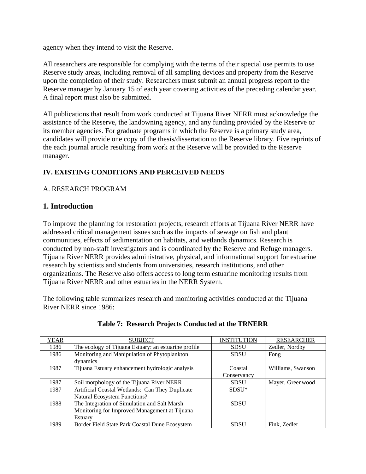agency when they intend to visit the Reserve.

All researchers are responsible for complying with the terms of their special use permits to use Reserve study areas, including removal of all sampling devices and property from the Reserve upon the completion of their study. Researchers must submit an annual progress report to the Reserve manager by January 15 of each year covering activities of the preceding calendar year. A final report must also be submitted.

All publications that result from work conducted at Tijuana River NERR must acknowledge the assistance of the Reserve, the landowning agency, and any funding provided by the Reserve or its member agencies. For graduate programs in which the Reserve is a primary study area, candidates will provide one copy of the thesis/dissertation to the Reserve library. Five reprints of the each journal article resulting from work at the Reserve will be provided to the Reserve manager.

# **IV. EXISTING CONDITIONS AND PERCEIVED NEEDS**

## A. RESEARCH PROGRAM

# **1. Introduction**

To improve the planning for restoration projects, research efforts at Tijuana River NERR have addressed critical management issues such as the impacts of sewage on fish and plant communities, effects of sedimentation on habitats, and wetlands dynamics. Research is conducted by non-staff investigators and is coordinated by the Reserve and Refuge managers. Tijuana River NERR provides administrative, physical, and informational support for estuarine research by scientists and students from universities, research institutions, and other organizations. The Reserve also offers access to long term estuarine monitoring results from Tijuana River NERR and other estuaries in the NERR System.

The following table summarizes research and monitoring activities conducted at the Tijuana River NERR since 1986:

| YEAR | <b>SUBJECT</b>                                       | <b>INSTITUTION</b> | <b>RESEARCHER</b> |
|------|------------------------------------------------------|--------------------|-------------------|
| 1986 | The ecology of Tijuana Estuary: an estuarine profile | <b>SDSU</b>        | Zedler, Nordby    |
| 1986 | Monitoring and Manipulation of Phytoplankton         | <b>SDSU</b>        | Fong              |
|      | dynamics                                             |                    |                   |
| 1987 | Tijuana Estuary enhancement hydrologic analysis      | Coastal            | Williams, Swanson |
|      |                                                      | Conservancy        |                   |
| 1987 | Soil morphology of the Tijuana River NERR            | <b>SDSU</b>        | Mayer, Greenwood  |
| 1987 | Artificial Coastal Wetlands: Can They Duplicate      | $SDSU*$            |                   |
|      | Natural Ecosystem Functions?                         |                    |                   |
| 1988 | The Integration of Simulation and Salt Marsh         | <b>SDSU</b>        |                   |
|      | Monitoring for Improved Management at Tijuana        |                    |                   |
|      | Estuary                                              |                    |                   |
| 1989 | Border Field State Park Coastal Dune Ecosystem       | <b>SDSU</b>        | Fink, Zedler      |

## **Table 7: Research Projects Conducted at the TRNERR**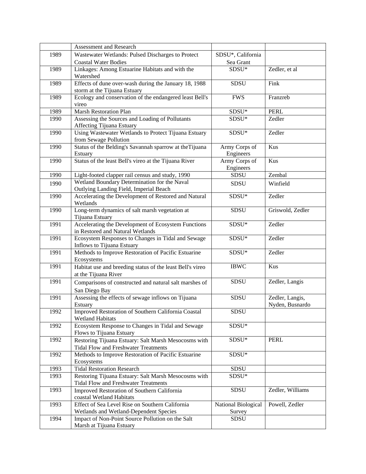|      | Assessment and Research                                                                        |                     |                  |
|------|------------------------------------------------------------------------------------------------|---------------------|------------------|
| 1989 | Wastewater Wetlands: Pulsed Discharges to Protect                                              | SDSU*, California   |                  |
|      | <b>Coastal Water Bodies</b>                                                                    | Sea Grant           |                  |
| 1989 | Linkages: Among Estuarine Habitats and with the                                                | SDSU*               | Zedler, et al    |
|      | Watershed                                                                                      |                     |                  |
| 1989 | Effects of dune over-wash during the January 18, 1988                                          | <b>SDSU</b>         | Fink             |
|      | storm at the Tijuana Estuary                                                                   |                     |                  |
| 1989 | Ecology and conservation of the endangered least Bell's                                        | <b>FWS</b>          | Franzreb         |
|      | vireo                                                                                          |                     |                  |
| 1989 | <b>Marsh Restoration Plan</b>                                                                  | ${\rm SDSU^*}$      | <b>PERL</b>      |
| 1990 | Assessing the Sources and Loading of Pollutants                                                | $SDSU*$             | Zedler           |
|      | Affecting Tijuana Estuary                                                                      |                     |                  |
| 1990 | Using Wastewater Wetlands to Protect Tijuana Estuary                                           | SDSU*               | Zedler           |
|      | from Sewage Pollution                                                                          |                     |                  |
| 1990 | Status of the Belding's Savannah sparrow at the Tijuana                                        | Army Corps of       | Kus              |
|      | Estuary                                                                                        | Engineers           |                  |
| 1990 | Status of the least Bell's vireo at the Tijuana River                                          | Army Corps of       | Kus              |
|      |                                                                                                | Engineers           |                  |
| 1990 | Light-footed clapper rail census and study, 1990                                               | <b>SDSU</b>         | Zembal           |
| 1990 | Wetland Boundary Determination for the Naval                                                   | <b>SDSU</b>         | Winfield         |
|      | Outlying Landing Field, Imperial Beach<br>Accelerating the Development of Restored and Natural | SDSU*               | Zedler           |
| 1990 | Wetlands                                                                                       |                     |                  |
| 1990 | Long-term dynamics of salt marsh vegetation at                                                 | <b>SDSU</b>         | Griswold, Zedler |
|      | Tijuana Estuary                                                                                |                     |                  |
| 1991 | Accelerating the Development of Ecosystem Functions                                            | SDSU*               | Zedler           |
|      | in Restored and Natural Wetlands                                                               |                     |                  |
| 1991 | Ecosystem Responses to Changes in Tidal and Sewage                                             | $SDSU*$             | Zedler           |
|      | Inflows to Tijuana Estuary                                                                     |                     |                  |
| 1991 | Methods to Improve Restoration of Pacific Estuarine                                            | SDSU*               | Zedler           |
|      | Ecosystems                                                                                     |                     |                  |
| 1991 | Habitat use and breeding status of the least Bell's vireo                                      | <b>IBWC</b>         | Kus              |
|      | at the Tijuana River                                                                           |                     |                  |
| 1991 | Comparisons of constructed and natural salt marshes of                                         | SDSU                | Zedler, Langis   |
|      | San Diego Bay                                                                                  |                     |                  |
| 1991 | Assessing the effects of sewage inflows on Tijuana                                             | <b>SDSU</b>         | Zedler, Langis,  |
|      | Estuary                                                                                        |                     | Nyden, Busnardo  |
| 1992 | Improved Restoration of Southern California Coastal                                            | SDSU                |                  |
|      | <b>Wetland Habitats</b>                                                                        |                     |                  |
| 1992 | Ecosystem Response to Changes in Tidal and Sewage                                              | SDSU*               |                  |
|      | Flows to Tijuana Estuary                                                                       |                     |                  |
| 1992 | Restoring Tijuana Estuary: Salt Marsh Mesocosms with                                           | SDSU*               | <b>PERL</b>      |
|      | <b>Tidal Flow and Freshwater Treatments</b>                                                    |                     |                  |
| 1992 | Methods to Improve Restoration of Pacific Estuarine                                            | SDSU*               |                  |
|      | Ecosystems                                                                                     |                     |                  |
| 1993 | <b>Tidal Restoration Research</b>                                                              | <b>SDSU</b>         |                  |
| 1993 | Restoring Tijuana Estuary: Salt Marsh Mesocosms with                                           | SDSU*               |                  |
|      | <b>Tidal Flow and Freshwater Treatments</b>                                                    |                     |                  |
| 1993 | Improved Restoration of Southern California                                                    | SDSU                | Zedler, Williams |
|      | coastal Wetland Habitats                                                                       |                     |                  |
| 1993 | Effect of Sea Level Rise on Southern California                                                | National Biological | Powell, Zedler   |
|      | Wetlands and Wetland-Dependent Species                                                         | Survey              |                  |
| 1994 | Impact of Non-Point Source Pollution on the Salt                                               | <b>SDSU</b>         |                  |
|      | Marsh at Tijuana Estuary                                                                       |                     |                  |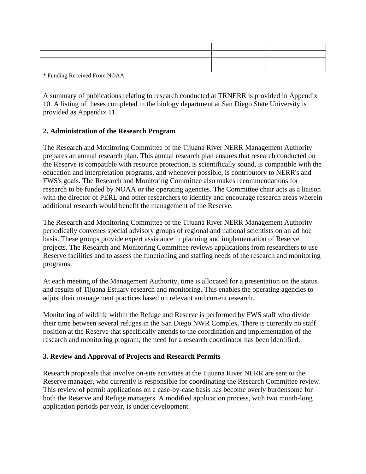| the contract of the contract of the contract of the contract of the contract of |  |
|---------------------------------------------------------------------------------|--|
|                                                                                 |  |
|                                                                                 |  |
|                                                                                 |  |

\* Funding Received From NOAA

A summary of publications relating to research conducted at TRNERR is provided in Appendix 10. A listing of theses completed in the biology department at San Diego State University is provided as Appendix 11.

#### **2. Administration of the Research Program**

The Research and Monitoring Committee of the Tijuana River NERR Management Authority prepares an annual research plan. This annual research plan ensures that research conducted on the Reserve is compatible with resource protection, is scientifically sound, is compatible with the education and interpretation programs, and whenever possible, is contributory to NERR's and FWS's goals. The Research and Monitoring Committee also makes recommendations for research to be funded by NOAA or the operating agencies. The Committee chair acts as a liaison with the director of PERL and other researchers to identify and encourage research areas wherein additional research would benefit the management of the Reserve.

The Research and Monitoring Committee of the Tijuana River NERR Management Authority periodically convenes special advisory groups of regional and national scientists on an ad hoc basis. These groups provide expert assistance in planning and implementation of Reserve projects. The Research and Monitoring Committee reviews applications from researchers to use Reserve facilities and to assess the functioning and staffing needs of the research and monitoring programs.

At each meeting of the Management Authority, time is allocated for a presentation on the status and results of Tijuana Estuary research and monitoring. This enables the operating agencies to adjust their management practices based on relevant and current research.

Monitoring of wildlife within the Refuge and Reserve is performed by FWS staff who divide their time between several refuges in the San Diego NWR Complex. There is currently no staff position at the Reserve that specifically attends to the coordination and implementation of the research and monitoring program; the need for a research coordinator has been identified.

## **3. Review and Approval of Projects and Research Permits**

Research proposals that involve on-site activities at the Tijuana River NERR are sent to the Reserve manager, who currently is responsible for coordinating the Research Committee review. This review of permit applications on a case-by-case basis has become overly burdensome for both the Reserve and Refuge managers. A modified application process, with two month-long application periods per year, is under development.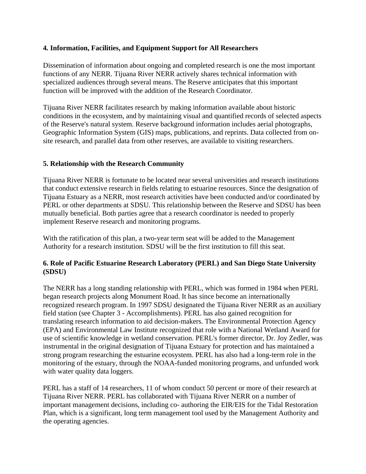## **4. Information, Facilities, and Equipment Support for All Researchers**

Dissemination of information about ongoing and completed research is one the most important functions of any NERR. Tijuana River NERR actively shares technical information with specialized audiences through several means. The Reserve anticipates that this important function will be improved with the addition of the Research Coordinator.

Tijuana River NERR facilitates research by making information available about historic conditions in the ecosystem, and by maintaining visual and quantified records of selected aspects of the Reserve's natural system. Reserve background information includes aerial photographs, Geographic Information System (GIS) maps, publications, and reprints. Data collected from onsite research, and parallel data from other reserves, are available to visiting researchers.

## **5. Relationship with the Research Community**

Tijuana River NERR is fortunate to be located near several universities and research institutions that conduct extensive research in fields relating to estuarine resources. Since the designation of Tijuana Estuary as a NERR, most research activities have been conducted and/or coordinated by PERL or other departments at SDSU. This relationship between the Reserve and SDSU has been mutually beneficial. Both parties agree that a research coordinator is needed to properly implement Reserve research and monitoring programs.

With the ratification of this plan, a two-year term seat will be added to the Management Authority for a research institution. SDSU will be the first institution to fill this seat.

## **6. Role of Pacific Estuarine Research Laboratory (PERL) and San Diego State University (SDSU)**

The NERR has a long standing relationship with PERL, which was formed in 1984 when PERL began research projects along Monument Road. It has since become an internationally recognized research program. In 1997 SDSU designated the Tijuana River NERR as an auxiliary field station (see Chapter 3 - Accomplishments). PERL has also gained recognition for translating research information to aid decision-makers. The Environmental Protection Agency (EPA) and Environmental Law Institute recognized that role with a National Wetland Award for use of scientific knowledge in wetland conservation. PERL's former director, Dr. Joy Zedler, was instrumental in the original designation of Tijuana Estuary for protection and has maintained a strong program researching the estuarine ecosystem. PERL has also had a long-term role in the monitoring of the estuary, through the NOAA-funded monitoring programs, and unfunded work with water quality data loggers.

PERL has a staff of 14 researchers, 11 of whom conduct 50 percent or more of their research at Tijuana River NERR. PERL has collaborated with Tijuana River NERR on a number of important management decisions, including co- authoring the EIR/EIS for the Tidal Restoration Plan, which is a significant, long term management tool used by the Management Authority and the operating agencies.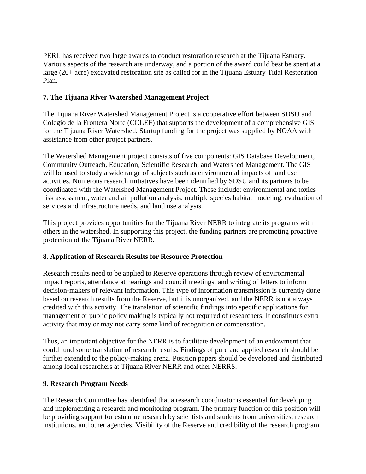PERL has received two large awards to conduct restoration research at the Tijuana Estuary. Various aspects of the research are underway, and a portion of the award could best be spent at a large (20+ acre) excavated restoration site as called for in the Tijuana Estuary Tidal Restoration Plan.

## **7. The Tijuana River Watershed Management Project**

The Tijuana River Watershed Management Project is a cooperative effort between SDSU and Colegio de la Frontera Norte (COLEF) that supports the development of a comprehensive GIS for the Tijuana River Watershed. Startup funding for the project was supplied by NOAA with assistance from other project partners.

The Watershed Management project consists of five components: GIS Database Development, Community Outreach, Education, Scientific Research, and Watershed Management. The GIS will be used to study a wide range of subjects such as environmental impacts of land use activities. Numerous research initiatives have been identified by SDSU and its partners to be coordinated with the Watershed Management Project. These include: environmental and toxics risk assessment, water and air pollution analysis, multiple species habitat modeling, evaluation of services and infrastructure needs, and land use analysis.

This project provides opportunities for the Tijuana River NERR to integrate its programs with others in the watershed. In supporting this project, the funding partners are promoting proactive protection of the Tijuana River NERR.

## **8. Application of Research Results for Resource Protection**

Research results need to be applied to Reserve operations through review of environmental impact reports, attendance at hearings and council meetings, and writing of letters to inform decision-makers of relevant information. This type of information transmission is currently done based on research results from the Reserve, but it is unorganized, and the NERR is not always credited with this activity. The translation of scientific findings into specific applications for management or public policy making is typically not required of researchers. It constitutes extra activity that may or may not carry some kind of recognition or compensation.

Thus, an important objective for the NERR is to facilitate development of an endowment that could fund some translation of research results. Findings of pure and applied research should be further extended to the policy-making arena. Position papers should be developed and distributed among local researchers at Tijuana River NERR and other NERRS.

## **9. Research Program Needs**

The Research Committee has identified that a research coordinator is essential for developing and implementing a research and monitoring program. The primary function of this position will be providing support for estuarine research by scientists and students from universities, research institutions, and other agencies. Visibility of the Reserve and credibility of the research program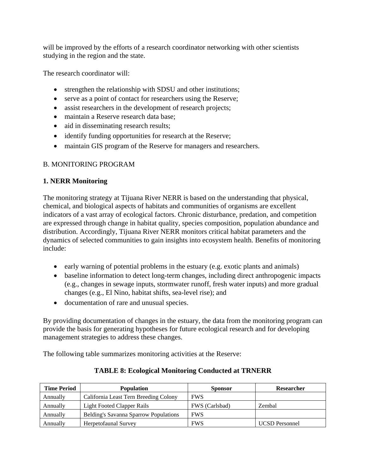will be improved by the efforts of a research coordinator networking with other scientists studying in the region and the state.

The research coordinator will:

- strengthen the relationship with SDSU and other institutions;
- serve as a point of contact for researchers using the Reserve;
- assist researchers in the development of research projects;
- maintain a Reserve research data base:
- aid in disseminating research results;
- identify funding opportunities for research at the Reserve;
- maintain GIS program of the Reserve for managers and researchers.

## B. MONITORING PROGRAM

## **1. NERR Monitoring**

The monitoring strategy at Tijuana River NERR is based on the understanding that physical, chemical, and biological aspects of habitats and communities of organisms are excellent indicators of a vast array of ecological factors. Chronic disturbance, predation, and competition are expressed through change in habitat quality, species composition, population abundance and distribution. Accordingly, Tijuana River NERR monitors critical habitat parameters and the dynamics of selected communities to gain insights into ecosystem health. Benefits of monitoring include:

- early warning of potential problems in the estuary (e.g. exotic plants and animals)
- baseline information to detect long-term changes, including direct anthropogenic impacts (e.g., changes in sewage inputs, stormwater runoff, fresh water inputs) and more gradual changes (e.g., El Nino, habitat shifts, sea-level rise); and
- documentation of rare and unusual species.

By providing documentation of changes in the estuary, the data from the monitoring program can provide the basis for generating hypotheses for future ecological research and for developing management strategies to address these changes.

The following table summarizes monitoring activities at the Reserve:

| <b>Time Period</b> | <b>Population</b>                     | <b>Sponsor</b> | <b>Researcher</b>     |
|--------------------|---------------------------------------|----------------|-----------------------|
| Annually           | California Least Tern Breeding Colony | <b>FWS</b>     |                       |
| Annually           | Light Footed Clapper Rails            | FWS (Carlsbad) | Zembal                |
| Annually           | Belding's Savanna Sparrow Populations | <b>FWS</b>     |                       |
| Annually           | Herpetofaunal Survey                  | <b>FWS</b>     | <b>UCSD</b> Personnel |

# **TABLE 8: Ecological Monitoring Conducted at TRNERR**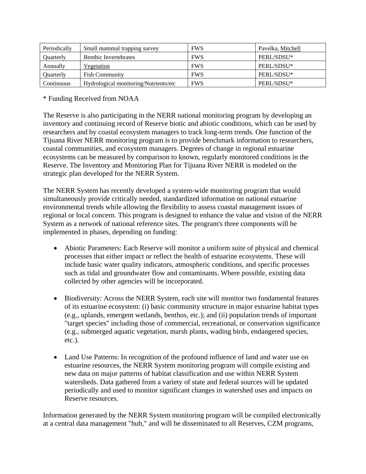| Periodically     | Small mammal trapping survey          | <b>FWS</b> | Pavelka, Mitchell |
|------------------|---------------------------------------|------------|-------------------|
| <b>Ouarterly</b> | <b>Benthic Invertebrates</b>          | <b>FWS</b> | PERL/SDSU*        |
| Annually         | Vegetation                            | <b>FWS</b> | PERL/SDSU*        |
| <b>Ouarterly</b> | <b>Fish Community</b>                 | <b>FWS</b> | PERL/SDSU*        |
| Continuous       | Hydrological monitoring/Nutrients/etc | <b>FWS</b> | PERL/SDSU*        |

\* Funding Received from NOAA

The Reserve is also participating in the NERR national monitoring program by developing an inventory and continuing record of Reserve biotic and abiotic conditions, which can be used by researchers and by coastal ecosystem managers to track long-term trends. One function of the Tijuana River NERR monitoring program is to provide benchmark information to researchers, coastal communities, and ecosystem managers. Degrees of change in regional estuarine ecosystems can be measured by comparison to known, regularly monitored conditions in the Reserve. The Inventory and Monitoring Plan for Tijuana River NERR is modeled on the strategic plan developed for the NERR System.

The NERR System has recently developed a system-wide monitoring program that would simultaneously provide critically needed, standardized information on national estuarine environmental trends while allowing the flexibility to assess coastal management issues of regional or local concern. This program is designed to enhance the value and vision of the NERR System as a network of national reference sites. The program's three components will be implemented in phases, depending on funding:

- Abiotic Parameters: Each Reserve will monitor a uniform suite of physical and chemical processes that either impact or reflect the health of estuarine ecosystems. These will include basic water quality indicators, atmospheric conditions, and specific processes such as tidal and groundwater flow and contaminants. Where possible, existing data collected by other agencies will be incorporated.
- Biodiversity: Across the NERR System, each site will monitor two fundamental features of its estuarine ecosystem: (i) basic community structure in major estuarine habitat types (e.g., uplands, emergent wetlands, benthos, etc.); and (ii) population trends of important "target species" including those of commercial, recreational, or conservation significance (e.g., submerged aquatic vegetation, marsh plants, wading birds, endangered species, etc.).
- Land Use Patterns: In recognition of the profound influence of land and water use on estuarine resources, the NERR System monitoring program will compile existing and new data on major patterns of habitat classification and use within NERR System watersheds. Data gathered from a variety of state and federal sources will be updated periodically and used to monitor significant changes in watershed uses and impacts on Reserve resources.

Information generated by the NERR System monitoring program will be compiled electronically at a central data management "hub," and will be disseminated to all Reserves, CZM programs,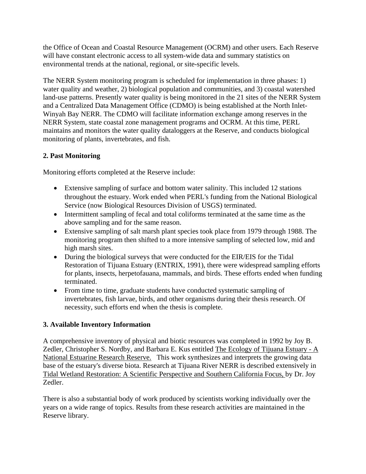the Office of Ocean and Coastal Resource Management (OCRM) and other users. Each Reserve will have constant electronic access to all system-wide data and summary statistics on environmental trends at the national, regional, or site-specific levels.

The NERR System monitoring program is scheduled for implementation in three phases: 1) water quality and weather, 2) biological population and communities, and 3) coastal watershed land-use patterns. Presently water quality is being monitored in the 21 sites of the NERR System and a Centralized Data Management Office (CDMO) is being established at the North Inlet-Winyah Bay NERR. The CDMO will facilitate information exchange among reserves in the NERR System, state coastal zone management programs and OCRM. At this time, PERL maintains and monitors the water quality dataloggers at the Reserve, and conducts biological monitoring of plants, invertebrates, and fish.

## **2. Past Monitoring**

Monitoring efforts completed at the Reserve include:

- Extensive sampling of surface and bottom water salinity. This included 12 stations throughout the estuary. Work ended when PERL's funding from the National Biological Service (now Biological Resources Division of USGS) terminated.
- Intermittent sampling of fecal and total coliforms terminated at the same time as the above sampling and for the same reason.
- Extensive sampling of salt marsh plant species took place from 1979 through 1988. The monitoring program then shifted to a more intensive sampling of selected low, mid and high marsh sites.
- During the biological surveys that were conducted for the EIR/EIS for the Tidal Restoration of Tijuana Estuary (ENTRIX, 1991), there were widespread sampling efforts for plants, insects, herpetofauana, mammals, and birds. These efforts ended when funding terminated.
- From time to time, graduate students have conducted systematic sampling of invertebrates, fish larvae, birds, and other organisms during their thesis research. Of necessity, such efforts end when the thesis is complete.

# **3. Available Inventory Information**

A comprehensive inventory of physical and biotic resources was completed in 1992 by Joy B. Zedler, Christopher S. Nordby, and Barbara E. Kus entitled The Ecology of Tijuana Estuary - A National Estuarine Research Reserve. This work synthesizes and interprets the growing data base of the estuary's diverse biota. Research at Tijuana River NERR is described extensively in Tidal Wetland Restoration: A Scientific Perspective and Southern California Focus, by Dr. Joy Zedler.

There is also a substantial body of work produced by scientists working individually over the years on a wide range of topics. Results from these research activities are maintained in the Reserve library.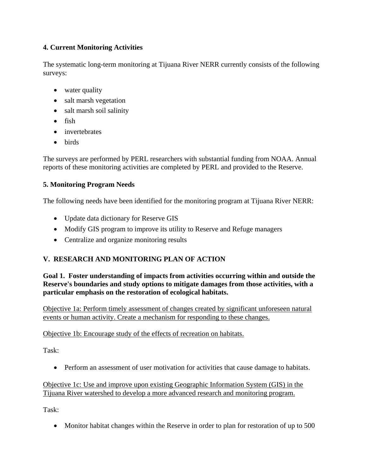# **4. Current Monitoring Activities**

The systematic long-term monitoring at Tijuana River NERR currently consists of the following surveys:

- water quality
- salt marsh vegetation
- salt marsh soil salinity
- fish
- invertebrates
- birds

The surveys are performed by PERL researchers with substantial funding from NOAA. Annual reports of these monitoring activities are completed by PERL and provided to the Reserve.

# **5. Monitoring Program Needs**

The following needs have been identified for the monitoring program at Tijuana River NERR:

- Update data dictionary for Reserve GIS
- Modify GIS program to improve its utility to Reserve and Refuge managers
- Centralize and organize monitoring results

# **V. RESEARCH AND MONITORING PLAN OF ACTION**

**Goal 1. Foster understanding of impacts from activities occurring within and outside the Reserve's boundaries and study options to mitigate damages from those activities, with a particular emphasis on the restoration of ecological habitats.** 

Objective 1a: Perform timely assessment of changes created by significant unforeseen natural events or human activity. Create a mechanism for responding to these changes.

# Objective 1b: Encourage study of the effects of recreation on habitats.

Task:

• Perform an assessment of user motivation for activities that cause damage to habitats.

# Objective 1c: Use and improve upon existing Geographic Information System (GIS) in the Tijuana River watershed to develop a more advanced research and monitoring program.

Task:

• Monitor habitat changes within the Reserve in order to plan for restoration of up to 500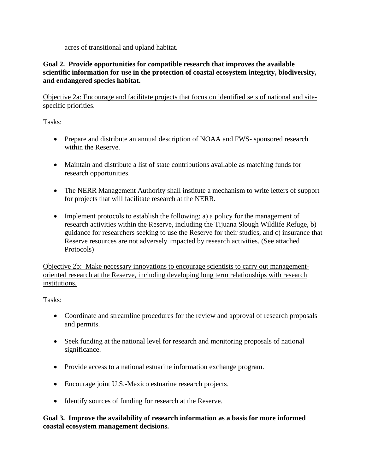acres of transitional and upland habitat.

## **Goal 2. Provide opportunities for compatible research that improves the available scientific information for use in the protection of coastal ecosystem integrity, biodiversity, and endangered species habitat.**

Objective 2a: Encourage and facilitate projects that focus on identified sets of national and sitespecific priorities.

Tasks:

- Prepare and distribute an annual description of NOAA and FWS-sponsored research within the Reserve.
- Maintain and distribute a list of state contributions available as matching funds for research opportunities.
- The NERR Management Authority shall institute a mechanism to write letters of support for projects that will facilitate research at the NERR.
- Implement protocols to establish the following: a) a policy for the management of research activities within the Reserve, including the Tijuana Slough Wildlife Refuge, b) guidance for researchers seeking to use the Reserve for their studies, and c) insurance that Reserve resources are not adversely impacted by research activities. (See attached Protocols)

Objective 2b: Make necessary innovations to encourage scientists to carry out managementoriented research at the Reserve, including developing long term relationships with research institutions.

Tasks:

- Coordinate and streamline procedures for the review and approval of research proposals and permits.
- Seek funding at the national level for research and monitoring proposals of national significance.
- Provide access to a national estuarine information exchange program.
- Encourage joint U.S.-Mexico estuarine research projects.
- Identify sources of funding for research at the Reserve.

## **Goal 3. Improve the availability of research information as a basis for more informed coastal ecosystem management decisions.**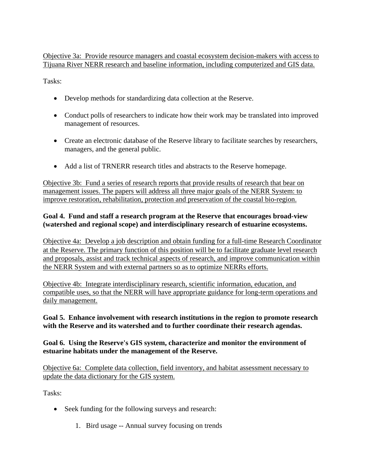Objective 3a: Provide resource managers and coastal ecosystem decision-makers with access to Tijuana River NERR research and baseline information, including computerized and GIS data.

Tasks:

- Develop methods for standardizing data collection at the Reserve.
- Conduct polls of researchers to indicate how their work may be translated into improved management of resources.
- Create an electronic database of the Reserve library to facilitate searches by researchers, managers, and the general public.
- Add a list of TRNERR research titles and abstracts to the Reserve homepage.

Objective 3b: Fund a series of research reports that provide results of research that bear on management issues. The papers will address all three major goals of the NERR System: to improve restoration, rehabilitation, protection and preservation of the coastal bio-region.

## **Goal 4. Fund and staff a research program at the Reserve that encourages broad-view (watershed and regional scope) and interdisciplinary research of estuarine ecosystems.**

Objective 4a: Develop a job description and obtain funding for a full-time Research Coordinator at the Reserve. The primary function of this position will be to facilitate graduate level research and proposals, assist and track technical aspects of research, and improve communication within the NERR System and with external partners so as to optimize NERRs efforts.

Objective 4b: Integrate interdisciplinary research, scientific information, education, and compatible uses, so that the NERR will have appropriate guidance for long-term operations and daily management.

## **Goal 5. Enhance involvement with research institutions in the region to promote research with the Reserve and its watershed and to further coordinate their research agendas.**

## **Goal 6. Using the Reserve's GIS system, characterize and monitor the environment of estuarine habitats under the management of the Reserve.**

Objective 6a: Complete data collection, field inventory, and habitat assessment necessary to update the data dictionary for the GIS system.

Tasks:

- Seek funding for the following surveys and research:
	- 1. Bird usage -- Annual survey focusing on trends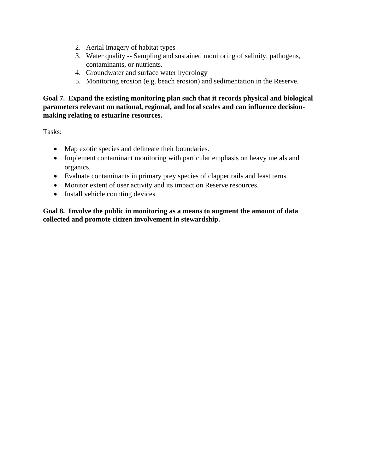- 2. Aerial imagery of habitat types
- 3. Water quality -- Sampling and sustained monitoring of salinity, pathogens, contaminants, or nutrients.
- 4. Groundwater and surface water hydrology
- 5. Monitoring erosion (e.g. beach erosion) and sedimentation in the Reserve.

**Goal 7. Expand the existing monitoring plan such that it records physical and biological parameters relevant on national, regional, and local scales and can influence decisionmaking relating to estuarine resources.** 

Tasks:

- Map exotic species and delineate their boundaries.
- Implement contaminant monitoring with particular emphasis on heavy metals and organics.
- Evaluate contaminants in primary prey species of clapper rails and least terns.
- Monitor extent of user activity and its impact on Reserve resources.
- Install vehicle counting devices.

**Goal 8. Involve the public in monitoring as a means to augment the amount of data collected and promote citizen involvement in stewardship.**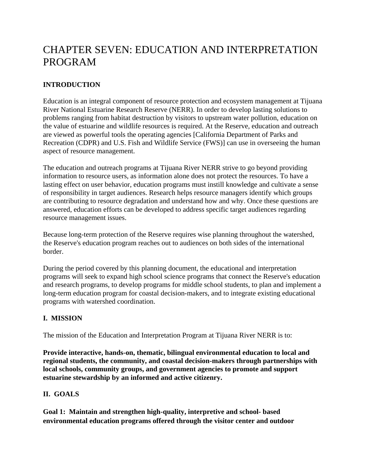# CHAPTER SEVEN: EDUCATION AND INTERPRETATION PROGRAM

# **INTRODUCTION**

Education is an integral component of resource protection and ecosystem management at Tijuana River National Estuarine Research Reserve (NERR). In order to develop lasting solutions to problems ranging from habitat destruction by visitors to upstream water pollution, education on the value of estuarine and wildlife resources is required. At the Reserve, education and outreach are viewed as powerful tools the operating agencies [California Department of Parks and Recreation (CDPR) and U.S. Fish and Wildlife Service (FWS)] can use in overseeing the human aspect of resource management.

The education and outreach programs at Tijuana River NERR strive to go beyond providing information to resource users, as information alone does not protect the resources. To have a lasting effect on user behavior, education programs must instill knowledge and cultivate a sense of responsibility in target audiences. Research helps resource managers identify which groups are contributing to resource degradation and understand how and why. Once these questions are answered, education efforts can be developed to address specific target audiences regarding resource management issues.

Because long-term protection of the Reserve requires wise planning throughout the watershed, the Reserve's education program reaches out to audiences on both sides of the international border.

During the period covered by this planning document, the educational and interpretation programs will seek to expand high school science programs that connect the Reserve's education and research programs, to develop programs for middle school students, to plan and implement a long-term education program for coastal decision-makers, and to integrate existing educational programs with watershed coordination.

# **I. MISSION**

The mission of the Education and Interpretation Program at Tijuana River NERR is to:

**Provide interactive, hands-on, thematic, bilingual environmental education to local and regional students, the community, and coastal decision-makers through partnerships with local schools, community groups, and government agencies to promote and support estuarine stewardship by an informed and active citizenry.** 

## **II. GOALS**

**Goal 1: Maintain and strengthen high-quality, interpretive and school- based environmental education programs offered through the visitor center and outdoor**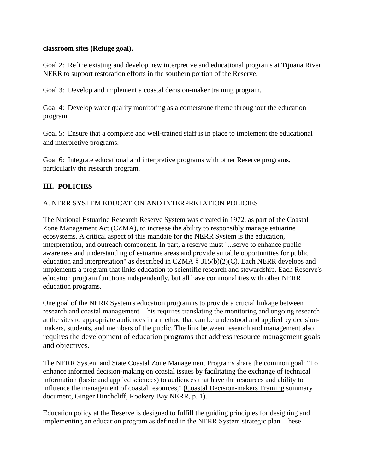#### **classroom sites (Refuge goal).**

Goal 2: Refine existing and develop new interpretive and educational programs at Tijuana River NERR to support restoration efforts in the southern portion of the Reserve.

Goal 3: Develop and implement a coastal decision-maker training program.

Goal 4: Develop water quality monitoring as a cornerstone theme throughout the education program.

Goal 5: Ensure that a complete and well-trained staff is in place to implement the educational and interpretive programs.

Goal 6: Integrate educational and interpretive programs with other Reserve programs, particularly the research program.

# **III. POLICIES**

## A. NERR SYSTEM EDUCATION AND INTERPRETATION POLICIES

The National Estuarine Research Reserve System was created in 1972, as part of the Coastal Zone Management Act (CZMA), to increase the ability to responsibly manage estuarine ecosystems. A critical aspect of this mandate for the NERR System is the education, interpretation, and outreach component. In part, a reserve must "...serve to enhance public awareness and understanding of estuarine areas and provide suitable opportunities for public education and interpretation" as described in CZMA § 315(b)(2)(C). Each NERR develops and implements a program that links education to scientific research and stewardship. Each Reserve's education program functions independently, but all have commonalities with other NERR education programs.

One goal of the NERR System's education program is to provide a crucial linkage between research and coastal management. This requires translating the monitoring and ongoing research at the sites to appropriate audiences in a method that can be understood and applied by decisionmakers, students, and members of the public. The link between research and management also requires the development of education programs that address resource management goals and objectives.

The NERR System and State Coastal Zone Management Programs share the common goal: "To enhance informed decision-making on coastal issues by facilitating the exchange of technical information (basic and applied sciences) to audiences that have the resources and ability to influence the management of coastal resources," (Coastal Decision-makers Training summary document, Ginger Hinchcliff, Rookery Bay NERR, p. 1).

Education policy at the Reserve is designed to fulfill the guiding principles for designing and implementing an education program as defined in the NERR System strategic plan. These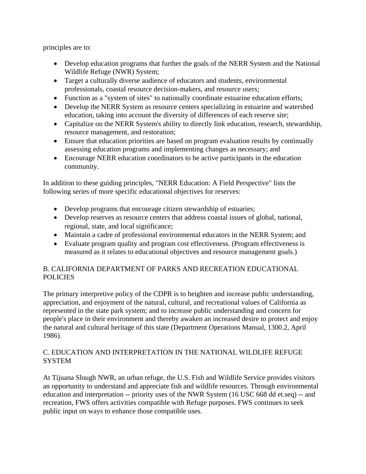principles are to:

- Develop education programs that further the goals of the NERR System and the National Wildlife Refuge (NWR) System;
- Target a culturally diverse audience of educators and students, environmental professionals, coastal resource decision-makers, and resource users;
- Function as a "system of sites" to nationally coordinate estuarine education efforts;
- Develop the NERR System as resource centers specializing in estuarine and watershed education, taking into account the diversity of differences of each reserve site;
- Capitalize on the NERR System's ability to directly link education, research, stewardship, resource management, and restoration;
- Ensure that education priorities are based on program evaluation results by continually assessing education programs and implementing changes as necessary; and
- Encourage NERR education coordinators to be active participants in the education community.

In addition to these guiding principles, "NERR Education: A Field Perspective" lists the following series of more specific educational objectives for reserves:

- Develop programs that encourage citizen stewardship of estuaries;
- Develop reserves as resource centers that address coastal issues of global, national, regional, state, and local significance;
- Maintain a cadre of professional environmental educators in the NERR System; and
- Evaluate program quality and program cost effectiveness. (Program effectiveness is measured as it relates to educational objectives and resource management goals.)

# B. CALIFORNIA DEPARTMENT OF PARKS AND RECREATION EDUCATIONAL **POLICIES**

The primary interpretive policy of the CDPR is to heighten and increase public understanding, appreciation, and enjoyment of the natural, cultural, and recreational values of California as represented in the state park system; and to increase public understanding and concern for people's place in their environment and thereby awaken an increased desire to protect and enjoy the natural and cultural heritage of this state (Department Operations Manual, 1300.2, April 1986).

## C. EDUCATION AND INTERPRETATION IN THE NATIONAL WILDLIFE REFUGE **SYSTEM**

At Tijuana Slough NWR, an urban refuge, the U.S. Fish and Wildlife Service provides visitors an opportunity to understand and appreciate fish and wildlife resources. Through environmental education and interpretation -- priority uses of the NWR System (16 USC 668 dd et.seq) -- and recreation, FWS offers activities compatible with Refuge purposes. FWS continues to seek public input on ways to enhance those compatible uses.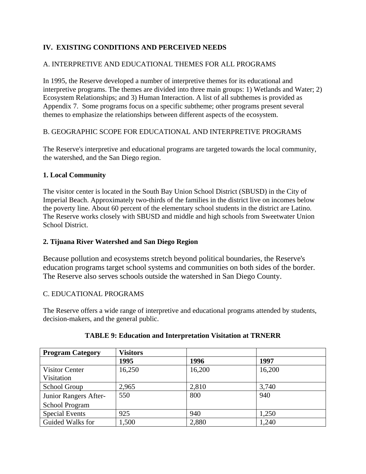# **IV. EXISTING CONDITIONS AND PERCEIVED NEEDS**

# A. INTERPRETIVE AND EDUCATIONAL THEMES FOR ALL PROGRAMS

In 1995, the Reserve developed a number of interpretive themes for its educational and interpretive programs. The themes are divided into three main groups: 1) Wetlands and Water; 2) Ecosystem Relationships; and 3) Human Interaction. A list of all subthemes is provided as Appendix 7. Some programs focus on a specific subtheme; other programs present several themes to emphasize the relationships between different aspects of the ecosystem.

## B. GEOGRAPHIC SCOPE FOR EDUCATIONAL AND INTERPRETIVE PROGRAMS

The Reserve's interpretive and educational programs are targeted towards the local community, the watershed, and the San Diego region.

## **1. Local Community**

The visitor center is located in the South Bay Union School District (SBUSD) in the City of Imperial Beach. Approximately two-thirds of the families in the district live on incomes below the poverty line. About 60 percent of the elementary school students in the district are Latino. The Reserve works closely with SBUSD and middle and high schools from Sweetwater Union School District.

# **2. Tijuana River Watershed and San Diego Region**

Because pollution and ecosystems stretch beyond political boundaries, the Reserve's education programs target school systems and communities on both sides of the border. The Reserve also serves schools outside the watershed in San Diego County.

## C. EDUCATIONAL PROGRAMS

The Reserve offers a wide range of interpretive and educational programs attended by students, decision-makers, and the general public.

| <b>Program Category</b> | <b>Visitors</b> |        |        |
|-------------------------|-----------------|--------|--------|
|                         | 1995            | 1996   | 1997   |
| <b>Visitor Center</b>   | 16,250          | 16,200 | 16,200 |
| Visitation              |                 |        |        |
| School Group            | 2,965           | 2,810  | 3,740  |
| Junior Rangers After-   | 550             | 800    | 940    |
| <b>School Program</b>   |                 |        |        |
| <b>Special Events</b>   | 925             | 940    | 1,250  |
| Guided Walks for        | 1,500           | 2,880  | 1,240  |

## **TABLE 9: Education and Interpretation Visitation at TRNERR**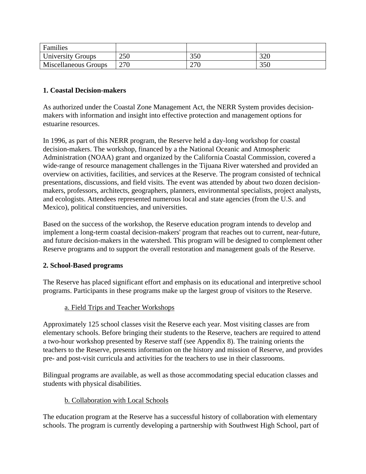| Families                    |     |     |     |
|-----------------------------|-----|-----|-----|
| <b>University Groups</b>    | 250 | 350 | 320 |
| <b>Miscellaneous Groups</b> | 270 | 270 | 350 |

## **1. Coastal Decision-makers**

As authorized under the Coastal Zone Management Act, the NERR System provides decisionmakers with information and insight into effective protection and management options for estuarine resources.

In 1996, as part of this NERR program, the Reserve held a day-long workshop for coastal decision-makers. The workshop, financed by a the National Oceanic and Atmospheric Administration (NOAA) grant and organized by the California Coastal Commission, covered a wide-range of resource management challenges in the Tijuana River watershed and provided an overview on activities, facilities, and services at the Reserve. The program consisted of technical presentations, discussions, and field visits. The event was attended by about two dozen decisionmakers, professors, architects, geographers, planners, environmental specialists, project analysts, and ecologists. Attendees represented numerous local and state agencies (from the U.S. and Mexico), political constituencies, and universities.

Based on the success of the workshop, the Reserve education program intends to develop and implement a long-term coastal decision-makers' program that reaches out to current, near-future, and future decision-makers in the watershed. This program will be designed to complement other Reserve programs and to support the overall restoration and management goals of the Reserve.

## **2. School-Based programs**

The Reserve has placed significant effort and emphasis on its educational and interpretive school programs. Participants in these programs make up the largest group of visitors to the Reserve.

## a. Field Trips and Teacher Workshops

Approximately 125 school classes visit the Reserve each year. Most visiting classes are from elementary schools. Before bringing their students to the Reserve, teachers are required to attend a two-hour workshop presented by Reserve staff (see Appendix 8). The training orients the teachers to the Reserve, presents information on the history and mission of Reserve, and provides pre- and post-visit curricula and activities for the teachers to use in their classrooms.

Bilingual programs are available, as well as those accommodating special education classes and students with physical disabilities.

## b. Collaboration with Local Schools

The education program at the Reserve has a successful history of collaboration with elementary schools. The program is currently developing a partnership with Southwest High School, part of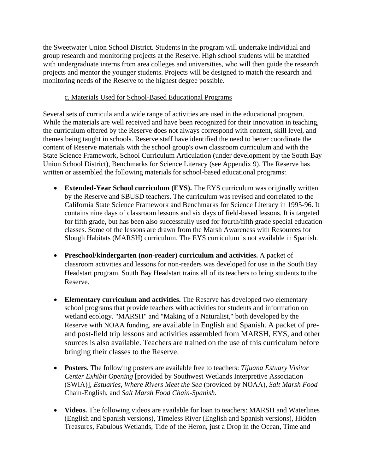the Sweetwater Union School District. Students in the program will undertake individual and group research and monitoring projects at the Reserve. High school students will be matched with undergraduate interns from area colleges and universities, who will then guide the research projects and mentor the younger students. Projects will be designed to match the research and monitoring needs of the Reserve to the highest degree possible.

## c. Materials Used for School-Based Educational Programs

Several sets of curricula and a wide range of activities are used in the educational program. While the materials are well received and have been recognized for their innovation in teaching, the curriculum offered by the Reserve does not always correspond with content, skill level, and themes being taught in schools. Reserve staff have identified the need to better coordinate the content of Reserve materials with the school group's own classroom curriculum and with the State Science Framework, School Curriculum Articulation (under development by the South Bay Union School District), Benchmarks for Science Literacy (see Appendix 9). The Reserve has written or assembled the following materials for school-based educational programs:

- **Extended-Year School curriculum (EYS).** The EYS curriculum was originally written by the Reserve and SBUSD teachers. The curriculum was revised and correlated to the California State Science Framework and Benchmarks for Science Literacy in 1995-96. It contains nine days of classroom lessons and six days of field-based lessons. It is targeted for fifth grade, but has been also successfully used for fourth/fifth grade special education classes. Some of the lessons are drawn from the Marsh Awareness with Resources for Slough Habitats (MARSH) curriculum. The EYS curriculum is not available in Spanish.
- **Preschool/kindergarten (non-reader) curriculum and activities.** A packet of classroom activities and lessons for non-readers was developed for use in the South Bay Headstart program. South Bay Headstart trains all of its teachers to bring students to the Reserve.
- **Elementary curriculum and activities.** The Reserve has developed two elementary school programs that provide teachers with activities for students and information on wetland ecology. "MARSH" and "Making of a Naturalist," both developed by the Reserve with NOAA funding, are available in English and Spanish. A packet of preand post-field trip lessons and activities assembled from MARSH, EYS, and other sources is also available. Teachers are trained on the use of this curriculum before bringing their classes to the Reserve.
- **Posters.** The following posters are available free to teachers: *Tijuana Estuary Visitor Center Exhibit Opening* [provided by Southwest Wetlands Interpretive Association (SWIA)], *Estuaries, Where Rivers Meet the Sea* (provided by NOAA), *Salt Marsh Food*  Chain-English, and *Salt Marsh Food Chain-Spanish.*
- **Videos.** The following videos are available for loan to teachers: MARSH and Waterlines (English and Spanish versions), Timeless River (English and Spanish versions), Hidden Treasures, Fabulous Wetlands, Tide of the Heron, just a Drop in the Ocean, Time and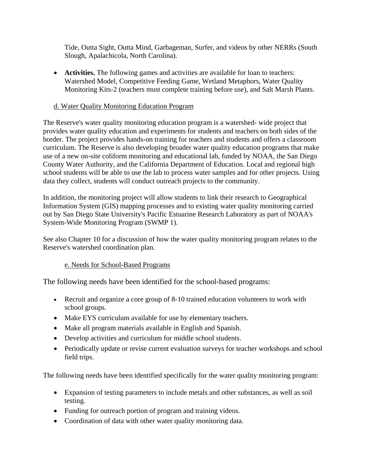Tide, Outta Sight, Outta Mind, Garbageman, Surfer, and videos by other NERRs (South Slough, Apalachicola, North Carolina).

• **Activities.** The following games and activities are available for loan to teachers: Watershed Model, Competitive Feeding Game, Wetland Metaphors, Water Quality Monitoring Kits-2 (teachers must complete training before use), and Salt Marsh Plants.

## d. Water Quality Monitoring Education Program

The Reserve's water quality monitoring education program is a watershed- wide project that provides water quality education and experiments for students and teachers on both sides of the border. The project provides hands-on training for teachers and students and offers a classroom curriculum. The Reserve is also developing broader water quality education programs that make use of a new on-site coliform monitoring and educational lab, funded by NOAA, the San Diego County Water Authority, and the California Department of Education. Local and regional high school students will be able to use the lab to process water samples and for other projects. Using data they collect, students will conduct outreach projects to the community.

In addition, the monitoring project will allow students to link their research to Geographical Information System (GIS) mapping processes and to existing water quality monitoring carried out by San Diego State University's Pacific Estuarine Research Laboratory as part of NOAA's System-Wide Monitoring Program (SWMP 1).

See also Chapter 10 for a discussion of how the water quality monitoring program relates to the Reserve's watershed coordination plan.

# e. Needs for School-Based Programs

The following needs have been identified for the school-based programs:

- Recruit and organize a core group of 8-10 trained education volunteers to work with school groups.
- Make EYS curriculum available for use by elementary teachers.
- Make all program materials available in English and Spanish.
- Develop activities and curriculum for middle school students.
- Periodically update or revise current evaluation surveys for teacher workshops and school field trips.

The following needs have been identified specifically for the water quality monitoring program:

- Expansion of testing parameters to include metals and other substances, as well as soil testing.
- Funding for outreach portion of program and training videos.
- Coordination of data with other water quality monitoring data.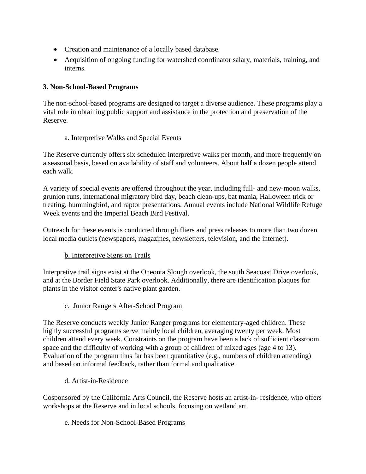- Creation and maintenance of a locally based database.
- Acquisition of ongoing funding for watershed coordinator salary, materials, training, and interns.

# **3. Non-School-Based Programs**

The non-school-based programs are designed to target a diverse audience. These programs play a vital role in obtaining public support and assistance in the protection and preservation of the Reserve.

# a. Interpretive Walks and Special Events

The Reserve currently offers six scheduled interpretive walks per month, and more frequently on a seasonal basis, based on availability of staff and volunteers. About half a dozen people attend each walk.

A variety of special events are offered throughout the year, including full- and new-moon walks, grunion runs, international migratory bird day, beach clean-ups, bat mania, Halloween trick or treating, hummingbird, and raptor presentations. Annual events include National Wildlife Refuge Week events and the Imperial Beach Bird Festival.

Outreach for these events is conducted through fliers and press releases to more than two dozen local media outlets (newspapers, magazines, newsletters, television, and the internet).

# b. Interpretive Signs on Trails

Interpretive trail signs exist at the Oneonta Slough overlook, the south Seacoast Drive overlook, and at the Border Field State Park overlook. Additionally, there are identification plaques for plants in the visitor center's native plant garden.

# c. Junior Rangers After-School Program

The Reserve conducts weekly Junior Ranger programs for elementary-aged children. These highly successful programs serve mainly local children, averaging twenty per week. Most children attend every week. Constraints on the program have been a lack of sufficient classroom space and the difficulty of working with a group of children of mixed ages (age 4 to 13). Evaluation of the program thus far has been quantitative (e.g., numbers of children attending) and based on informal feedback, rather than formal and qualitative.

# d. Artist-in-Residence

Cosponsored by the California Arts Council, the Reserve hosts an artist-in- residence, who offers workshops at the Reserve and in local schools, focusing on wetland art.

# e. Needs for Non-School-Based Programs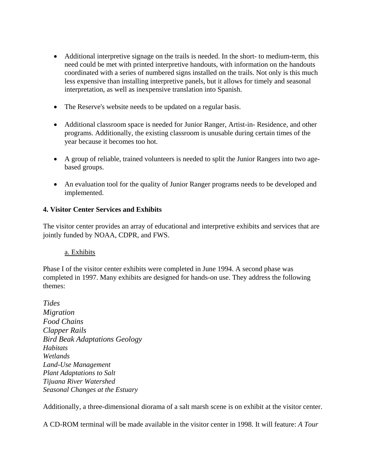- Additional interpretive signage on the trails is needed. In the short- to medium-term, this need could be met with printed interpretive handouts, with information on the handouts coordinated with a series of numbered signs installed on the trails. Not only is this much less expensive than installing interpretive panels, but it allows for timely and seasonal interpretation, as well as inexpensive translation into Spanish.
- The Reserve's website needs to be updated on a regular basis.
- Additional classroom space is needed for Junior Ranger, Artist-in-Residence, and other programs. Additionally, the existing classroom is unusable during certain times of the year because it becomes too hot.
- A group of reliable, trained volunteers is needed to split the Junior Rangers into two agebased groups.
- An evaluation tool for the quality of Junior Ranger programs needs to be developed and implemented.

## **4. Visitor Center Services and Exhibits**

The visitor center provides an array of educational and interpretive exhibits and services that are jointly funded by NOAA, CDPR, and FWS.

## a. Exhibits

Phase I of the visitor center exhibits were completed in June 1994. A second phase was completed in 1997. Many exhibits are designed for hands-on use. They address the following themes:

*Tides Migration Food Chains Clapper Rails Bird Beak Adaptations Geology Habitats Wetlands Land-Use Management Plant Adaptations to Salt Tijuana River Watershed Seasonal Changes at the Estuary* 

Additionally, a three-dimensional diorama of a salt marsh scene is on exhibit at the visitor center.

A CD-ROM terminal will be made available in the visitor center in 1998. It will feature: *A Tour*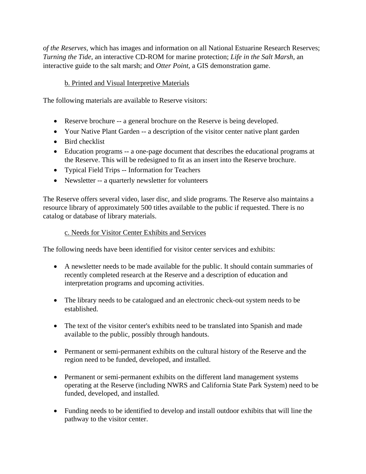*of the Reserves,* which has images and information on all National Estuarine Research Reserves; *Turning the Tide,* an interactive CD-ROM for marine protection; *Life in the Salt Marsh,* an interactive guide to the salt marsh; and *Otter Point,* a GIS demonstration game.

## b. Printed and Visual Interpretive Materials

The following materials are available to Reserve visitors:

- Reserve brochure -- a general brochure on the Reserve is being developed.
- Your Native Plant Garden -- a description of the visitor center native plant garden
- Bird checklist
- Education programs -- a one-page document that describes the educational programs at the Reserve. This will be redesigned to fit as an insert into the Reserve brochure.
- Typical Field Trips -- Information for Teachers
- Newsletter -- a quarterly newsletter for volunteers

The Reserve offers several video, laser disc, and slide programs. The Reserve also maintains a resource library of approximately 500 titles available to the public if requested. There is no catalog or database of library materials.

## c. Needs for Visitor Center Exhibits and Services

The following needs have been identified for visitor center services and exhibits:

- A newsletter needs to be made available for the public. It should contain summaries of recently completed research at the Reserve and a description of education and interpretation programs and upcoming activities.
- The library needs to be catalogued and an electronic check-out system needs to be established.
- The text of the visitor center's exhibits need to be translated into Spanish and made available to the public, possibly through handouts.
- Permanent or semi-permanent exhibits on the cultural history of the Reserve and the region need to be funded, developed, and installed.
- Permanent or semi-permanent exhibits on the different land management systems operating at the Reserve (including NWRS and California State Park System) need to be funded, developed, and installed.
- Funding needs to be identified to develop and install outdoor exhibits that will line the pathway to the visitor center.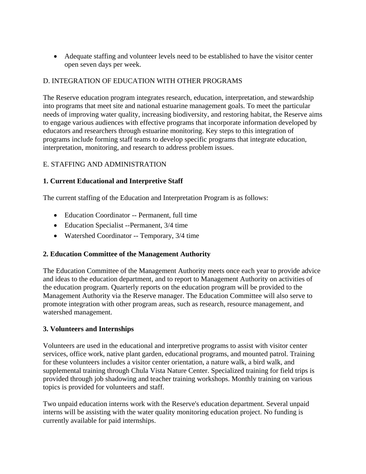• Adequate staffing and volunteer levels need to be established to have the visitor center open seven days per week.

## D. INTEGRATION OF EDUCATION WITH OTHER PROGRAMS

The Reserve education program integrates research, education, interpretation, and stewardship into programs that meet site and national estuarine management goals. To meet the particular needs of improving water quality, increasing biodiversity, and restoring habitat, the Reserve aims to engage various audiences with effective programs that incorporate information developed by educators and researchers through estuarine monitoring. Key steps to this integration of programs include forming staff teams to develop specific programs that integrate education, interpretation, monitoring, and research to address problem issues.

## E. STAFFING AND ADMINISTRATION

## **1. Current Educational and Interpretive Staff**

The current staffing of the Education and Interpretation Program is as follows:

- Education Coordinator -- Permanent, full time
- Education Specialist --Permanent, 3/4 time
- Watershed Coordinator -- Temporary, 3/4 time

## **2. Education Committee of the Management Authority**

The Education Committee of the Management Authority meets once each year to provide advice and ideas to the education department, and to report to Management Authority on activities of the education program. Quarterly reports on the education program will be provided to the Management Authority via the Reserve manager. The Education Committee will also serve to promote integration with other program areas, such as research, resource management, and watershed management.

## **3. Volunteers and Internships**

Volunteers are used in the educational and interpretive programs to assist with visitor center services, office work, native plant garden, educational programs, and mounted patrol. Training for these volunteers includes a visitor center orientation, a nature walk, a bird walk, and supplemental training through Chula Vista Nature Center. Specialized training for field trips is provided through job shadowing and teacher training workshops. Monthly training on various topics is provided for volunteers and staff.

Two unpaid education interns work with the Reserve's education department. Several unpaid interns will be assisting with the water quality monitoring education project. No funding is currently available for paid internships.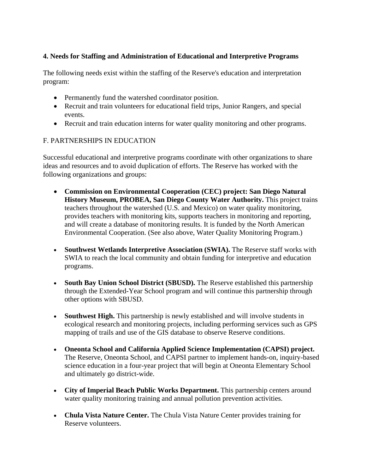## **4. Needs for Staffing and Administration of Educational and Interpretive Programs**

The following needs exist within the staffing of the Reserve's education and interpretation program:

- Permanently fund the watershed coordinator position.
- Recruit and train volunteers for educational field trips, Junior Rangers, and special events.
- Recruit and train education interns for water quality monitoring and other programs.

## F. PARTNERSHIPS IN EDUCATION

Successful educational and interpretive programs coordinate with other organizations to share ideas and resources and to avoid duplication of efforts. The Reserve has worked with the following organizations and groups:

- **Commission on Environmental Cooperation (CEC) project: San Diego Natural History Museum, PROBEA, San Diego County Water Authority.** This project trains teachers throughout the watershed (U.S. and Mexico) on water quality monitoring, provides teachers with monitoring kits, supports teachers in monitoring and reporting, and will create a database of monitoring results. It is funded by the North American Environmental Cooperation. (See also above, Water Quality Monitoring Program.)
- **Southwest Wetlands Interpretive Association (SWIA).** The Reserve staff works with SWIA to reach the local community and obtain funding for interpretive and education programs.
- **South Bay Union School District (SBUSD).** The Reserve established this partnership through the Extended-Year School program and will continue this partnership through other options with SBUSD.
- **Southwest High.** This partnership is newly established and will involve students in ecological research and monitoring projects, including performing services such as GPS mapping of trails and use of the GIS database to observe Reserve conditions.
- **Oneonta School and California Applied Science Implementation (CAPSI) project.**  The Reserve, Oneonta School, and CAPSI partner to implement hands-on, inquiry-based science education in a four-year project that will begin at Oneonta Elementary School and ultimately go district-wide.
- **City of Imperial Beach Public Works Department.** This partnership centers around water quality monitoring training and annual pollution prevention activities.
- **Chula Vista Nature Center.** The Chula Vista Nature Center provides training for Reserve volunteers.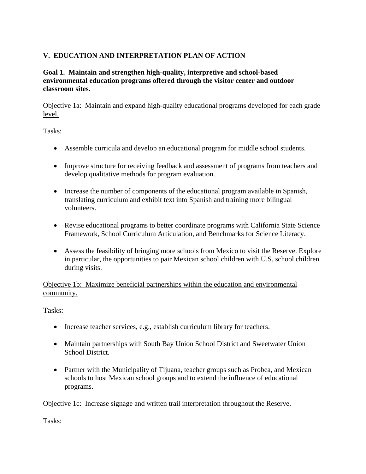# **V. EDUCATION AND INTERPRETATION PLAN OF ACTION**

## **Goal 1. Maintain and strengthen high-quality, interpretive and school-based environmental education programs offered through the visitor center and outdoor classroom sites.**

Objective 1a: Maintain and expand high-quality educational programs developed for each grade level.

Tasks:

- Assemble curricula and develop an educational program for middle school students.
- Improve structure for receiving feedback and assessment of programs from teachers and develop qualitative methods for program evaluation.
- Increase the number of components of the educational program available in Spanish, translating curriculum and exhibit text into Spanish and training more bilingual volunteers.
- Revise educational programs to better coordinate programs with California State Science Framework, School Curriculum Articulation, and Benchmarks for Science Literacy.
- Assess the feasibility of bringing more schools from Mexico to visit the Reserve. Explore in particular, the opportunities to pair Mexican school children with U.S. school children during visits.

Objective 1b: Maximize beneficial partnerships within the education and environmental community.

Tasks:

- Increase teacher services, e.g., establish curriculum library for teachers.
- Maintain partnerships with South Bay Union School District and Sweetwater Union School District.
- Partner with the Municipality of Tijuana, teacher groups such as Probea, and Mexican schools to host Mexican school groups and to extend the influence of educational programs.

Objective 1c: Increase signage and written trail interpretation throughout the Reserve.

Tasks: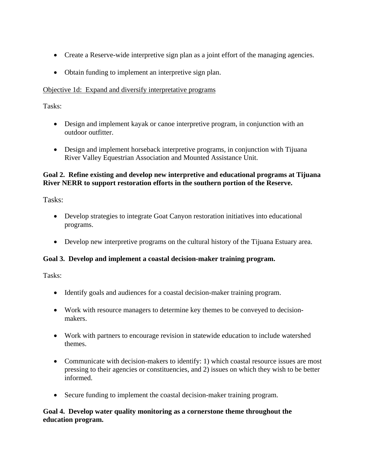- Create a Reserve-wide interpretive sign plan as a joint effort of the managing agencies.
- Obtain funding to implement an interpretive sign plan.

#### Objective 1d:Expand and diversify interpretative programs

Tasks:

- Design and implement kayak or canoe interpretive program, in conjunction with an outdoor outfitter.
- Design and implement horseback interpretive programs, in conjunction with Tijuana River Valley Equestrian Association and Mounted Assistance Unit.

## **Goal 2. Refine existing and develop new interpretive and educational programs at Tijuana River NERR to support restoration efforts in the southern portion of the Reserve.**

Tasks:

- Develop strategies to integrate Goat Canyon restoration initiatives into educational programs.
- Develop new interpretive programs on the cultural history of the Tijuana Estuary area.

## **Goal 3. Develop and implement a coastal decision-maker training program.**

Tasks:

- Identify goals and audiences for a coastal decision-maker training program.
- Work with resource managers to determine key themes to be conveyed to decisionmakers.
- Work with partners to encourage revision in statewide education to include watershed themes.
- Communicate with decision-makers to identify: 1) which coastal resource issues are most pressing to their agencies or constituencies, and 2) issues on which they wish to be better informed.
- Secure funding to implement the coastal decision-maker training program.

## **Goal 4. Develop water quality monitoring as a cornerstone theme throughout the education program.**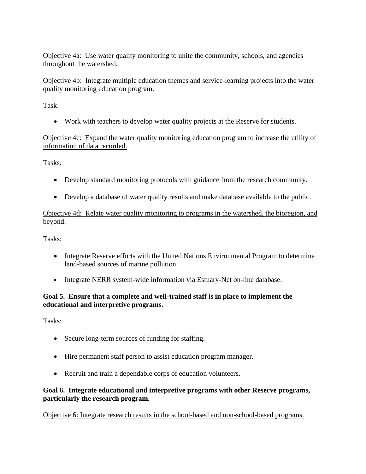Objective 4a: Use water quality monitoring to unite the community, schools, and agencies throughout the watershed.

Objective 4b: Integrate multiple education themes and service-learning projects into the water quality monitoring education program.

Task:

• Work with teachers to develop water quality projects at the Reserve for students.

Objective 4c: Expand the water quality monitoring education program to increase the utility of information of data recorded.

Tasks:

- Develop standard monitoring protocols with guidance from the research community.
- Develop a database of water quality results and make database available to the public.

Objective 4d: Relate water quality monitoring to programs in the watershed, the bioregion, and beyond.

Tasks:

- Integrate Reserve efforts with the United Nations Environmental Program to determine land-based sources of marine pollution.
- Integrate NERR system-wide information via Estuary-Net on-line database.

# **Goal 5. Ensure that a complete and well-trained staff is in place to implement the educational and interpretive programs.**

Tasks:

- Secure long-term sources of funding for staffing.
- Hire permanent staff person to assist education program manager.
- Recruit and train a dependable corps of education volunteers.

## **Goal 6. Integrate educational and interpretive programs with other Reserve programs, particularly the research program.**

Objective 6: Integrate research results in the school-based and non-school-based programs.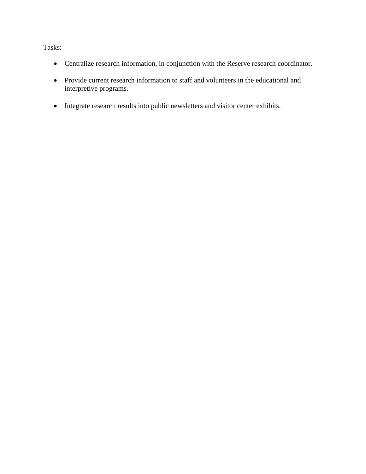Tasks:

- Centralize research information, in conjunction with the Reserve research coordinator.
- Provide current research information to staff and volunteers in the educational and interpretive programs.
- Integrate research results into public newsletters and visitor center exhibits.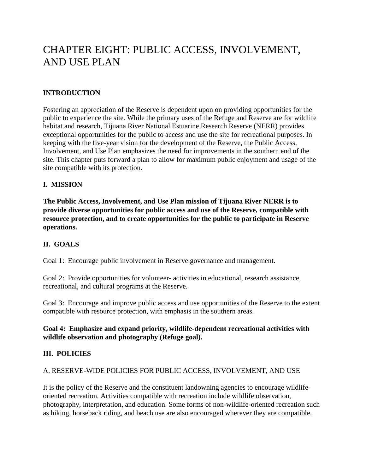# CHAPTER EIGHT: PUBLIC ACCESS, INVOLVEMENT, AND USE PLAN

## **INTRODUCTION**

Fostering an appreciation of the Reserve is dependent upon on providing opportunities for the public to experience the site. While the primary uses of the Refuge and Reserve are for wildlife habitat and research, Tijuana River National Estuarine Research Reserve (NERR) provides exceptional opportunities for the public to access and use the site for recreational purposes. In keeping with the five-year vision for the development of the Reserve, the Public Access, Involvement, and Use Plan emphasizes the need for improvements in the southern end of the site. This chapter puts forward a plan to allow for maximum public enjoyment and usage of the site compatible with its protection.

## **I. MISSION**

**The Public Access, Involvement, and Use Plan mission of Tijuana River NERR is to provide diverse opportunities for public access and use of the Reserve, compatible with resource protection, and to create opportunities for the public to participate in Reserve operations.** 

## **II. GOALS**

Goal 1: Encourage public involvement in Reserve governance and management.

Goal 2: Provide opportunities for volunteer- activities in educational, research assistance, recreational, and cultural programs at the Reserve.

Goal 3: Encourage and improve public access and use opportunities of the Reserve to the extent compatible with resource protection, with emphasis in the southern areas.

#### **Goal 4: Emphasize and expand priority, wildlife-dependent recreational activities with wildlife observation and photography (Refuge goal).**

#### **III. POLICIES**

#### A. RESERVE-WIDE POLICIES FOR PUBLIC ACCESS, INVOLVEMENT, AND USE

It is the policy of the Reserve and the constituent landowning agencies to encourage wildlifeoriented recreation. Activities compatible with recreation include wildlife observation, photography, interpretation, and education. Some forms of non-wildlife-oriented recreation such as hiking, horseback riding, and beach use are also encouraged wherever they are compatible.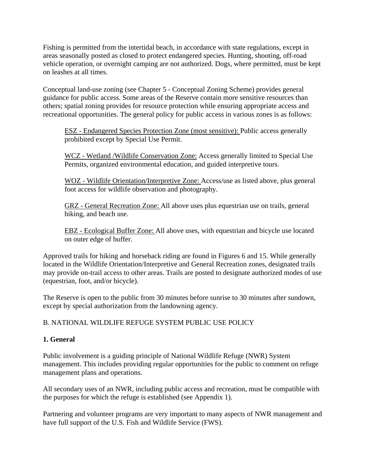Fishing is permitted from the intertidal beach, in accordance with state regulations, except in areas seasonally posted as closed to protect endangered species. Hunting, shooting, off-road vehicle operation, or overnight camping are not authorized. Dogs, where permitted, must be kept on leashes at all times.

Conceptual land-use zoning (see Chapter 5 - Conceptual Zoning Scheme) provides general guidance for public access. Some areas of the Reserve contain more sensitive resources than others; spatial zoning provides for resource protection while ensuring appropriate access and recreational opportunities. The general policy for public access in various zones is as follows:

ESZ - Endangered Species Protection Zone (most sensitive): Public access generally prohibited except by Special Use Permit.

WCZ - Wetland /Wildlife Conservation Zone: Access generally limited to Special Use Permits, organized environmental education, and guided interpretive tours.

WOZ - Wildlife Orientation/Interpretive Zone: Access/use as listed above, plus general foot access for wildlife observation and photography.

GRZ - General Recreation Zone: All above uses plus equestrian use on trails, general hiking, and beach use.

EBZ - Ecological Buffer Zone: All above uses, with equestrian and bicycle use located on outer edge of buffer.

Approved trails for hiking and horseback riding are found in Figures 6 and 15. While generally located in the Wildlife Orientation/Interpretive and General Recreation zones, designated trails may provide on-trail access to other areas. Trails are posted to designate authorized modes of use (equestrian, foot, and/or bicycle).

The Reserve is open to the public from 30 minutes before sunrise to 30 minutes after sundown, except by special authorization from the landowning agency.

# B. NATIONAL WILDLIFE REFUGE SYSTEM PUBLIC USE POLICY

## **1. General**

Public involvement is a guiding principle of National Wildlife Refuge (NWR) System management. This includes providing regular opportunities for the public to comment on refuge management plans and operations.

All secondary uses of an NWR, including public access and recreation, must be compatible with the purposes for which the refuge is established (see Appendix 1).

Partnering and volunteer programs are very important to many aspects of NWR management and have full support of the U.S. Fish and Wildlife Service (FWS).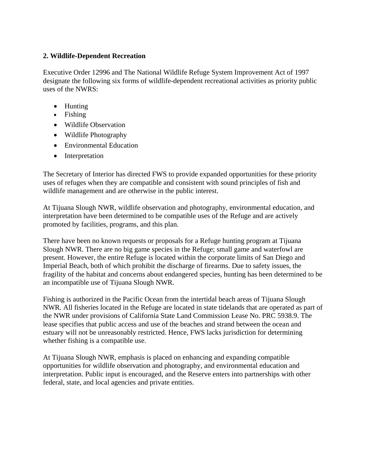## **2. Wildlife-Dependent Recreation**

Executive Order 12996 and The National Wildlife Refuge System Improvement Act of 1997 designate the following six forms of wildlife-dependent recreational activities as priority public uses of the NWRS:

- Hunting
- Fishing
- Wildlife Observation
- Wildlife Photography
- Environmental Education
- Interpretation

The Secretary of Interior has directed FWS to provide expanded opportunities for these priority uses of refuges when they are compatible and consistent with sound principles of fish and wildlife management and are otherwise in the public interest.

At Tijuana Slough NWR, wildlife observation and photography, environmental education, and interpretation have been determined to be compatible uses of the Refuge and are actively promoted by facilities, programs, and this plan.

There have been no known requests or proposals for a Refuge hunting program at Tijuana Slough NWR. There are no big game species in the Refuge; small game and waterfowl are present. However, the entire Refuge is located within the corporate limits of San Diego and Imperial Beach, both of which prohibit the discharge of firearms. Due to safety issues, the fragility of the habitat and concerns about endangered species, hunting has been determined to be an incompatible use of Tijuana Slough NWR.

Fishing is authorized in the Pacific Ocean from the intertidal beach areas of Tijuana Slough NWR. All fisheries located in the Refuge are located in state tidelands that are operated as part of the NWR under provisions of California State Land Commission Lease No. PRC 5938.9. The lease specifies that public access and use of the beaches and strand between the ocean and estuary will not be unreasonably restricted. Hence, FWS lacks jurisdiction for determining whether fishing is a compatible use.

At Tijuana Slough NWR, emphasis is placed on enhancing and expanding compatible opportunities for wildlife observation and photography, and environmental education and interpretation. Public input is encouraged, and the Reserve enters into partnerships with other federal, state, and local agencies and private entities.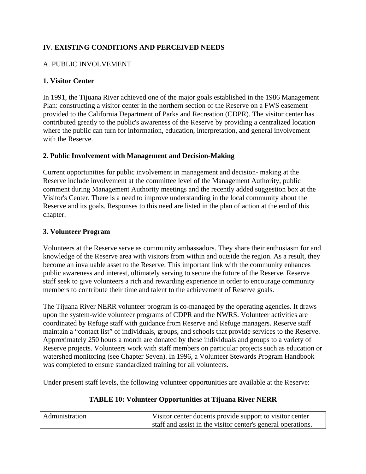# **IV. EXISTING CONDITIONS AND PERCEIVED NEEDS**

# A. PUBLIC INVOLVEMENT

## **1. Visitor Center**

In 1991, the Tijuana River achieved one of the major goals established in the 1986 Management Plan: constructing a visitor center in the northern section of the Reserve on a FWS easement provided to the California Department of Parks and Recreation (CDPR). The visitor center has contributed greatly to the public's awareness of the Reserve by providing a centralized location where the public can turn for information, education, interpretation, and general involvement with the Reserve.

## **2. Public Involvement with Management and Decision-Making**

Current opportunities for public involvement in management and decision- making at the Reserve include involvement at the committee level of the Management Authority, public comment during Management Authority meetings and the recently added suggestion box at the Visitor's Center. There is a need to improve understanding in the local community about the Reserve and its goals. Responses to this need are listed in the plan of action at the end of this chapter.

#### **3. Volunteer Program**

Volunteers at the Reserve serve as community ambassadors. They share their enthusiasm for and knowledge of the Reserve area with visitors from within and outside the region. As a result, they become an invaluable asset to the Reserve. This important link with the community enhances public awareness and interest, ultimately serving to secure the future of the Reserve. Reserve staff seek to give volunteers a rich and rewarding experience in order to encourage community members to contribute their time and talent to the achievement of Reserve goals.

The Tijuana River NERR volunteer program is co-managed by the operating agencies. It draws upon the system-wide volunteer programs of CDPR and the NWRS. Volunteer activities are coordinated by Refuge staff with guidance from Reserve and Refuge managers. Reserve staff maintain a "contact list" of individuals, groups, and schools that provide services to the Reserve. Approximately 250 hours a month are donated by these individuals and groups to a variety of Reserve projects. Volunteers work with staff members on particular projects such as education or watershed monitoring (see Chapter Seven). In 1996, a Volunteer Stewards Program Handbook was completed to ensure standardized training for all volunteers.

Under present staff levels, the following volunteer opportunities are available at the Reserve:

## **TABLE 10: Volunteer Opportunities at Tijuana River NERR**

| Administration | Visitor center docents provide support to visitor center     |
|----------------|--------------------------------------------------------------|
|                | staff and assist in the visitor center's general operations. |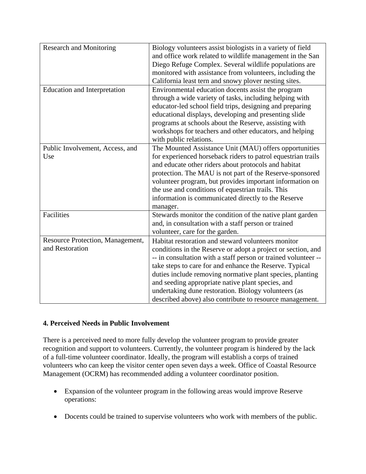| <b>Research and Monitoring</b>                      | Biology volunteers assist biologists in a variety of field<br>and office work related to wildlife management in the San<br>Diego Refuge Complex. Several wildlife populations are<br>monitored with assistance from volunteers, including the<br>California least tern and snowy plover nesting sites.                                                                                                                                                                                |
|-----------------------------------------------------|---------------------------------------------------------------------------------------------------------------------------------------------------------------------------------------------------------------------------------------------------------------------------------------------------------------------------------------------------------------------------------------------------------------------------------------------------------------------------------------|
| <b>Education and Interpretation</b>                 | Environmental education docents assist the program<br>through a wide variety of tasks, including helping with<br>educator-led school field trips, designing and preparing<br>educational displays, developing and presenting slide<br>programs at schools about the Reserve, assisting with<br>workshops for teachers and other educators, and helping<br>with public relations.                                                                                                      |
| Public Involvement, Access, and<br>Use              | The Mounted Assistance Unit (MAU) offers opportunities<br>for experienced horseback riders to patrol equestrian trails<br>and educate other riders about protocols and habitat<br>protection. The MAU is not part of the Reserve-sponsored<br>volunteer program, but provides important information on<br>the use and conditions of equestrian trails. This<br>information is communicated directly to the Reserve<br>manager.                                                        |
| Facilities                                          | Stewards monitor the condition of the native plant garden<br>and, in consultation with a staff person or trained<br>volunteer, care for the garden.                                                                                                                                                                                                                                                                                                                                   |
| Resource Protection, Management,<br>and Restoration | Habitat restoration and steward volunteers monitor<br>conditions in the Reserve or adopt a project or section, and<br>-- in consultation with a staff person or trained volunteer --<br>take steps to care for and enhance the Reserve. Typical<br>duties include removing normative plant species, planting<br>and seeding appropriate native plant species, and<br>undertaking dune restoration. Biology volunteers (as<br>described above) also contribute to resource management. |

## **4. Perceived Needs in Public Involvement**

There is a perceived need to more fully develop the volunteer program to provide greater recognition and support to volunteers. Currently, the volunteer program is hindered by the lack of a full-time volunteer coordinator. Ideally, the program will establish a corps of trained volunteers who can keep the visitor center open seven days a week. Office of Coastal Resource Management (OCRM) has recommended adding a volunteer coordinator position.

- Expansion of the volunteer program in the following areas would improve Reserve operations:
- Docents could be trained to supervise volunteers who work with members of the public.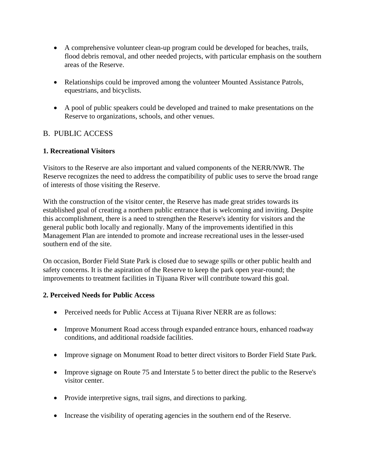- A comprehensive volunteer clean-up program could be developed for beaches, trails, flood debris removal, and other needed projects, with particular emphasis on the southern areas of the Reserve.
- Relationships could be improved among the volunteer Mounted Assistance Patrols, equestrians, and bicyclists.
- A pool of public speakers could be developed and trained to make presentations on the Reserve to organizations, schools, and other venues.

## B. PUBLIC ACCESS

## **1. Recreational Visitors**

Visitors to the Reserve are also important and valued components of the NERR/NWR. The Reserve recognizes the need to address the compatibility of public uses to serve the broad range of interests of those visiting the Reserve.

With the construction of the visitor center, the Reserve has made great strides towards its established goal of creating a northern public entrance that is welcoming and inviting. Despite this accomplishment, there is a need to strengthen the Reserve's identity for visitors and the general public both locally and regionally. Many of the improvements identified in this Management Plan are intended to promote and increase recreational uses in the lesser-used southern end of the site.

On occasion, Border Field State Park is closed due to sewage spills or other public health and safety concerns. It is the aspiration of the Reserve to keep the park open year-round; the improvements to treatment facilities in Tijuana River will contribute toward this goal.

## **2. Perceived Needs for Public Access**

- Perceived needs for Public Access at Tijuana River NERR are as follows:
- Improve Monument Road access through expanded entrance hours, enhanced roadway conditions, and additional roadside facilities.
- Improve signage on Monument Road to better direct visitors to Border Field State Park.
- Improve signage on Route 75 and Interstate 5 to better direct the public to the Reserve's visitor center.
- Provide interpretive signs, trail signs, and directions to parking.
- Increase the visibility of operating agencies in the southern end of the Reserve.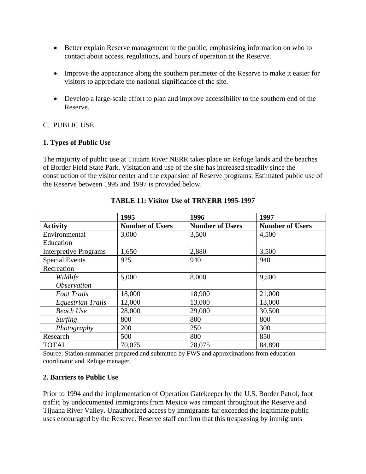- Better explain Reserve management to the public, emphasizing information on who to contact about access, regulations, and hours of operation at the Reserve.
- Improve the appearance along the southern perimeter of the Reserve to make it easier for visitors to appreciate the national significance of the site.
- Develop a large-scale effort to plan and improve accessibility to the southern end of the Reserve.

## C. PUBLIC USE

#### **1. Types of Public Use**

The majority of public use at Tijuana River NERR takes place on Refuge lands and the beaches of Border Field State Park. Visitation and use of the site has increased steadily since the construction of the visitor center and the expansion of Reserve programs. Estimated public use of the Reserve between 1995 and 1997 is provided below.

|                              | 1995                   | 1996                   | 1997                   |
|------------------------------|------------------------|------------------------|------------------------|
| <b>Activity</b>              | <b>Number of Users</b> | <b>Number of Users</b> | <b>Number of Users</b> |
| Environmental                | 3,000                  | 3,500                  | 4,500                  |
| Education                    |                        |                        |                        |
| <b>Interpretive Programs</b> | 1,650                  | 2,880                  | 3,500                  |
| <b>Special Events</b>        | 925                    | 940                    | 940                    |
| Recreation                   |                        |                        |                        |
| Wildlife                     | 5,000                  | 8,000                  | 9,500                  |
| <i><b>Observation</b></i>    |                        |                        |                        |
| <b>Foot Trails</b>           | 18,000                 | 18,900                 | 21,000                 |
| <b>Equestrian Trails</b>     | 12,000                 | 13,000                 | 13,000                 |
| <b>Beach Use</b>             | 28,000                 | 29,000                 | 30,500                 |
| <i>Surfing</i>               | 800                    | 800                    | 800                    |
| Photography                  | 200                    | 250                    | 300                    |
| Research                     | 500                    | 800                    | 850                    |
| <b>TOTAL</b>                 | 70,075                 | 78,075                 | 84,890                 |

**TABLE 11: Visitor Use of TRNERR 1995-1997** 

Source: Station summaries prepared and submitted by FWS and approximations from education coordinator and Refuge manager.

#### **2. Barriers to Public Use**

Prior to 1994 and the implementation of Operation Gatekeeper by the U.S. Border Patrol, foot traffic by undocumented immigrants from Mexico was rampant throughout the Reserve and Tijuana River Valley. Unauthorized access by immigrants far exceeded the legitimate public uses encouraged by the Reserve. Reserve staff confirm that this trespassing by immigrants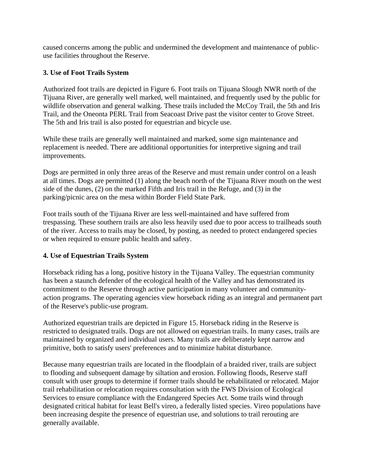caused concerns among the public and undermined the development and maintenance of publicuse facilities throughout the Reserve.

## **3. Use of Foot Trails System**

Authorized foot trails are depicted in Figure 6. Foot trails on Tijuana Slough NWR north of the Tijuana River, are generally well marked, well maintained, and frequently used by the public for wildlife observation and general walking. These trails included the McCoy Trail, the 5th and Iris Trail, and the Oneonta PERL Trail from Seacoast Drive past the visitor center to Grove Street. The 5th and Iris trail is also posted for equestrian and bicycle use.

While these trails are generally well maintained and marked, some sign maintenance and replacement is needed. There are additional opportunities for interpretive signing and trail improvements.

Dogs are permitted in only three areas of the Reserve and must remain under control on a leash at all times. Dogs are permitted (1) along the beach north of the Tijuana River mouth on the west side of the dunes, (2) on the marked Fifth and Iris trail in the Refuge, and (3) in the parking/picnic area on the mesa within Border Field State Park.

Foot trails south of the Tijuana River are less well-maintained and have suffered from trespassing. These southern trails are also less heavily used due to poor access to trailheads south of the river. Access to trails may be closed, by posting, as needed to protect endangered species or when required to ensure public health and safety.

## **4. Use of Equestrian Trails System**

Horseback riding has a long, positive history in the Tijuana Valley. The equestrian community has been a staunch defender of the ecological health of the Valley and has demonstrated its commitment to the Reserve through active participation in many volunteer and communityaction programs. The operating agencies view horseback riding as an integral and permanent part of the Reserve's public-use program.

Authorized equestrian trails are depicted in Figure 15. Horseback riding in the Reserve is restricted to designated trails. Dogs are not allowed on equestrian trails. In many cases, trails are maintained by organized and individual users. Many trails are deliberately kept narrow and primitive, both to satisfy users' preferences and to minimize habitat disturbance.

Because many equestrian trails are located in the floodplain of a braided river, trails are subject to flooding and subsequent damage by siltation and erosion. Following floods, Reserve staff consult with user groups to determine if former trails should be rehabilitated or relocated. Major trail rehabilitation or relocation requires consultation with the FWS Division of Ecological Services to ensure compliance with the Endangered Species Act. Some trails wind through designated critical habitat for least Bell's vireo, a federally listed species. Vireo populations have been increasing despite the presence of equestrian use, and solutions to trail rerouting are generally available.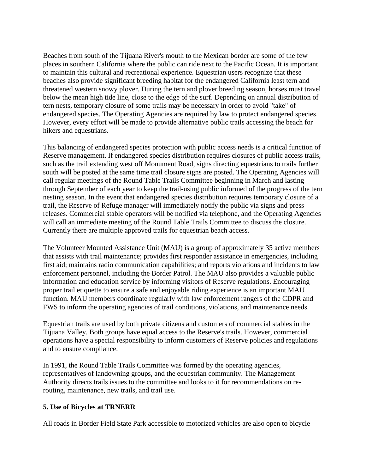Beaches from south of the Tijuana River's mouth to the Mexican border are some of the few places in southern California where the public can ride next to the Pacific Ocean. It is important to maintain this cultural and recreational experience. Equestrian users recognize that these beaches also provide significant breeding habitat for the endangered California least tern and threatened western snowy plover. During the tern and plover breeding season, horses must travel below the mean high tide line, close to the edge of the surf. Depending on annual distribution of tern nests, temporary closure of some trails may be necessary in order to avoid "take" of endangered species. The Operating Agencies are required by law to protect endangered species. However, every effort will be made to provide alternative public trails accessing the beach for hikers and equestrians.

This balancing of endangered species protection with public access needs is a critical function of Reserve management. If endangered species distribution requires closures of public access trails, such as the trail extending west off Monument Road, signs directing equestrians to trails further south will be posted at the same time trail closure signs are posted. The Operating Agencies will call regular meetings of the Round Table Trails Committee beginning in March and lasting through September of each year to keep the trail-using public informed of the progress of the tern nesting season. In the event that endangered species distribution requires temporary closure of a trail, the Reserve of Refuge manager will immediately notify the public via signs and press releases. Commercial stable operators will be notified via telephone, and the Operating Agencies will call an immediate meeting of the Round Table Trails Committee to discuss the closure. Currently there are multiple approved trails for equestrian beach access.

The Volunteer Mounted Assistance Unit (MAU) is a group of approximately 35 active members that assists with trail maintenance; provides first responder assistance in emergencies, including first aid; maintains radio communication capabilities; and reports violations and incidents to law enforcement personnel, including the Border Patrol. The MAU also provides a valuable public information and education service by informing visitors of Reserve regulations. Encouraging proper trail etiquette to ensure a safe and enjoyable riding experience is an important MAU function. MAU members coordinate regularly with law enforcement rangers of the CDPR and FWS to inform the operating agencies of trail conditions, violations, and maintenance needs.

Equestrian trails are used by both private citizens and customers of commercial stables in the Tijuana Valley. Both groups have equal access to the Reserve's trails. However, commercial operations have a special responsibility to inform customers of Reserve policies and regulations and to ensure compliance.

In 1991, the Round Table Trails Committee was formed by the operating agencies, representatives of landowning groups, and the equestrian community. The Management Authority directs trails issues to the committee and looks to it for recommendations on rerouting, maintenance, new trails, and trail use.

#### **5. Use of Bicycles at TRNERR**

All roads in Border Field State Park accessible to motorized vehicles are also open to bicycle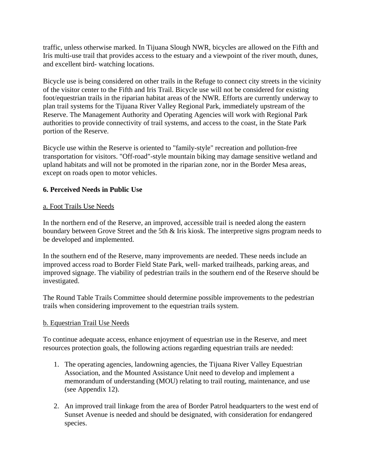traffic, unless otherwise marked. In Tijuana Slough NWR, bicycles are allowed on the Fifth and Iris multi-use trail that provides access to the estuary and a viewpoint of the river mouth, dunes, and excellent bird- watching locations.

Bicycle use is being considered on other trails in the Refuge to connect city streets in the vicinity of the visitor center to the Fifth and Iris Trail. Bicycle use will not be considered for existing foot/equestrian trails in the riparian habitat areas of the NWR. Efforts are currently underway to plan trail systems for the Tijuana River Valley Regional Park, immediately upstream of the Reserve. The Management Authority and Operating Agencies will work with Regional Park authorities to provide connectivity of trail systems, and access to the coast, in the State Park portion of the Reserve.

Bicycle use within the Reserve is oriented to "family-style" recreation and pollution-free transportation for visitors. "Off-road"-style mountain biking may damage sensitive wetland and upland habitats and will not be promoted in the riparian zone, nor in the Border Mesa areas, except on roads open to motor vehicles.

#### **6. Perceived Needs in Public Use**

#### a. Foot Trails Use Needs

In the northern end of the Reserve, an improved, accessible trail is needed along the eastern boundary between Grove Street and the 5th & Iris kiosk. The interpretive signs program needs to be developed and implemented.

In the southern end of the Reserve, many improvements are needed. These needs include an improved access road to Border Field State Park, well- marked trailheads, parking areas, and improved signage. The viability of pedestrian trails in the southern end of the Reserve should be investigated.

The Round Table Trails Committee should determine possible improvements to the pedestrian trails when considering improvement to the equestrian trails system.

#### b. Equestrian Trail Use Needs

To continue adequate access, enhance enjoyment of equestrian use in the Reserve, and meet resources protection goals, the following actions regarding equestrian trails are needed:

- 1. The operating agencies, landowning agencies, the Tijuana River Valley Equestrian Association, and the Mounted Assistance Unit need to develop and implement a memorandum of understanding (MOU) relating to trail routing, maintenance, and use (see Appendix 12).
- 2. An improved trail linkage from the area of Border Patrol headquarters to the west end of Sunset Avenue is needed and should be designated, with consideration for endangered species.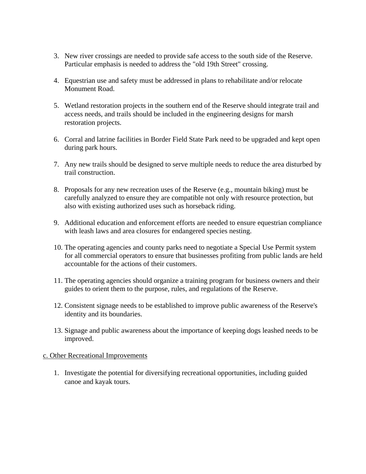- 3. New river crossings are needed to provide safe access to the south side of the Reserve. Particular emphasis is needed to address the "old 19th Street" crossing.
- 4. Equestrian use and safety must be addressed in plans to rehabilitate and/or relocate Monument Road.
- 5. Wetland restoration projects in the southern end of the Reserve should integrate trail and access needs, and trails should be included in the engineering designs for marsh restoration projects.
- 6. Corral and latrine facilities in Border Field State Park need to be upgraded and kept open during park hours.
- 7. Any new trails should be designed to serve multiple needs to reduce the area disturbed by trail construction.
- 8. Proposals for any new recreation uses of the Reserve (e.g., mountain biking) must be carefully analyzed to ensure they are compatible not only with resource protection, but also with existing authorized uses such as horseback riding.
- 9. Additional education and enforcement efforts are needed to ensure equestrian compliance with leash laws and area closures for endangered species nesting.
- 10. The operating agencies and county parks need to negotiate a Special Use Permit system for all commercial operators to ensure that businesses profiting from public lands are held accountable for the actions of their customers.
- 11. The operating agencies should organize a training program for business owners and their guides to orient them to the purpose, rules, and regulations of the Reserve.
- 12. Consistent signage needs to be established to improve public awareness of the Reserve's identity and its boundaries.
- 13. Signage and public awareness about the importance of keeping dogs leashed needs to be improved.

#### c. Other Recreational Improvements

1. Investigate the potential for diversifying recreational opportunities, including guided canoe and kayak tours.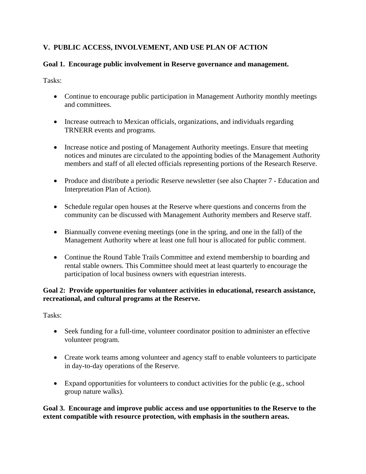# **V. PUBLIC ACCESS, INVOLVEMENT, AND USE PLAN OF ACTION**

# **Goal 1. Encourage public involvement in Reserve governance and management.**

Tasks:

- Continue to encourage public participation in Management Authority monthly meetings and committees.
- Increase outreach to Mexican officials, organizations, and individuals regarding TRNERR events and programs.
- Increase notice and posting of Management Authority meetings. Ensure that meeting notices and minutes are circulated to the appointing bodies of the Management Authority members and staff of all elected officials representing portions of the Research Reserve.
- Produce and distribute a periodic Reserve newsletter (see also Chapter 7 Education and Interpretation Plan of Action).
- Schedule regular open houses at the Reserve where questions and concerns from the community can be discussed with Management Authority members and Reserve staff.
- Biannually convene evening meetings (one in the spring, and one in the fall) of the Management Authority where at least one full hour is allocated for public comment.
- Continue the Round Table Trails Committee and extend membership to boarding and rental stable owners. This Committee should meet at least quarterly to encourage the participation of local business owners with equestrian interests.

# **Goal 2: Provide opportunities for volunteer activities in educational, research assistance, recreational, and cultural programs at the Reserve.**

Tasks:

- Seek funding for a full-time, volunteer coordinator position to administer an effective volunteer program.
- Create work teams among volunteer and agency staff to enable volunteers to participate in day-to-day operations of the Reserve.
- Expand opportunities for volunteers to conduct activities for the public (e.g., school group nature walks).

**Goal 3. Encourage and improve public access and use opportunities to the Reserve to the extent compatible with resource protection, with emphasis in the southern areas.**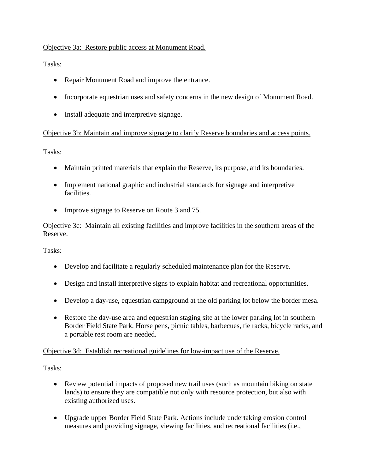# Objective 3a: Restore public access at Monument Road.

Tasks:

- Repair Monument Road and improve the entrance.
- Incorporate equestrian uses and safety concerns in the new design of Monument Road.
- Install adequate and interpretive signage.

#### Objective 3b: Maintain and improve signage to clarify Reserve boundaries and access points.

Tasks:

- Maintain printed materials that explain the Reserve, its purpose, and its boundaries.
- Implement national graphic and industrial standards for signage and interpretive facilities.
- Improve signage to Reserve on Route 3 and 75.

Objective 3c: Maintain all existing facilities and improve facilities in the southern areas of the Reserve.

Tasks:

- Develop and facilitate a regularly scheduled maintenance plan for the Reserve.
- Design and install interpretive signs to explain habitat and recreational opportunities.
- Develop a day-use, equestrian campground at the old parking lot below the border mesa.
- Restore the day-use area and equestrian staging site at the lower parking lot in southern Border Field State Park. Horse pens, picnic tables, barbecues, tie racks, bicycle racks, and a portable rest room are needed.

#### Objective 3d: Establish recreational guidelines for low-impact use of the Reserve.

- Review potential impacts of proposed new trail uses (such as mountain biking on state lands) to ensure they are compatible not only with resource protection, but also with existing authorized uses.
- Upgrade upper Border Field State Park. Actions include undertaking erosion control measures and providing signage, viewing facilities, and recreational facilities (i.e.,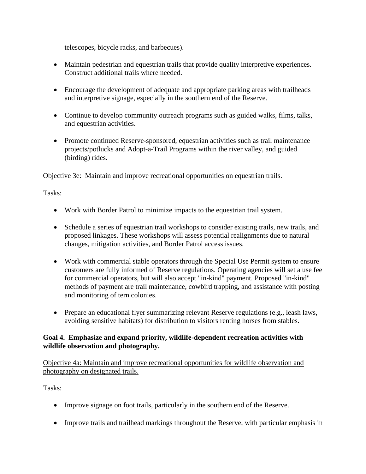telescopes, bicycle racks, and barbecues).

- Maintain pedestrian and equestrian trails that provide quality interpretive experiences. Construct additional trails where needed.
- Encourage the development of adequate and appropriate parking areas with trailheads and interpretive signage, especially in the southern end of the Reserve.
- Continue to develop community outreach programs such as guided walks, films, talks, and equestrian activities.
- Promote continued Reserve-sponsored, equestrian activities such as trail maintenance projects/potlucks and Adopt-a-Trail Programs within the river valley, and guided (birding) rides.

Objective 3e: Maintain and improve recreational opportunities on equestrian trails.

Tasks:

- Work with Border Patrol to minimize impacts to the equestrian trail system.
- Schedule a series of equestrian trail workshops to consider existing trails, new trails, and proposed linkages. These workshops will assess potential realignments due to natural changes, mitigation activities, and Border Patrol access issues.
- Work with commercial stable operators through the Special Use Permit system to ensure customers are fully informed of Reserve regulations. Operating agencies will set a use fee for commercial operators, but will also accept "in-kind" payment. Proposed "in-kind" methods of payment are trail maintenance, cowbird trapping, and assistance with posting and monitoring of tern colonies.
- Prepare an educational flyer summarizing relevant Reserve regulations (e.g., leash laws, avoiding sensitive habitats) for distribution to visitors renting horses from stables.

# **Goal 4. Emphasize and expand priority, wildlife-dependent recreation activities with wildlife observation and photography.**

Objective 4a: Maintain and improve recreational opportunities for wildlife observation and photography on designated trails.

- Improve signage on foot trails, particularly in the southern end of the Reserve.
- Improve trails and trailhead markings throughout the Reserve, with particular emphasis in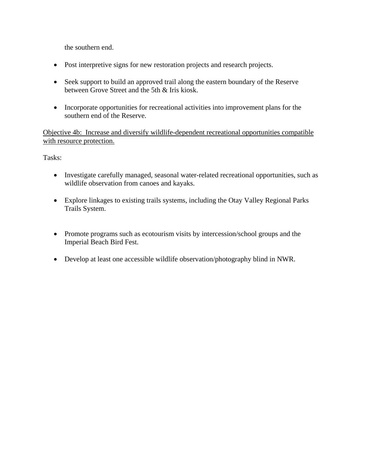the southern end.

- Post interpretive signs for new restoration projects and research projects.
- Seek support to build an approved trail along the eastern boundary of the Reserve between Grove Street and the 5th & Iris kiosk.
- Incorporate opportunities for recreational activities into improvement plans for the southern end of the Reserve.

Objective 4b: Increase and diversify wildlife-dependent recreational opportunities compatible with resource protection.

- Investigate carefully managed, seasonal water-related recreational opportunities, such as wildlife observation from canoes and kayaks.
- Explore linkages to existing trails systems, including the Otay Valley Regional Parks Trails System.
- Promote programs such as ecotourism visits by intercession/school groups and the Imperial Beach Bird Fest.
- Develop at least one accessible wildlife observation/photography blind in NWR.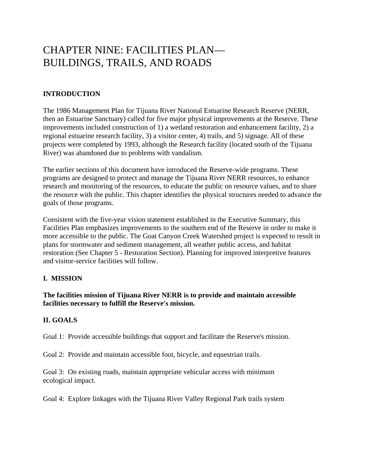# CHAPTER NINE: FACILITIES PLAN— BUILDINGS, TRAILS, AND ROADS

# **INTRODUCTION**

The 1986 Management Plan for Tijuana River National Estuarine Research Reserve (NERR, then an Estuarine Sanctuary) called for five major physical improvements at the Reserve. These improvements included construction of 1) a wetland restoration and enhancement facility, 2) a regional estuarine research facility, 3) a visitor center, 4) trails, and 5) signage. All of these projects were completed by 1993, although the Research facility (located south of the Tijuana River) was abandoned due to problems with vandalism.

The earlier sections of this document have introduced the Reserve-wide programs. These programs are designed to protect and manage the Tijuana River NERR resources, to enhance research and monitoring of the resources, to educate the public on resource values, and to share the resource with the public. This chapter identifies the physical structures needed to advance the goals of those programs.

Consistent with the five-year vision statement established in the Executive Summary, this Facilities Plan emphasizes improvements to the southern end of the Reserve in order to make it more accessible to the public. The Goat Canyon Creek Watershed project is expected to result in plans for stormwater and sediment management, all weather public access, and habitat restoration (See Chapter 5 - Restoration Section). Planning for improved interpretive features and visitor-service facilities will follow.

#### **I. MISSION**

**The facilities mission of Tijuana River NERR is to provide and maintain accessible facilities necessary to fulfill the Reserve's mission.** 

#### **II. GOALS**

Goal 1: Provide accessible buildings that support and facilitate the Reserve's mission.

Goal 2: Provide and maintain accessible foot, bicycle, and equestrian trails.

Goal 3: On existing roads, maintain appropriate vehicular access with minimum ecological impact.

Goal 4: Explore linkages with the Tijuana River Valley Regional Park trails system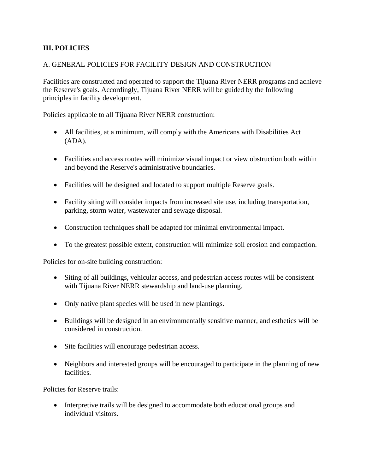# **III. POLICIES**

#### A. GENERAL POLICIES FOR FACILITY DESIGN AND CONSTRUCTION

Facilities are constructed and operated to support the Tijuana River NERR programs and achieve the Reserve's goals. Accordingly, Tijuana River NERR will be guided by the following principles in facility development.

Policies applicable to all Tijuana River NERR construction:

- All facilities, at a minimum, will comply with the Americans with Disabilities Act (ADA).
- Facilities and access routes will minimize visual impact or view obstruction both within and beyond the Reserve's administrative boundaries.
- Facilities will be designed and located to support multiple Reserve goals.
- Facility siting will consider impacts from increased site use, including transportation, parking, storm water, wastewater and sewage disposal.
- Construction techniques shall be adapted for minimal environmental impact.
- To the greatest possible extent, construction will minimize soil erosion and compaction.

Policies for on-site building construction:

- Siting of all buildings, vehicular access, and pedestrian access routes will be consistent with Tijuana River NERR stewardship and land-use planning.
- Only native plant species will be used in new plantings.
- Buildings will be designed in an environmentally sensitive manner, and esthetics will be considered in construction.
- Site facilities will encourage pedestrian access.
- Neighbors and interested groups will be encouraged to participate in the planning of new facilities.

Policies for Reserve trails:

• Interpretive trails will be designed to accommodate both educational groups and individual visitors.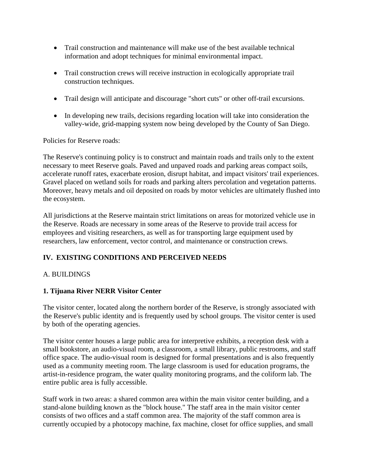- Trail construction and maintenance will make use of the best available technical information and adopt techniques for minimal environmental impact.
- Trail construction crews will receive instruction in ecologically appropriate trail construction techniques.
- Trail design will anticipate and discourage "short cuts" or other off-trail excursions.
- In developing new trails, decisions regarding location will take into consideration the valley-wide, grid-mapping system now being developed by the County of San Diego.

Policies for Reserve roads:

The Reserve's continuing policy is to construct and maintain roads and trails only to the extent necessary to meet Reserve goals. Paved and unpaved roads and parking areas compact soils, accelerate runoff rates, exacerbate erosion, disrupt habitat, and impact visitors' trail experiences. Gravel placed on wetland soils for roads and parking alters percolation and vegetation patterns. Moreover, heavy metals and oil deposited on roads by motor vehicles are ultimately flushed into the ecosystem.

All jurisdictions at the Reserve maintain strict limitations on areas for motorized vehicle use in the Reserve. Roads are necessary in some areas of the Reserve to provide trail access for employees and visiting researchers, as well as for transporting large equipment used by researchers, law enforcement, vector control, and maintenance or construction crews.

# **IV. EXISTING CONDITIONS AND PERCEIVED NEEDS**

#### A. BUILDINGS

#### **1. Tijuana River NERR Visitor Center**

The visitor center, located along the northern border of the Reserve, is strongly associated with the Reserve's public identity and is frequently used by school groups. The visitor center is used by both of the operating agencies.

The visitor center houses a large public area for interpretive exhibits, a reception desk with a small bookstore, an audio-visual room, a classroom, a small library, public restrooms, and staff office space. The audio-visual room is designed for formal presentations and is also frequently used as a community meeting room. The large classroom is used for education programs, the artist-in-residence program, the water quality monitoring programs, and the coliform lab. The entire public area is fully accessible.

Staff work in two areas: a shared common area within the main visitor center building, and a stand-alone building known as the "block house." The staff area in the main visitor center consists of two offices and a staff common area. The majority of the staff common area is currently occupied by a photocopy machine, fax machine, closet for office supplies, and small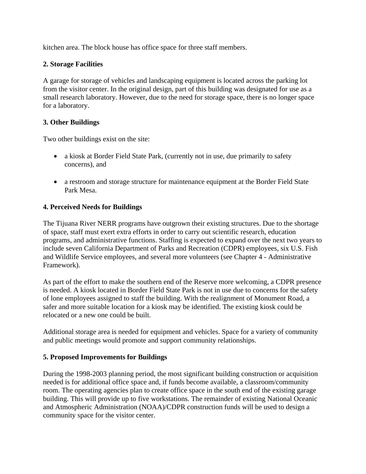kitchen area. The block house has office space for three staff members.

#### **2. Storage Facilities**

A garage for storage of vehicles and landscaping equipment is located across the parking lot from the visitor center. In the original design, part of this building was designated for use as a small research laboratory. However, due to the need for storage space, there is no longer space for a laboratory.

#### **3. Other Buildings**

Two other buildings exist on the site:

- a kiosk at Border Field State Park, (currently not in use, due primarily to safety concerns), and
- a restroom and storage structure for maintenance equipment at the Border Field State Park Mesa.

#### **4. Perceived Needs for Buildings**

The Tijuana River NERR programs have outgrown their existing structures. Due to the shortage of space, staff must exert extra efforts in order to carry out scientific research, education programs, and administrative functions. Staffing is expected to expand over the next two years to include seven California Department of Parks and Recreation (CDPR) employees, six U.S. Fish and Wildlife Service employees, and several more volunteers (see Chapter 4 - Administrative Framework).

As part of the effort to make the southern end of the Reserve more welcoming, a CDPR presence is needed. A kiosk located in Border Field State Park is not in use due to concerns for the safety of lone employees assigned to staff the building. With the realignment of Monument Road, a safer and more suitable location for a kiosk may be identified. The existing kiosk could be relocated or a new one could be built.

Additional storage area is needed for equipment and vehicles. Space for a variety of community and public meetings would promote and support community relationships.

#### **5. Proposed Improvements for Buildings**

During the 1998-2003 planning period, the most significant building construction or acquisition needed is for additional office space and, if funds become available, a classroom/community room. The operating agencies plan to create office space in the south end of the existing garage building. This will provide up to five workstations. The remainder of existing National Oceanic and Atmospheric Administration (NOAA)/CDPR construction funds will be used to design a community space for the visitor center.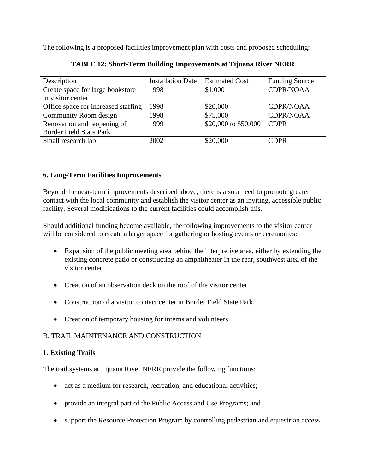The following is a proposed facilities improvement plan with costs and proposed scheduling:

| Description                         | <b>Installation Date</b> | <b>Estimated Cost</b> | <b>Funding Source</b>         |
|-------------------------------------|--------------------------|-----------------------|-------------------------------|
| Create space for large bookstore    | 1998                     | \$1,000               | <b>CDPR/NOAA</b>              |
| in visitor center                   |                          |                       |                               |
| Office space for increased staffing | 1998                     | \$20,000              | <b>CDPR/NOAA</b>              |
| Community Room design               | 1998                     | \$75,000              | <b>CDPR/NOAA</b>              |
| Renovation and reopening of         | 1999                     | \$20,000 to \$50,000  | $\overline{\phantom{a}}$ CDPR |
| <b>Border Field State Park</b>      |                          |                       |                               |
| Small research lab                  | 2002                     | \$20,000              | <b>CDPR</b>                   |

# **TABLE 12: Short-Term Building Improvements at Tijuana River NERR**

# **6. Long-Term Facilities Improvements**

Beyond the near-term improvements described above, there is also a need to promote greater contact with the local community and establish the visitor center as an inviting, accessible public facility. Several modifications to the current facilities could accomplish this.

Should additional funding become available, the following improvements to the visitor center will be considered to create a larger space for gathering or hosting events or ceremonies:

- Expansion of the public meeting area behind the interpretive area, either by extending the existing concrete patio or constructing an amphitheater in the rear, southwest area of the visitor center.
- Creation of an observation deck on the roof of the visitor center.
- Construction of a visitor contact center in Border Field State Park.
- Creation of temporary housing for interns and volunteers.

# B. TRAIL MAINTENANCE AND CONSTRUCTION

# **1. Existing Trails**

The trail systems at Tijuana River NERR provide the following functions:

- act as a medium for research, recreation, and educational activities;
- provide an integral part of the Public Access and Use Programs; and
- support the Resource Protection Program by controlling pedestrian and equestrian access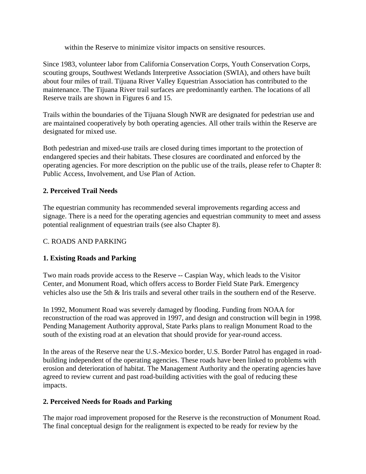within the Reserve to minimize visitor impacts on sensitive resources.

Since 1983, volunteer labor from California Conservation Corps, Youth Conservation Corps, scouting groups, Southwest Wetlands Interpretive Association (SWIA), and others have built about four miles of trail. Tijuana River Valley Equestrian Association has contributed to the maintenance. The Tijuana River trail surfaces are predominantly earthen. The locations of all Reserve trails are shown in Figures 6 and 15.

Trails within the boundaries of the Tijuana Slough NWR are designated for pedestrian use and are maintained cooperatively by both operating agencies. All other trails within the Reserve are designated for mixed use.

Both pedestrian and mixed-use trails are closed during times important to the protection of endangered species and their habitats. These closures are coordinated and enforced by the operating agencies. For more description on the public use of the trails, please refer to Chapter 8: Public Access, Involvement, and Use Plan of Action.

# **2. Perceived Trail Needs**

The equestrian community has recommended several improvements regarding access and signage. There is a need for the operating agencies and equestrian community to meet and assess potential realignment of equestrian trails (see also Chapter 8).

#### C. ROADS AND PARKING

# **1. Existing Roads and Parking**

Two main roads provide access to the Reserve -- Caspian Way, which leads to the Visitor Center, and Monument Road, which offers access to Border Field State Park. Emergency vehicles also use the 5th & Iris trails and several other trails in the southern end of the Reserve.

In 1992, Monument Road was severely damaged by flooding. Funding from NOAA for reconstruction of the road was approved in 1997, and design and construction will begin in 1998. Pending Management Authority approval, State Parks plans to realign Monument Road to the south of the existing road at an elevation that should provide for year-round access.

In the areas of the Reserve near the U.S.-Mexico border, U.S. Border Patrol has engaged in roadbuilding independent of the operating agencies. These roads have been linked to problems with erosion and deterioration of habitat. The Management Authority and the operating agencies have agreed to review current and past road-building activities with the goal of reducing these impacts.

#### **2. Perceived Needs for Roads and Parking**

The major road improvement proposed for the Reserve is the reconstruction of Monument Road. The final conceptual design for the realignment is expected to be ready for review by the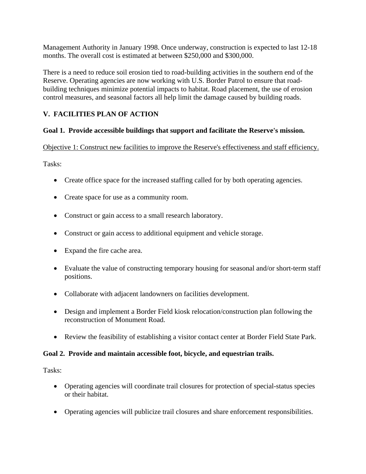Management Authority in January 1998. Once underway, construction is expected to last 12-18 months. The overall cost is estimated at between \$250,000 and \$300,000.

There is a need to reduce soil erosion tied to road-building activities in the southern end of the Reserve. Operating agencies are now working with U.S. Border Patrol to ensure that roadbuilding techniques minimize potential impacts to habitat. Road placement, the use of erosion control measures, and seasonal factors all help limit the damage caused by building roads.

# **V. FACILITIES PLAN OF ACTION**

#### **Goal 1. Provide accessible buildings that support and facilitate the Reserve's mission.**

Objective 1: Construct new facilities to improve the Reserve's effectiveness and staff efficiency.

Tasks:

- Create office space for the increased staffing called for by both operating agencies.
- Create space for use as a community room.
- Construct or gain access to a small research laboratory.
- Construct or gain access to additional equipment and vehicle storage.
- Expand the fire cache area.
- Evaluate the value of constructing temporary housing for seasonal and/or short-term staff positions.
- Collaborate with adjacent landowners on facilities development.
- Design and implement a Border Field kiosk relocation/construction plan following the reconstruction of Monument Road.
- Review the feasibility of establishing a visitor contact center at Border Field State Park.

#### **Goal 2. Provide and maintain accessible foot, bicycle, and equestrian trails.**

- Operating agencies will coordinate trail closures for protection of special-status species or their habitat.
- Operating agencies will publicize trail closures and share enforcement responsibilities.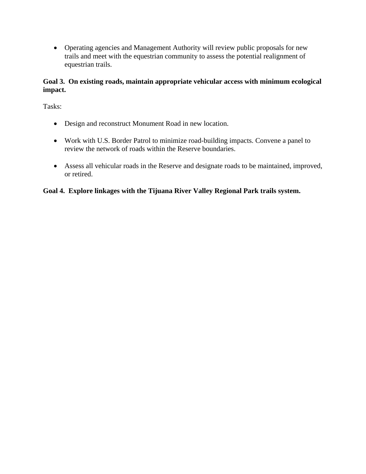• Operating agencies and Management Authority will review public proposals for new trails and meet with the equestrian community to assess the potential realignment of equestrian trails.

# **Goal 3. On existing roads, maintain appropriate vehicular access with minimum ecological impact.**

Tasks:

- Design and reconstruct Monument Road in new location.
- Work with U.S. Border Patrol to minimize road-building impacts. Convene a panel to review the network of roads within the Reserve boundaries.
- Assess all vehicular roads in the Reserve and designate roads to be maintained, improved, or retired.

# **Goal 4. Explore linkages with the Tijuana River Valley Regional Park trails system.**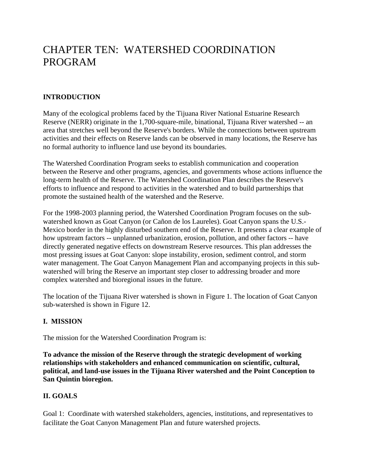# CHAPTER TEN: WATERSHED COORDINATION PROGRAM

# **INTRODUCTION**

Many of the ecological problems faced by the Tijuana River National Estuarine Research Reserve (NERR) originate in the 1,700-square-mile, binational, Tijuana River watershed -- an area that stretches well beyond the Reserve's borders. While the connections between upstream activities and their effects on Reserve lands can be observed in many locations, the Reserve has no formal authority to influence land use beyond its boundaries.

The Watershed Coordination Program seeks to establish communication and cooperation between the Reserve and other programs, agencies, and governments whose actions influence the long-term health of the Reserve. The Watershed Coordination Plan describes the Reserve's efforts to influence and respond to activities in the watershed and to build partnerships that promote the sustained health of the watershed and the Reserve.

For the 1998-2003 planning period, the Watershed Coordination Program focuses on the subwatershed known as Goat Canyon (or Cañon de los Laureles). Goat Canyon spans the U.S.- Mexico border in the highly disturbed southern end of the Reserve. It presents a clear example of how upstream factors -- unplanned urbanization, erosion, pollution, and other factors -- have directly generated negative effects on downstream Reserve resources. This plan addresses the most pressing issues at Goat Canyon: slope instability, erosion, sediment control, and storm water management. The Goat Canyon Management Plan and accompanying projects in this subwatershed will bring the Reserve an important step closer to addressing broader and more complex watershed and bioregional issues in the future.

The location of the Tijuana River watershed is shown in Figure 1. The location of Goat Canyon sub-watershed is shown in Figure 12.

#### **I. MISSION**

The mission for the Watershed Coordination Program is:

**To advance the mission of the Reserve through the strategic development of working relationships with stakeholders and enhanced communication on scientific, cultural, political, and land-use issues in the Tijuana River watershed and the Point Conception to San Quintin bioregion.** 

#### **II. GOALS**

Goal 1: Coordinate with watershed stakeholders, agencies, institutions, and representatives to facilitate the Goat Canyon Management Plan and future watershed projects.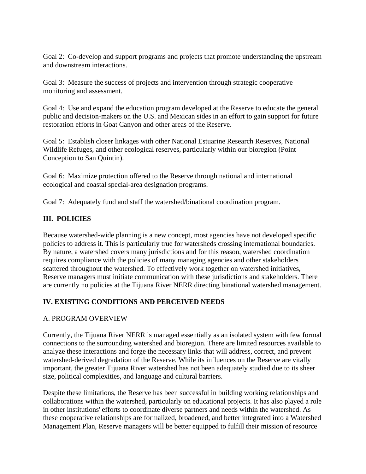Goal 2: Co-develop and support programs and projects that promote understanding the upstream and downstream interactions.

Goal 3: Measure the success of projects and intervention through strategic cooperative monitoring and assessment.

Goal 4: Use and expand the education program developed at the Reserve to educate the general public and decision-makers on the U.S. and Mexican sides in an effort to gain support for future restoration efforts in Goat Canyon and other areas of the Reserve.

Goal 5: Establish closer linkages with other National Estuarine Research Reserves, National Wildlife Refuges, and other ecological reserves, particularly within our bioregion (Point Conception to San Quintin).

Goal 6: Maximize protection offered to the Reserve through national and international ecological and coastal special-area designation programs.

Goal 7: Adequately fund and staff the watershed/binational coordination program.

# **III. POLICIES**

Because watershed-wide planning is a new concept, most agencies have not developed specific policies to address it. This is particularly true for watersheds crossing international boundaries. By nature, a watershed covers many jurisdictions and for this reason, watershed coordination requires compliance with the policies of many managing agencies and other stakeholders scattered throughout the watershed. To effectively work together on watershed initiatives, Reserve managers must initiate communication with these jurisdictions and stakeholders. There are currently no policies at the Tijuana River NERR directing binational watershed management.

#### **IV. EXISTING CONDITIONS AND PERCEIVED NEEDS**

#### A. PROGRAM OVERVIEW

Currently, the Tijuana River NERR is managed essentially as an isolated system with few formal connections to the surrounding watershed and bioregion. There are limited resources available to analyze these interactions and forge the necessary links that will address, correct, and prevent watershed-derived degradation of the Reserve. While its influences on the Reserve are vitally important, the greater Tijuana River watershed has not been adequately studied due to its sheer size, political complexities, and language and cultural barriers.

Despite these limitations, the Reserve has been successful in building working relationships and collaborations within the watershed, particularly on educational projects. It has also played a role in other institutions' efforts to coordinate diverse partners and needs within the watershed. As these cooperative relationships are formalized, broadened, and better integrated into a Watershed Management Plan, Reserve managers will be better equipped to fulfill their mission of resource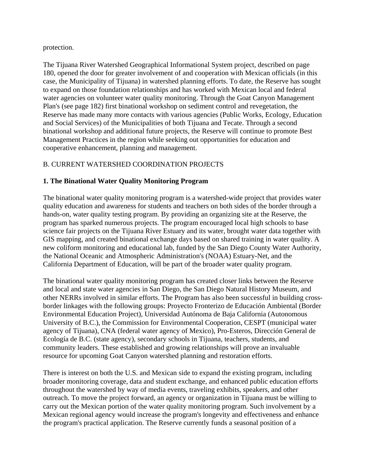protection.

The Tijuana River Watershed Geographical Informational System project, described on page 180, opened the door for greater involvement of and cooperation with Mexican officials (in this case, the Municipality of Tijuana) in watershed planning efforts. To date, the Reserve has sought to expand on those foundation relationships and has worked with Mexican local and federal water agencies on volunteer water quality monitoring. Through the Goat Canyon Management Plan's (see page 182) first binational workshop on sediment control and revegetation, the Reserve has made many more contacts with various agencies (Public Works, Ecology, Education and Social Services) of the Municipalities of both Tijuana and Tecate. Through a second binational workshop and additional future projects, the Reserve will continue to promote Best Management Practices in the region while seeking out opportunities for education and cooperative enhancement, planning and management.

# B. CURRENT WATERSHED COORDINATION PROJECTS

#### **1. The Binational Water Quality Monitoring Program**

The binational water quality monitoring program is a watershed-wide project that provides water quality education and awareness for students and teachers on both sides of the border through a hands-on, water quality testing program. By providing an organizing site at the Reserve, the program has sparked numerous projects. The program encouraged local high schools to base science fair projects on the Tijuana River Estuary and its water, brought water data together with GIS mapping, and created binational exchange days based on shared training in water quality. A new coliform monitoring and educational lab, funded by the San Diego County Water Authority, the National Oceanic and Atmospheric Administration's (NOAA) Estuary-Net, and the California Department of Education, will be part of the broader water quality program.

The binational water quality monitoring program has created closer links between the Reserve and local and state water agencies in San Diego, the San Diego Natural History Museum, and other NERRs involved in similar efforts. The Program has also been successful in building crossborder linkages with the following groups: Proyecto Fronterizo de Educación Ambiental (Border Environmental Education Project), Universidad Autónoma de Baja California (Autonomous University of B.C.), the Commission for Environmental Cooperation, CESPT (municipal water agency of Tijuana), CNA (federal water agency of Mexico), Pro-Esteros, Dirección General de Ecología de B.C. (state agency), secondary schools in Tijuana, teachers, students, and community leaders. These established and growing relationships will prove an invaluable resource for upcoming Goat Canyon watershed planning and restoration efforts.

There is interest on both the U.S. and Mexican side to expand the existing program, including broader monitoring coverage, data and student exchange, and enhanced public education efforts throughout the watershed by way of media events, traveling exhibits, speakers, and other outreach. To move the project forward, an agency or organization in Tijuana must be willing to carry out the Mexican portion of the water quality monitoring program. Such involvement by a Mexican regional agency would increase the program's longevity and effectiveness and enhance the program's practical application. The Reserve currently funds a seasonal position of a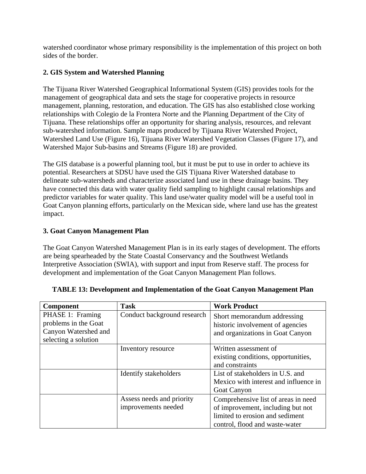watershed coordinator whose primary responsibility is the implementation of this project on both sides of the border.

# **2. GIS System and Watershed Planning**

The Tijuana River Watershed Geographical Informational System (GIS) provides tools for the management of geographical data and sets the stage for cooperative projects in resource management, planning, restoration, and education. The GIS has also established close working relationships with Colegio de la Frontera Norte and the Planning Department of the City of Tijuana. These relationships offer an opportunity for sharing analysis, resources, and relevant sub-watershed information. Sample maps produced by Tijuana River Watershed Project, Watershed Land Use (Figure 16), Tijuana River Watershed Vegetation Classes (Figure 17), and Watershed Major Sub-basins and Streams (Figure 18) are provided.

The GIS database is a powerful planning tool, but it must be put to use in order to achieve its potential. Researchers at SDSU have used the GIS Tijuana River Watershed database to delineate sub-watersheds and characterize associated land use in these drainage basins. They have connected this data with water quality field sampling to highlight causal relationships and predictor variables for water quality. This land use/water quality model will be a useful tool in Goat Canyon planning efforts, particularly on the Mexican side, where land use has the greatest impact.

# **3. Goat Canyon Management Plan**

The Goat Canyon Watershed Management Plan is in its early stages of development. The efforts are being spearheaded by the State Coastal Conservancy and the Southwest Wetlands Interpretive Association (SWIA), with support and input from Reserve staff. The process for development and implementation of the Goat Canyon Management Plan follows.

| <b>Component</b>     | <b>Task</b>                 | <b>Work Product</b>                   |
|----------------------|-----------------------------|---------------------------------------|
| PHASE 1: Framing     | Conduct background research | Short memorandum addressing           |
| problems in the Goat |                             | historic involvement of agencies      |
| Canyon Watershed and |                             | and organizations in Goat Canyon      |
| selecting a solution |                             |                                       |
|                      | Inventory resource          | Written assessment of                 |
|                      |                             | existing conditions, opportunities,   |
|                      |                             | and constraints                       |
|                      | Identify stakeholders       | List of stakeholders in U.S. and      |
|                      |                             | Mexico with interest and influence in |
|                      |                             | <b>Goat Canyon</b>                    |
|                      | Assess needs and priority   | Comprehensive list of areas in need   |
|                      | improvements needed         | of improvement, including but not     |
|                      |                             | limited to erosion and sediment       |
|                      |                             | control, flood and waste-water        |

| <b>TABLE 13: Development and Implementation of the Goat Canyon Management Plan</b> |  |
|------------------------------------------------------------------------------------|--|
|------------------------------------------------------------------------------------|--|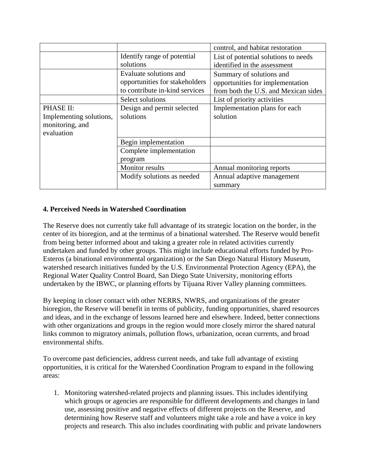|                         |                                | control, and habitat restoration     |
|-------------------------|--------------------------------|--------------------------------------|
|                         | Identify range of potential    | List of potential solutions to needs |
|                         | solutions                      | identified in the assessment         |
|                         | Evaluate solutions and         | Summary of solutions and             |
|                         | opportunities for stakeholders | opportunities for implementation     |
|                         | to contribute in-kind services | from both the U.S. and Mexican sides |
|                         | Select solutions               | List of priority activities          |
| PHASE II:               | Design and permit selected     | Implementation plans for each        |
| Implementing solutions, | solutions                      | solution                             |
| monitoring, and         |                                |                                      |
| evaluation              |                                |                                      |
|                         | Begin implementation           |                                      |
|                         | Complete implementation        |                                      |
|                         | program                        |                                      |
|                         | Monitor results                | Annual monitoring reports            |
|                         | Modify solutions as needed     | Annual adaptive management           |
|                         |                                | summary                              |

# **4. Perceived Needs in Watershed Coordination**

The Reserve does not currently take full advantage of its strategic location on the border, in the center of its bioregion, and at the terminus of a binational watershed. The Reserve would benefit from being better informed about and taking a greater role in related activities currently undertaken and funded by other groups. This might include educational efforts funded by Pro-Esteros (a binational environmental organization) or the San Diego Natural History Museum, watershed research initiatives funded by the U.S. Environmental Protection Agency (EPA), the Regional Water Quality Control Board, San Diego State University, monitoring efforts undertaken by the IBWC, or planning efforts by Tijuana River Valley planning committees.

By keeping in closer contact with other NERRS, NWRS, and organizations of the greater bioregion, the Reserve will benefit in terms of publicity, funding opportunities, shared resources and ideas, and in the exchange of lessons learned here and elsewhere. Indeed, better connections with other organizations and groups in the region would more closely mirror the shared natural links common to migratory animals, pollution flows, urbanization, ocean currents, and broad environmental shifts.

To overcome past deficiencies, address current needs, and take full advantage of existing opportunities, it is critical for the Watershed Coordination Program to expand in the following areas:

1. Monitoring watershed-related projects and planning issues. This includes identifying which groups or agencies are responsible for different developments and changes in land use, assessing positive and negative effects of different projects on the Reserve, and determining how Reserve staff and volunteers might take a role and have a voice in key projects and research. This also includes coordinating with public and private landowners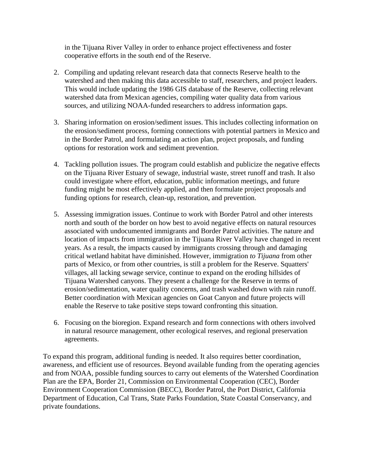in the Tijuana River Valley in order to enhance project effectiveness and foster cooperative efforts in the south end of the Reserve.

- 2. Compiling and updating relevant research data that connects Reserve health to the watershed and then making this data accessible to staff, researchers, and project leaders. This would include updating the 1986 GIS database of the Reserve, collecting relevant watershed data from Mexican agencies, compiling water quality data from various sources, and utilizing NOAA-funded researchers to address information gaps.
- 3. Sharing information on erosion/sediment issues. This includes collecting information on the erosion/sediment process, forming connections with potential partners in Mexico and in the Border Patrol, and formulating an action plan, project proposals, and funding options for restoration work and sediment prevention.
- 4. Tackling pollution issues. The program could establish and publicize the negative effects on the Tijuana River Estuary of sewage, industrial waste, street runoff and trash. It also could investigate where effort, education, public information meetings, and future funding might be most effectively applied, and then formulate project proposals and funding options for research, clean-up, restoration, and prevention.
- 5. Assessing immigration issues. Continue to work with Border Patrol and other interests north and south of the border on how best to avoid negative effects on natural resources associated with undocumented immigrants and Border Patrol activities. The nature and location of impacts from immigration in the Tijuana River Valley have changed in recent years. As a result, the impacts caused by immigrants crossing through and damaging critical wetland habitat have diminished. However, immigration *to Tijuana* from other parts of Mexico, or from other countries, is still a problem for the Reserve. Squatters' villages, all lacking sewage service, continue to expand on the eroding hillsides of Tijuana Watershed canyons. They present a challenge for the Reserve in terms of erosion/sedimentation, water quality concerns, and trash washed down with rain runoff. Better coordination with Mexican agencies on Goat Canyon and future projects will enable the Reserve to take positive steps toward confronting this situation.
- 6. Focusing on the bioregion. Expand research and form connections with others involved in natural resource management, other ecological reserves, and regional preservation agreements.

To expand this program, additional funding is needed. It also requires better coordination, awareness, and efficient use of resources. Beyond available funding from the operating agencies and from NOAA, possible funding sources to carry out elements of the Watershed Coordination Plan are the EPA, Border 21, Commission on Environmental Cooperation (CEC), Border Environment Cooperation Commission (BECC), Border Patrol, the Port District, California Department of Education, Cal Trans, State Parks Foundation, State Coastal Conservancy, and private foundations.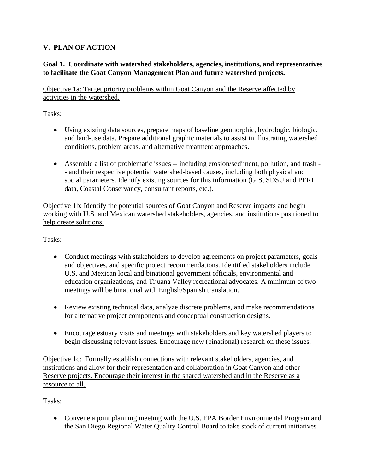# **V. PLAN OF ACTION**

# **Goal 1. Coordinate with watershed stakeholders, agencies, institutions, and representatives to facilitate the Goat Canyon Management Plan and future watershed projects.**

Objective 1a: Target priority problems within Goat Canyon and the Reserve affected by activities in the watershed.

Tasks:

- Using existing data sources, prepare maps of baseline geomorphic, hydrologic, biologic, and land-use data. Prepare additional graphic materials to assist in illustrating watershed conditions, problem areas, and alternative treatment approaches.
- Assemble a list of problematic issues -- including erosion/sediment, pollution, and trash -- and their respective potential watershed-based causes, including both physical and social parameters. Identify existing sources for this information (GIS, SDSU and PERL data, Coastal Conservancy, consultant reports, etc.).

Objective 1b: Identify the potential sources of Goat Canyon and Reserve impacts and begin working with U.S. and Mexican watershed stakeholders, agencies, and institutions positioned to help create solutions.

Tasks:

- Conduct meetings with stakeholders to develop agreements on project parameters, goals and objectives, and specific project recommendations. Identified stakeholders include U.S. and Mexican local and binational government officials, environmental and education organizations, and Tijuana Valley recreational advocates. A minimum of two meetings will be binational with English/Spanish translation.
- Review existing technical data, analyze discrete problems, and make recommendations for alternative project components and conceptual construction designs.
- Encourage estuary visits and meetings with stakeholders and key watershed players to begin discussing relevant issues. Encourage new (binational) research on these issues.

Objective 1c: Formally establish connections with relevant stakeholders, agencies, and institutions and allow for their representation and collaboration in Goat Canyon and other Reserve projects. Encourage their interest in the shared watershed and in the Reserve as a resource to all.

Tasks:

• Convene a joint planning meeting with the U.S. EPA Border Environmental Program and the San Diego Regional Water Quality Control Board to take stock of current initiatives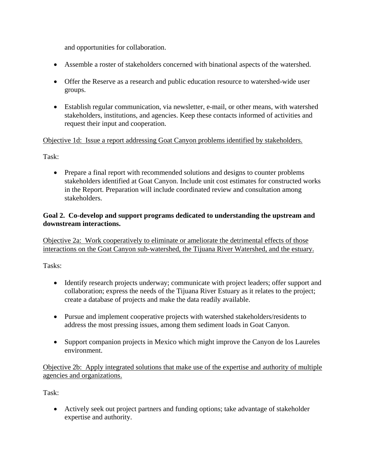and opportunities for collaboration.

- Assemble a roster of stakeholders concerned with binational aspects of the watershed.
- Offer the Reserve as a research and public education resource to watershed-wide user groups.
- Establish regular communication, via newsletter, e-mail, or other means, with watershed stakeholders, institutions, and agencies. Keep these contacts informed of activities and request their input and cooperation.

# Objective 1d: Issue a report addressing Goat Canyon problems identified by stakeholders.

Task:

• Prepare a final report with recommended solutions and designs to counter problems stakeholders identified at Goat Canyon. Include unit cost estimates for constructed works in the Report. Preparation will include coordinated review and consultation among stakeholders.

# **Goal 2. Co-develop and support programs dedicated to understanding the upstream and downstream interactions.**

Objective 2a: Work cooperatively to eliminate or ameliorate the detrimental effects of those interactions on the Goat Canyon sub-watershed, the Tijuana River Watershed, and the estuary.

Tasks:

- Identify research projects underway; communicate with project leaders; offer support and collaboration; express the needs of the Tijuana River Estuary as it relates to the project; create a database of projects and make the data readily available.
- Pursue and implement cooperative projects with watershed stakeholders/residents to address the most pressing issues, among them sediment loads in Goat Canyon.
- Support companion projects in Mexico which might improve the Canyon de los Laureles environment.

Objective 2b: Apply integrated solutions that make use of the expertise and authority of multiple agencies and organizations.

Task:

• Actively seek out project partners and funding options; take advantage of stakeholder expertise and authority.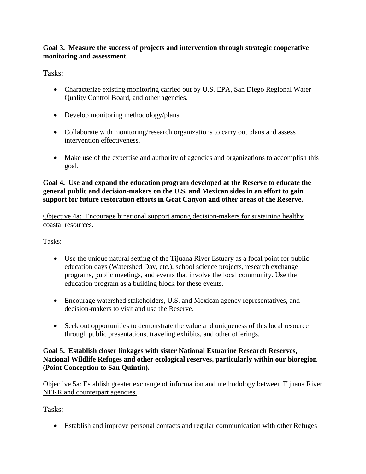# **Goal 3. Measure the success of projects and intervention through strategic cooperative monitoring and assessment.**

Tasks:

- Characterize existing monitoring carried out by U.S. EPA, San Diego Regional Water Quality Control Board, and other agencies.
- Develop monitoring methodology/plans.
- Collaborate with monitoring/research organizations to carry out plans and assess intervention effectiveness.
- Make use of the expertise and authority of agencies and organizations to accomplish this goal.

#### **Goal 4. Use and expand the education program developed at the Reserve to educate the general public and decision-makers on the U.S. and Mexican sides in an effort to gain support for future restoration efforts in Goat Canyon and other areas of the Reserve.**

Objective 4a: Encourage binational support among decision-makers for sustaining healthy coastal resources.

Tasks:

- Use the unique natural setting of the Tijuana River Estuary as a focal point for public education days (Watershed Day, etc.), school science projects, research exchange programs, public meetings, and events that involve the local community. Use the education program as a building block for these events.
- Encourage watershed stakeholders, U.S. and Mexican agency representatives, and decision-makers to visit and use the Reserve.
- Seek out opportunities to demonstrate the value and uniqueness of this local resource through public presentations, traveling exhibits, and other offerings.

# **Goal 5. Establish closer linkages with sister National Estuarine Research Reserves, National Wildlife Refuges and other ecological reserves, particularly within our bioregion (Point Conception to San Quintin).**

Objective 5a: Establish greater exchange of information and methodology between Tijuana River NERR and counterpart agencies.

Tasks:

• Establish and improve personal contacts and regular communication with other Refuges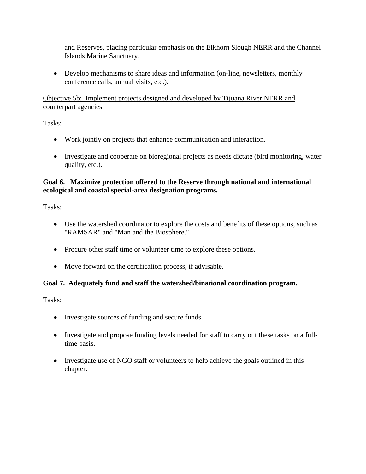and Reserves, placing particular emphasis on the Elkhorn Slough NERR and the Channel Islands Marine Sanctuary.

• Develop mechanisms to share ideas and information (on-line, newsletters, monthly conference calls, annual visits, etc.).

Objective 5b: Implement projects designed and developed by Tijuana River NERR and counterpart agencies

Tasks:

- Work jointly on projects that enhance communication and interaction.
- Investigate and cooperate on bioregional projects as needs dictate (bird monitoring, water quality, etc.).

## **Goal 6. Maximize protection offered to the Reserve through national and international ecological and coastal special-area designation programs.**

Tasks:

- Use the watershed coordinator to explore the costs and benefits of these options, such as "RAMSAR" and "Man and the Biosphere."
- Procure other staff time or volunteer time to explore these options.
- Move forward on the certification process, if advisable.

#### **Goal 7. Adequately fund and staff the watershed/binational coordination program.**

- Investigate sources of funding and secure funds.
- Investigate and propose funding levels needed for staff to carry out these tasks on a fulltime basis.
- Investigate use of NGO staff or volunteers to help achieve the goals outlined in this chapter.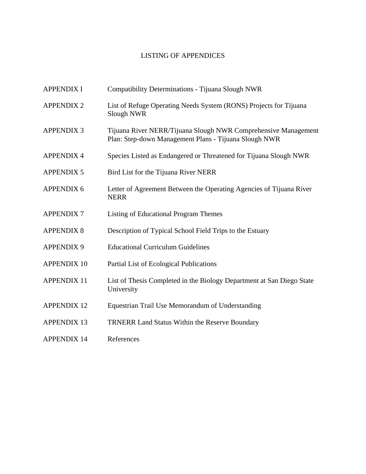# LISTING OF APPENDICES

| <b>APPENDIX I</b>  | Compatibility Determinations - Tijuana Slough NWR                                                                       |
|--------------------|-------------------------------------------------------------------------------------------------------------------------|
| <b>APPENDIX 2</b>  | List of Refuge Operating Needs System (RONS) Projects for Tijuana<br>Slough NWR                                         |
| <b>APPENDIX 3</b>  | Tijuana River NERR/Tijuana Slough NWR Comprehensive Management<br>Plan: Step-down Management Plans - Tijuana Slough NWR |
| <b>APPENDIX 4</b>  | Species Listed as Endangered or Threatened for Tijuana Slough NWR                                                       |
| <b>APPENDIX 5</b>  | Bird List for the Tijuana River NERR                                                                                    |
| <b>APPENDIX 6</b>  | Letter of Agreement Between the Operating Agencies of Tijuana River<br><b>NERR</b>                                      |
| <b>APPENDIX7</b>   | Listing of Educational Program Themes                                                                                   |
| <b>APPENDIX 8</b>  | Description of Typical School Field Trips to the Estuary                                                                |
| <b>APPENDIX 9</b>  | <b>Educational Curriculum Guidelines</b>                                                                                |
| <b>APPENDIX 10</b> | Partial List of Ecological Publications                                                                                 |
| <b>APPENDIX 11</b> | List of Thesis Completed in the Biology Department at San Diego State<br>University                                     |
| <b>APPENDIX 12</b> | Equestrian Trail Use Memorandum of Understanding                                                                        |
| <b>APPENDIX 13</b> | <b>TRNERR Land Status Within the Reserve Boundary</b>                                                                   |
| <b>APPENDIX 14</b> | References                                                                                                              |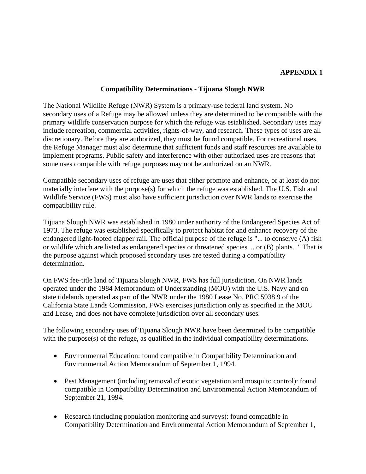#### **APPENDIX 1**

#### **Compatibility Determinations - Tijuana Slough NWR**

The National Wildlife Refuge (NWR) System is a primary-use federal land system. No secondary uses of a Refuge may be allowed unless they are determined to be compatible with the primary wildlife conservation purpose for which the refuge was established. Secondary uses may include recreation, commercial activities, rights-of-way, and research. These types of uses are all discretionary. Before they are authorized, they must be found compatible. For recreational uses, the Refuge Manager must also determine that sufficient funds and staff resources are available to implement programs. Public safety and interference with other authorized uses are reasons that some uses compatible with refuge purposes may not be authorized on an NWR.

Compatible secondary uses of refuge are uses that either promote and enhance, or at least do not materially interfere with the purpose(s) for which the refuge was established. The U.S. Fish and Wildlife Service (FWS) must also have sufficient jurisdiction over NWR lands to exercise the compatibility rule.

Tijuana Slough NWR was established in 1980 under authority of the Endangered Species Act of 1973. The refuge was established specifically to protect habitat for and enhance recovery of the endangered light-footed clapper rail. The official purpose of the refuge is "... to conserve (A) fish or wildlife which are listed as endangered species or threatened species ... or (B) plants..." That is the purpose against which proposed secondary uses are tested during a compatibility determination.

On FWS fee-title land of Tijuana Slough NWR, FWS has full jurisdiction. On NWR lands operated under the 1984 Memorandum of Understanding (MOU) with the U.S. Navy and on state tidelands operated as part of the NWR under the 1980 Lease No. PRC 5938.9 of the California State Lands Commission, FWS exercises jurisdiction only as specified in the MOU and Lease, and does not have complete jurisdiction over all secondary uses.

The following secondary uses of Tijuana Slough NWR have been determined to be compatible with the purpose(s) of the refuge, as qualified in the individual compatibility determinations.

- Environmental Education: found compatible in Compatibility Determination and Environmental Action Memorandum of September 1, 1994.
- Pest Management (including removal of exotic vegetation and mosquito control): found compatible in Compatibility Determination and Environmental Action Memorandum of September 21, 1994.
- Research (including population monitoring and surveys): found compatible in Compatibility Determination and Environmental Action Memorandum of September 1,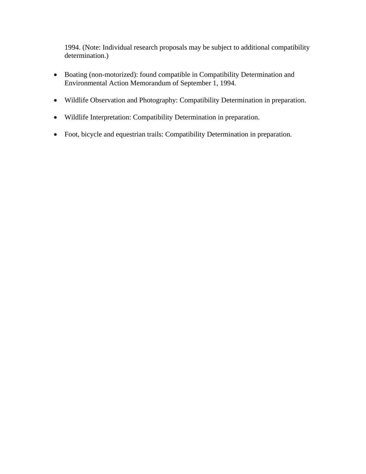1994. (Note: Individual research proposals may be subject to additional compatibility determination.)

- Boating (non-motorized): found compatible in Compatibility Determination and Environmental Action Memorandum of September 1, 1994.
- Wildlife Observation and Photography: Compatibility Determination in preparation.
- Wildlife Interpretation: Compatibility Determination in preparation.
- Foot, bicycle and equestrian trails: Compatibility Determination in preparation.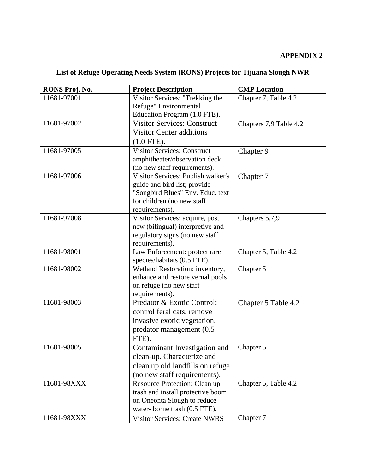# **APPENDIX 2**

# **List of Refuge Operating Needs System (RONS) Projects for Tijuana Slough NWR**

| RONS Proj. No. | <b>Project Description</b>           | <b>CMP</b> Location    |
|----------------|--------------------------------------|------------------------|
| 11681-97001    | Visitor Services: "Trekking the      | Chapter 7, Table 4.2   |
|                | Refuge" Environmental                |                        |
|                | Education Program (1.0 FTE).         |                        |
| 11681-97002    | <b>Visitor Services: Construct</b>   | Chapters 7,9 Table 4.2 |
|                | <b>Visitor Center additions</b>      |                        |
|                | $(1.0$ FTE).                         |                        |
| 11681-97005    | <b>Visitor Services: Construct</b>   | Chapter 9              |
|                | amphitheater/observation deck        |                        |
|                | (no new staff requirements).         |                        |
| 11681-97006    | Visitor Services: Publish walker's   | Chapter 7              |
|                | guide and bird list; provide         |                        |
|                | "Songbird Blues" Env. Educ. text     |                        |
|                | for children (no new staff           |                        |
|                | requirements).                       |                        |
| 11681-97008    | Visitor Services: acquire, post      | Chapters 5,7,9         |
|                | new (bilingual) interpretive and     |                        |
|                | regulatory signs (no new staff       |                        |
|                | requirements).                       |                        |
| 11681-98001    | Law Enforcement: protect rare        | Chapter 5, Table 4.2   |
|                | species/habitats (0.5 FTE).          |                        |
| 11681-98002    | Wetland Restoration: inventory,      | Chapter 5              |
|                | enhance and restore vernal pools     |                        |
|                | on refuge (no new staff              |                        |
|                | requirements).                       |                        |
| 11681-98003    | Predator & Exotic Control:           | Chapter 5 Table 4.2    |
|                | control feral cats, remove           |                        |
|                | invasive exotic vegetation,          |                        |
|                | predator management (0.5             |                        |
|                | FTE).                                |                        |
| 11681-98005    | Contaminant Investigation and        | Chapter 5              |
|                | clean-up. Characterize and           |                        |
|                | clean up old landfills on refuge     |                        |
|                | (no new staff requirements).         |                        |
| 11681-98XXX    | Resource Protection: Clean up        | Chapter 5, Table 4.2   |
|                | trash and install protective boom    |                        |
|                | on Oneonta Slough to reduce          |                        |
|                | water-borne trash (0.5 FTE).         |                        |
| 11681-98XXX    | <b>Visitor Services: Create NWRS</b> | Chapter 7              |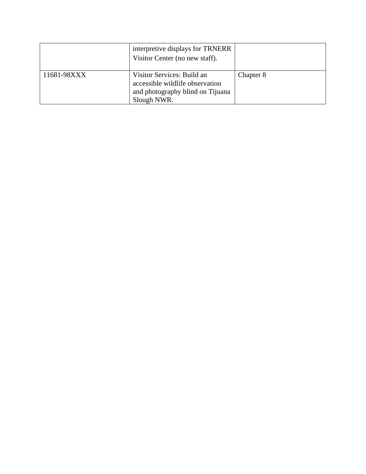|             | interpretive displays for TRNERR<br>Visitor Center (no new staff).                                               |           |
|-------------|------------------------------------------------------------------------------------------------------------------|-----------|
| 11681-98XXX | Visitor Services: Build an<br>accessible wildlife observation<br>and photography blind on Tijuana<br>Slough NWR. | Chapter 8 |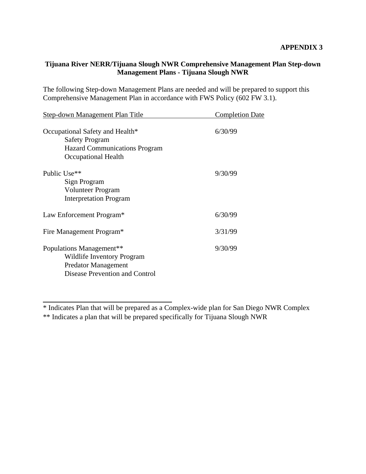# **Tijuana River NERR/Tijuana Slough NWR Comprehensive Management Plan Step-down Management Plans - Tijuana Slough NWR**

The following Step-down Management Plans are needed and will be prepared to support this Comprehensive Management Plan in accordance with FWS Policy (602 FW 3.1).

| <b>Step-down Management Plan Title</b>                                                                                             | <b>Completion Date</b> |
|------------------------------------------------------------------------------------------------------------------------------------|------------------------|
| Occupational Safety and Health*<br><b>Safety Program</b><br><b>Hazard Communications Program</b><br>Occupational Health            | 6/30/99                |
| Public Use <sup>**</sup><br>Sign Program<br>Volunteer Program<br><b>Interpretation Program</b>                                     | 9/30/99                |
| Law Enforcement Program*                                                                                                           | 6/30/99                |
| Fire Management Program*                                                                                                           | 3/31/99                |
| Populations Management <sup>**</sup><br>Wildlife Inventory Program<br><b>Predator Management</b><br>Disease Prevention and Control | 9/30/99                |

\* Indicates Plan that will be prepared as a Complex-wide plan for San Diego NWR Complex

\*\* Indicates a plan that will be prepared specifically for Tijuana Slough NWR

 $\overline{a}$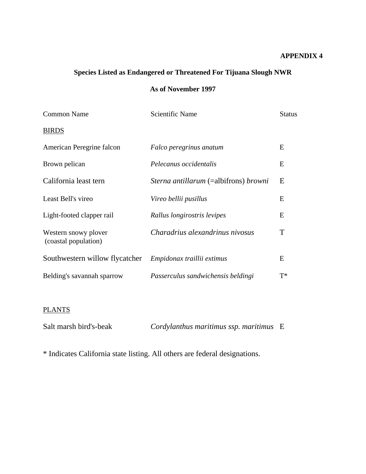#### **APPENDIX 4**

# **Species Listed as Endangered or Threatened For Tijuana Slough NWR**

# **As of November 1997**

| <b>Common Name</b>                           | <b>Scientific Name</b>                              | <b>Status</b> |
|----------------------------------------------|-----------------------------------------------------|---------------|
| <b>BIRDS</b>                                 |                                                     |               |
| American Peregrine falcon                    | Falco peregrinus anatum                             | E             |
| Brown pelican                                | Pelecanus occidentalis                              | Ε             |
| California least tern                        | <i>Sterna antillarum</i> (=albifrons) <i>browni</i> | E             |
| Least Bell's vireo                           | Vireo bellii pusillus                               | E             |
| Light-footed clapper rail                    | Rallus longirostris levipes                         | E             |
| Western snowy plover<br>(coastal population) | Charadrius alexandrinus nivosus                     | T             |
| Southwestern willow flycatcher               | Empidonax traillii extimus                          | E             |
| Belding's savannah sparrow                   | Passerculus sandwichensis beldingi                  | $T^*$         |

# **PLANTS**

| Salt marsh bird's-beak | Cordylanthus maritimus ssp. maritimus E |  |
|------------------------|-----------------------------------------|--|
|                        |                                         |  |

\* Indicates California state listing. All others are federal designations.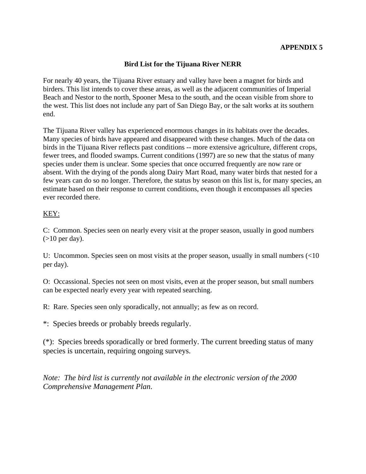# **Bird List for the Tijuana River NERR**

For nearly 40 years, the Tijuana River estuary and valley have been a magnet for birds and birders. This list intends to cover these areas, as well as the adjacent communities of Imperial Beach and Nestor to the north, Spooner Mesa to the south, and the ocean visible from shore to the west. This list does not include any part of San Diego Bay, or the salt works at its southern end.

The Tijuana River valley has experienced enormous changes in its habitats over the decades. Many species of birds have appeared and disappeared with these changes. Much of the data on birds in the Tijuana River reflects past conditions -- more extensive agriculture, different crops, fewer trees, and flooded swamps. Current conditions (1997) are so new that the status of many species under them is unclear. Some species that once occurred frequently are now rare or absent. With the drying of the ponds along Dairy Mart Road, many water birds that nested for a few years can do so no longer. Therefore, the status by season on this list is, for many species, an estimate based on their response to current conditions, even though it encompasses all species ever recorded there.

#### KEY:

C: Common. Species seen on nearly every visit at the proper season, usually in good numbers  $(>10$  per day).

U: Uncommon. Species seen on most visits at the proper season, usually in small numbers (<10 per day).

O: Occassional. Species not seen on most visits, even at the proper season, but small numbers can be expected nearly every year with repeated searching.

R: Rare. Species seen only sporadically, not annually; as few as on record.

\*: Species breeds or probably breeds regularly.

(\*): Species breeds sporadically or bred formerly. The current breeding status of many species is uncertain, requiring ongoing surveys.

*Note: The bird list is currently not available in the electronic version of the 2000 Comprehensive Management Plan*.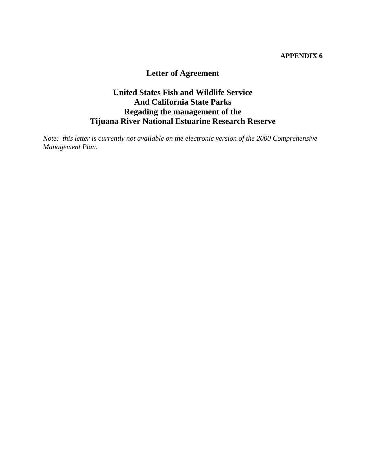#### **APPENDIX 6**

# **Letter of Agreement**

# **United States Fish and Wildlife Service And California State Parks Regading the management of the Tijuana River National Estuarine Research Reserve**

*Note: this letter is currently not available on the electronic version of the 2000 Comprehensive Management Plan.*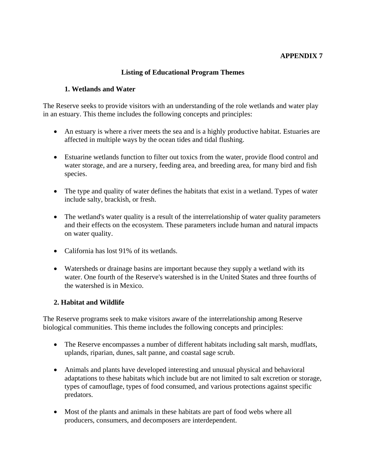## **APPENDIX 7**

#### **Listing of Educational Program Themes**

#### **1. Wetlands and Water**

The Reserve seeks to provide visitors with an understanding of the role wetlands and water play in an estuary. This theme includes the following concepts and principles:

- An estuary is where a river meets the sea and is a highly productive habitat. Estuaries are affected in multiple ways by the ocean tides and tidal flushing.
- Estuarine wetlands function to filter out toxics from the water, provide flood control and water storage, and are a nursery, feeding area, and breeding area, for many bird and fish species.
- The type and quality of water defines the habitats that exist in a wetland. Types of water include salty, brackish, or fresh.
- The wetland's water quality is a result of the interrelationship of water quality parameters and their effects on the ecosystem. These parameters include human and natural impacts on water quality.
- California has lost 91% of its wetlands.
- Watersheds or drainage basins are important because they supply a wetland with its water. One fourth of the Reserve's watershed is in the United States and three fourths of the watershed is in Mexico.

#### **2. Habitat and Wildlife**

The Reserve programs seek to make visitors aware of the interrelationship among Reserve biological communities. This theme includes the following concepts and principles:

- The Reserve encompasses a number of different habitats including salt marsh, mudflats, uplands, riparian, dunes, salt panne, and coastal sage scrub.
- Animals and plants have developed interesting and unusual physical and behavioral adaptations to these habitats which include but are not limited to salt excretion or storage, types of camouflage, types of food consumed, and various protections against specific predators.
- Most of the plants and animals in these habitats are part of food webs where all producers, consumers, and decomposers are interdependent.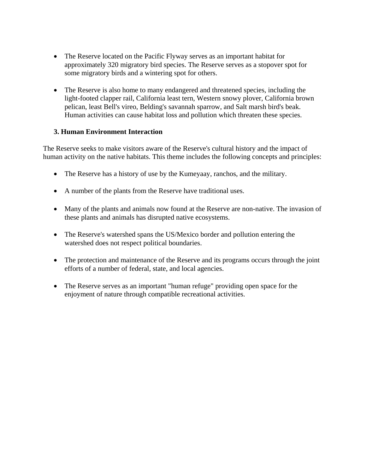- The Reserve located on the Pacific Flyway serves as an important habitat for approximately 320 migratory bird species. The Reserve serves as a stopover spot for some migratory birds and a wintering spot for others.
- The Reserve is also home to many endangered and threatened species, including the light-footed clapper rail, California least tern, Western snowy plover, California brown pelican, least Bell's vireo, Belding's savannah sparrow, and Salt marsh bird's beak. Human activities can cause habitat loss and pollution which threaten these species.

#### **3. Human Environment Interaction**

The Reserve seeks to make visitors aware of the Reserve's cultural history and the impact of human activity on the native habitats. This theme includes the following concepts and principles:

- The Reserve has a history of use by the Kumeyaay, ranchos, and the military.
- A number of the plants from the Reserve have traditional uses.
- Many of the plants and animals now found at the Reserve are non-native. The invasion of these plants and animals has disrupted native ecosystems.
- The Reserve's watershed spans the US/Mexico border and pollution entering the watershed does not respect political boundaries.
- The protection and maintenance of the Reserve and its programs occurs through the joint efforts of a number of federal, state, and local agencies.
- The Reserve serves as an important "human refuge" providing open space for the enjoyment of nature through compatible recreational activities.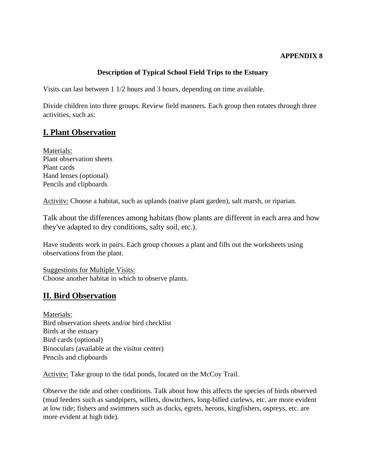## **Description of Typical School Field Trips to the Estuary**

Visits can last between 1 1/2 hours and 3 hours, depending on time available.

Divide children into three groups. Review field manners. Each group then rotates through three activities, such as:

# **I. Plant Observation**

Materials: Plant observation sheets Plant cards Hand lenses (optional) Pencils and clipboards

Activitv: Choose a habitat, such as uplands (native plant garden), salt marsh, or riparian.

Talk about the differences among habitats (how plants are different in each area and how they've adapted to dry conditions, salty soil, etc.).

Have students work in pairs. Each group chooses a plant and fills out the worksheets using observations from the plant.

Suggestions for Multiple Visits: Choose another habitat in which to observe plants.

## **II. Bird Observation**

Materials: Bird observation sheets and/or bird checklist Birds at the estuary Bird cards (optional) Binoculars (available at the visitor center) Pencils and clipboards

Activity: Take group to the tidal ponds, located on the McCoy Trail.

Observe the tide and other conditions. Talk about how this affects the species of birds observed (mud feeders such as sandpipers, willets, dowitchers, long-billed curlews, etc. are more evident at low tide; fishers and swimmers such as ducks, egrets, herons, kingfishers, ospreys, etc. are more evident at high tide).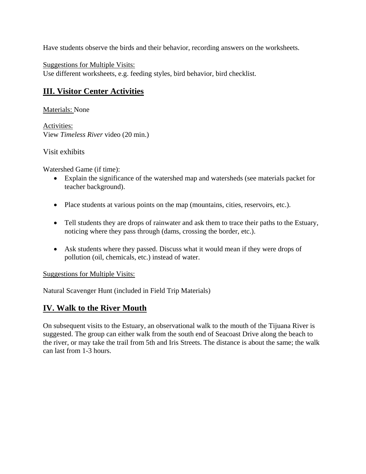Have students observe the birds and their behavior, recording answers on the worksheets.

Suggestions for Multiple Visits: Use different worksheets, e.g. feeding styles, bird behavior, bird checklist.

# **III. Visitor Center Activities**

Materials: None

Activities: View *Timeless River* video (20 min.)

## Visit exhibits

Watershed Game (if time):

- Explain the significance of the watershed map and watersheds (see materials packet for teacher background).
- Place students at various points on the map (mountains, cities, reservoirs, etc.).
- Tell students they are drops of rainwater and ask them to trace their paths to the Estuary, noticing where they pass through (dams, crossing the border, etc.).
- Ask students where they passed. Discuss what it would mean if they were drops of pollution (oil, chemicals, etc.) instead of water.

Suggestions for Multiple Visits:

Natural Scavenger Hunt (included in Field Trip Materials)

# **IV. Walk to the River Mouth**

On subsequent visits to the Estuary, an observational walk to the mouth of the Tijuana River is suggested. The group can either walk from the south end of Seacoast Drive along the beach to the river, or may take the trail from 5th and Iris Streets. The distance is about the same; the walk can last from 1-3 hours.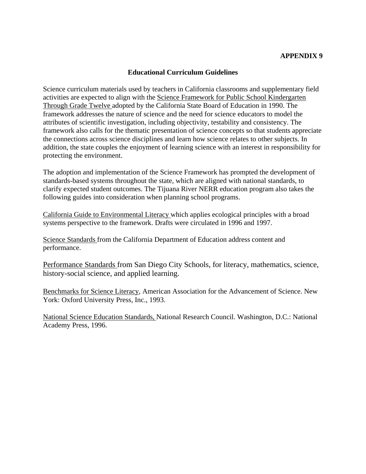#### **Educational Curriculum Guidelines**

Science curriculum materials used by teachers in California classrooms and supplementary field activities are expected to align with the Science Framework for Public School Kindergarten Through Grade Twelve adopted by the California State Board of Education in 1990. The framework addresses the nature of science and the need for science educators to model the attributes of scientific investigation, including objectivity, testability and consistency. The framework also calls for the thematic presentation of science concepts so that students appreciate the connections across science disciplines and learn how science relates to other subjects. In addition, the state couples the enjoyment of learning science with an interest in responsibility for protecting the environment.

The adoption and implementation of the Science Framework has prompted the development of standards-based systems throughout the state, which are aligned with national standards, to clarify expected student outcomes. The Tijuana River NERR education program also takes the following guides into consideration when planning school programs.

California Guide to Environmental Literacy which applies ecological principles with a broad systems perspective to the framework. Drafts were circulated in 1996 and 1997.

Science Standards from the California Department of Education address content and performance.

Performance Standards from San Diego City Schools, for literacy, mathematics, science, history-social science, and applied learning.

Benchmarks for Science Literacy, American Association for the Advancement of Science. New York: Oxford University Press, Inc., 1993.

National Science Education Standards, National Research Council. Washington, D.C.: National Academy Press, 1996.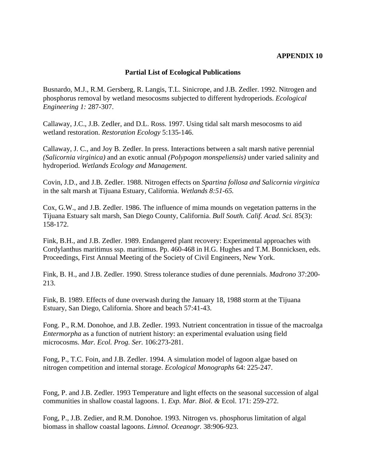#### **Partial List of Ecological Publications**

Busnardo, M.J., R.M. Gersberg, R. Langis, T.L. Sinicrope, and J.B. Zedler. 1992. Nitrogen and phosphorus removal by wetland mesocosms subjected to different hydroperiods. *Ecological Engineering 1:* 287-307.

Callaway, J.C., J.B. Zedler, and D.L. Ross. 1997. Using tidal salt marsh mesocosms to aid wetland restoration. *Restoration Ecology* 5:135-146.

Callaway, J. C., and Joy B. Zedler. In press. Interactions between a salt marsh native perennial *(Salicornia virginica)* and an exotic annual *(Polypogon monspeliensis)* under varied salinity and hydroperiod. *Wetlands Ecology and Management.* 

Covin, J.D., and J.B. Zedler. 1988. Nitrogen effects on *Spartina follosa and Salicornia virginica*  in the salt marsh at Tijuana Estuary, California. *Wetlands 8:51-65.* 

Cox, G.W., and J.B. Zedler. 1986. The influence of mima mounds on vegetation patterns in the Tijuana Estuary salt marsh, San Diego County, California. *Bull South. Calif. Acad. Sci.* 85(3): 158-172.

Fink, B.H., and J.B. Zedler. 1989. Endangered plant recovery: Experimental approaches with Cordylanthus maritimus ssp. maritimus. Pp. 460-468 in H.G. Hughes and T.M. Bonnicksen, eds. Proceedings, First Annual Meeting of the Society of Civil Engineers, New York.

Fink, B. H., and J.B. Zedler. 1990. Stress tolerance studies of dune perennials. *Madrono* 37:200- 213.

Fink, B. 1989. Effects of dune overwash during the January 18, 1988 storm at the Tijuana Estuary, San Diego, California. Shore and beach 57:41-43.

Fong. P., R.M. Donohoe, and J.B. Zedler. 1993. Nutrient concentration in tissue of the macroalga *Entermorpha* as a function of nutrient history: an experimental evaluation using field microcosms. *Mar. Ecol. Prog. Ser.* 106:273-281.

Fong, P., T.C. Foin, and J.B. Zedler. 1994. A simulation model of lagoon algae based on nitrogen competition and internal storage. *Ecological Monographs* 64: 225-247.

Fong, P. and J.B. Zedler. 1993 Temperature and light effects on the seasonal succession of algal communities in shallow coastal lagoons. 1. *Exp. Mar. Biol. &* Ecol. 171: 259-272.

Fong, P., J.B. Zedier, and R.M. Donohoe. 1993. Nitrogen vs. phosphorus limitation of algal biomass in shallow coastal lagoons. *Limnol. Oceanogr.* 38:906-923.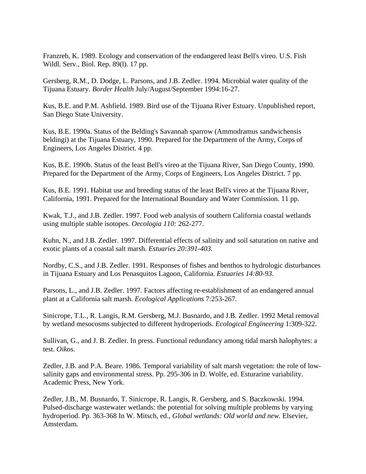Franzreb, K. 1989. Ecology and conservation of the endangered least Bell's vireo. U.S. Fish Wildl. Serv., Biol. Rep. 89(l). 17 pp.

Gersberg, R.M., D. Dodge, L. Parsons, and J.B. Zedler. 1994. Microbial water quality of the Tijuana Estuary. *Border Health* July/August/September 1994:16-27.

Kus, B.E. and P.M. Ashfield. 1989. Bird use of the Tijuana River Estuary. Unpublished report, San Diego State University.

Kus, B.E. 1990a. Status of the Belding's Savannah sparrow (Ammodramus sandwichensis beldingi) at the Tijuana Estuary, 1990. Prepared for the Department of the Army, Corps of Engineers, Los Angeles District. 4 pp.

Kus, B.E. 1990b. Status of the least Bell's vireo at the Tijuana River, San Diego County, 1990. Prepared for the Department of the Army, Corps of Engineers, Los Angeles District. 7 pp.

Kus, B.E. 1991. Habitat use and breeding status of the least Bell's vireo at the Tijuana River, California, 1991. Prepared for the International Boundary and Water Commission. 11 pp.

Kwak, T.J., and J.B. Zedler. 1997. Food web analysis of southern California coastal wetlands using multiple stable isotopes. *Oecologia 110:* 262-277.

Kuhn, N., and J.B. Zedler. 1997. Differential effects of salinity and soil saturation on native and exotic plants of a coastal salt marsh. *Estuaries 20:391-403.* 

Nordby, C.S., and J.B. Zedler. 1991. Responses of fishes and benthos to hydrologic disturbances in Tijuana Estuary and Los Penasquitos Lagoon, California. *Estuaries 14:80-93.* 

Parsons, L., and J.B. Zedler. 1997. Factors affecting re-establishment of an endangered annual plant at a California salt marsh. *Ecological Applications* 7:253-267.

Sinicrope, T.L., R. Langis, R.M. Gersberg, M.J. Busnardo, and J.B. Zedler. 1992 Metal removal by wetland mesocosms subjected to different hydroperiods. *Ecological Engineering* 1:309-322.

Sullivan, G., and J. B. Zedler. In press. Functional redundancy among tidal marsh halophytes: a test. *Oikos.* 

Zedler, J.B. and P.A. Beare. 1986. Temporal variability of salt marsh vegetation: the role of lowsalinity gaps and environmental stress. Pp. 295-306 in D. Wolfe, ed. Esturarine variability. Academic Press, New York.

Zedler, J.B., M. Busnardo, T. Sinicrope, R. Langis, R. Gersberg, and S. Baczkowski. 1994. Pulsed-discharge wastewater wetlands: the potential for solving multiple problems by varying hydroperiod. Pp. 363-368 In W. Mitsch, ed., *Global wetlands: Old world and new.* Elsevier, Amsterdam.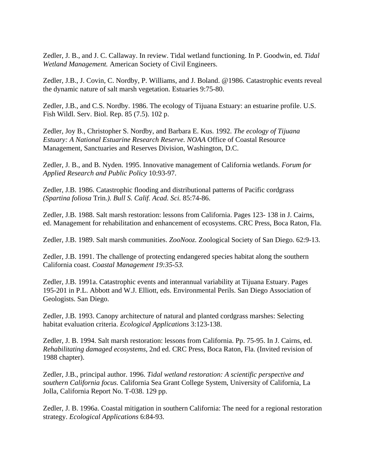Zedler, J. B., and J. C. Callaway. In review. Tidal wetland functioning. In P. Goodwin, ed. *Tidal Wetland Management.* American Society of Civil Engineers.

Zedler, J.B., J. Covin, C. Nordby, P. Williams, and J. Boland. @1986. Catastrophic events reveal the dynamic nature of salt marsh vegetation. Estuaries 9:75-80.

Zedler, J.B., and C.S. Nordby. 1986. The ecology of Tijuana Estuary: an estuarine profile. U.S. Fish Wildl. Serv. Biol. Rep. 85 (7.5). 102 p.

Zedler, Joy B., Christopher S. Nordby, and Barbara E. Kus. 1992. *The ecology of Tijuana Estuary: A National Estuarine Research Reserve. NOAA* Office of Coastal Resource Management, Sanctuaries and Reserves Division, Washington, D.C.

Zedler, J. B., and B. Nyden. 1995. Innovative management of California wetlands. *Forum for Applied Research and Public Policy* 10:93-97.

Zedler, J.B. 1986. Catastrophic flooding and distributional patterns of Pacific cordgrass *(Spartina foliosa* Trin*.). Bull S. Calif. Acad. Sci.* 85:74-86.

Zedler, J.B. 1988. Salt marsh restoration: lessons from California. Pages 123- 138 in J. Cairns, ed. Management for rehabilitation and enhancement of ecosystems. CRC Press, Boca Raton, Fla.

Zedler, J.B. 1989. Salt marsh communities. *ZooNooz.* Zoological Society of San Diego. 62:9-13.

Zedler, J.B. 1991. The challenge of protecting endangered species habitat along the southern California coast. *Coastal Management 19:35-53.* 

Zedler, J.B. 1991a. Catastrophic events and interannual variability at Tijuana Estuary. Pages 195-201 in P.L. Abbott and W.J. Elliott, eds. Environmental Perils. San Diego Association of Geologists. San Diego.

Zedler, J.B. 1993. Canopy architecture of natural and planted cordgrass marshes: Selecting habitat evaluation criteria. *Ecological Applications* 3:123-138.

Zedler, J. B. 1994. Salt marsh restoration: lessons from California. Pp. 75-95. In J. Cairns, ed. *Rehabilitating damaged ecosystems,* 2nd ed. CRC Press, Boca Raton, Fla. (Invited revision of 1988 chapter).

Zedler, J.B., principal author. 1996. *Tidal wetland restoration: A scientific perspective and southern California focus.* California Sea Grant College System, University of California, La Jolla, California Report No. T-038. 129 pp.

Zedler, J. B. 1996a. Coastal mitigation in southern California: The need for a regional restoration strategy. *Ecological Applications* 6:84-93.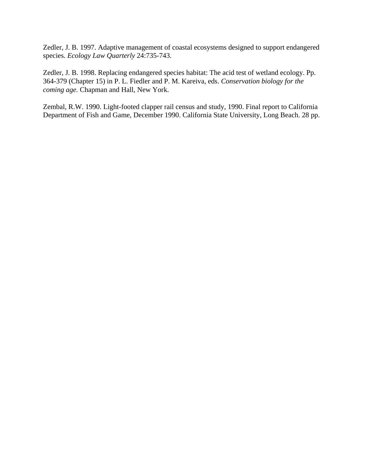Zedler, J. B. 1997. Adaptive management of coastal ecosystems designed to support endangered species. *Ecology Law Quarterly* 24:735-743.

Zedler, J. B. 1998. Replacing endangered species habitat: The acid test of wetland ecology. Pp. 364-379 (Chapter 15) in P. L. Fiedler and P. M. Kareiva, eds. *Conservation biology for the coming age.* Chapman and Hall, New York.

Zembal, R.W. 1990. Light-footed clapper rail census and study, 1990. Final report to California Department of Fish and Game, December 1990. California State University, Long Beach. 28 pp.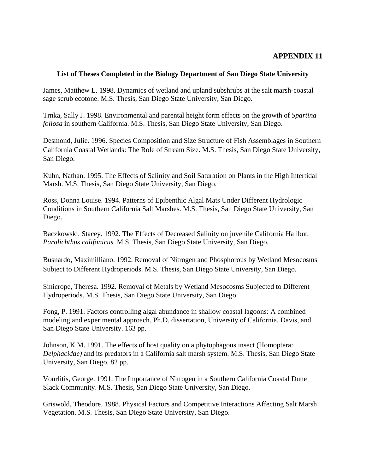#### **List of Theses Completed in the Biology Department of San Diego State University**

James, Matthew L. 1998. Dynamics of wetland and upland subshrubs at the salt marsh-coastal sage scrub ecotone. M.S. Thesis, San Diego State University, San Diego.

Trnka, Sally J. 1998. Environmental and parental height form effects on the growth of *Spartina foliosa* in southern California. M.S. Thesis, San Diego State University, San Diego.

Desmond, Julie. 1996. Species Composition and Size Structure of Fish Assemblages in Southern California Coastal Wetlands: The Role of Stream Size. M.S. Thesis, San Diego State University, San Diego.

Kuhn, Nathan. 1995. The Effects of Salinity and Soil Saturation on Plants in the High Intertidal Marsh. M.S. Thesis, San Diego State University, San Diego.

Ross, Donna Louise. 1994. Patterns of Epibenthic Algal Mats Under Different Hydrologic Conditions in Southern California Salt Marshes. M.S. Thesis, San Diego State University, San Diego.

Baczkowski, Stacey. 1992. The Effects of Decreased Salinity on juvenile California Halibut, *Paralichthus califonicus.* M.S. Thesis, San Diego State University, San Diego.

Busnardo, Maximilliano. 1992. Removal of Nitrogen and Phosphorous by Wetland Mesocosms Subject to Different Hydroperiods. M.S. Thesis, San Diego State University, San Diego.

Sinicrope, Theresa. 1992. Removal of Metals by Wetland Mesocosms Subjected to Different Hydroperiods. M.S. Thesis, San Diego State University, San Diego.

Fong, P. 1991. Factors controlling algal abundance in shallow coastal lagoons: A combined modeling and experimental approach. Ph.D. dissertation, University of California, Davis, and San Diego State University. 163 pp.

Johnson, K.M. 1991. The effects of host quality on a phytophagous insect (Homoptera: *Delphacidae)* and its predators in a California salt marsh system. M.S. Thesis, San Diego State University, San Diego. 82 pp.

Vourlitis, George. 1991. The Importance of Nitrogen in a Southern California Coastal Dune Slack Community. M.S. Thesis, San Diego State University, San Diego.

Griswold, Theodore. 1988. Physical Factors and Competitive Interactions Affecting Salt Marsh Vegetation. M.S. Thesis, San Diego State University, San Diego.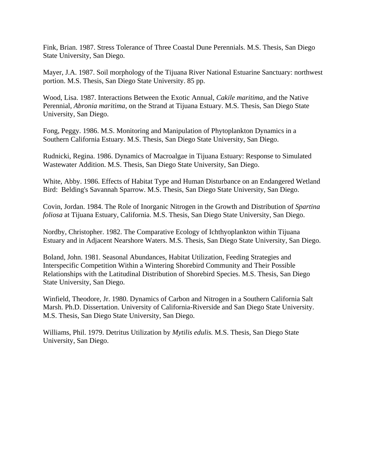Fink, Brian. 1987. Stress Tolerance of Three Coastal Dune Perennials. M.S. Thesis, San Diego State University, San Diego.

Mayer, J.A. 1987. Soil morphology of the Tijuana River National Estuarine Sanctuary: northwest portion. M.S. Thesis, San Diego State University. 85 pp.

Wood, Lisa. 1987. Interactions Between the Exotic Annual, *Cakile maritima,* and the Native Perennial, *Abronia maritima,* on the Strand at Tijuana Estuary. M.S. Thesis, San Diego State University, San Diego.

Fong, Peggy. 1986. M.S. Monitoring and Manipulation of Phytoplankton Dynamics in a Southern California Estuary. M.S. Thesis, San Diego State University, San Diego.

Rudnicki, Regina. 1986. Dynamics of Macroalgae in Tijuana Estuary: Response to Simulated Wastewater Addition. M.S. Thesis, San Diego State University, San Diego.

White, Abby. 1986. Effects of Habitat Type and Human Disturbance on an Endangered Wetland Bird: Belding's Savannah Sparrow. M.S. Thesis, San Diego State University, San Diego.

Covin, Jordan. 1984. The Role of Inorganic Nitrogen in the Growth and Distribution of *Spartina foliosa* at Tijuana Estuary, California. M.S. Thesis, San Diego State University, San Diego.

Nordby, Christopher. 1982. The Comparative Ecology of Ichthyoplankton within Tijuana Estuary and in Adjacent Nearshore Waters. M.S. Thesis, San Diego State University, San Diego.

Boland, John. 1981. Seasonal Abundances, Habitat Utilization, Feeding Strategies and Interspecific Competition Within a Wintering Shorebird Community and Their Possible Relationships with the Latitudinal Distribution of Shorebird Species. M.S. Thesis, San Diego State University, San Diego.

Winfield, Theodore, Jr. 1980. Dynamics of Carbon and Nitrogen in a Southern California Salt Marsh. Ph.D. Dissertation. University of California-Riverside and San Diego State University. M.S. Thesis, San Diego State University, San Diego.

Williams, Phil. 1979. Detritus Utilization by *Mytilis edulis.* M.S. Thesis, San Diego State University, San Diego.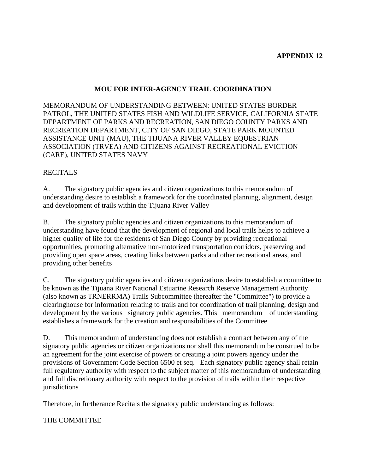## **MOU FOR INTER-AGENCY TRAIL COORDINATION**

MEMORANDUM OF UNDERSTANDING BETWEEN: UNITED STATES BORDER PATROL, THE UNITED STATES FISH AND WILDLIFE SERVICE, CALIFORNIA STATE DEPARTMENT OF PARKS AND RECREATION, SAN DIEGO COUNTY PARKS AND RECREATION DEPARTMENT, CITY OF SAN DIEGO, STATE PARK MOUNTED ASSISTANCE UNIT (MAU), THE TIJUANA RIVER VALLEY EQUESTRIAN ASSOCIATION (TRVEA) AND CITIZENS AGAINST RECREATIONAL EVICTION (CARE), UNITED STATES NAVY

## RECITALS

A. The signatory public agencies and citizen organizations to this memorandum of understanding desire to establish a framework for the coordinated planning, alignment, design and development of trails within the Tijuana River Valley

B. The signatory public agencies and citizen organizations to this memorandum of understanding have found that the development of regional and local trails helps to achieve a higher quality of life for the residents of San Diego County by providing recreational opportunities, promoting alternative non-motorized transportation corridors, preserving and providing open space areas, creating links between parks and other recreational areas, and providing other benefits

C. The signatory public agencies and citizen organizations desire to establish a committee to be known as the Tijuana River National Estuarine Research Reserve Management Authority (also known as TRNERRMA) Trails Subcommittee (hereafter the "Committee") to provide a clearinghouse for information relating to trails and for coordination of trail planning, design and development by the various signatory public agencies. This memorandum of understanding establishes a framework for the creation and responsibilities of the Committee

D. This memorandum of understanding does not establish a contract between any of the signatory public agencies or citizen organizations nor shall this memorandum be construed to be an agreement for the joint exercise of powers or creating a joint powers agency under the provisions of Government Code Section 6500 et seq. Each signatory public agency shall retain full regulatory authority with respect to the subject matter of this memorandum of understanding and full discretionary authority with respect to the provision of trails within their respective jurisdictions

Therefore, in furtherance Recitals the signatory public understanding as follows:

THE COMMITTEE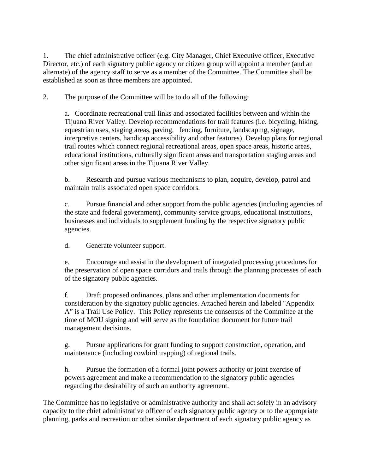1. The chief administrative officer (e.g. City Manager, Chief Executive officer, Executive Director, etc.) of each signatory public agency or citizen group will appoint a member (and an alternate) of the agency staff to serve as a member of the Committee. The Committee shall be established as soon as three members are appointed.

2. The purpose of the Committee will be to do all of the following:

a. Coordinate recreational trail links and associated facilities between and within the Tijuana River Valley. Develop recommendations for trail features (i.e. bicycling, hiking, equestrian uses, staging areas, paving, fencing, furniture, landscaping, signage, interpretive centers, handicap accessibility and other features). Develop plans for regional trail routes which connect regional recreational areas, open space areas, historic areas, educational institutions, culturally significant areas and transportation staging areas and other significant areas in the Tijuana River Valley.

b. Research and pursue various mechanisms to plan, acquire, develop, patrol and maintain trails associated open space corridors.

c. Pursue financial and other support from the public agencies (including agencies of the state and federal government), community service groups, educational institutions, businesses and individuals to supplement funding by the respective signatory public agencies.

d. Generate volunteer support.

e. Encourage and assist in the development of integrated processing procedures for the preservation of open space corridors and trails through the planning processes of each of the signatory public agencies.

f. Draft proposed ordinances, plans and other implementation documents for consideration by the signatory public agencies. Attached herein and labeled "Appendix A" is a Trail Use Policy. This Policy represents the consensus of the Committee at the time of MOU signing and will serve as the foundation document for future trail management decisions.

g. Pursue applications for grant funding to support construction, operation, and maintenance (including cowbird trapping) of regional trails.

h. Pursue the formation of a formal joint powers authority or joint exercise of powers agreement and make a recommendation to the signatory public agencies regarding the desirability of such an authority agreement.

The Committee has no legislative or administrative authority and shall act solely in an advisory capacity to the chief administrative officer of each signatory public agency or to the appropriate planning, parks and recreation or other similar department of each signatory public agency as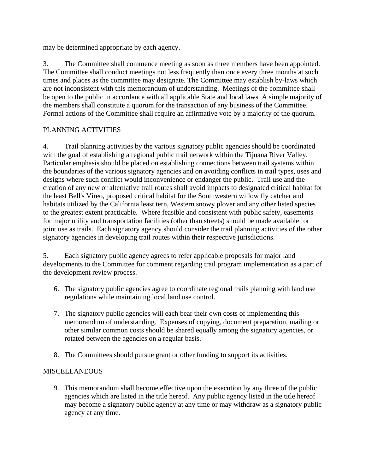may be determined appropriate by each agency.

3. The Committee shall commence meeting as soon as three members have been appointed. The Committee shall conduct meetings not less frequently than once every three months at such times and places as the committee may designate. The Committee may establish by-laws which are not inconsistent with this memorandum of understanding. Meetings of the committee shall be open to the public in accordance with all applicable State and local laws. A simple majority of the members shall constitute a quorum for the transaction of any business of the Committee. Formal actions of the Committee shall require an affirmative vote by a majority of the quorum.

## PLANNING ACTIVITIES

4. Trail planning activities by the various signatory public agencies should be coordinated with the goal of establishing a regional public trail network within the Tijuana River Valley. Particular emphasis should be placed on establishing connections between trail systems within the boundaries of the various signatory agencies and on avoiding conflicts in trail types, uses and designs where such conflict would inconvenience or endanger the public. Trail use and the creation of any new or alternative trail routes shall avoid impacts to designated critical habitat for the least Bell's Vireo, proposed critical habitat for the Southwestern willow fly catcher and habitats utilized by the California least tern, Western snowy plover and any other listed species to the greatest extent practicable. Where feasible and consistent with public safety, easements for major utility and transportation facilities (other than streets) should be made available for joint use as trails. Each signatory agency should consider the trail planning activities of the other signatory agencies in developing trail routes within their respective jurisdictions.

5. Each signatory public agency agrees to refer applicable proposals for major land developments to the Committee for comment regarding trail program implementation as a part of the development review process.

- 6. The signatory public agencies agree to coordinate regional trails planning with land use regulations while maintaining local land use control.
- 7. The signatory public agencies will each bear their own costs of implementing this memorandum of understanding. Expenses of copying, document preparation, mailing or other similar common costs should be shared equally among the signatory agencies, or rotated between the agencies on a regular basis.
- 8. The Committees should pursue grant or other funding to support its activities.

## MISCELLANEOUS

9. This memorandum shall become effective upon the execution by any three of the public agencies which are listed in the title hereof. Any public agency listed in the title hereof may become a signatory public agency at any time or may withdraw as a signatory public agency at any time.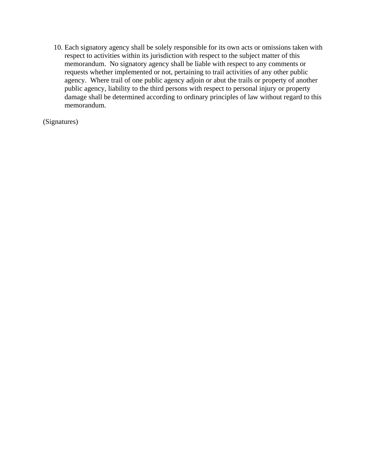10. Each signatory agency shall be solely responsible for its own acts or omissions taken with respect to activities within its jurisdiction with respect to the subject matter of this memorandum. No signatory agency shall be liable with respect to any comments or requests whether implemented or not, pertaining to trail activities of any other public agency. Where trail of one public agency adjoin or abut the trails or property of another public agency, liability to the third persons with respect to personal injury or property damage shall be determined according to ordinary principles of law without regard to this memorandum.

(Signatures)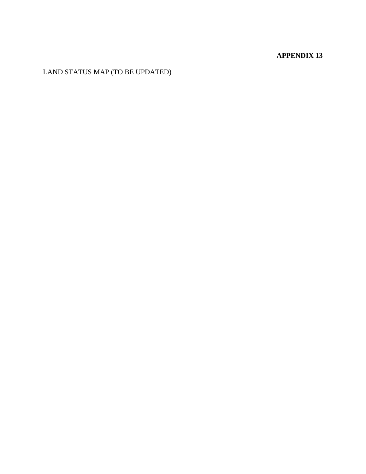LAND STATUS MAP (TO BE UPDATED)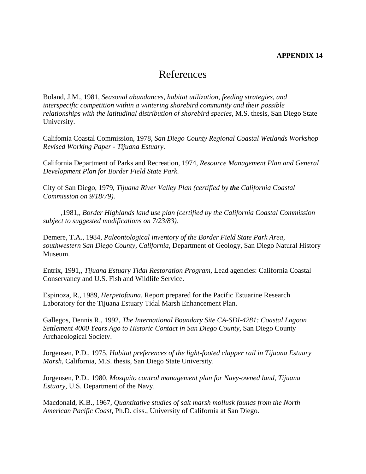# References

Boland, J.M., 1981, *Seasonal abundances, habitat utilization, feeding strategies, and interspecific competition within a wintering shorebird community and their possible relationships with the latitudinal distribution of shorebird species,* M.S. thesis, San Diego State University.

Califomia Coastal Commission, 1978, *San Diego County Regional Coastal Wetlands Workshop Revised Working Paper - Tijuana Estuary.* 

California Department of Parks and Recreation, 1974, *Resource Management Plan and General Development Plan for Border Field State Park.* 

City of San Diego, 1979, *Tijuana River Valley Plan (certified by the California Coastal Commission on 9/18/79).* 

 ,1981,*, Border Highlands land use plan (certified by the California Coastal Commission subject to suggested modifications on 7/23/83).* 

Demere, T.A., 1984, *Paleontological inventory of the Border Field State Park Area, southwestern San Diego County, California,* Department of Geology, San Diego Natural History Museum.

Entrix, 1991,*, Tijuana Estuary Tidal Restoration Program,* Lead agencies: California Coastal Conservancy and U.S. Fish and Wildlife Service.

Espinoza, R., 1989, *Herpetofauna,* Report prepared for the Pacific Estuarine Research Laboratory for the Tijuana Estuary Tidal Marsh Enhancement Plan.

Gallegos, Dennis R., 1992, *The International Boundary Site CA-SDI-4281: Coastal Lagoon Settlement 4000 Years Ago to Historic Contact in San Diego County,* San Diego County Archaeological Society.

Jorgensen, P.D., 1975, *Habitat preferences of the light-footed clapper rail in Tijuana Estuary Marsh,* California, M.S. thesis, San Diego State University.

Jorgensen, P.D., 1980, *Mosquito control management plan for Navy-owned land, Tijuana Estuary,* U.S. Department of the Navy.

Macdonald, K.B., 1967, *Quantitative studies of salt marsh mollusk faunas from the North American Pacific Coast,* Ph.D. diss., University of California at San Diego.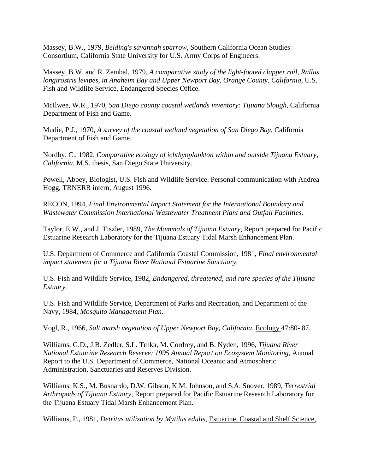Massey, B.W., 1979, *Belding's savannah sparrow,* Southern California Ocean Studies Consortium, California State University for U.S. Army Corps of Engineers.

Massey, B.W. and R. Zembal, 1979, *A comparative study of the light-footed clapper rail, Rallus longirostris levipes, in Anaheim Bay and Upper Newport Bay, Orange County, California, U.S.* Fish and Wildlife Service, Endangered Species Office.

McIlwee, W.R., 1970, *San Diego county coastal wetlands inventory: Tijuana Slough,* California Department of Fish and Game.

Mudie, P.J., 1970, *A survey of the coastal wetland vegetation of San Diego Bay,* California Department of Fish and Game.

Nordby, C., 1982, *Comparative ecology of ichthyoplankton within and outside Tijuana Estuary, California,* M.S. thesis, San Diego State University.

Powell, Abbey, Biologist, U.S. Fish and Wildlife Service. Personal communication with Andrea Hogg, TRNERR intern, August 1996.

RECON, 1994, *Final Environmental Impact Statement for the International Boundary and Wastewater Commission International Wastewater Treatment Plant and Outfall Facilities.* 

Taylor, E.W., and J. Tiszler, 1989, *The Mammals of Tijuana Estuary,* Report prepared for Pacific Estuarine Research Laboratory for the Tijuana Estuary Tidal Marsh Enhancement Plan.

U.S. Department of Commerce and California Coastal Commission, 1981*, Final environmental impact statement for a Tijuana River National Estuarine Sanctuary.* 

U.S. Fish and Wildlife Service, 1982, *Endangered, threatened, and rare species of the Tijuana Estuary.* 

U.S. Fish and Wildlife Service, Department of Parks and Recreation, and Department of the Navy, 1984, *Mosquito Management Plan.* 

Vogl, R., 1966, *Salt marsh vegetation of Upper Newport Bay, California,* Ecology 47:80- 87.

Williams, G.D., J.B. Zedler, S.L. Trnka, M. Cordrey, and B. Nyden, 1996, *Tijuana River National Estuarine Research Reserve: 1995 Annual Report on Ecosystem Monitoring,* Annual Report to the U.S. Department of Commerce, National Oceanic and Atmospheric Administration, Sanctuaries and Reserves Division.

Williams, K.S., M. Busnardo, D.W. Gibson, K.M. Johnson, and S.A. Snover, 1989, *Terrestrial Arthropods of Tijuana Estuary,* Report prepared for Pacific Estuarine Research Laboratory for the Tijuana Estuary Tidal Marsh Enhancement Plan.

Williams, P., 1981*, Detritus utilization by Mytilus edulis,* Estuarine, Coastal and Shelf Science,